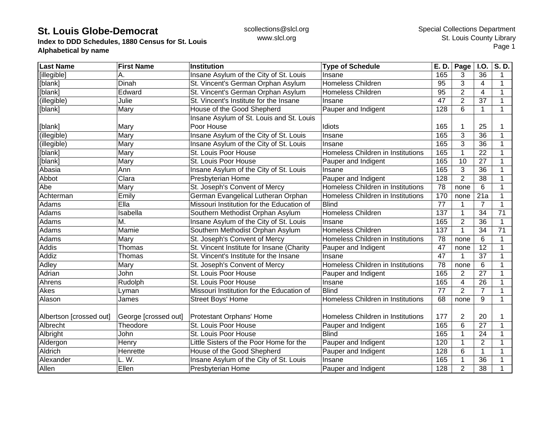**Index to DDD Schedules, 1880 Census for St. Louis Alphabetical by name**

| <b>Last Name</b>        | <b>First Name</b>    | Institution                               | <b>Type of Schedule</b>           | E. D. | Page           | <b>I.O.</b>             | S.D.        |
|-------------------------|----------------------|-------------------------------------------|-----------------------------------|-------|----------------|-------------------------|-------------|
| [illegible]             | А.                   | Insane Asylum of the City of St. Louis    | Insane                            | 165   | 3              | 36                      | 1           |
| [blank]                 | Dinah                | St. Vincent's German Orphan Asylum        | <b>Homeless Children</b>          | 95    | 3              | $\overline{4}$          | 1           |
| [blank]                 | Edward               | St. Vincent's German Orphan Asylum        | <b>Homeless Children</b>          | 95    | $\overline{2}$ | $\overline{\mathbf{4}}$ | 1           |
| (illegible)             | Julie                | St. Vincent's Institute for the Insane    | Insane                            | 47    | $\overline{2}$ | 37                      | 1           |
| [blank]                 | Mary                 | House of the Good Shepherd                | Pauper and Indigent               | 128   | 6              | 1                       | 1           |
|                         |                      | Insane Asylum of St. Louis and St. Louis  |                                   |       |                |                         |             |
| [blank]                 | Mary                 | Poor House                                | Idiots                            | 165   |                | 25                      |             |
| (illegible)             | Mary                 | Insane Asylum of the City of St. Louis    | Insane                            | 165   | 3              | 36                      | 1           |
| (illegible)             | Mary                 | Insane Asylum of the City of St. Louis    | Insane                            | 165   | 3              | 36                      |             |
| [blank]                 | Mary                 | St. Louis Poor House                      | Homeless Children in Institutions | 165   |                | 22                      | $\mathbf 1$ |
| [blank]                 | Mary                 | St. Louis Poor House                      | Pauper and Indigent               | 165   | 10             | 27                      | 1           |
| Abasia                  | Ann                  | Insane Asylum of the City of St. Louis    | Insane                            | 165   | 3              | 36                      | 1           |
| Abbot                   | Clara                | Presbyterian Home                         | Pauper and Indigent               | 128   | $\overline{2}$ | 38                      | $\mathbf 1$ |
| Abe                     | Mary                 | St. Joseph's Convent of Mercy             | Homeless Children in Institutions | 78    | none           | 6                       | 1           |
| Achterman               | Emily                | German Evangelical Lutheran Orphan        | Homeless Children in Institutions | 170   | none           | 21a                     | 1           |
| Adams                   | Ella                 | Missouri Institution for the Education of | <b>Blind</b>                      | 77    | 1              | $\overline{7}$          | 1           |
| Adams                   | Isabella             | Southern Methodist Orphan Asylum          | Homeless Children                 | 137   | 1              | 34                      | 71          |
| Adams                   | M.                   | Insane Asylum of the City of St. Louis    | Insane                            | 165   | $\overline{2}$ | 36                      | 1           |
| Adams                   | Mamie                | Southern Methodist Orphan Asylum          | <b>Homeless Children</b>          | 137   | $\mathbf 1$    | 34                      | 71          |
| Adams                   | Mary                 | St. Joseph's Convent of Mercy             | Homeless Children in Institutions | 78    | none           | 6                       | 1           |
| Addis                   | Thomas               | St. Vincent Institute for Insane (Charity | Pauper and Indigent               | 47    | none           | 12                      | 1           |
| Addiz                   | Thomas               | St. Vincent's Institute for the Insane    | Insane                            | 47    | $\mathbf 1$    | 37                      | $\mathbf 1$ |
| Adley                   | Mary                 | St. Joseph's Convent of Mercy             | Homeless Children in Institutions | 78    | none           | 6                       | $\mathbf 1$ |
| Adrian                  | John                 | St. Louis Poor House                      | Pauper and Indigent               | 165   | $\overline{c}$ | $\overline{27}$         | $\mathbf 1$ |
| Ahrens                  | Rudolph              | St. Louis Poor House                      | Insane                            | 165   | $\overline{4}$ | 26                      | 1           |
| Akes                    | Lyman                | Missouri Institution for the Education of | <b>Blind</b>                      | 77    | $\overline{2}$ | $\overline{7}$          | 1           |
| Alason                  | James                | Street Boys' Home                         | Homeless Children in Institutions | 68    | none           | 9                       | 1           |
|                         |                      |                                           |                                   |       |                |                         |             |
| Albertson [crossed out] | George [crossed out] | Protestant Orphans' Home                  | Homeless Children in Institutions | 177   | 2              | 20                      | 1           |
| Albrecht                | Theodore             | St. Louis Poor House                      | Pauper and Indigent               | 165   | 6              | 27                      | 1           |
| Albright                | John                 | St. Louis Poor House                      | <b>Blind</b>                      | 165   |                | 24                      |             |
| Aldergon                | Henry                | Little Sisters of the Poor Home for the   | Pauper and Indigent               | 120   |                | $\overline{2}$          |             |
| Aldrich                 | Henrette             | House of the Good Shepherd                | Pauper and Indigent               | 128   | 6              | $\mathbf{1}$            |             |
| Alexander               | L. W.                | Insane Asylum of the City of St. Louis    | Insane                            | 165   |                | 36                      |             |
| Allen                   | Ellen                | Presbyterian Home                         | Pauper and Indigent               | 128   | $\overline{2}$ | 38                      |             |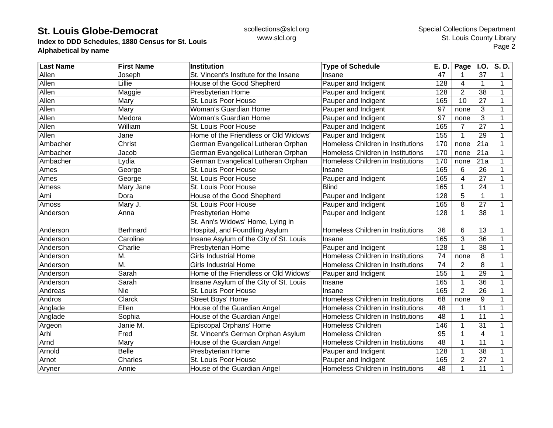**Index to DDD Schedules, 1880 Census for St. Louis Alphabetical by name**

| <b>Last Name</b> | <b>First Name</b> | Institution                            | <b>Type of Schedule</b>           | E. D. | Page           | I.O.                    | S.D. |
|------------------|-------------------|----------------------------------------|-----------------------------------|-------|----------------|-------------------------|------|
| Allen            | Joseph            | St. Vincent's Institute for the Insane | Insane                            | 47    |                | 37                      | 1    |
| Allen            | Lillie            | House of the Good Shepherd             | Pauper and Indigent               | 128   | 4              | $\mathbf{1}$            | 1    |
| Allen            | Maggie            | Presbyterian Home                      | Pauper and Indigent               | 128   | $\overline{2}$ | 38                      | 1    |
| Allen            | Mary              | St. Louis Poor House                   | Pauper and Indigent               | 165   | 10             | 27                      | 1    |
| Allen            | Mary              | Woman's Guardian Home                  | Pauper and Indigent               | 97    | none           | 3                       |      |
| Allen            | Medora            | Woman's Guardian Home                  | Pauper and Indigent               | 97    | none           | 3                       |      |
| Allen            | William           | St. Louis Poor House                   | Pauper and Indigent               | 165   | $\overline{7}$ | $\overline{27}$         |      |
| Allen            | Jane              | Home of the Friendless or Old Widows'  | Pauper and Indigent               | 155   | $\mathbf 1$    | 29                      |      |
| Ambacher         | Christ            | German Evangelical Lutheran Orphan     | Homeless Children in Institutions | 170   | none           | 21a                     |      |
| Ambacher         | Jacob             | German Evangelical Lutheran Orphan     | Homeless Children in Institutions | 170   | none           | 21a                     |      |
| Ambacher         | Lydia             | German Evangelical Lutheran Orphan     | Homeless Children in Institutions | 170   | none           | 21a                     |      |
| Ames             | George            | St. Louis Poor House                   | Insane                            | 165   | 6              | 26                      |      |
| Ames             | George            | St. Louis Poor House                   | Pauper and Indigent               | 165   | 4              | 27                      |      |
| Amess            | Mary Jane         | St. Louis Poor House                   | <b>Blind</b>                      | 165   |                | 24                      |      |
| Ami              | Dora              | House of the Good Shepherd             | Pauper and Indigent               | 128   | 5              | $\mathbf 1$             |      |
| Amoss            | Mary J.           | St. Louis Poor House                   | Pauper and Indigent               | 165   | 8              | 27                      |      |
| Anderson         | Anna              | Presbyterian Home                      | Pauper and Indigent               | 128   | 1              | 38                      | 1    |
|                  |                   | St. Ann's Widows' Home, Lying in       |                                   |       |                |                         |      |
| Anderson         | <b>Berhnard</b>   | Hospital, and Foundling Asylum         | Homeless Children in Institutions | 36    | 6              | 13                      |      |
| Anderson         | Caroline          | Insane Asylum of the City of St. Louis | Insane                            | 165   | 3              | $\overline{36}$         |      |
| Anderson         | Charlie           | Presbyterian Home                      | Pauper and Indigent               | 128   |                | 38                      |      |
| Anderson         | M.                | <b>Girls Industrial Home</b>           | Homeless Children in Institutions | 74    | none           | 8                       |      |
| Anderson         | M.                | <b>Girls Industrial Home</b>           | Homeless Children in Institutions | 74    | $\overline{2}$ | 8                       | 1    |
| Anderson         | Sarah             | Home of the Friendless or Old Widows'  | Pauper and Indigent               | 155   | 1              | 29                      | 1    |
| Anderson         | Sarah             | Insane Asylum of the City of St. Louis | Insane                            | 165   |                | 36                      |      |
| Andreas          | <b>Nie</b>        | St. Louis Poor House                   | Insane                            | 165   | $\overline{2}$ | 26                      |      |
| Andros           | Clarck            | Street Boys' Home                      | Homeless Children in Institutions | 68    | none           | 9                       |      |
| Anglade          | Ellen             | House of the Guardian Angel            | Homeless Children in Institutions | 48    |                | 11                      | 1    |
| Anglade          | Sophia            | House of the Guardian Angel            | Homeless Children in Institutions | 48    | 1              | 11                      | 1    |
| Argeon           | Janie M.          | Episcopal Orphans' Home                | Homeless Children                 | 146   |                | 31                      | 1    |
| Arhl             | Fred              | St. Vincent's German Orphan Asylum     | Homeless Children                 | 95    |                | $\overline{\mathbf{4}}$ |      |
| Arnd             | Mary              | House of the Guardian Angel            | Homeless Children in Institutions | 48    |                | 11                      |      |
| Arnold           | <b>Belle</b>      | Presbyterian Home                      | Pauper and Indigent               | 128   |                | 38                      |      |
| Arnot            | Charles           | St. Louis Poor House                   | Pauper and Indigent               | 165   | $\overline{2}$ | 27                      |      |
| Aryner           | Annie             | House of the Guardian Angel            | Homeless Children in Institutions | 48    | 1              | 11                      |      |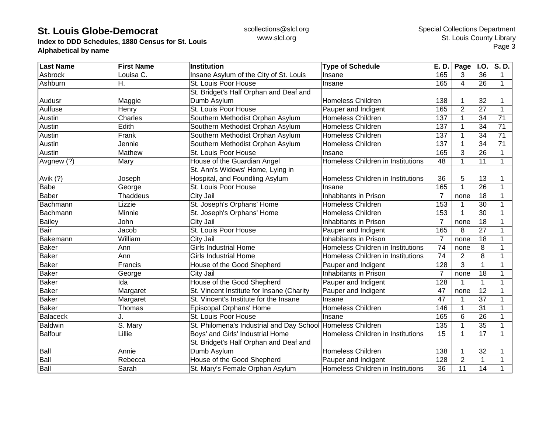**Index to DDD Schedules, 1880 Census for St. Louis Alphabetical by name**

| <b>Last Name</b> | <b>First Name</b>     | Institution                                                 | <b>Type of Schedule</b>           | E. D.          | Page           | <b>I.O.</b>     | $\overline{\mathsf{S}}$ . D. |
|------------------|-----------------------|-------------------------------------------------------------|-----------------------------------|----------------|----------------|-----------------|------------------------------|
| Asbrock          | Louisa C.             | Insane Asylum of the City of St. Louis                      | Insane                            | 165            | 3              | 36              | 1                            |
| Ashburn          | Н.                    | St. Louis Poor House                                        | Insane                            | 165            | 4              | 26              | $\mathbf 1$                  |
|                  |                       | St. Bridget's Half Orphan and Deaf and                      |                                   |                |                |                 |                              |
| Audusr           | Maggie                | Dumb Asylum                                                 | <b>Homeless Children</b>          | 138            |                | 32              |                              |
| Aulfuse          | Henry                 | St. Louis Poor House                                        | Pauper and Indigent               | 165            | $\overline{2}$ | 27              | 1                            |
| Austin           | Charles               | Southern Methodist Orphan Asylum                            | <b>Homeless Children</b>          | 137            |                | 34              | 71                           |
| Austin           | Edith                 | Southern Methodist Orphan Asylum                            | <b>Homeless Children</b>          | 137            |                | 34              | 71                           |
| Austin           | Frank                 | Southern Methodist Orphan Asylum                            | <b>Homeless Children</b>          | 137            |                | 34              | 71                           |
| Austin           | Jennie                | Southern Methodist Orphan Asylum                            | <b>Homeless Children</b>          | 137            |                | 34              | 71                           |
| Austin           | Mathew                | St. Louis Poor House                                        | Insane                            | 165            | 3              | 26              |                              |
| Avgnew (?)       | Mary                  | House of the Guardian Angel                                 | Homeless Children in Institutions | 48             |                | 11              | $\mathbf{1}$                 |
|                  |                       | St. Ann's Widows' Home, Lying in                            |                                   |                |                |                 |                              |
| Avik (?)         | Joseph                | Hospital, and Foundling Asylum                              | Homeless Children in Institutions | 36             | 5              | 13              | 1                            |
| <b>Babe</b>      | George                | St. Louis Poor House                                        | Insane                            | 165            |                | 26              | $\mathbf 1$                  |
| Baber            | <b>Thaddeus</b>       | City Jail                                                   | Inhabitants in Prison             | 7              | none           | 18              | 1                            |
| Bachmann         | Lizzie                | St. Joseph's Orphans' Home                                  | <b>Homeless Children</b>          | 153            |                | 30              | 1                            |
| Bachmann         | Minnie                | St. Joseph's Orphans' Home                                  | <b>Homeless Children</b>          | 153            |                | 30              | 1                            |
| <b>Bailey</b>    | John                  | City Jail                                                   | Inhabitants in Prison             | $\overline{7}$ | none           | 18              | 1                            |
| Bair             | Jacob                 | St. Louis Poor House                                        | Pauper and Indigent               | 165            | 8              | 27              |                              |
| Bakemann         | William               | <b>City Jail</b>                                            | Inhabitants in Prison             | $\overline{7}$ | none           | 18              |                              |
| <b>Baker</b>     | Ann                   | <b>Girls Industrial Home</b>                                | Homeless Children in Institutions | 74             | none           | 8               |                              |
| <b>Baker</b>     | Ann                   | <b>Girls Industrial Home</b>                                | Homeless Children in Institutions | 74             | 2              | 8               | 1                            |
| <b>Baker</b>     | Francis               | House of the Good Shepherd                                  | Pauper and Indigent               | 128            | 3              | $\mathbf{1}$    | 1                            |
| <b>Baker</b>     | George                | City Jail                                                   | Inhabitants in Prison             | $\overline{7}$ | none           | 18              | 1                            |
| <b>Baker</b>     | Ida                   | House of the Good Shepherd                                  | Pauper and Indigent               | 128            |                | 1               | 1                            |
| Baker            | Margaret              | St. Vincent Institute for Insane (Charity                   | Pauper and Indigent               | 47             | none           | $\overline{12}$ | $\mathbf{1}$                 |
| <b>Baker</b>     | Margaret              | St. Vincent's Institute for the Insane                      | Insane                            | 47             |                | 37              | 1                            |
| <b>Baker</b>     | Thomas                | Episcopal Orphans' Home                                     | Homeless Children                 | 146            | 1              | 31              | 1                            |
| <b>Balaceck</b>  |                       | St. Louis Poor House                                        | Insane                            | 165            | 6              | 26              | 1                            |
| <b>Baldwin</b>   | $\overline{S}$ . Mary | St. Philomena's Industrial and Day School Homeless Children |                                   | 135            |                | 35              |                              |
| <b>Balfour</b>   | Lillie                | Boys' and Girls' Industrial Home                            | Homeless Children in Institutions | 15             |                | 17              | 1                            |
|                  |                       | St. Bridget's Half Orphan and Deaf and                      |                                   |                |                |                 |                              |
| Ball             | Annie                 | Dumb Asylum                                                 | <b>Homeless Children</b>          | 138            |                | 32              |                              |
| Ball             | Rebecca               | House of the Good Shepherd                                  | Pauper and Indigent               | 128            | $\overline{2}$ | 1               |                              |
| <b>Ball</b>      | Sarah                 | St. Mary's Female Orphan Asylum                             | Homeless Children in Institutions | 36             | 11             | 14              |                              |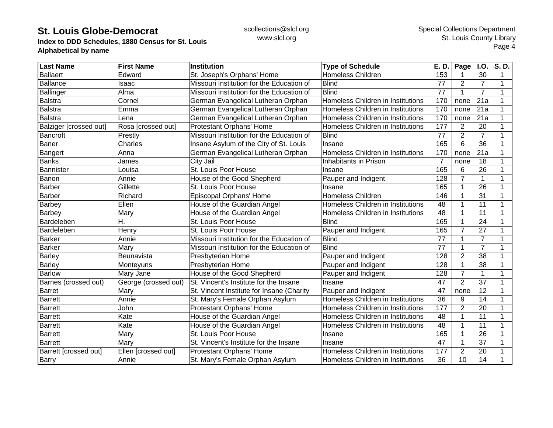**Index to DDD Schedules, 1880 Census for St. Louis Alphabetical by name**

| <b>Last Name</b>             | <b>First Name</b>    | <b>Institution</b>                        | <b>Type of Schedule</b>           | E. D.          | Page           | <b>I.O.</b>     | S.D. |
|------------------------------|----------------------|-------------------------------------------|-----------------------------------|----------------|----------------|-----------------|------|
| <b>Ballaert</b>              | Edward               | St. Joseph's Orphans' Home                | <b>Homeless Children</b>          | 153            |                | 30              | 1    |
| <b>Ballance</b>              | Isaac                | Missouri Institution for the Education of | <b>Blind</b>                      | 77             | $\overline{2}$ | $\overline{7}$  | 1    |
| <b>Ballinger</b>             | Alma                 | Missouri Institution for the Education of | <b>Blind</b>                      | 77             |                | $\overline{7}$  |      |
| <b>Balstra</b>               | Cornel               | German Evangelical Lutheran Orphan        | Homeless Children in Institutions | 170            | none           | 21a             | 1    |
| Balstra                      | Emma                 | German Evangelical Lutheran Orphan        | Homeless Children in Institutions | 170            | none           | 21a             | 1    |
| Balstra                      | Lena                 | German Evangelical Lutheran Orphan        | Homeless Children in Institutions | 170            | none           | 21a             | 1    |
| Balziger [crossed out]       | Rosa [crossed out]   | Protestant Orphans' Home                  | Homeless Children in Institutions | 177            | 2              | 20              | 1    |
| <b>Bancroft</b>              | Prestly              | Missouri Institution for the Education of | <b>Blind</b>                      | 77             | 2              | $\overline{7}$  | 1    |
| <b>Baner</b>                 | Charles              | Insane Asylum of the City of St. Louis    | Insane                            | 165            | 6              | 36              |      |
| <b>Bangert</b>               | Anna                 | German Evangelical Lutheran Orphan        | Homeless Children in Institutions | 170            | none           | 21a             | 1    |
| <b>Banks</b>                 | James                | City Jail                                 | Inhabitants in Prison             | $\overline{7}$ | none           | 18              |      |
| Bannister                    | Louisa               | St. Louis Poor House                      | Insane                            | 165            | 6              | 26              |      |
| Banon                        | Annie                | House of the Good Shepherd                | Pauper and Indigent               | 128            | $\overline{7}$ | $\mathbf 1$     |      |
| <b>Barber</b>                | Gillette             | St. Louis Poor House                      | Insane                            | 165            |                | 26              |      |
| <b>Barber</b>                | Richard              | Episcopal Orphans' Home                   | Homeless Children                 | 146            |                | 31              | 1    |
| <b>Barbey</b>                | Ellen                | House of the Guardian Angel               | Homeless Children in Institutions | 48             |                | 11              | 1    |
| Barbey                       | Mary                 | House of the Guardian Angel               | Homeless Children in Institutions | 48             |                | 11              | 1    |
| Bardeleben                   | Η.                   | St. Louis Poor House                      | <b>Blind</b>                      | 165            |                | 24              |      |
| Bardeleben                   | Henry                | St. Louis Poor House                      | Pauper and Indigent               | 165            | 7              | 27              |      |
| Barker                       | Annie                | Missouri Institution for the Education of | <b>Blind</b>                      | 77             |                | $\overline{7}$  |      |
| <b>Barker</b>                | Mary                 | Missouri Institution for the Education of | <b>Blind</b>                      | 77             |                | $\overline{7}$  | 1    |
| Barley                       | Beunavista           | Presbyterian Home                         | Pauper and Indigent               | 128            | $\overline{2}$ | 38              | 1    |
| <b>Barley</b>                | Monteyuns            | Presbyterian Home                         | Pauper and Indigent               | 128            |                | 38              |      |
| <b>Barlow</b>                | Mary Jane            | House of the Good Shepherd                | Pauper and Indigent               | 128            | $\overline{7}$ | $\mathbf{1}$    |      |
| Barnes (crossed out)         | George (crossed out) | St. Vincent's Institute for the Insane    | Insane                            | 47             | $\overline{2}$ | $\overline{37}$ |      |
| <b>Barret</b>                | Mary                 | St. Vincent Institute for Insane (Charity | Pauper and Indigent               | 47             | none           | 12              |      |
| Barrett                      | Annie                | St. Mary's Female Orphan Asylum           | Homeless Children in Institutions | 36             | 9              | 14              | 1    |
| <b>Barrett</b>               | John                 | Protestant Orphans' Home                  | Homeless Children in Institutions | 177            | $\overline{2}$ | 20              | 1    |
| <b>Barrett</b>               | Kate                 | House of the Guardian Angel               | Homeless Children in Institutions | 48             |                | 11              | 1    |
| <b>Barrett</b>               | Kate                 | House of the Guardian Angel               | Homeless Children in Institutions | 48             |                | 11              | 1    |
| <b>Barrett</b>               | Mary                 | St. Louis Poor House                      | Insane                            | 165            |                | 26              | 1    |
| <b>Barrett</b>               | Mary                 | St. Vincent's Institute for the Insane    | Insane                            | 47             | 1              | 37              |      |
| <b>Barrett [crossed out]</b> | Ellen [crossed out]  | Protestant Orphans' Home                  | Homeless Children in Institutions | 177            | $\overline{2}$ | 20              |      |
| <b>Barry</b>                 | Annie                | St. Mary's Female Orphan Asylum           | Homeless Children in Institutions | 36             | 10             | 14              |      |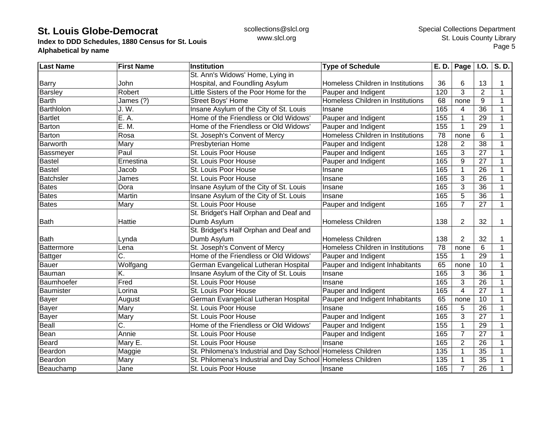**Index to DDD Schedules, 1880 Census for St. Louis Alphabetical by name**

| <b>Last Name</b> | <b>First Name</b> | <b>Institution</b>                                          | <b>Type of Schedule</b>           | E. D.           | Page $ $ I.O.  |                 | S.D.         |
|------------------|-------------------|-------------------------------------------------------------|-----------------------------------|-----------------|----------------|-----------------|--------------|
|                  |                   | St. Ann's Widows' Home, Lying in                            |                                   |                 |                |                 |              |
| Barry            | John              | Hospital, and Foundling Asylum                              | Homeless Children in Institutions | 36              | 6              | 13              |              |
| <b>Barsley</b>   | Robert            | Little Sisters of the Poor Home for the                     | Pauper and Indigent               | 120             | 3              | $\overline{2}$  | 1            |
| <b>Barth</b>     | James (?)         | <b>Street Boys' Home</b>                                    | Homeless Children in Institutions | 68              | none           | 9               | 1            |
| Barthlolon       | J. W.             | Insane Asylum of the City of St. Louis                      | Insane                            | 165             | 4              | 36              | 1            |
| <b>Bartlet</b>   | E. A.             | Home of the Friendless or Old Widows'                       | Pauper and Indigent               | 155             | 1              | 29              |              |
| Barton           | E. M.             | Home of the Friendless or Old Widows'                       | Pauper and Indigent               | 155             | $\mathbf 1$    | 29              |              |
| Barton           | Rosa              | St. Joseph's Convent of Mercy                               | Homeless Children in Institutions | 78              | none           | 6               |              |
| Barworth         | Mary              | Presbyterian Home                                           | Pauper and Indigent               | 128             | $\overline{2}$ | 38              |              |
| <b>Bassmeyer</b> | Paul              | St. Louis Poor House                                        | Pauper and Indigent               | 165             | 3              | $\overline{27}$ | 1            |
| <b>Bastel</b>    | Ernestina         | St. Louis Poor House                                        | Pauper and Indigent               | 165             | 9              | 27              | $\mathbf{1}$ |
| <b>Bastel</b>    | Jacob             | St. Louis Poor House                                        | Insane                            | 165             |                | 26              |              |
| <b>Batchsler</b> | James             | St. Louis Poor House                                        | Insane                            | 165             | 3              | 26              |              |
| <b>Bates</b>     | Dora              | Insane Asylum of the City of St. Louis                      | Insane                            | 165             | 3              | 36              |              |
| <b>Bates</b>     | Martin            | Insane Asylum of the City of St. Louis                      | Insane                            | 165             | 5              | 36              |              |
| <b>Bates</b>     | Mary              | St. Louis Poor House                                        | Pauper and Indigent               | 165             | 7              | 27              | 1            |
|                  |                   | St. Bridget's Half Orphan and Deaf and                      |                                   |                 |                |                 |              |
| <b>Bath</b>      | Hattie            | Dumb Asylum                                                 | Homeless Children                 | 138             | 2              | 32              | 1            |
|                  |                   | St. Bridget's Half Orphan and Deaf and                      |                                   |                 |                |                 |              |
| <b>Bath</b>      | Lynda             | Dumb Asylum                                                 | <b>Homeless Children</b>          | 138             | $\overline{2}$ | 32              |              |
| Battermore       | Lena              | St. Joseph's Convent of Mercy                               | Homeless Children in Institutions | $\overline{78}$ | none           | 6               | 1            |
| <b>Battger</b>   | Ć.                | Home of the Friendless or Old Widows'                       | Pauper and Indigent               | 155             |                | 29              | 1            |
| <b>Bauer</b>     | Wolfgang          | German Evangelical Lutheran Hospital                        | Pauper and Indigent Inhabitants   | 65              | none           | 10              | 1            |
| Bauman           | K.                | Insane Asylum of the City of St. Louis                      | Insane                            | 165             | 3              | 36              | 1            |
| Baumhoefer       | Fred              | St. Louis Poor House                                        | Insane                            | 165             | 3              | 26              | 1            |
| Baumister        | Lorina            | St. Louis Poor House                                        | Pauper and Indigent               | 165             | $\overline{4}$ | 27              |              |
| Bayer            | August            | German Evangelical Lutheran Hospital                        | Pauper and Indigent Inhabitants   | 65              | none           | 10              |              |
| Bayer            | Mary              | St. Louis Poor House                                        | Insane                            | 165             | 5              | 26              | 1            |
| Bayer            | Mary              | St. Louis Poor House                                        | Pauper and Indigent               | 165             | 3              | 27              | 1            |
| Beall            | C.                | Home of the Friendless or Old Widows'                       | Pauper and Indigent               | 155             | 1              | 29              | 1            |
| Bean             | Annie             | St. Louis Poor House                                        | Pauper and Indigent               | 165             | $\overline{7}$ | 27              |              |
| <b>Beard</b>     | Mary E.           | St. Louis Poor House                                        | Insane                            | 165             | $\overline{2}$ | 26              |              |
| Beardon          | Maggie            | St. Philomena's Industrial and Day School Homeless Children |                                   | 135             |                | 35              |              |
| Beardon          | Mary              | St. Philomena's Industrial and Day School Homeless Children |                                   | 135             |                | 35              |              |
| Beauchamp        | Jane              | St. Louis Poor House                                        | Insane                            | 165             | $\overline{7}$ | 26              |              |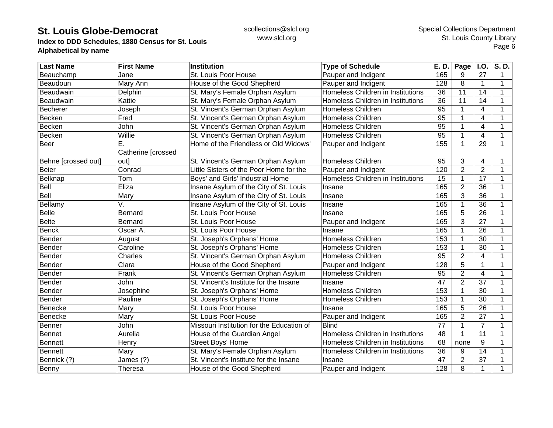**Index to DDD Schedules, 1880 Census for St. Louis Alphabetical by name**

| <b>Last Name</b>    | <b>First Name</b>  | <b>Institution</b>                        | <b>Type of Schedule</b>           | E.D.            | Page           | I.O.                    | S.D.         |
|---------------------|--------------------|-------------------------------------------|-----------------------------------|-----------------|----------------|-------------------------|--------------|
| Beauchamp           | Jane               | St. Louis Poor House                      | Pauper and Indigent               | 165             | 9              | 27                      | $\mathbf 1$  |
| Beaudoun            | Mary Ann           | House of the Good Shepherd                | Pauper and Indigent               | 128             | 8              | $\mathbf{1}$            | 1            |
| Beaudwain           | Delphin            | St. Mary's Female Orphan Asylum           | Homeless Children in Institutions | 36              | 11             | 14                      |              |
| Beaudwain           | Kattie             | St. Mary's Female Orphan Asylum           | Homeless Children in Institutions | 36              | 11             | 14                      |              |
| Becherer            | Joseph             | St. Vincent's German Orphan Asylum        | <b>Homeless Children</b>          | $\overline{95}$ |                | 4                       |              |
| Becken              | Fred               | St. Vincent's German Orphan Asylum        | <b>Homeless Children</b>          | $\overline{95}$ | 1              | 4                       |              |
| Becken              | John               | St. Vincent's German Orphan Asylum        | <b>Homeless Children</b>          | 95              | 1              | 4                       |              |
| Becken              | Willie             | St. Vincent's German Orphan Asylum        | <b>Homeless Children</b>          | $\overline{95}$ | 1              | $\overline{4}$          | 1            |
| Beer                | Е.                 | Home of the Friendless or Old Widows'     | Pauper and Indigent               | 155             | 1              | 29                      | $\mathbf{1}$ |
|                     | Catherine [crossed |                                           |                                   |                 |                |                         |              |
| Behne [crossed out] | out]               | St. Vincent's German Orphan Asylum        | <b>Homeless Children</b>          | 95              | 3              | 4                       |              |
| <b>Beier</b>        | Conrad             | Little Sisters of the Poor Home for the   | Pauper and Indigent               | 120             | $\overline{2}$ | $\overline{2}$          | 1            |
| Belknap             | Tom                | Boys' and Girls' Industrial Home          | Homeless Children in Institutions | 15              | 1              | 17                      | -1           |
| Bell                | Eliza              | Insane Asylum of the City of St. Louis    | Insane                            | 165             | $\overline{2}$ | 36                      | 1            |
| <b>Bell</b>         | Mary               | Insane Asylum of the City of St. Louis    | Insane                            | 165             | 3              | 36                      | 1            |
| Bellamy             | V.                 | Insane Asylum of the City of St. Louis    | Insane                            | 165             | 1              | 36                      |              |
| <b>Belle</b>        | <b>Bernard</b>     | St. Louis Poor House                      | Insane                            | 165             | 5              | 26                      |              |
| <b>Belte</b>        | <b>Bernard</b>     | St. Louis Poor House                      | Pauper and Indigent               | 165             | 3              | 27                      |              |
| <b>Benck</b>        | Oscar A.           | St. Louis Poor House                      | Insane                            | 165             | 1              | 26                      |              |
| Bender              | August             | St. Joseph's Orphans' Home                | <b>Homeless Children</b>          | 153             | 1              | 30                      |              |
| Bender              | Caroline           | St. Joseph's Orphans' Home                | <b>Homeless Children</b>          | 153             | $\mathbf{1}$   | 30                      | $\mathbf 1$  |
| Bender              | Charles            | St. Vincent's German Orphan Asylum        | <b>Homeless Children</b>          | $\overline{95}$ | $\overline{2}$ | $\overline{4}$          |              |
| Bender              | Clara              | House of the Good Shepherd                | Pauper and Indigent               | 128             | 5              | $\mathbf{1}$            |              |
| Bender              | Frank              | St. Vincent's German Orphan Asylum        | <b>Homeless Children</b>          | 95              | $\overline{2}$ | $\overline{\mathbf{4}}$ | $\mathbf 1$  |
| Bender              | John               | St. Vincent's Institute for the Insane    | Insane                            | 47              | $\overline{2}$ | 37                      | $\mathbf 1$  |
| Bender              | Josephine          | St. Joseph's Orphans' Home                | Homeless Children                 | 153             | $\mathbf{1}$   | 30                      | 1            |
| <b>Bender</b>       | Pauline            | St. Joseph's Orphans' Home                | <b>Homeless Children</b>          | 153             | 1              | 30                      | $\mathbf 1$  |
| Benecke             | Mary               | St. Louis Poor House                      | Insane                            | 165             | 5              | 26                      | 1            |
| Benecke             | Mary               | St. Louis Poor House                      | Pauper and Indigent               | 165             | $\overline{2}$ | 27                      | 1            |
| <b>Benner</b>       | John               | Missouri Institution for the Education of | <b>Blind</b>                      | 77              | 1              | $\overline{7}$          |              |
| <b>Bennet</b>       | Aurelia            | House of the Guardian Angel               | Homeless Children in Institutions | 48              | $\mathbf{1}$   | 11                      |              |
| <b>Bennett</b>      | Henry              | <b>Street Boys' Home</b>                  | Homeless Children in Institutions | 68              | none           | 9                       |              |
| <b>Bennett</b>      | Mary               | St. Mary's Female Orphan Asylum           | Homeless Children in Institutions | 36              | 9              | 14                      |              |
| Bennick (?)         | James (?)          | St. Vincent's Institute for the Insane    | Insane                            | 47              | $\overline{2}$ | 37                      |              |
| Benny               | Theresa            | House of the Good Shepherd                | Pauper and Indigent               | 128             | 8              | $\mathbf{1}$            |              |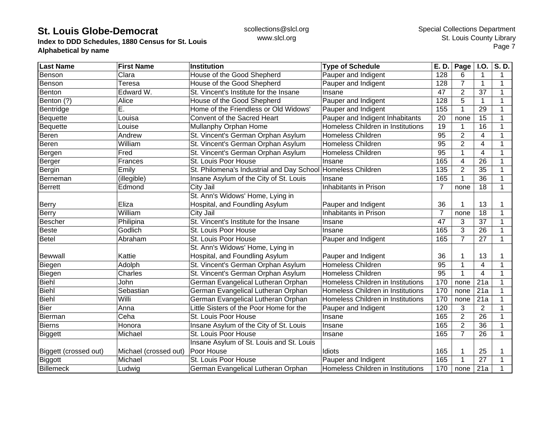**Index to DDD Schedules, 1880 Census for St. Louis Alphabetical by name**

| <b>Last Name</b>      | <b>First Name</b>     | Institution                                                 | <b>Type of Schedule</b>           | E. D.            | Page           | I.O.            | S.D.         |
|-----------------------|-----------------------|-------------------------------------------------------------|-----------------------------------|------------------|----------------|-----------------|--------------|
| Benson                | Clara                 | House of the Good Shepherd                                  | Pauper and Indigent               | 128              | 6              | 1               | $\mathbf{1}$ |
| Benson                | Teresa                | House of the Good Shepherd                                  | Pauper and Indigent               | 128              | $\overline{7}$ | $\mathbf{1}$    | 1            |
| Benton                | Edward W.             | St. Vincent's Institute for the Insane                      | Insane                            | 47               | $\overline{2}$ | 37              |              |
| Benton (?)            | Alice                 | House of the Good Shepherd                                  | Pauper and Indigent               | 128              | 5              | $\mathbf{1}$    |              |
| Bentridge             | Ē.                    | Home of the Friendless or Old Widows'                       | Pauper and Indigent               | 155              | 1              | 29              |              |
| Bequette              | Louisa                | Convent of the Sacred Heart                                 | Pauper and Indigent Inhabitants   | 20               | none           | 15              |              |
| Bequette              | Louise                | Mullanphy Orphan Home                                       | Homeless Children in Institutions | 19               |                | 16              |              |
| Beren                 | Andrew                | St. Vincent's German Orphan Asylum                          | <b>Homeless Children</b>          | $\overline{95}$  | $\overline{2}$ | 4               | 1            |
| Beren                 | William               | St. Vincent's German Orphan Asylum                          | <b>Homeless Children</b>          | $\overline{95}$  | $\overline{2}$ | $\overline{4}$  |              |
| Bergen                | Fred                  | St. Vincent's German Orphan Asylum                          | <b>Homeless Children</b>          | $\overline{95}$  |                | $\overline{4}$  | 1            |
| Berger                | Frances               | St. Louis Poor House                                        | Insane                            | 165              | 4              | 26              |              |
| Bergin                | Emily                 | St. Philomena's Industrial and Day School Homeless Children |                                   | $\overline{135}$ | $\overline{2}$ | $\overline{35}$ |              |
| Berneman              | (illegible)           | Insane Asylum of the City of St. Louis                      | Insane                            | 165              |                | 36              |              |
| <b>Berrett</b>        | Edmond                | City Jail                                                   | Inhabitants in Prison             | 7                | none           | 18              | 1            |
|                       |                       | St. Ann's Widows' Home, Lying in                            |                                   |                  |                |                 |              |
| Berry                 | Eliza                 | Hospital, and Foundling Asylum                              | Pauper and Indigent               | 36               |                | 13              |              |
| Berry                 | William               | City Jail                                                   | Inhabitants in Prison             | $\overline{7}$   | none           | 18              | 1            |
| Bescher               | Philipina             | St. Vincent's Institute for the Insane                      | Insane                            | 47               | 3              | 37              |              |
| Beste                 | Godlich               | St. Louis Poor House                                        | Insane                            | 165              | 3              | 26              |              |
| Betel                 | Abraham               | St. Louis Poor House                                        | Pauper and Indigent               | 165              | $\overline{7}$ | $\overline{27}$ | 1            |
|                       |                       | St. Ann's Widows' Home, Lying in                            |                                   |                  |                |                 |              |
| <b>Bewwall</b>        | Kattie                | Hospital, and Foundling Asylum                              | Pauper and Indigent               | 36               |                | 13              |              |
| Biegen                | Adolph                | St. Vincent's German Orphan Asylum                          | Homeless Children                 | 95               |                | 4               | 1            |
| Biegen                | Charles               | St. Vincent's German Orphan Asylum                          | <b>Homeless Children</b>          | $\overline{95}$  |                | $\overline{4}$  | 1            |
| <b>Biehl</b>          | John                  | German Evangelical Lutheran Orphan                          | Homeless Children in Institutions | 170              | none           | 21a             | 1            |
| Biehl                 | Sebastian             | German Evangelical Lutheran Orphan                          | Homeless Children in Institutions | 170              | none           | 21a             |              |
| <b>Biehl</b>          | <b>Willi</b>          | German Evangelical Lutheran Orphan                          | Homeless Children in Institutions | 170              | none           | 21a             | 1            |
| Bier                  | Anna                  | Little Sisters of the Poor Home for the                     | Pauper and Indigent               | 120              | 3              | $\overline{2}$  | 1            |
| Bierman               | Ceha                  | St. Louis Poor House                                        | Insane                            | 165              | $\overline{2}$ | 26              | 1            |
| <b>Bierns</b>         | Honora                | Insane Asylum of the City of St. Louis                      | Insane                            | 165              | $\overline{2}$ | 36              |              |
| <b>Biggett</b>        | Michael               | St. Louis Poor House                                        | Insane                            | 165              | $\overline{7}$ | 26              | 1            |
|                       |                       | Insane Asylum of St. Louis and St. Louis                    |                                   |                  |                |                 |              |
| Biggett (crossed out) | Michael (crossed out) | Poor House                                                  | Idiots                            | 165              |                | 25              |              |
| Biggott               | Michael               | St. Louis Poor House                                        | Pauper and Indigent               | 165              |                | 27              | 1            |
| <b>Billemeck</b>      | Ludwig                | German Evangelical Lutheran Orphan                          | Homeless Children in Institutions | 170              | none           | 21a             |              |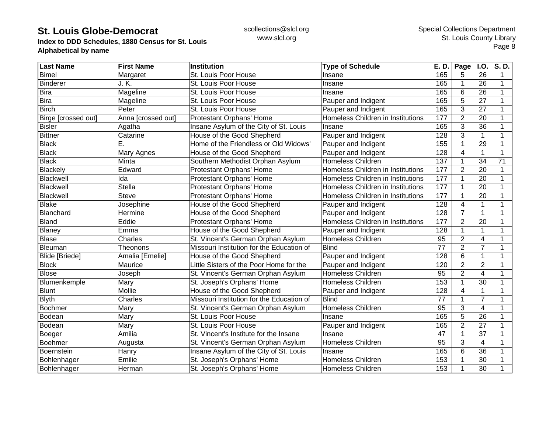**Index to DDD Schedules, 1880 Census for St. Louis Alphabetical by name**

| <b>Last Name</b>    | <b>First Name</b>  | <b>Institution</b>                        | <b>Type of Schedule</b>           | E. D.           | Page           | I.O.            | S.D. |
|---------------------|--------------------|-------------------------------------------|-----------------------------------|-----------------|----------------|-----------------|------|
| <b>Bimel</b>        | Margaret           | St. Louis Poor House                      | Insane                            | 165             | 5              | 26              |      |
| <b>Binderer</b>     | J. K.              | St. Louis Poor House                      | Insane                            | 165             | 1              | 26              | 1    |
| Bira                | Mageline           | St. Louis Poor House                      | Insane                            | 165             | 6              | 26              |      |
| <b>Bira</b>         | Mageline           | St. Louis Poor House                      | Pauper and Indigent               | 165             | 5              | 27              |      |
| <b>Birch</b>        | Peter              | St. Louis Poor House                      | Pauper and Indigent               | 165             | 3              | 27              |      |
| Birge [crossed out] | Anna [crossed out] | Protestant Orphans' Home                  | Homeless Children in Institutions | 177             | $\overline{2}$ | 20              |      |
| <b>Bisler</b>       | Agatha             | Insane Asylum of the City of St. Louis    | Insane                            | 165             | 3              | 36              |      |
| <b>Bittner</b>      | Catarine           | House of the Good Shepherd                | Pauper and Indigent               | 128             | 3              | 1               |      |
| <b>Black</b>        | Ē.                 | Home of the Friendless or Old Widows'     | Pauper and Indigent               | 155             | 1              | 29              |      |
| <b>Black</b>        | Mary Agnes         | House of the Good Shepherd                | Pauper and Indigent               | 128             | 4              | 1               | 1    |
| <b>Black</b>        | Minta              | Southern Methodist Orphan Asylum          | <b>Homeless Children</b>          | 137             | 1              | $\overline{34}$ | 71   |
| <b>Blackely</b>     | Edward             | Protestant Orphans' Home                  | Homeless Children in Institutions | 177             | $\overline{2}$ | $\overline{20}$ |      |
| Blackwell           | Ida                | <b>Protestant Orphans' Home</b>           | Homeless Children in Institutions | 177             | 1              | 20              |      |
| Blackwell           | <b>Stella</b>      | Protestant Orphans' Home                  | Homeless Children in Institutions | 177             | 1              | 20              |      |
| Blackwell           | <b>Steve</b>       | Protestant Orphans' Home                  | Homeless Children in Institutions | 177             | 1              | 20              |      |
| <b>Blake</b>        | Josephine          | House of the Good Shepherd                | Pauper and Indigent               | 128             | 4              | 1               | 1    |
| Blanchard           | Hermine            | House of the Good Shepherd                | Pauper and Indigent               | 128             | $\overline{7}$ | 1               |      |
| Bland               | Eddie              | Protestant Orphans' Home                  | Homeless Children in Institutions | 177             | $\overline{2}$ | 20              |      |
| <b>Blaney</b>       | Emma               | House of the Good Shepherd                | Pauper and Indigent               | 128             | 1              | 1               |      |
| <b>Blase</b>        | Charles            | St. Vincent's German Orphan Asylum        | Homeless Children                 | 95              | $\overline{2}$ | 4               |      |
| Bleuman             | Theonons           | Missouri Institution for the Education of | <b>Blind</b>                      | 77              | $\overline{2}$ | $\overline{7}$  |      |
| Blide [Briede]      | Amalia [Emelie]    | House of the Good Shepherd                | Pauper and Indigent               | 128             | 6              | $\mathbf{1}$    | 1    |
| <b>Block</b>        | Maurice            | Little Sisters of the Poor Home for the   | Pauper and Indigent               | 120             | $\overline{2}$ | $\overline{2}$  | 1    |
| <b>Blose</b>        | Joseph             | St. Vincent's German Orphan Asylum        | Homeless Children                 | 95              | $\overline{2}$ | $\overline{4}$  |      |
| Blumenkemple        | Mary               | St. Joseph's Orphans' Home                | Homeless Children                 | 153             | 1              | $\overline{30}$ |      |
| <b>Blunt</b>        | Mollie             | House of the Good Shepherd                | Pauper and Indigent               | 128             | 4              | 1               |      |
| <b>Blyth</b>        | Charles            | Missouri Institution for the Education of | <b>Blind</b>                      | 77              | 1              | $\overline{7}$  | 1    |
| <b>Bochmer</b>      | Mary               | St. Vincent's German Orphan Asylum        | <b>Homeless Children</b>          | $\overline{95}$ | 3              | $\overline{4}$  | 1    |
| Bodean              | Mary               | St. Louis Poor House                      | Insane                            | 165             | 5              | 26              |      |
| Bodean              | Mary               | St. Louis Poor House                      | Pauper and Indigent               | 165             | $\overline{2}$ | 27              |      |
| Boeger              | Amilia             | St. Vincent's Institute for the Insane    | Insane                            | 47              | 1              | 37              |      |
| Boehmer             | Augusta            | St. Vincent's German Orphan Asylum        | Homeless Children                 | $\overline{95}$ | 3              | 4               |      |
| Boernstein          | Hanry              | Insane Asylum of the City of St. Louis    | Insane                            | 165             | 6              | 36              |      |
| Bohlenhager         | Emilie             | St. Joseph's Orphans' Home                | Homeless Children                 | 153             | 1              | 30              |      |
| Bohlenhager         | Herman             | St. Joseph's Orphans' Home                | <b>Homeless Children</b>          | 153             | 1              | 30              |      |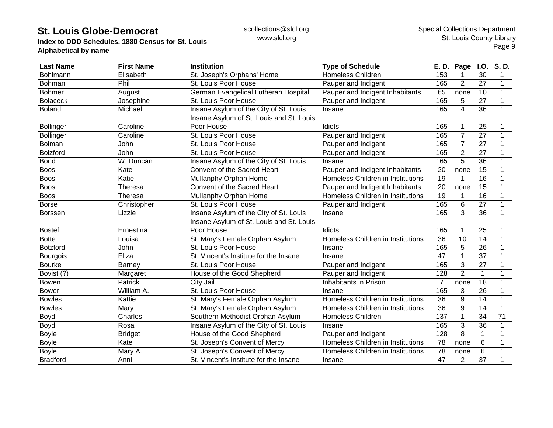**Index to DDD Schedules, 1880 Census for St. Louis Alphabetical by name**

| <b>Last Name</b> | <b>First Name</b> | <b>Institution</b>                       | <b>Type of Schedule</b>           | E. D. | Page           | <b>I.O.</b>     | S.D. |
|------------------|-------------------|------------------------------------------|-----------------------------------|-------|----------------|-----------------|------|
| Bohlmann         | Elisabeth         | St. Joseph's Orphans' Home               | <b>Homeless Children</b>          | 153   |                | 30              | 1    |
| Bohman           | Phil              | St. Louis Poor House                     | Pauper and Indigent               | 165   | $\overline{2}$ | 27              | 1    |
| <b>Bohmer</b>    | August            | German Evangelical Lutheran Hospital     | Pauper and Indigent Inhabitants   | 65    | none           | 10              |      |
| <b>Bolaceck</b>  | Josephine         | St. Louis Poor House                     | Pauper and Indigent               | 165   | 5              | 27              |      |
| <b>Boland</b>    | Michael           | Insane Asylum of the City of St. Louis   | Insane                            | 165   | 4              | 36              |      |
|                  |                   | Insane Asylum of St. Louis and St. Louis |                                   |       |                |                 |      |
| <b>Bollinger</b> | Caroline          | Poor House                               | Idiots                            | 165   |                | 25              |      |
| Bollinger        | Caroline          | St. Louis Poor House                     | Pauper and Indigent               | 165   | 7              | 27              | 1    |
| Bolman           | John              | St. Louis Poor House                     | Pauper and Indigent               | 165   | $\overline{7}$ | 27              | 1    |
| <b>Bolzford</b>  | John              | St. Louis Poor House                     | Pauper and Indigent               | 165   | $\overline{2}$ | 27              |      |
| <b>Bond</b>      | W. Duncan         | Insane Asylum of the City of St. Louis   | Insane                            | 165   | 5              | 36              |      |
| <b>Boos</b>      | Kate              | Convent of the Sacred Heart              | Pauper and Indigent Inhabitants   | 20    | none           | 15              |      |
| <b>Boos</b>      | Katie             | Mullanphy Orphan Home                    | Homeless Children in Institutions | 19    |                | 16              | 1    |
| <b>Boos</b>      | Theresa           | Convent of the Sacred Heart              | Pauper and Indigent Inhabitants   | 20    | none           | 15              | 1    |
| <b>Boos</b>      | Theresa           | Mullanphy Orphan Home                    | Homeless Children in Institutions | 19    |                | 16              | 1    |
| <b>Borse</b>     | Christopher       | St. Louis Poor House                     | Pauper and Indigent               | 165   | 6              | 27              |      |
| <b>Borssen</b>   | Lizzie            | Insane Asylum of the City of St. Louis   | Insane                            | 165   | 3              | 36              | 1    |
|                  |                   | Insane Asylum of St. Louis and St. Louis |                                   |       |                |                 |      |
| <b>Bostef</b>    | Ernestina         | Poor House                               | Idiots                            | 165   |                | 25              |      |
| <b>Botte</b>     | Louisa            | St. Mary's Female Orphan Asylum          | Homeless Children in Institutions | 36    | 10             | 14              |      |
| <b>Botzford</b>  | John              | St. Louis Poor House                     | Insane                            | 165   | 5              | 26              | 1    |
| Bourgois         | Eliza             | St. Vincent's Institute for the Insane   | Insane                            | 47    |                | 37              |      |
| <b>Bourke</b>    | Barney            | St. Louis Poor House                     | Pauper and Indigent               | 165   | 3              | 27              |      |
| Bovist (?)       | Margaret          | House of the Good Shepherd               | Pauper and Indigent               | 128   | $\overline{2}$ | $\mathbf{1}$    |      |
| <b>Bowen</b>     | Patrick           | City Jail                                | Inhabitants in Prison             | 7     | none           | 18              | 1    |
| <b>Bower</b>     | William A.        | St. Louis Poor House                     | Insane                            | 165   | 3              | $\overline{26}$ | 1    |
| <b>Bowles</b>    | Kattie            | St. Mary's Female Orphan Asylum          | Homeless Children in Institutions | 36    | 9              | 14              | 1    |
| <b>Bowles</b>    | Mary              | St. Mary's Female Orphan Asylum          | Homeless Children in Institutions | 36    | 9              | 14              | 1    |
| Boyd             | Charles           | Southern Methodist Orphan Asylum         | <b>Homeless Children</b>          | 137   |                | 34              | 71   |
| Boyd             | Rosa              | Insane Asylum of the City of St. Louis   | Insane                            | 165   | 3              | 36              | 1    |
| <b>Boyle</b>     | <b>Bridget</b>    | House of the Good Shepherd               | Pauper and Indigent               | 128   | 8              | 1               |      |
| <b>Boyle</b>     | Kate              | St. Joseph's Convent of Mercy            | Homeless Children in Institutions | 78    | none           | 6               |      |
| <b>Boyle</b>     | Mary A.           | St. Joseph's Convent of Mercy            | Homeless Children in Institutions | 78    | none           | 6               |      |
| Bradford         | Anni              | St. Vincent's Institute for the Insane   | Insane                            | 47    | 2              | 37              |      |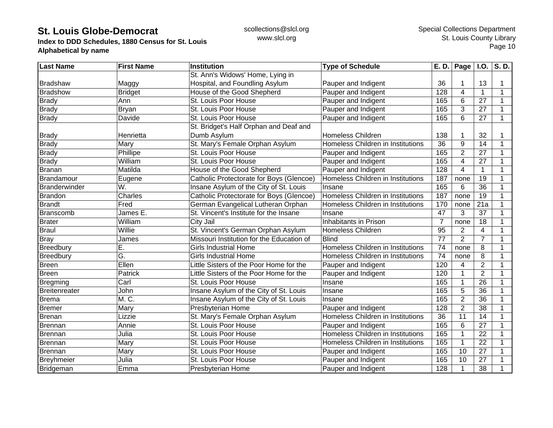**Index to DDD Schedules, 1880 Census for St. Louis Alphabetical by name**

| <b>Last Name</b>     | <b>First Name</b> | <b>Institution</b>                        | <b>Type of Schedule</b>           | E. D.          | Page $\vert$ I.O. |                 | S.D. |
|----------------------|-------------------|-------------------------------------------|-----------------------------------|----------------|-------------------|-----------------|------|
|                      |                   | St. Ann's Widows' Home, Lying in          |                                   |                |                   |                 |      |
| Bradshaw             | Maggy             | Hospital, and Foundling Asylum            | Pauper and Indigent               | 36             |                   | 13              | 1    |
| <b>Bradshow</b>      | <b>Bridget</b>    | House of the Good Shepherd                | Pauper and Indigent               | 128            | 4                 | $\mathbf{1}$    | 1    |
| <b>Brady</b>         | Ann               | St. Louis Poor House                      | Pauper and Indigent               | 165            | 6                 | 27              | 1    |
| <b>Brady</b>         | <b>Bryan</b>      | St. Louis Poor House                      | Pauper and Indigent               | 165            | 3                 | 27              | 1    |
| <b>Brady</b>         | Davide            | St. Louis Poor House                      | Pauper and Indigent               | 165            | 6                 | 27              | 1    |
|                      |                   | St. Bridget's Half Orphan and Deaf and    |                                   |                |                   |                 |      |
| <b>Brady</b>         | Henrietta         | Dumb Asylum                               | <b>Homeless Children</b>          | 138            |                   | 32              |      |
| <b>Brady</b>         | Mary              | St. Mary's Female Orphan Asylum           | Homeless Children in Institutions | 36             | 9                 | 14              |      |
| <b>Brady</b>         | Phillipe          | St. Louis Poor House                      | Pauper and Indigent               | 165            | $\overline{2}$    | 27              |      |
| <b>Brady</b>         | William           | St. Louis Poor House                      | Pauper and Indigent               | 165            | 4                 | 27              | 1    |
| Branan               | Matilda           | House of the Good Shepherd                | Pauper and Indigent               | 128            | 4                 | $\mathbf{1}$    | 1    |
| Brandamour           | Eugene            | Catholic Protectorate for Boys (Glencoe)  | Homeless Children in Institutions | 187            | none              | $\overline{19}$ | 1    |
| <b>Branderwinder</b> | W.                | Insane Asylum of the City of St. Louis    | Insane                            | 165            | 6                 | $\overline{36}$ | 1    |
| <b>Brandon</b>       | Charles           | Catholic Protectorate for Boys (Glencoe)  | Homeless Children in Institutions | 187            | none              | 19              | 1    |
| <b>Brandt</b>        | Fred              | German Evangelical Lutheran Orphan        | Homeless Children in Institutions | 170            | none              | 21a             | 1    |
| Branscomb            | James E.          | St. Vincent's Institute for the Insane    | Insane                            | 47             | 3                 | 37              | 1    |
| <b>Brater</b>        | William           | City Jail                                 | Inhabitants in Prison             | $\overline{7}$ | none              | 18              | 1    |
| <b>Braul</b>         | Willie            | St. Vincent's German Orphan Asylum        | <b>Homeless Children</b>          | 95             | $\overline{2}$    | 4               | 1    |
| <b>Bray</b>          | James             | Missouri Institution for the Education of | <b>Blind</b>                      | 77             | $\overline{2}$    | $\overline{7}$  | 1    |
| Breedbury            | Ē.                | <b>Girls Industrial Home</b>              | Homeless Children in Institutions | 74             | none              | 8               | 1    |
| Breedbury            | G.                | <b>Girls Industrial Home</b>              | Homeless Children in Institutions | 74             | none              | 8               | 1    |
| <b>Breen</b>         | Ellen             | Little Sisters of the Poor Home for the   | Pauper and Indigent               | 120            | 4                 | $\overline{2}$  | 1    |
| <b>Breen</b>         | Patrick           | Little Sisters of the Poor Home for the   | Pauper and Indigent               | 120            |                   | $\overline{2}$  | 1    |
| <b>Bregming</b>      | Carl              | St. Louis Poor House                      | Insane                            | 165            |                   | 26              | 1    |
| <b>Breitenreater</b> | John              | Insane Asylum of the City of St. Louis    | Insane                            | 165            | 5                 | 36              | 1    |
| <b>Brema</b>         | M. C.             | Insane Asylum of the City of St. Louis    | Insane                            | 165            | $\overline{2}$    | 36              | 1    |
| <b>Bremer</b>        | Mary              | Presbyterian Home                         | Pauper and Indigent               | 128            | $\overline{2}$    | 38              | 1    |
| Brenan               | Lizzie            | St. Mary's Female Orphan Asylum           | Homeless Children in Institutions | 36             | 11                | 14              | 1    |
| Brennan              | Annie             | St. Louis Poor House                      | Pauper and Indigent               | 165            | 6                 | 27              | 1    |
| Brennan              | Julia             | St. Louis Poor House                      | Homeless Children in Institutions | 165            |                   | 22              | 1    |
| Brennan              | Mary              | St. Louis Poor House                      | Homeless Children in Institutions | 165            |                   | $\overline{22}$ |      |
| Brennan              | Mary              | St. Louis Poor House                      | Pauper and Indigent               | 165            | 10                | 27              |      |
| Breyhmeier           | Julia             | St. Louis Poor House                      | Pauper and Indigent               | 165            | 10                | 27              |      |
| Bridgeman            | Emma              | Presbyterian Home                         | Pauper and Indigent               | 128            | 1                 | 38              |      |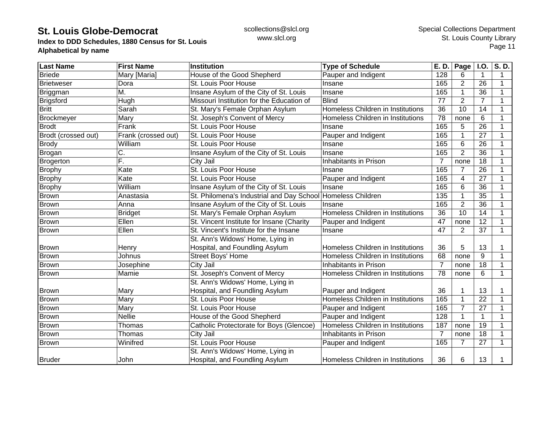**Index to DDD Schedules, 1880 Census for St. Louis Alphabetical by name**

| <b>Last Name</b>    | <b>First Name</b>   | Institution                               | <b>Type of Schedule</b>           | E. D.          | Page           | <b>I.O.</b>    | S.D. |
|---------------------|---------------------|-------------------------------------------|-----------------------------------|----------------|----------------|----------------|------|
| <b>Briede</b>       | Mary [Maria]        | House of the Good Shepherd                | Pauper and Indigent               | 128            | 6              | 1              | 1    |
| <b>Brietweser</b>   | Dora                | St. Louis Poor House                      | Insane                            | 165            | $\overline{2}$ | 26             | 1    |
| Briggman            | М.                  | Insane Asylum of the City of St. Louis    | Insane                            | 165            |                | 36             |      |
| <b>Brigsford</b>    | Hugh                | Missouri Institution for the Education of | <b>Blind</b>                      | 77             | $\overline{2}$ | $\overline{7}$ |      |
| <b>Britt</b>        | Sarah               | St. Mary's Female Orphan Asylum           | Homeless Children in Institutions | 36             | 10             | 14             | 1    |
| Brockmeyer          | Mary                | St. Joseph's Convent of Mercy             | Homeless Children in Institutions | 78             | none           | 6              | 1    |
| <b>Brodt</b>        | Frank               | St. Louis Poor House                      | Insane                            | 165            | 5              | 26             | 1    |
| Brodt (crossed out) | Frank (crossed out) | St. Louis Poor House                      | Pauper and Indigent               | 165            |                | 27             | 1    |
| <b>Brody</b>        | William             | St. Louis Poor House                      | Insane                            | 165            | 6              | 26             | 1    |
| Brogan              | C.                  | Insane Asylum of the City of St. Louis    | Insane                            | 165            | $\overline{2}$ | 36             |      |
| Brogerton           | F.                  | City Jail                                 | Inhabitants in Prison             | $\overline{7}$ | none           | 18             |      |
| <b>Brophy</b>       | Kate                | St. Louis Poor House                      | Insane                            | 165            | 7              | 26             |      |
| <b>Brophy</b>       | Kate                | St. Louis Poor House                      | Pauper and Indigent               | 165            | 4              | 27             | 1    |
| <b>Brophy</b>       | William             | Insane Asylum of the City of St. Louis    | Insane                            | 165            | 6              | 36             | 1    |
| <b>Brown</b>        | Anastasia           | St. Philomena's Industrial and Day School | Homeless Children                 | 135            |                | 35             | 1    |
| Brown               | Anna                | Insane Asylum of the City of St. Louis    | Insane                            | 165            | $\overline{2}$ | 36             | 1    |
| <b>Brown</b>        | <b>Bridget</b>      | St. Mary's Female Orphan Asylum           | Homeless Children in Institutions | 36             | 10             | 14             | 1    |
| <b>Brown</b>        | Ellen               | St. Vincent Institute for Insane (Charity | Pauper and Indigent               | 47             | none           | 12             |      |
| <b>Brown</b>        | Ellen               | St. Vincent's Institute for the Insane    | Insane                            | 47             | $\overline{2}$ | 37             | 1    |
|                     |                     | St. Ann's Widows' Home, Lying in          |                                   |                |                |                |      |
| <b>Brown</b>        | Henry               | Hospital, and Foundling Asylum            | Homeless Children in Institutions | 36             | 5              | 13             |      |
| Brown               | Johnus              | Street Boys' Home                         | Homeless Children in Institutions | 68             | none           | 9              | 1    |
| <b>Brown</b>        | Josephine           | City Jail                                 | Inhabitants in Prison             | 7              | none           | 18             | 1    |
| <b>Brown</b>        | Mamie               | St. Joseph's Convent of Mercy             | Homeless Children in Institutions | 78             | none           | 6              | 1    |
|                     |                     | St. Ann's Widows' Home, Lying in          |                                   |                |                |                |      |
| <b>Brown</b>        | Mary                | Hospital, and Foundling Asylum            | Pauper and Indigent               | 36             |                | 13             |      |
| <b>Brown</b>        | Mary                | St. Louis Poor House                      | Homeless Children in Institutions | 165            |                | 22             | 1    |
| <b>Brown</b>        | Mary                | St. Louis Poor House                      | Pauper and Indigent               | 165            | $\overline{7}$ | 27             | 1    |
| <b>Brown</b>        | <b>Nellie</b>       | House of the Good Shepherd                | Pauper and Indigent               | 128            |                | 1              | 1    |
| <b>Brown</b>        | Thomas              | Catholic Protectorate for Boys (Glencoe)  | Homeless Children in Institutions | 187            | none           | 19             | 1    |
| <b>Brown</b>        | Thomas              | City Jail                                 | Inhabitants in Prison             | $\overline{7}$ | none           | 18             | 1    |
| <b>Brown</b>        | Winifred            | St. Louis Poor House                      | Pauper and Indigent               | 165            | 7              | 27             | 1    |
|                     |                     | St. Ann's Widows' Home, Lying in          |                                   |                |                |                |      |
| <b>Bruder</b>       | John                | Hospital, and Foundling Asylum            | Homeless Children in Institutions | 36             | 6              | 13             |      |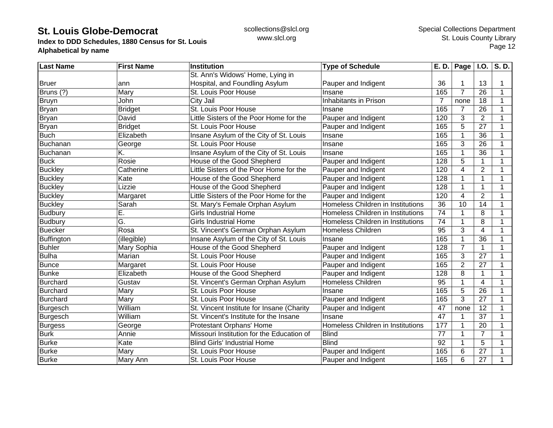**Index to DDD Schedules, 1880 Census for St. Louis Alphabetical by name**

| <b>Last Name</b>  | <b>First Name</b> | <b>Institution</b>                        | <b>Type of Schedule</b>           | E. D.          | Page           | <b>I.O.</b>             | S. D. |
|-------------------|-------------------|-------------------------------------------|-----------------------------------|----------------|----------------|-------------------------|-------|
|                   |                   | St. Ann's Widows' Home, Lying in          |                                   |                |                |                         |       |
| <b>Bruer</b>      | ann               | Hospital, and Foundling Asylum            | Pauper and Indigent               | 36             |                | 13                      |       |
| Bruns (?)         | Mary              | St. Louis Poor House                      | Insane                            | 165            | $\overline{7}$ | 26                      | 1     |
| Bruyn             | John              | City Jail                                 | Inhabitants in Prison             | $\overline{7}$ | none           | 18                      |       |
| <b>Bryan</b>      | <b>Bridget</b>    | St. Louis Poor House                      | Insane                            | 165            | 7              | 26                      |       |
| <b>Bryan</b>      | David             | Little Sisters of the Poor Home for the   | Pauper and Indigent               | 120            | 3              | $\overline{2}$          | 1     |
| <b>Bryan</b>      | Bridget           | St. Louis Poor House                      | Pauper and Indigent               | 165            | 5              | 27                      | 1     |
| <b>Buch</b>       | Elizabeth         | Insane Asylum of the City of St. Louis    | Insane                            | 165            |                | 36                      | 1     |
| Buchanan          | George            | St. Louis Poor House                      | Insane                            | 165            | 3              | 26                      | 1     |
| Buchanan          | K.                | Insane Asylum of the City of St. Louis    | Insane                            | 165            |                | 36                      |       |
| <b>Buck</b>       | Rosie             | House of the Good Shepherd                | Pauper and Indigent               | 128            | 5              | 1                       | 1     |
| <b>Buckley</b>    | Catherine         | Little Sisters of the Poor Home for the   | Pauper and Indigent               | 120            | 4              | $\overline{2}$          |       |
| <b>Buckley</b>    | Kate              | House of the Good Shepherd                | Pauper and Indigent               | 128            |                | 1                       |       |
| <b>Buckley</b>    | Lizzie            | House of the Good Shepherd                | Pauper and Indigent               | 128            |                | $\mathbf{1}$            | 1     |
| <b>Buckley</b>    | Margaret          | Little Sisters of the Poor Home for the   | Pauper and Indigent               | 120            | 4              | $\overline{2}$          | 1     |
| <b>Buckley</b>    | Sarah             | St. Mary's Female Orphan Asylum           | Homeless Children in Institutions | 36             | 10             | 14                      | 1     |
| <b>Budbury</b>    | Е.                | <b>Girls Industrial Home</b>              | Homeless Children in Institutions | 74             | 1              | 8                       | 1     |
| <b>Budbury</b>    | G.                | <b>Girls Industrial Home</b>              | Homeless Children in Institutions | 74             |                | 8                       | 1     |
| <b>Buecker</b>    | Rosa              | St. Vincent's German Orphan Asylum        | <b>Homeless Children</b>          | 95             | 3              | $\overline{\mathbf{4}}$ |       |
| <b>Buffington</b> | (illegible)       | Insane Asylum of the City of St. Louis    | Insane                            | 165            |                | 36                      |       |
| <b>Buhler</b>     | Mary Sophia       | House of the Good Shepherd                | Pauper and Indigent               | 128            | $\overline{7}$ | 1                       | 1     |
| <b>Bulha</b>      | Marian            | St. Louis Poor House                      | Pauper and Indigent               | 165            | 3              | 27                      | 1     |
| <b>Bunce</b>      | Margaret          | St. Louis Poor House                      | Pauper and Indigent               | 165            | $\overline{2}$ | 27                      | 1     |
| <b>Bunke</b>      | Elizabeth         | House of the Good Shepherd                | Pauper and Indigent               | 128            | 8              | 1                       |       |
| Burchard          | Gustav            | St. Vincent's German Orphan Asylum        | <b>Homeless Children</b>          | 95             |                | 4                       |       |
| Burchard          | Mary              | St. Louis Poor House                      | Insane                            | 165            | 5              | 26                      |       |
| <b>Burchard</b>   | Mary              | St. Louis Poor House                      | Pauper and Indigent               | 165            | 3              | 27                      | 1     |
| Burgesch          | William           | St. Vincent Institute for Insane (Charity | Pauper and Indigent               | 47             | none           | $\overline{12}$         | 1     |
| <b>Burgesch</b>   | William           | St. Vincent's Institute for the Insane    | Insane                            | 47             |                | 37                      | 1     |
| <b>Burgess</b>    | George            | Protestant Orphans' Home                  | Homeless Children in Institutions | 177            |                | 20                      | 1     |
| <b>Burk</b>       | Annie             | Missouri Institution for the Education of | <b>Blind</b>                      | 77             | $\overline{1}$ | $\overline{7}$          | 1     |
| <b>Burke</b>      | Kate              | <b>Blind Girls' Industrial Home</b>       | <b>Blind</b>                      | 92             | 1              | 5                       |       |
| <b>Burke</b>      | Mary              | St. Louis Poor House                      | Pauper and Indigent               | 165            | 6              | 27                      |       |
| <b>Burke</b>      | Mary Ann          | St. Louis Poor House                      | Pauper and Indigent               | 165            | 6              | 27                      |       |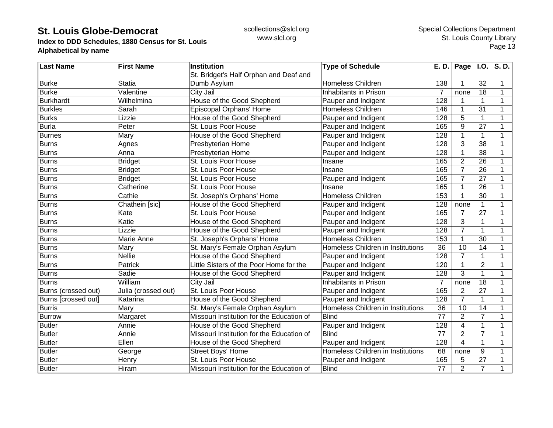**Index to DDD Schedules, 1880 Census for St. Louis Alphabetical by name**

| <b>Last Name</b>    | <b>First Name</b>   | <b>Institution</b>                        | <b>Type of Schedule</b>           | $\overline{E}$ . D. | Page $ $ I.O.  |                | S.D. |
|---------------------|---------------------|-------------------------------------------|-----------------------------------|---------------------|----------------|----------------|------|
|                     |                     | St. Bridget's Half Orphan and Deaf and    |                                   |                     |                |                |      |
| <b>Burke</b>        | <b>Statia</b>       | Dumb Asylum                               | <b>Homeless Children</b>          | 138                 |                | 32             |      |
| <b>Burke</b>        | Valentine           | City Jail                                 | Inhabitants in Prison             | $\overline{7}$      | none           | 18             | 1    |
| <b>Burkhardt</b>    | Wilhelmina          | House of the Good Shepherd                | Pauper and Indigent               | 128                 | 1              | $\mathbf{1}$   | 1    |
| <b>Burkles</b>      | Sarah               | Episcopal Orphans' Home                   | Homeless Children                 | 146                 | 1              | 31             | 1    |
| <b>Burks</b>        | Lizzie              | House of the Good Shepherd                | Pauper and Indigent               | 128                 | 5              | $\mathbf{1}$   |      |
| <b>Burla</b>        | Peter               | St. Louis Poor House                      | Pauper and Indigent               | 165                 | 9              | 27             |      |
| <b>Burnes</b>       | Mary                | House of the Good Shepherd                | Pauper and Indigent               | 128                 | 1              | 1              |      |
| <b>Burns</b>        | Agnes               | Presbyterian Home                         | Pauper and Indigent               | 128                 | 3              | 38             |      |
| <b>Burns</b>        | Anna                | Presbyterian Home                         | Pauper and Indigent               | 128                 |                | 38             |      |
| <b>Burns</b>        | <b>Bridget</b>      | St. Louis Poor House                      | Insane                            | 165                 | $\overline{2}$ | 26             | 1    |
| <b>Burns</b>        | <b>Bridget</b>      | St. Louis Poor House                      | Insane                            | 165                 | $\overline{7}$ | 26             |      |
| <b>Burns</b>        | <b>Bridget</b>      | St. Louis Poor House                      | Pauper and Indigent               | 165                 | $\overline{7}$ | 27             |      |
| <b>Burns</b>        | Catherine           | St. Louis Poor House                      | Insane                            | 165                 |                | 26             |      |
| Burns               | Cathie              | St. Joseph's Orphans' Home                | Homeless Children                 | 153                 |                | 30             |      |
| <b>Burns</b>        | Chathein [sic]      | House of the Good Shepherd                | Pauper and Indigent               | 128                 | none           | 1              |      |
| Burns               | Kate                | St. Louis Poor House                      | Pauper and Indigent               | 165                 | $\overline{7}$ | 27             | 1    |
| <b>Burns</b>        | Katie               | House of the Good Shepherd                | Pauper and Indigent               | 128                 | 3              | 1              |      |
| <b>Burns</b>        | Lizzie              | House of the Good Shepherd                | Pauper and Indigent               | 128                 | $\overline{7}$ | 1              |      |
| Burns               | Marie Anne          | St. Joseph's Orphans' Home                | <b>Homeless Children</b>          | 153                 |                | 30             |      |
| <b>Burns</b>        | Mary                | St. Mary's Female Orphan Asylum           | Homeless Children in Institutions | 36                  | 10             | 14             |      |
| <b>Burns</b>        | Nellie              | House of the Good Shepherd                | Pauper and Indigent               | 128                 | $\overline{7}$ | 1              |      |
| Burns               | Patrick             | Little Sisters of the Poor Home for the   | Pauper and Indigent               | 120                 | 1              | $\overline{2}$ | 1    |
| <b>Burns</b>        | Sadie               | House of the Good Shepherd                | Pauper and Indigent               | 128                 | 3              | $\mathbf{1}$   | 1    |
| <b>Burns</b>        | William             | City Jail                                 | Inhabitants in Prison             | 7                   | none           | 18             | 1    |
| Burns (crossed out) | Julia (crossed out) | St. Louis Poor House                      | Pauper and Indigent               | 165                 | $\overline{2}$ | 27             |      |
| Burns [crossed out] | Katarina            | House of the Good Shepherd                | Pauper and Indigent               | 128                 | $\overline{7}$ | 1              |      |
| <b>Burris</b>       | Mary                | St. Mary's Female Orphan Asylum           | Homeless Children in Institutions | 36                  | 10             | 14             | 1    |
| <b>Burrow</b>       | Margaret            | Missouri Institution for the Education of | <b>Blind</b>                      | 77                  | $\overline{2}$ | $\overline{7}$ | 1    |
| <b>Butler</b>       | Annie               | House of the Good Shepherd                | Pauper and Indigent               | 128                 | 4              | $\mathbf{1}$   | 1    |
| <b>Butler</b>       | Annie               | Missouri Institution for the Education of | <b>Blind</b>                      | 77                  | $\overline{2}$ | $\overline{7}$ |      |
| <b>Butler</b>       | Ellen               | House of the Good Shepherd                | Pauper and Indigent               | $\overline{128}$    | 4              | $\mathbf{1}$   |      |
| <b>Butler</b>       | George              | <b>Street Boys' Home</b>                  | Homeless Children in Institutions | 68                  | none           | 9              |      |
| <b>Butler</b>       | Henry               | St. Louis Poor House                      | Pauper and Indigent               | 165                 | 5              | 27             |      |
| <b>Butler</b>       | Hiram               | Missouri Institution for the Education of | <b>Blind</b>                      | 77                  | $\overline{2}$ | $\overline{7}$ |      |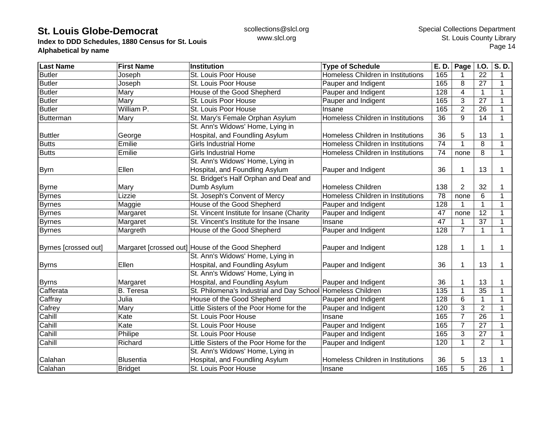**Index to DDD Schedules, 1880 Census for St. Louis Alphabetical by name**

| <b>Last Name</b>     | <b>First Name</b> | <b>Institution</b>                                          | <b>Type of Schedule</b>           | E. D.           | Page           | I.O.            | S.D.         |
|----------------------|-------------------|-------------------------------------------------------------|-----------------------------------|-----------------|----------------|-----------------|--------------|
| <b>Butler</b>        | Joseph            | St. Louis Poor House                                        | Homeless Children in Institutions | 165             |                | 22              | 1            |
| <b>Butler</b>        | Joseph            | St. Louis Poor House                                        | Pauper and Indigent               | 165             | 8              | 27              | $\mathbf 1$  |
| <b>Butler</b>        | Mary              | House of the Good Shepherd                                  | Pauper and Indigent               | 128             | 4              | $\mathbf{1}$    | 1            |
| <b>Butler</b>        | Mary              | St. Louis Poor House                                        | Pauper and Indigent               | 165             | 3              | 27              | $\mathbf{1}$ |
| <b>Butler</b>        | William P.        | St. Louis Poor House                                        | Insane                            | 165             | $\overline{2}$ | 26              | 1            |
| Butterman            | Mary              | St. Mary's Female Orphan Asylum                             | Homeless Children in Institutions | 36              | 9              | 14              | $\mathbf{1}$ |
|                      |                   | St. Ann's Widows' Home, Lying in                            |                                   |                 |                |                 |              |
| <b>Buttler</b>       | George            | Hospital, and Foundling Asylum                              | Homeless Children in Institutions | 36              | 5              | 13              |              |
| <b>Butts</b>         | Emilie            | <b>Girls Industrial Home</b>                                | Homeless Children in Institutions | 74              | 1              | 8               | $\mathbf 1$  |
| <b>Butts</b>         | Emilie            | <b>Girls Industrial Home</b>                                | Homeless Children in Institutions | 74              | none           | 8               | $\mathbf 1$  |
|                      |                   | St. Ann's Widows' Home, Lying in                            |                                   |                 |                |                 |              |
| <b>Byrn</b>          | Ellen             | Hospital, and Foundling Asylum                              | Pauper and Indigent               | 36              | 1              | 13              | 1            |
|                      |                   | St. Bridget's Half Orphan and Deaf and                      |                                   |                 |                |                 |              |
| <b>Byrne</b>         | Mary              | Dumb Asylum                                                 | <b>Homeless Children</b>          | 138             | $\overline{2}$ | 32              |              |
| <b>Byrnes</b>        | Lizzie            | St. Joseph's Convent of Mercy                               | Homeless Children in Institutions | 78              | none           | 6               | 1            |
| <b>Byrnes</b>        | Maggie            | House of the Good Shepherd                                  | Pauper and Indigent               | 128             |                | 1               | 1            |
| <b>Byrnes</b>        | Margaret          | St. Vincent Institute for Insane (Charity                   | Pauper and Indigent               | 47              | none           | $\overline{12}$ | 1            |
| <b>Byrnes</b>        | Margaret          | St. Vincent's Institute for the Insane                      | Insane                            | $\overline{47}$ |                | $\overline{37}$ | $\mathbf 1$  |
| <b>Byrnes</b>        | Margreth          | House of the Good Shepherd                                  | Pauper and Indigent               | 128             | $\overline{7}$ | $\mathbf{1}$    | $\mathbf{1}$ |
|                      |                   |                                                             |                                   |                 |                |                 |              |
| Byrnes [crossed out] |                   | Margaret [crossed out] House of the Good Shepherd           | Pauper and Indigent               | 128             | 1              | 1               | $\mathbf 1$  |
|                      |                   | St. Ann's Widows' Home, Lying in                            |                                   |                 |                |                 |              |
| <b>Byrns</b>         | Ellen             | Hospital, and Foundling Asylum                              | Pauper and Indigent               | 36              | 1              | 13              | 1            |
|                      |                   | St. Ann's Widows' Home, Lying in                            |                                   |                 |                |                 |              |
| <b>Byrns</b>         | Margaret          | Hospital, and Foundling Asylum                              | Pauper and Indigent               | 36              | 1              | 13              |              |
| Cafferata            | <b>B.</b> Teresa  | St. Philomena's Industrial and Day School Homeless Children |                                   | 135             | 1              | 35              |              |
| Caffray              | Julia             | House of the Good Shepherd                                  | Pauper and Indigent               | 128             | 6              | $\mathbf{1}$    | $\mathbf{1}$ |
| Cafrey               | Mary              | Little Sisters of the Poor Home for the                     | Pauper and Indigent               | 120             | 3              | $\overline{2}$  | 1            |
| Cahill               | Kate              | St. Louis Poor House                                        | Insane                            | 165             | 7              | 26              | $\mathbf{1}$ |
| Cahill               | Kate              | St. Louis Poor House                                        | Pauper and Indigent               | 165             | $\overline{7}$ | $\overline{27}$ | $\mathbf 1$  |
| Cahill               | Philipe           | St. Louis Poor House                                        | Pauper and Indigent               | 165             | 3              | 27              | $\mathbf{1}$ |
| Cahill               | Richard           | Little Sisters of the Poor Home for the                     | Pauper and Indigent               | 120             | $\mathbf 1$    | $\overline{2}$  | 1            |
|                      |                   | St. Ann's Widows' Home, Lying in                            |                                   |                 |                |                 |              |
| Calahan              | <b>Blusentia</b>  | Hospital, and Foundling Asylum                              | Homeless Children in Institutions | 36              | 5              | 13              |              |
| Calahan              | <b>Bridget</b>    | St. Louis Poor House                                        | Insane                            | 165             | 5              | 26              |              |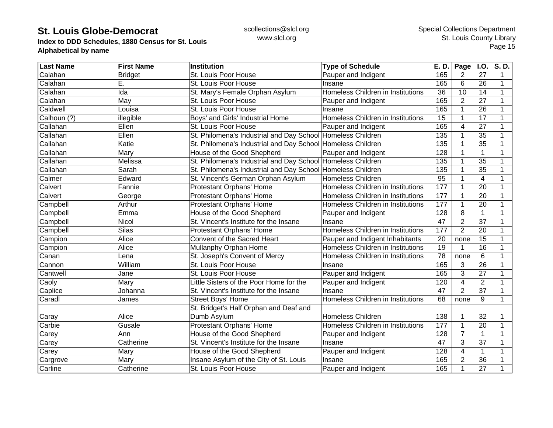**Index to DDD Schedules, 1880 Census for St. Louis Alphabetical by name**

| <b>Last Name</b> | <b>First Name</b> | Institution                                                 | <b>Type of Schedule</b>           | E. D.           | Page           | <b>I.O.</b>     | S.D.        |
|------------------|-------------------|-------------------------------------------------------------|-----------------------------------|-----------------|----------------|-----------------|-------------|
| Calahan          | <b>Bridget</b>    | St. Louis Poor House                                        | Pauper and Indigent               | 165             | 2              | 27              | 1           |
| Calahan          | Е.                | St. Louis Poor House                                        | Insane                            | 165             | 6              | 26              | 1           |
| Calahan          | Ida               | St. Mary's Female Orphan Asylum                             | Homeless Children in Institutions | $\overline{36}$ | 10             | 14              | 1           |
| Calahan          | May               | St. Louis Poor House                                        | Pauper and Indigent               | 165             | $\overline{2}$ | 27              | 1           |
| Caldwell         | Louisa            | St. Louis Poor House                                        | Insane                            | 165             | 1              | 26              | 1           |
| Calhoun (?)      | illegible         | Boys' and Girls' Industrial Home                            | Homeless Children in Institutions | 15              | 1              | 17              | 1           |
| Callahan         | Ellen             | St. Louis Poor House                                        | Pauper and Indigent               | 165             | 4              | 27              |             |
| Callahan         | Ellen             | St. Philomena's Industrial and Day School Homeless Children |                                   | 135             |                | 35              |             |
| Callahan         | Katie             | St. Philomena's Industrial and Day School Homeless Children |                                   | 135             |                | 35              | 1           |
| Callahan         | Mary              | House of the Good Shepherd                                  | Pauper and Indigent               | 128             |                | 1               |             |
| Callahan         | Melissa           | St. Philomena's Industrial and Day School Homeless Children |                                   | 135             |                | $\overline{35}$ |             |
| Callahan         | Sarah             | St. Philomena's Industrial and Day School Homeless Children |                                   | 135             |                | 35              | 1           |
| Calmer           | Edward            | St. Vincent's German Orphan Asylum                          | <b>Homeless Children</b>          | 95              |                | 4               | 1           |
| Calvert          | Fannie            | Protestant Orphans' Home                                    | Homeless Children in Institutions | 177             |                | 20              | 1           |
| Calvert          | George            | Protestant Orphans' Home                                    | Homeless Children in Institutions | 177             |                | 20              | 1           |
| Campbell         | Arthur            | Protestant Orphans' Home                                    | Homeless Children in Institutions | 177             |                | 20              | 1           |
| Campbell         | Emma              | House of the Good Shepherd                                  | Pauper and Indigent               | 128             | 8              | $\mathbf{1}$    | 1           |
| Campbell         | Nicol             | St. Vincent's Institute for the Insane                      | Insane                            | 47              | $\overline{2}$ | 37              | 1           |
| Campbell         | <b>Silas</b>      | Protestant Orphans' Home                                    | Homeless Children in Institutions | 177             | $\overline{2}$ | 20              | 1           |
| Campion          | Alice             | Convent of the Sacred Heart                                 | Pauper and Indigent Inhabitants   | 20              | none           | 15              |             |
| Campion          | Alice             | Mullanphy Orphan Home                                       | Homeless Children in Institutions | 19              |                | 16              |             |
| Canan            | Lena              | St. Joseph's Convent of Mercy                               | Homeless Children in Institutions | 78              | none           | 6               | 1           |
| Cannon           | William           | St. Louis Poor House                                        | Insane                            | 165             | 3              | 26              | 1           |
| Cantwell         | Jane              | St. Louis Poor House                                        | Pauper and Indigent               | 165             | 3              | 27              | $\mathbf 1$ |
| Caoly            | Mary              | Little Sisters of the Poor Home for the                     | Pauper and Indigent               | 120             | 4              | $\overline{2}$  | 1           |
| Caplice          | Johanna           | St. Vincent's Institute for the Insane                      | Insane                            | 47              | $\overline{2}$ | 37              | 1           |
| Caradl           | James             | Street Boys' Home                                           | Homeless Children in Institutions | 68              | none           | 9               | 1           |
|                  |                   | St. Bridget's Half Orphan and Deaf and                      |                                   |                 |                |                 |             |
| Caray            | Alice             | Dumb Asylum                                                 | <b>Homeless Children</b>          | 138             |                | 32              |             |
| Carbie           | Gusale            | Protestant Orphans' Home                                    | Homeless Children in Institutions | 177             | 1              | 20              | 1           |
| Carey            | Ann               | House of the Good Shepherd                                  | Pauper and Indigent               | 128             | $\overline{7}$ | $\mathbf{1}$    |             |
| Carey            | Catherine         | St. Vincent's Institute for the Insane                      | Insane                            | 47              | 3              | 37              |             |
| Carey            | Mary              | House of the Good Shepherd                                  | Pauper and Indigent               | 128             | 4              | 1               |             |
| Cargrove         | Mary              | Insane Asylum of the City of St. Louis                      | Insane                            | 165             | $\overline{2}$ | 36              |             |
| Carline          | Catherine         | St. Louis Poor House                                        | Pauper and Indigent               | 165             | 1              | 27              |             |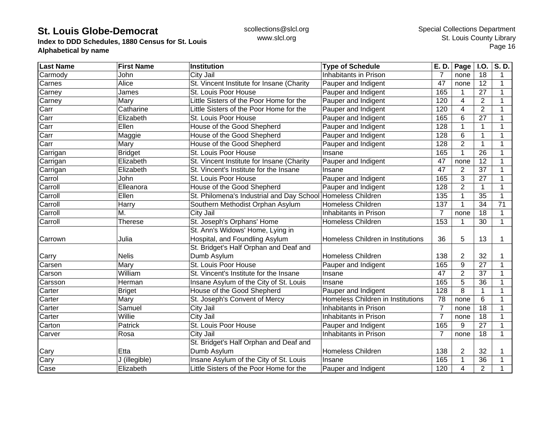**Index to DDD Schedules, 1880 Census for St. Louis Alphabetical by name**

| <b>Last Name</b>         | <b>First Name</b> | <b>Institution</b>                                          | <b>Type of Schedule</b>           | E. D.          | Page           | I.O.            | S.D.         |
|--------------------------|-------------------|-------------------------------------------------------------|-----------------------------------|----------------|----------------|-----------------|--------------|
| Carmody                  | John              | City Jail                                                   | Inhabitants in Prison             |                | none           | 18              |              |
| Carnes                   | Alice             | St. Vincent Institute for Insane (Charity                   | Pauper and Indigent               | 47             | none           | 12              | 1            |
| Carney                   | James             | St. Louis Poor House                                        | Pauper and Indigent               | 165            | 1              | 27              | 1            |
| Carney                   | Mary              | Little Sisters of the Poor Home for the                     | Pauper and Indigent               | 120            | $\overline{4}$ | $\overline{2}$  | 1            |
| Carr                     | Catharine         | Little Sisters of the Poor Home for the                     | Pauper and Indigent               | 120            | 4              | $\overline{2}$  |              |
| Carr                     | Elizabeth         | St. Louis Poor House                                        | Pauper and Indigent               | 165            | 6              | 27              |              |
| Carr                     | Ellen             | House of the Good Shepherd                                  | Pauper and Indigent               | 128            | 1              | 1               |              |
| Carr                     | Maggie            | House of the Good Shepherd                                  | Pauper and Indigent               | 128            | $6\phantom{1}$ | $\mathbf{1}$    | 1            |
| Carr                     | Mary              | House of the Good Shepherd                                  | Pauper and Indigent               | 128            | $\overline{2}$ | $\mathbf 1$     |              |
| Carrigan                 | <b>Bridget</b>    | St. Louis Poor House                                        | Insane                            | 165            | $\mathbf{1}$   | $\overline{26}$ |              |
| Carrigan                 | Elizabeth         | St. Vincent Institute for Insane (Charity                   | Pauper and Indigent               | 47             | none           | 12              |              |
| Carrigan                 | Elizabeth         | St. Vincent's Institute for the Insane                      | Insane                            | 47             | $\overline{2}$ | 37              |              |
| Carrol                   | John              | St. Louis Poor House                                        | Pauper and Indigent               | 165            | 3              | $\overline{27}$ |              |
| Carroll                  | Elleanora         | House of the Good Shepherd                                  | Pauper and Indigent               | 128            | $\overline{2}$ | 1               | $\mathbf{1}$ |
| Carroll                  | Ellen             | St. Philomena's Industrial and Day School Homeless Children |                                   | 135            | 1              | 35              |              |
| Carroll                  | Harry             | Southern Methodist Orphan Asylum                            | Homeless Children                 | 137            | 1              | 34              | 71           |
| Carroll                  | M.                | City Jail                                                   | Inhabitants in Prison             | $\overline{7}$ | none           | 18              | $\mathbf 1$  |
| Carroll                  | <b>Therese</b>    | St. Joseph's Orphans' Home                                  | <b>Homeless Children</b>          | 153            | 1              | 30              | $\mathbf 1$  |
|                          |                   | St. Ann's Widows' Home, Lying in                            |                                   |                |                |                 |              |
| Carrown                  | Julia             | Hospital, and Foundling Asylum                              | Homeless Children in Institutions | 36             | 5              | 13              | $\mathbf 1$  |
|                          |                   | St. Bridget's Half Orphan and Deaf and                      |                                   |                |                |                 |              |
| Carry                    | <b>Nelis</b>      | Dumb Asylum                                                 | <b>Homeless Children</b>          | 138            | $\overline{c}$ | 32              |              |
| Carsen                   | Mary              | St. Louis Poor House                                        | Pauper and Indigent               | 165            | 9              | $\overline{27}$ | $\mathbf{1}$ |
| Carson                   | William           | St. Vincent's Institute for the Insane                      | Insane                            | 47             | $\overline{2}$ | $\overline{37}$ | 1            |
| Carsson                  | Herman            | Insane Asylum of the City of St. Louis                      | Insane                            | 165            | 5              | $\overline{36}$ |              |
| Carter                   | <b>Briget</b>     | House of the Good Shepherd                                  | Pauper and Indigent               | 128            | 8              | $\mathbf 1$     | 1            |
| Carter                   | Mary              | St. Joseph's Convent of Mercy                               | Homeless Children in Institutions | 78             | none           | 6               | 1            |
| Carter                   | Samuel            | City Jail                                                   | Inhabitants in Prison             | 7              | none           | 18              |              |
| Carter                   | Willie            | City Jail                                                   | Inhabitants in Prison             | $\overline{7}$ | none           | 18              | 1            |
| Carton                   | Patrick           | St. Louis Poor House                                        | Pauper and Indigent               | 165            | 9              | $\overline{27}$ |              |
| Carver                   | Rosa              | City Jail                                                   | Inhabitants in Prison             | $\overline{7}$ | none           | 18              | $\mathbf{1}$ |
|                          |                   | St. Bridget's Half Orphan and Deaf and                      |                                   |                |                |                 |              |
| Cary                     | Etta              | Dumb Asylum                                                 | Homeless Children                 | 138            | $\overline{2}$ | 32              |              |
| Cary                     | J (illegible)     | Insane Asylum of the City of St. Louis                      | Insane                            | 165            | 1              | 36              |              |
| $\overline{\text{Case}}$ | Elizabeth         | Little Sisters of the Poor Home for the                     | Pauper and Indigent               | 120            | 4              | $\overline{2}$  |              |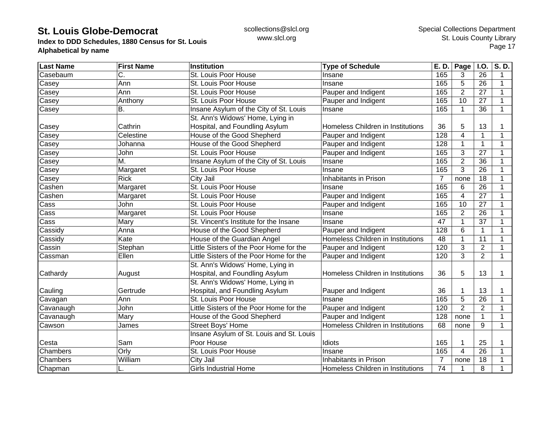**Index to DDD Schedules, 1880 Census for St. Louis Alphabetical by name**

| <b>Last Name</b> | <b>First Name</b> | <b>Institution</b>                       | <b>Type of Schedule</b>           | E. D.          | Page           | <b>I.O.</b>     | S.D. |
|------------------|-------------------|------------------------------------------|-----------------------------------|----------------|----------------|-----------------|------|
| Casebaum         | C.                | St. Louis Poor House                     | Insane                            | 165            | 3              | 26              | 1    |
| Casey            | Ann               | St. Louis Poor House                     | Insane                            | 165            | 5              | 26              | 1    |
| Casey            | Ann               | St. Louis Poor House                     | Pauper and Indigent               | 165            | $\overline{2}$ | 27              | 1    |
| Casey            | Anthony           | St. Louis Poor House                     | Pauper and Indigent               | 165            | 10             | 27              | 1    |
| Casey            | Β.                | Insane Asylum of the City of St. Louis   | Insane                            | 165            | $\mathbf{1}$   | 36              | 1    |
|                  |                   | St. Ann's Widows' Home, Lying in         |                                   |                |                |                 |      |
| Casey            | Cathrin           | Hospital, and Foundling Asylum           | Homeless Children in Institutions | 36             | 5              | 13              |      |
| Casey            | Celestine         | House of the Good Shepherd               | Pauper and Indigent               | 128            | 4              | 1               | 1    |
| Casey            | Johanna           | House of the Good Shepherd               | Pauper and Indigent               | 128            |                | $\mathbf{1}$    |      |
| Casey            | John              | St. Louis Poor House                     | Pauper and Indigent               | 165            | 3              | 27              |      |
| Casey            | Μ.                | Insane Asylum of the City of St. Louis   | Insane                            | 165            | $\overline{2}$ | $\overline{36}$ |      |
| Casey            | Margaret          | St. Louis Poor House                     | Insane                            | 165            | 3              | 26              |      |
| Casey            | <b>Rick</b>       | City Jail                                | Inhabitants in Prison             | 7              | none           | 18              |      |
| Cashen           | Margaret          | St. Louis Poor House                     | Insane                            | 165            | 6              | $\overline{26}$ |      |
| Cashen           | Margaret          | St. Louis Poor House                     | Pauper and Indigent               | 165            | 4              | 27              |      |
| Cass             | John              | St. Louis Poor House                     | Pauper and Indigent               | 165            | 10             | 27              |      |
| Cass             | Margaret          | St. Louis Poor House                     | Insane                            | 165            | $\overline{2}$ | 26              | 1    |
| Cass             | Mary              | St. Vincent's Institute for the Insane   | Insane                            | 47             | 1              | 37              |      |
| Cassidy          | Anna              | House of the Good Shepherd               | Pauper and Indigent               | 128            | 6              | 1               |      |
| Cassidy          | Kate              | House of the Guardian Angel              | Homeless Children in Institutions | 48             |                | 11              |      |
| Cassin           | Stephan           | Little Sisters of the Poor Home for the  | Pauper and Indigent               | 120            | 3              | $\overline{2}$  |      |
| Cassman          | Ellen             | Little Sisters of the Poor Home for the  | Pauper and Indigent               | 120            | 3              | $\overline{2}$  | 1    |
|                  |                   | St. Ann's Widows' Home, Lying in         |                                   |                |                |                 |      |
| Cathardy         | August            | Hospital, and Foundling Asylum           | Homeless Children in Institutions | 36             | 5              | 13              | 1    |
|                  |                   | St. Ann's Widows' Home, Lying in         |                                   |                |                |                 |      |
| Cauling          | Gertrude          | Hospital, and Foundling Asylum           | Pauper and Indigent               | 36             |                | 13              |      |
| Cavagan          | Ann               | St. Louis Poor House                     | Insane                            | 165            | 5              | 26              | 1    |
| Cavanaugh        | John              | Little Sisters of the Poor Home for the  | Pauper and Indigent               | 120            | $\overline{2}$ | $\overline{2}$  | 1    |
| Cavanaugh        | Mary              | House of the Good Shepherd               | Pauper and Indigent               | 128            | none           | 1               | 1    |
| Cawson           | James             | <b>Street Boys' Home</b>                 | Homeless Children in Institutions | 68             | none           | 9               | 1    |
|                  |                   | Insane Asylum of St. Louis and St. Louis |                                   |                |                |                 |      |
| Cesta            | Sam               | Poor House                               | Idiots                            | 165            |                | 25              |      |
| Chambers         | Orly              | St. Louis Poor House                     | Insane                            | 165            | 4              | 26              |      |
| Chambers         | William           | City Jail                                | Inhabitants in Prison             | $\overline{7}$ | none           | 18              |      |
| Chapman          | L.                | <b>Girls Industrial Home</b>             | Homeless Children in Institutions | 74             | 1              | 8               |      |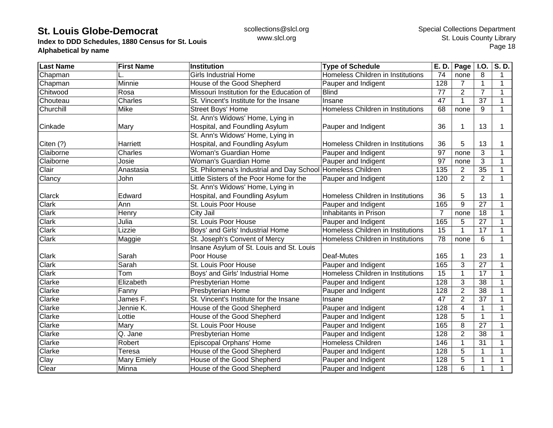**Index to DDD Schedules, 1880 Census for St. Louis Alphabetical by name**

| <b>Last Name</b> | <b>First Name</b> | <b>Institution</b>                                          | <b>Type of Schedule</b>           | E. D.          | Page           | <b>I.O.</b>     | S.D.        |
|------------------|-------------------|-------------------------------------------------------------|-----------------------------------|----------------|----------------|-----------------|-------------|
| Chapman          |                   | <b>Girls Industrial Home</b>                                | Homeless Children in Institutions | 74             | none           | 8               | 1           |
| Chapman          | Minnie            | House of the Good Shepherd                                  | Pauper and Indigent               | 128            | 7              | $\mathbf{1}$    | $\mathbf 1$ |
| Chitwood         | Rosa              | Missouri Institution for the Education of                   | <b>Blind</b>                      | 77             | $\overline{2}$ | $\overline{7}$  | 1           |
| Chouteau         | Charles           | St. Vincent's Institute for the Insane                      | Insane                            | 47             |                | 37              | 1           |
| Churchill        | Mike              | Street Boys' Home                                           | Homeless Children in Institutions | 68             | none           | 9               | 1           |
|                  |                   | St. Ann's Widows' Home, Lying in                            |                                   |                |                |                 |             |
| Cinkade          | Mary              | Hospital, and Foundling Asylum                              | Pauper and Indigent               | 36             |                | 13              | 1           |
|                  |                   | St. Ann's Widows' Home, Lying in                            |                                   |                |                |                 |             |
| Citen (?)        | Harriett          | Hospital, and Foundling Asylum                              | Homeless Children in Institutions | 36             | 5              | 13              |             |
| Claiborne        | Charles           | Woman's Guardian Home                                       | Pauper and Indigent               | 97             | none           | 3               |             |
| Claiborne        | Josie             | Woman's Guardian Home                                       | Pauper and Indigent               | 97             | none           | 3               | 1           |
| Clair            | Anastasia         | St. Philomena's Industrial and Day School Homeless Children |                                   | 135            | $\overline{2}$ | $\overline{35}$ | 1           |
| Clancy           | John              | Little Sisters of the Poor Home for the                     | Pauper and Indigent               | 120            | $\overline{2}$ | $\overline{2}$  | $\mathbf 1$ |
|                  |                   | St. Ann's Widows' Home, Lying in                            |                                   |                |                |                 |             |
| Clarck           | Edward            | Hospital, and Foundling Asylum                              | Homeless Children in Institutions | 36             | 5              | 13              |             |
| Clark            | Ann               | St. Louis Poor House                                        | Pauper and Indigent               | 165            | 9              | $\overline{27}$ | 1           |
| Clark            | Henry             | City Jail                                                   | Inhabitants in Prison             | $\overline{7}$ | none           | 18              | 1           |
| Clark            | Julia             | St. Louis Poor House                                        | Pauper and Indigent               | 165            | 5              | 27              | 1           |
| Clark            | Lizzie            | Boys' and Girls' Industrial Home                            | Homeless Children in Institutions | 15             |                | 17              |             |
| <b>Clark</b>     | Maggie            | St. Joseph's Convent of Mercy                               | Homeless Children in Institutions | 78             | none           | 6               | 1           |
|                  |                   | Insane Asylum of St. Louis and St. Louis                    |                                   |                |                |                 |             |
| Clark            | Sarah             | Poor House                                                  | Deaf-Mutes                        | 165            |                | 23              | 1           |
| Clark            | Sarah             | St. Louis Poor House                                        | Pauper and Indigent               | 165            | 3              | 27              | 1           |
| <b>Clark</b>     | Tom               | Boys' and Girls' Industrial Home                            | Homeless Children in Institutions | 15             |                | $\overline{17}$ | 1           |
| Clarke           | Elizabeth         | Presbyterian Home                                           | Pauper and Indigent               | 128            | 3              | 38              | $\mathbf 1$ |
| Clarke           | Fanny             | Presbyterian Home                                           | Pauper and Indigent               | 128            | $\overline{2}$ | 38              | $\mathbf 1$ |
| Clarke           | James F.          | St. Vincent's Institute for the Insane                      | Insane                            | 47             | $\overline{2}$ | 37              | 1           |
| Clarke           | Jennie K.         | House of the Good Shepherd                                  | Pauper and Indigent               | 128            | 4              | $\mathbf{1}$    | 1           |
| Clarke           | Lottie            | House of the Good Shepherd                                  | Pauper and Indigent               | 128            | 5              | $\mathbf{1}$    | 1           |
| Clarke           | Mary              | St. Louis Poor House                                        | Pauper and Indigent               | 165            | 8              | 27              | 1           |
| Clarke           | Q. Jane           | Presbyterian Home                                           | Pauper and Indigent               | 128            | $\overline{2}$ | 38              | 1           |
| Clarke           | Robert            | <b>Episcopal Orphans' Home</b>                              | <b>Homeless Children</b>          | 146            |                | 31              |             |
| Clarke           | Teresa            | House of the Good Shepherd                                  | Pauper and Indigent               | 128            | 5              | 1               |             |
| Clay             | Mary Emiely       | House of the Good Shepherd                                  | Pauper and Indigent               | 128            | 5              | $\mathbf{1}$    |             |
| Clear            | Minna             | House of the Good Shepherd                                  | Pauper and Indigent               | 128            | 6              | 1               |             |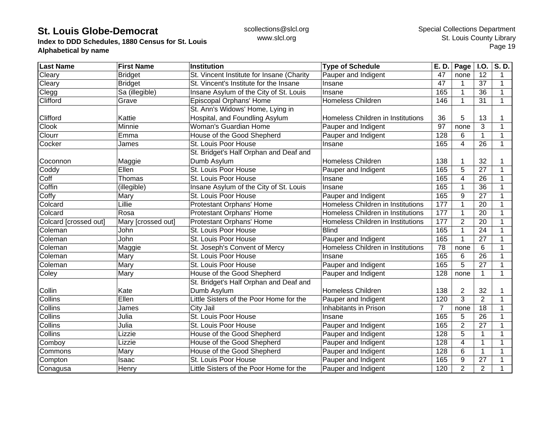**Index to DDD Schedules, 1880 Census for St. Louis Alphabetical by name**

| <b>Last Name</b>      | <b>First Name</b>  | Institution                               | <b>Type of Schedule</b>           | E. D.            | Page           | <b>I.O.</b>     | S.D.         |
|-----------------------|--------------------|-------------------------------------------|-----------------------------------|------------------|----------------|-----------------|--------------|
| Cleary                | <b>Bridget</b>     | St. Vincent Institute for Insane (Charity | Pauper and Indigent               | 47               | none           | 12              | 1            |
| Cleary                | <b>Bridget</b>     | St. Vincent's Institute for the Insane    | Insane                            | 47               |                | 37              | $\mathbf 1$  |
| Clegg                 | Sa (illegible)     | Insane Asylum of the City of St. Louis    | Insane                            | 165              |                | 36              | 1            |
| Clifford              | Grave              | Episcopal Orphans' Home                   | <b>Homeless Children</b>          | 146              |                | 31              | $\mathbf{1}$ |
|                       |                    | St. Ann's Widows' Home, Lying in          |                                   |                  |                |                 |              |
| Clifford              | Kattie             | Hospital, and Foundling Asylum            | Homeless Children in Institutions | 36               | 5              | 13              |              |
| <b>Clook</b>          | Minnie             | Woman's Guardian Home                     | Pauper and Indigent               | 97               | none           | 3               |              |
| Clourr                | Emma               | House of the Good Shepherd                | Pauper and Indigent               | 128              | 6              | $\mathbf{1}$    |              |
| Cocker                | James              | St. Louis Poor House                      | Insane                            | 165              | 4              | 26              | 1            |
|                       |                    | St. Bridget's Half Orphan and Deaf and    |                                   |                  |                |                 |              |
| Coconnon              | Maggie             | Dumb Asylum                               | <b>Homeless Children</b>          | 138              |                | 32              |              |
| Coddy                 | Ellen              | St. Louis Poor House                      | Pauper and Indigent               | 165              | 5              | $\overline{27}$ |              |
| Coff                  | Thomas             | St. Louis Poor House                      | Insane                            | 165              | 4              | 26              | 1            |
| Coffin                | (illegible)        | Insane Asylum of the City of St. Louis    | Insane                            | 165              |                | 36              | 1            |
| Coffy                 | Mary               | St. Louis Poor House                      | Pauper and Indigent               | 165              | 9              | 27              | 1            |
| Colcard               | Lillie             | Protestant Orphans' Home                  | Homeless Children in Institutions | 177              |                | 20              | 1            |
| Colcard               | Rosa               | Protestant Orphans' Home                  | Homeless Children in Institutions | 177              |                | 20              | 1            |
| Colcard [crossed out] | Mary [crossed out] | Protestant Orphans' Home                  | Homeless Children in Institutions | 177              | $\overline{2}$ | 20              | 1            |
| Coleman               | John               | St. Louis Poor House                      | <b>Blind</b>                      | 165              |                | 24              |              |
| Coleman               | John               | St. Louis Poor House                      | Pauper and Indigent               | 165              |                | 27              |              |
| Coleman               | Maggie             | St. Joseph's Convent of Mercy             | Homeless Children in Institutions | 78               | none           | 6               |              |
| Coleman               | Mary               | St. Louis Poor House                      | Insane                            | 165              | 6              | $\overline{26}$ | 1            |
| Coleman               | Mary               | St. Louis Poor House                      | Pauper and Indigent               | 165              | 5              | 27              | 1            |
| Coley                 | Mary               | House of the Good Shepherd                | Pauper and Indigent               | 128              | none           | $\mathbf{1}$    | $\mathbf 1$  |
|                       |                    | St. Bridget's Half Orphan and Deaf and    |                                   |                  |                |                 |              |
| Collin                | Kate               | Dumb Asylum                               | <b>Homeless Children</b>          | 138              | 2              | 32              | 1            |
| Collins               | Ellen              | Little Sisters of the Poor Home for the   | Pauper and Indigent               | 120              | 3              | $\overline{2}$  | 1            |
| Collins               | James              | City Jail                                 | Inhabitants in Prison             | $\overline{7}$   | none           | 18              | 1            |
| Collins               | Julia              | St. Louis Poor House                      | Insane                            | 165              | 5              | 26              | 1            |
| Collins               | Julia              | St. Louis Poor House                      | Pauper and Indigent               | 165              | $\overline{2}$ | 27              | 1            |
| Collins               | Lizzie             | House of the Good Shepherd                | Pauper and Indigent               | 128              | 5              | 1               |              |
| Comboy                | Lizzie             | House of the Good Shepherd                | Pauper and Indigent               | $\overline{128}$ | 4              | $\mathbf{1}$    |              |
| Commons               | Mary               | House of the Good Shepherd                | Pauper and Indigent               | 128              | 6              | $\mathbf{1}$    |              |
| Compton               | Isaac              | St. Louis Poor House                      | Pauper and Indigent               | 165              | 9              | 27              |              |
| Conagusa              | Henry              | Little Sisters of the Poor Home for the   | Pauper and Indigent               | 120              | $\overline{2}$ | $\overline{2}$  |              |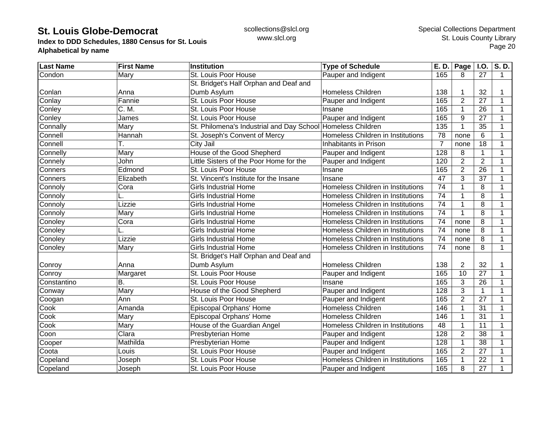**Index to DDD Schedules, 1880 Census for St. Louis Alphabetical by name**

| <b>Last Name</b> | <b>First Name</b> | <b>Institution</b>                                          | <b>Type of Schedule</b>           | E. D.            | <b>Page</b>    | <b>I.O.</b>    | S.D.           |
|------------------|-------------------|-------------------------------------------------------------|-----------------------------------|------------------|----------------|----------------|----------------|
| Condon           | Mary              | St. Louis Poor House                                        | Pauper and Indigent               | 165              | 8              | 27             | $\overline{1}$ |
|                  |                   | St. Bridget's Half Orphan and Deaf and                      |                                   |                  |                |                |                |
| Conlan           | Anna              | Dumb Asylum                                                 | <b>Homeless Children</b>          | 138              |                | 32             |                |
| Conlay           | Fannie            | St. Louis Poor House                                        | Pauper and Indigent               | 165              | $\overline{2}$ | 27             | 1              |
| Conley           | C. M.             | St. Louis Poor House                                        | Insane                            | 165              | $\mathbf{1}$   | 26             |                |
| Conley           | James             | St. Louis Poor House                                        | Pauper and Indigent               | 165              | 9              | 27             |                |
| Connally         | Mary              | St. Philomena's Industrial and Day School Homeless Children |                                   | 135              | 1              | 35             |                |
| Connell          | Hannah            | St. Joseph's Convent of Mercy                               | Homeless Children in Institutions | 78               | none           | 6              |                |
| Connell          | Т.                | City Jail                                                   | Inhabitants in Prison             | $\overline{7}$   | none           | 18             |                |
| Connelly         | Mary              | House of the Good Shepherd                                  | Pauper and Indigent               | 128              | 8              | 1              |                |
| Connely          | John              | Little Sisters of the Poor Home for the                     | Pauper and Indigent               | 120              | $\overline{2}$ | $\overline{2}$ |                |
| Conners          | Edmond            | St. Louis Poor House                                        | Insane                            | 165              | $\overline{2}$ | 26             | 1              |
| Conners          | Elizabeth         | St. Vincent's Institute for the Insane                      | Insane                            | 47               | 3              | 37             |                |
| Connoly          | Cora              | <b>Girls Industrial Home</b>                                | Homeless Children in Institutions | 74               |                | 8              |                |
| Connoly          |                   | <b>Girls Industrial Home</b>                                | Homeless Children in Institutions | 74               |                | 8              |                |
| Connoly          | Lizzie            | <b>Girls Industrial Home</b>                                | Homeless Children in Institutions | 74               |                | 8              | 1              |
| Connoly          | Mary              | <b>Girls Industrial Home</b>                                | Homeless Children in Institutions | 74               | 1              | 8              | 1              |
| Conoley          | Cora              | <b>Girls Industrial Home</b>                                | Homeless Children in Institutions | 74               | none           | 8              | 1              |
| Conoley          |                   | <b>Girls Industrial Home</b>                                | Homeless Children in Institutions | 74               | none           | 8              |                |
| Conoley          | Lizzie            | <b>Girls Industrial Home</b>                                | Homeless Children in Institutions | $\overline{74}$  | none           | 8              |                |
| Conoley          | Mary              | <b>Girls Industrial Home</b>                                | Homeless Children in Institutions | 74               | none           | 8              | $\mathbf 1$    |
|                  |                   | St. Bridget's Half Orphan and Deaf and                      |                                   |                  |                |                |                |
| Conroy           | Anna              | Dumb Asylum                                                 | <b>Homeless Children</b>          | 138              | $\overline{2}$ | 32             |                |
| Conroy           | Margaret          | St. Louis Poor House                                        | Pauper and Indigent               | 165              | 10             | 27             | 1              |
| Constantino      | В.                | St. Louis Poor House                                        | Insane                            | 165              | 3              | 26             |                |
| Conway           | Mary              | House of the Good Shepherd                                  | Pauper and Indigent               | 128              | 3              | $\mathbf{1}$   |                |
| Coogan           | Ann               | St. Louis Poor House                                        | Pauper and Indigent               | 165              | $\overline{2}$ | 27             |                |
| Cook             | Amanda            | Episcopal Orphans' Home                                     | <b>Homeless Children</b>          | 146              | 1              | 31             | 1              |
| Cook             | Mary              | Episcopal Orphans' Home                                     | <b>Homeless Children</b>          | 146              | 1              | 31             | 1              |
| Cook             | Mary              | House of the Guardian Angel                                 | Homeless Children in Institutions | 48               | 1              | 11             | 1              |
| Coon             | Clara             | Presbyterian Home                                           | Pauper and Indigent               | 128              | $\overline{2}$ | 38             |                |
| Cooper           | Mathilda          | Presbyterian Home                                           | Pauper and Indigent               | $\overline{128}$ |                | 38             |                |
| Coota            | Louis             | St. Louis Poor House                                        | Pauper and Indigent               | 165              | $\overline{2}$ | 27             |                |
| Copeland         | Joseph            | St. Louis Poor House                                        | Homeless Children in Institutions | 165              |                | 22             |                |
| Copeland         | Joseph            | St. Louis Poor House                                        | Pauper and Indigent               | 165              | 8              | 27             |                |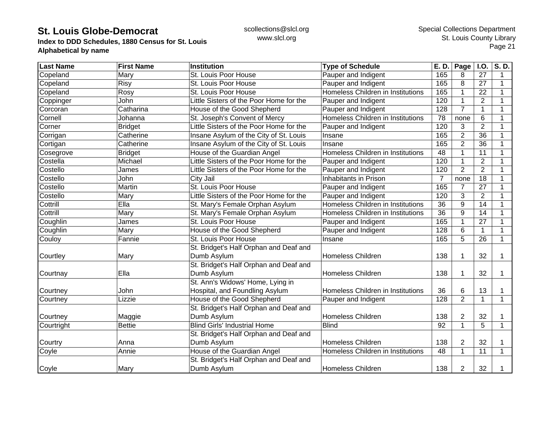**Index to DDD Schedules, 1880 Census for St. Louis Alphabetical by name**

| <b>Last Name</b> | <b>First Name</b> | <b>Institution</b>                      | <b>Type of Schedule</b>           | E. D. | <b>Page</b>    | I.O.            | S.D.         |
|------------------|-------------------|-----------------------------------------|-----------------------------------|-------|----------------|-----------------|--------------|
| Copeland         | Mary              | St. Louis Poor House                    | Pauper and Indigent               | 165   | 8              | 27              | 1            |
| Copeland         | Risy              | St. Louis Poor House                    | Pauper and Indigent               | 165   | 8              | 27              | 1            |
| Copeland         | Rosy              | St. Louis Poor House                    | Homeless Children in Institutions | 165   | 1              | 22              | 1            |
| Coppinger        | John              | Little Sisters of the Poor Home for the | Pauper and Indigent               | 120   | 1              | $\overline{2}$  |              |
| Corcoran         | Catharina         | House of the Good Shepherd              | Pauper and Indigent               | 128   | $\overline{7}$ | 1               |              |
| Cornell          | Johanna           | St. Joseph's Convent of Mercy           | Homeless Children in Institutions | 78    | none           | 6               |              |
| Corner           | <b>Bridget</b>    | Little Sisters of the Poor Home for the | Pauper and Indigent               | 120   | 3              | $\overline{2}$  |              |
| Corrigan         | Catherine         | Insane Asylum of the City of St. Louis  | Insane                            | 165   | $\overline{2}$ | $\overline{36}$ |              |
| Cortigan         | Catherine         | Insane Asylum of the City of St. Louis  | Insane                            | 165   | $\overline{2}$ | 36              |              |
| Cosegrove        | <b>Bridget</b>    | House of the Guardian Angel             | Homeless Children in Institutions | 48    |                | 11              | 1            |
| Costella         | Michael           | Little Sisters of the Poor Home for the | Pauper and Indigent               | 120   |                | $\overline{2}$  |              |
| Costello         | James             | Little Sisters of the Poor Home for the | Pauper and Indigent               | 120   | $\overline{2}$ | $\overline{2}$  |              |
| Costello         | John              | City Jail                               | Inhabitants in Prison             | 7     | none           | 18              | 1            |
| Costello         | Martin            | St. Louis Poor House                    | Pauper and Indigent               | 165   | 7              | 27              |              |
| Costello         | Mary              | Little Sisters of the Poor Home for the | Pauper and Indigent               | 120   | 3              | $\overline{2}$  | 1            |
| Cottrill         | Ella              | St. Mary's Female Orphan Asylum         | Homeless Children in Institutions | 36    | 9              | 14              | 1            |
| Cottrill         | Mary              | St. Mary's Female Orphan Asylum         | Homeless Children in Institutions | 36    | 9              | 14              | 1            |
| Coughlin         | James             | St. Louis Poor House                    | Pauper and Indigent               | 165   | 1              | 27              |              |
| Coughlin         | Mary              | House of the Good Shepherd              | Pauper and Indigent               | 128   | 6              | $\mathbf{1}$    |              |
| Couloy           | Fannie            | St. Louis Poor House                    | Insane                            | 165   | 5              | 26              | $\mathbf{1}$ |
|                  |                   | St. Bridget's Half Orphan and Deaf and  |                                   |       |                |                 |              |
| Courtley         | Mary              | Dumb Asylum                             | <b>Homeless Children</b>          | 138   | 1              | 32              | 1            |
|                  |                   | St. Bridget's Half Orphan and Deaf and  |                                   |       |                |                 |              |
| Courtnay         | Ella              | Dumb Asylum                             | <b>Homeless Children</b>          | 138   |                | 32              | 1            |
|                  |                   | St. Ann's Widows' Home, Lying in        |                                   |       |                |                 |              |
| Courtney         | John              | Hospital, and Foundling Asylum          | Homeless Children in Institutions | 36    | 6              | 13              | 1            |
| Courtney         | Lizzie            | House of the Good Shepherd              | Pauper and Indigent               | 128   | $\overline{2}$ | $\mathbf 1$     | 1            |
|                  |                   | St. Bridget's Half Orphan and Deaf and  |                                   |       |                |                 |              |
| Courtney         | Maggie            | Dumb Asylum                             | <b>Homeless Children</b>          | 138   | 2              | 32              |              |
| Courtright       | <b>Bettie</b>     | <b>Blind Girls' Industrial Home</b>     | <b>Blind</b>                      | 92    | 1              | 5               | $\mathbf{1}$ |
|                  |                   | St. Bridget's Half Orphan and Deaf and  |                                   |       |                |                 |              |
| Courtry          | Anna              | Dumb Asylum                             | <b>Homeless Children</b>          | 138   | $\overline{2}$ | 32              |              |
| Coyle            | Annie             | House of the Guardian Angel             | Homeless Children in Institutions | 48    |                | 11              | $\mathbf 1$  |
|                  |                   | St. Bridget's Half Orphan and Deaf and  |                                   |       |                |                 |              |
| Coyle            | Mary              | Dumb Asylum                             | <b>Homeless Children</b>          | 138   | 2              | 32              | 1            |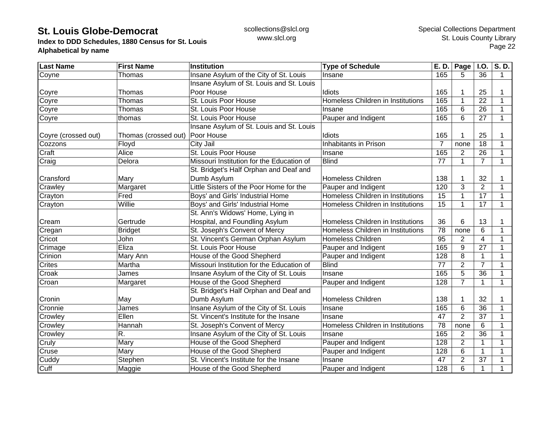**Index to DDD Schedules, 1880 Census for St. Louis Alphabetical by name**

| <b>Last Name</b>    | <b>First Name</b>    | <b>Institution</b>                        | <b>Type of Schedule</b>           | E. D.          | Page           | <b>I.O.</b>     | S.D.        |
|---------------------|----------------------|-------------------------------------------|-----------------------------------|----------------|----------------|-----------------|-------------|
| Coyne               | Thomas               | Insane Asylum of the City of St. Louis    | Insane                            | 165            | 5              | 36              | 1           |
|                     |                      | Insane Asylum of St. Louis and St. Louis  |                                   |                |                |                 |             |
| Coyre               | Thomas               | Poor House                                | Idiots                            | 165            |                | 25              |             |
| Coyre               | Thomas               | St. Louis Poor House                      | Homeless Children in Institutions | 165            | 1              | 22              | 1           |
| Coyre               | Thomas               | St. Louis Poor House                      | Insane                            | 165            | 6              | 26              | $\mathbf 1$ |
| Coyre               | thomas               | St. Louis Poor House                      | Pauper and Indigent               | 165            | 6              | 27              | $\mathbf 1$ |
|                     |                      | Insane Asylum of St. Louis and St. Louis  |                                   |                |                |                 |             |
| Coyre (crossed out) | Thomas (crossed out) | Poor House                                | Idiots                            | 165            |                | 25              |             |
| Cozzons             | Floyd                | City Jail                                 | Inhabitants in Prison             | $\overline{7}$ | none           | 18              |             |
| Craft               | Alice                | St. Louis Poor House                      | Insane                            | 165            | $\overline{2}$ | 26              |             |
| Craig               | Delora               | Missouri Institution for the Education of | <b>Blind</b>                      | 77             | 1              | $\overline{7}$  | $\mathbf 1$ |
|                     |                      | St. Bridget's Half Orphan and Deaf and    |                                   |                |                |                 |             |
| Cransford           | Mary                 | Dumb Asylum                               | <b>Homeless Children</b>          | 138            |                | 32              |             |
| Crawley             | Margaret             | Little Sisters of the Poor Home for the   | Pauper and Indigent               | 120            | 3              | $\overline{2}$  | 1           |
| Crayton             | Fred                 | Boys' and Girls' Industrial Home          | Homeless Children in Institutions | 15             |                | 17              | 1           |
| Crayton             | Willie               | Boys' and Girls' Industrial Home          | Homeless Children in Institutions | 15             | 1              | 17              | 1           |
|                     |                      | St. Ann's Widows' Home, Lying in          |                                   |                |                |                 |             |
| Cream               | Gertrude             | Hospital, and Foundling Asylum            | Homeless Children in Institutions | 36             | 6              | 13              |             |
| Cregan              | <b>Bridget</b>       | St. Joseph's Convent of Mercy             | Homeless Children in Institutions | 78             | none           | 6               | 1           |
| Cricot              | John                 | St. Vincent's German Orphan Asylum        | <b>Homeless Children</b>          | 95             | $\overline{2}$ | 4               |             |
| Crimage             | Eliza                | St. Louis Poor House                      | Pauper and Indigent               | 165            | 9              | $\overline{27}$ |             |
| Crinion             | Mary Ann             | House of the Good Shepherd                | Pauper and Indigent               | 128            | 8              | $\mathbf{1}$    |             |
| Crites              | Martha               | Missouri Institution for the Education of | <b>Blind</b>                      | 77             | $\overline{2}$ | $\overline{7}$  | 1           |
| Croak               | James                | Insane Asylum of the City of St. Louis    | Insane                            | 165            | 5              | $\overline{36}$ | 1           |
| Croan               | Margaret             | House of the Good Shepherd                | Pauper and Indigent               | 128            | $\overline{7}$ | $\mathbf{1}$    | $\mathbf 1$ |
|                     |                      | St. Bridget's Half Orphan and Deaf and    |                                   |                |                |                 |             |
| Cronin              | May                  | Dumb Asylum                               | <b>Homeless Children</b>          | 138            |                | 32              | 1           |
| Cronnie             | James                | Insane Asylum of the City of St. Louis    | Insane                            | 165            | 6              | 36              | $\mathbf 1$ |
| Crowley             | Ellen                | St. Vincent's Institute for the Insane    | Insane                            | 47             | $\overline{2}$ | 37              | 1           |
| Crowley             | Hannah               | St. Joseph's Convent of Mercy             | Homeless Children in Institutions | 78             | none           | 6               | 1           |
| Crowley             | R.                   | Insane Asylum of the City of St. Louis    | Insane                            | 165            | $\overline{2}$ | 36              |             |
| Cruly               | Mary                 | House of the Good Shepherd                | Pauper and Indigent               | 128            | $\overline{2}$ | 1               |             |
| Cruse               | Mary                 | House of the Good Shepherd                | Pauper and Indigent               | 128            | 6              | $\mathbf{1}$    |             |
| Cuddy               | Stephen              | St. Vincent's Institute for the Insane    | Insane                            | 47             | $\overline{2}$ | 37              |             |
| Cuff                | Maggie               | House of the Good Shepherd                | Pauper and Indigent               | 128            | 6              | $\mathbf{1}$    |             |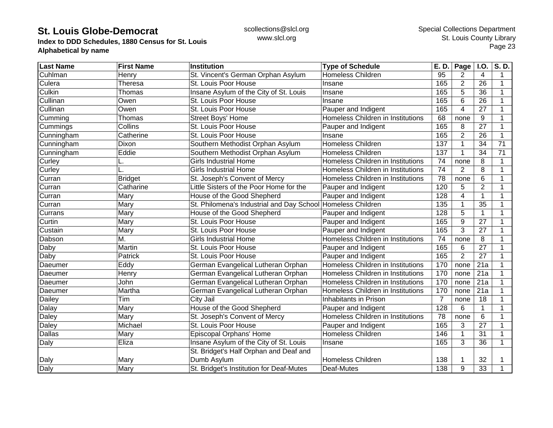**Index to DDD Schedules, 1880 Census for St. Louis Alphabetical by name**

| <b>Last Name</b> | <b>First Name</b> | Institution                                                 | <b>Type of Schedule</b>           | E. D.          | Page           | <b>I.O.</b>     | S.D.            |
|------------------|-------------------|-------------------------------------------------------------|-----------------------------------|----------------|----------------|-----------------|-----------------|
| Cuhlman          | Henry             | St. Vincent's German Orphan Asylum                          | <b>Homeless Children</b>          | 95             | 2              | 4               | 1               |
| Culera           | Theresa           | St. Louis Poor House                                        | Insane                            | 165            | $\overline{2}$ | 26              | 1               |
| Culkin           | Thomas            | Insane Asylum of the City of St. Louis                      | Insane                            | 165            | 5              | 36              | 1               |
| Cullinan         | Owen              | St. Louis Poor House                                        | Insane                            | 165            | 6              | 26              | 1               |
| Cullinan         | Owen              | St. Louis Poor House                                        | Pauper and Indigent               | 165            | 4              | 27              | 1               |
| Cumming          | Thomas            | Street Boys' Home                                           | Homeless Children in Institutions | 68             | none           | 9               | 1               |
| Cummings         | Collins           | St. Louis Poor House                                        | Pauper and Indigent               | 165            | 8              | 27              | 1               |
| Cunningham       | Catherine         | St. Louis Poor House                                        | Insane                            | 165            | $\overline{2}$ | 26              | 1               |
| Cunningham       | Dixon             | Southern Methodist Orphan Asylum                            | <b>Homeless Children</b>          | 137            |                | 34              | $\overline{71}$ |
| Cunningham       | Eddie             | Southern Methodist Orphan Asylum                            | <b>Homeless Children</b>          | 137            |                | 34              | 71              |
| Curley           | L.                | <b>Girls Industrial Home</b>                                | Homeless Children in Institutions | 74             | none           | 8               | 1               |
| Curley           |                   | <b>Girls Industrial Home</b>                                | Homeless Children in Institutions | 74             | $\overline{2}$ | 8               | 1               |
| Curran           | <b>Bridget</b>    | St. Joseph's Convent of Mercy                               | Homeless Children in Institutions | 78             | none           | 6               | 1               |
| Curran           | Catharine         | Little Sisters of the Poor Home for the                     | Pauper and Indigent               | 120            | 5              | $\overline{2}$  | 1               |
| Curran           | Mary              | House of the Good Shepherd                                  | Pauper and Indigent               | 128            | 4              | $\mathbf{1}$    | 1               |
| Curran           | Mary              | St. Philomena's Industrial and Day School Homeless Children |                                   | 135            |                | 35              | 1               |
| Currans          | Mary              | House of the Good Shepherd                                  | Pauper and Indigent               | 128            | 5              | 1               | 1               |
| Curtin           | Mary              | St. Louis Poor House                                        | Pauper and Indigent               | 165            | 9              | 27              | 1               |
| Custain          | Mary              | St. Louis Poor House                                        | Pauper and Indigent               | 165            | 3              | 27              |                 |
| Dabson           | M.                | <b>Girls Industrial Home</b>                                | Homeless Children in Institutions | 74             | none           | 8               |                 |
| Daby             | Martin            | St. Louis Poor House                                        | Pauper and Indigent               | 165            | 6              | $\overline{27}$ |                 |
| Daby             | Patrick           | St. Louis Poor House                                        | Pauper and Indigent               | 165            | $\overline{2}$ | $\overline{27}$ | 1               |
| Daeumer          | Eddy              | German Evangelical Lutheran Orphan                          | Homeless Children in Institutions | 170            | none           | 21a             | 1               |
| Daeumer          | Henry             | German Evangelical Lutheran Orphan                          | Homeless Children in Institutions | 170            | none           | 21a             | 1               |
| Daeumer          | John              | German Evangelical Lutheran Orphan                          | Homeless Children in Institutions | 170            | none           | 21a             | 1               |
| Daeumer          | Martha            | German Evangelical Lutheran Orphan                          | Homeless Children in Institutions | 170            | none           | 21a             | 1               |
| Dailey           | Tim               | City Jail                                                   | Inhabitants in Prison             | $\overline{7}$ | none           | 18              | 1               |
| Dalay            | Mary              | House of the Good Shepherd                                  | Pauper and Indigent               | 128            | 6              | 1               | 1               |
| Daley            | Mary              | St. Joseph's Convent of Mercy                               | Homeless Children in Institutions | 78             | none           | 6               | 1               |
| <b>Daley</b>     | Michael           | St. Louis Poor House                                        | Pauper and Indigent               | 165            | 3              | 27              | 1               |
| <b>Dallas</b>    | Mary              | Episcopal Orphans' Home                                     | Homeless Children                 | 146            |                | 31              | 1               |
| Daly             | Eliza             | Insane Asylum of the City of St. Louis                      | Insane                            | 165            | 3              | 36              | 1               |
|                  |                   | St. Bridget's Half Orphan and Deaf and                      |                                   |                |                |                 |                 |
| Daly             | Mary              | Dumb Asylum                                                 | <b>Homeless Children</b>          | 138            |                | 32              |                 |
| Daly             | Mary              | St. Bridget's Institution for Deaf-Mutes                    | Deaf-Mutes                        | 138            | 9              | 33              |                 |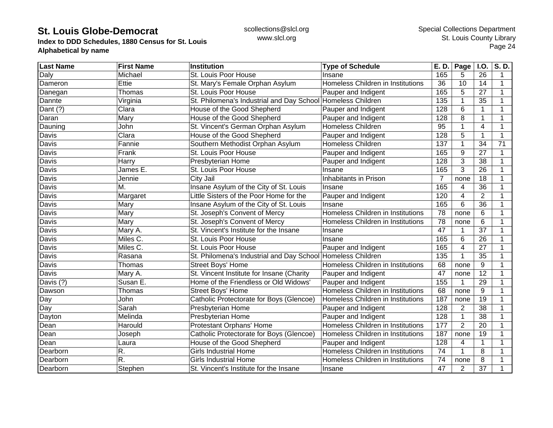**Index to DDD Schedules, 1880 Census for St. Louis Alphabetical by name**

| <b>Last Name</b> | <b>First Name</b> | Institution                                                 | <b>Type of Schedule</b>           | E. D.            | <b>Page</b>     | I.O.            | S.D. |
|------------------|-------------------|-------------------------------------------------------------|-----------------------------------|------------------|-----------------|-----------------|------|
| Daly             | Michael           | St. Louis Poor House                                        | Insane                            | 165              | 5               | 26              | 1    |
| Dameron          | Ettie             | St. Mary's Female Orphan Asylum                             | Homeless Children in Institutions | 36               | 10              | 14              | 1    |
| Danegan          | Thomas            | St. Louis Poor House                                        | Pauper and Indigent               | 165              | 5               | 27              | 1    |
| Dannte           | Virginia          | St. Philomena's Industrial and Day School                   | Homeless Children                 | 135              |                 | 35              |      |
| Dant (?)         | Clara             | House of the Good Shepherd                                  | Pauper and Indigent               | 128              | 6               | 1               |      |
| Daran            | Mary              | House of the Good Shepherd                                  | Pauper and Indigent               | 128              | 8               | 1               |      |
| Dauning          | John              | St. Vincent's German Orphan Asylum                          | <b>Homeless Children</b>          | $\overline{95}$  |                 | $\overline{4}$  |      |
| Davis            | Clara             | House of the Good Shepherd                                  | Pauper and Indigent               | 128              | 5               | 1               | 1    |
| Davis            | Fannie            | Southern Methodist Orphan Asylum                            | <b>Homeless Children</b>          | 137              |                 | 34              | 71   |
| Davis            | Frank             | St. Louis Poor House                                        | Pauper and Indigent               | 165              | 9               | 27              | 1    |
| Davis            | Harry             | Presbyterian Home                                           | Pauper and Indigent               | 128              | 3               | 38              |      |
| Davis            | James E.          | St. Louis Poor House                                        | Insane                            | 165              | 3               | $\overline{26}$ |      |
| Davis            | Jennie            | City Jail                                                   | Inhabitants in Prison             | 7                | none            | 18              |      |
| Davis            | M.                | Insane Asylum of the City of St. Louis                      | Insane                            | 165              | 4               | 36              |      |
| Davis            | Margaret          | Little Sisters of the Poor Home for the                     | Pauper and Indigent               | 120              | 4               | $\overline{2}$  | 1    |
| Davis            | Mary              | Insane Asylum of the City of St. Louis                      | Insane                            | 165              | 6               | 36              | 1    |
| Davis            | Mary              | St. Joseph's Convent of Mercy                               | Homeless Children in Institutions | 78               | none            | 6               |      |
| Davis            | Mary              | St. Joseph's Convent of Mercy                               | Homeless Children in Institutions | $\overline{78}$  | none            | 6               |      |
| Davis            | Mary A.           | St. Vincent's Institute for the Insane                      | Insane                            | 47               |                 | 37              |      |
| Davis            | Miles C.          | St. Louis Poor House                                        | Insane                            | 165              | $6\phantom{1}6$ | 26              |      |
| Davis            | Miles C.          | St. Louis Poor House                                        | Pauper and Indigent               | 165              | 4               | 27              | 1    |
| Davis            | Rasana            | St. Philomena's Industrial and Day School Homeless Children |                                   | $\overline{135}$ | $\mathbf 1$     | 35              | 1    |
| Davis            | Thomas            | Street Boys' Home                                           | Homeless Children in Institutions | 68               | none            | 9               | 1    |
| Davis            | Mary A.           | St. Vincent Institute for Insane (Charity                   | Pauper and Indigent               | 47               | none            | 12              |      |
| Davis (?)        | Susan E.          | Home of the Friendless or Old Widows'                       | Pauper and Indigent               | 155              |                 | 29              |      |
| Dawson           | Thomas            | Street Boys' Home                                           | Homeless Children in Institutions | 68               | none            | 9               | 1    |
| Day              | John              | Catholic Protectorate for Boys (Glencoe)                    | Homeless Children in Institutions | 187              | none            | 19              | 1    |
| Day              | Sarah             | Presbyterian Home                                           | Pauper and Indigent               | 128              | 2               | 38              | 1    |
| Dayton           | Melinda           | Presbyterian Home                                           | Pauper and Indigent               | 128              | $\mathbf{1}$    | 38              | 1    |
| Dean             | Harould           | Protestant Orphans' Home                                    | Homeless Children in Institutions | 177              | $\overline{2}$  | 20              |      |
| Dean             | Joseph            | Catholic Protectorate for Boys (Glencoe)                    | Homeless Children in Institutions | 187              | none            | 19              |      |
| Dean             | Laura             | House of the Good Shepherd                                  | Pauper and Indigent               | $\overline{128}$ | 4               | 1               |      |
| Dearborn         | R.                | <b>Girls Industrial Home</b>                                | Homeless Children in Institutions | 74               |                 | 8               |      |
| Dearborn         | R.                | <b>Girls Industrial Home</b>                                | Homeless Children in Institutions | 74               | none            | 8               | 1    |
| Dearborn         | Stephen           | St. Vincent's Institute for the Insane                      | Insane                            | 47               | 2               | 37              |      |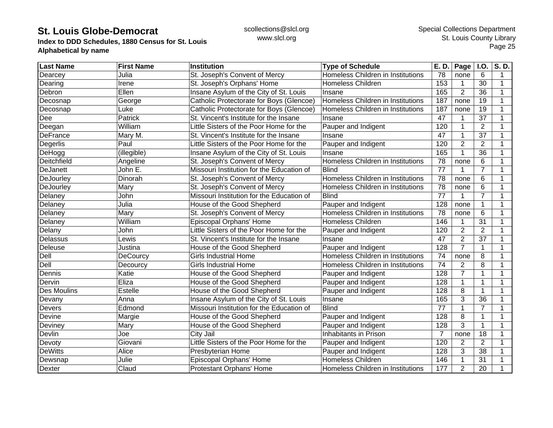**Index to DDD Schedules, 1880 Census for St. Louis Alphabetical by name**

| <b>Last Name</b>   | <b>First Name</b> | Institution                               | <b>Type of Schedule</b>           | E. D.          | <b>Page</b>    | <b>I.O.</b>    | S.D. |
|--------------------|-------------------|-------------------------------------------|-----------------------------------|----------------|----------------|----------------|------|
| Dearcey            | Julia             | St. Joseph's Convent of Mercy             | Homeless Children in Institutions | 78             | none           | 6              | 1    |
| Dearing            | Irene             | St. Joseph's Orphans' Home                | <b>Homeless Children</b>          | 153            |                | 30             | 1    |
| Debron             | Ellen             | Insane Asylum of the City of St. Louis    | Insane                            | 165            | $\overline{2}$ | 36             | 1    |
| Decosnap           | George            | Catholic Protectorate for Boys (Glencoe)  | Homeless Children in Institutions | 187            | none           | 19             | 1    |
| Decosnap           | Luke              | Catholic Protectorate for Boys (Glencoe)  | Homeless Children in Institutions | 187            | none           | 19             | 1    |
| Dee                | Patrick           | St. Vincent's Institute for the Insane    | Insane                            | 47             |                | 37             | 1    |
| Deegan             | William           | Little Sisters of the Poor Home for the   | Pauper and Indigent               | 120            | 1              | $\overline{2}$ | 1    |
| <b>DeFrance</b>    | Mary M.           | St. Vincent's Institute for the Insane    | Insane                            | 47             |                | 37             |      |
| Degerlis           | Paul              | Little Sisters of the Poor Home for the   | Pauper and Indigent               | 120            | $\overline{2}$ | $\overline{2}$ |      |
| DeHogg             | (illegible)       | Insane Asylum of the City of St. Louis    | Insane                            | 165            |                | 36             |      |
| Deitchfield        | Angeline          | St. Joseph's Convent of Mercy             | Homeless Children in Institutions | 78             | none           | 6              | 1    |
| DeJanett           | John E.           | Missouri Institution for the Education of | <b>Blind</b>                      | 77             |                | $\overline{7}$ | 1    |
| DeJourley          | Dinorah           | St. Joseph's Convent of Mercy             | Homeless Children in Institutions | 78             | none           | 6              | 1    |
| DeJourley          | Mary              | St. Joseph's Convent of Mercy             | Homeless Children in Institutions | 78             | none           | 6              | 1    |
| Delaney            | John              | Missouri Institution for the Education of | <b>Blind</b>                      | 77             |                | $\overline{7}$ | 1    |
| Delaney            | Julia             | House of the Good Shepherd                | Pauper and Indigent               | 128            | none           | $\mathbf 1$    | 1    |
| Delaney            | Mary              | St. Joseph's Convent of Mercy             | Homeless Children in Institutions | 78             | none           | 6              | 1    |
| Delaney            | William           | Episcopal Orphans' Home                   | <b>Homeless Children</b>          | 146            |                | 31             | 1    |
| Delany             | John              | Little Sisters of the Poor Home for the   | Pauper and Indigent               | 120            | $\overline{2}$ | $\overline{2}$ | 1    |
| Delassus           | Lewis             | St. Vincent's Institute for the Insane    | Insane                            | 47             | $\overline{2}$ | 37             |      |
| Deleuse            | Justina           | House of the Good Shepherd                | Pauper and Indigent               | 128            | $\overline{7}$ | $\mathbf{1}$   |      |
| Dell               | DeCourcy          | <b>Girls Industrial Home</b>              | Homeless Children in Institutions | 74             | none           | 8              | 1    |
| Dell               | Decourcy          | <b>Girls Industrial Home</b>              | Homeless Children in Institutions | 74             | $\overline{2}$ | 8              | 1    |
| Dennis             | Katie             | House of the Good Shepherd                | Pauper and Indigent               | 128            | $\overline{7}$ | $\mathbf{1}$   | 1    |
| Dervin             | Eliza             | House of the Good Shepherd                | Pauper and Indigent               | 128            |                | 1              | 1    |
| <b>Des Moulins</b> | Estelle           | House of the Good Shepherd                | Pauper and Indigent               | 128            | 8              | $\mathbf{1}$   | 1    |
| Devany             | Anna              | Insane Asylum of the City of St. Louis    | Insane                            | 165            | 3              | 36             | 1    |
| Devers             | Edmond            | Missouri Institution for the Education of | <b>Blind</b>                      | 77             | 1              | $\overline{7}$ | 1    |
| Devine             | Margie            | House of the Good Shepherd                | Pauper and Indigent               | 128            | 8              | $\mathbf{1}$   | 1    |
| Deviney            | Mary              | House of the Good Shepherd                | Pauper and Indigent               | 128            | 3              | $\mathbf{1}$   | 1    |
| Devlin             | Joe               | City Jail                                 | Inhabitants in Prison             | $\overline{7}$ | none           | 18             | 1    |
| Devoty             | Giovani           | Little Sisters of the Poor Home for the   | Pauper and Indigent               | 120            | $\overline{2}$ | $\overline{2}$ |      |
| <b>DeWitts</b>     | Alice             | Presbyterian Home                         | Pauper and Indigent               | 128            | 3              | 38             |      |
| Dewsnap            | Julie             | Episcopal Orphans' Home                   | <b>Homeless Children</b>          | 146            |                | 31             | 1    |
| <b>Dexter</b>      | Claud             | <b>Protestant Orphans' Home</b>           | Homeless Children in Institutions | 177            | $\overline{2}$ | 20             | 1    |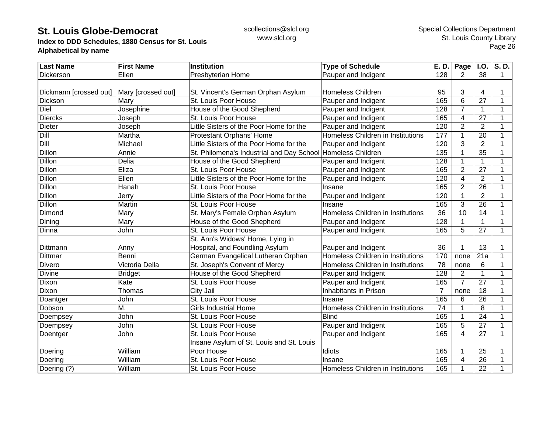**Index to DDD Schedules, 1880 Census for St. Louis Alphabetical by name**

| <b>Last Name</b>       | <b>First Name</b>  | <b>Institution</b>                        | <b>Type of Schedule</b>           | E. D.          | Page           | <b>I.O.</b>      | S.D.         |
|------------------------|--------------------|-------------------------------------------|-----------------------------------|----------------|----------------|------------------|--------------|
| Dickerson              | Ellen              | Presbyterian Home                         | Pauper and Indigent               | 128            | 2              | 38               | 1            |
| Dickmann [crossed out] | Mary [crossed out] | St. Vincent's German Orphan Asylum        | <b>Homeless Children</b>          | 95             | 3              | 4                |              |
| Dickson                | Mary               | St. Louis Poor House                      | Pauper and Indigent               | 165            | 6              | 27               | 1            |
| Diel                   | Josephine          | House of the Good Shepherd                | Pauper and Indigent               | 128            | $\overline{7}$ | $\mathbf{1}$     | 1            |
| <b>Diercks</b>         | Joseph             | St. Louis Poor House                      | Pauper and Indigent               | 165            | 4              | 27               | 1            |
| <b>Dieter</b>          | Joseph             | Little Sisters of the Poor Home for the   | Pauper and Indigent               | 120            | $\overline{2}$ | $\overline{2}$   | 1            |
| Dill                   | Martha             | Protestant Orphans' Home                  | Homeless Children in Institutions | 177            |                | 20               | 1            |
| Dill                   | Michael            | Little Sisters of the Poor Home for the   | Pauper and Indigent               | 120            | 3              | $\overline{2}$   |              |
| Dillon                 |                    | St. Philomena's Industrial and Day School | Homeless Children                 | 135            |                | 35               | 1            |
| <b>Dillon</b>          | Annie<br>Delia     |                                           |                                   | 128            |                |                  | 1            |
|                        |                    | House of the Good Shepherd                | Pauper and Indigent               |                |                | $\mathbf{1}$     |              |
| Dillon                 | Eliza              | St. Louis Poor House                      | Pauper and Indigent               | 165            | $\overline{2}$ | 27               | $\mathbf 1$  |
| Dillon                 | Ellen              | Little Sisters of the Poor Home for the   | Pauper and Indigent               | 120            | 4              | $\overline{2}$   | 1            |
| <b>Dillon</b>          | Hanah              | St. Louis Poor House                      | Insane                            | 165            | $\overline{2}$ | 26               | 1            |
| <b>Dillon</b>          | Jerry              | Little Sisters of the Poor Home for the   | Pauper and Indigent               | 120            |                | $\overline{2}$   | 1            |
| Dillon                 | Martin             | St. Louis Poor House                      | Insane                            | 165            | 3              | 26               | 1            |
| Dimond                 | Mary               | St. Mary's Female Orphan Asylum           | Homeless Children in Institutions | 36             | 10             | 14               | 1            |
| Dining                 | Mary               | House of the Good Shepherd                | Pauper and Indigent               | 128            |                | $\mathbf{1}$     | 1            |
| Dinna                  | John               | St. Louis Poor House                      | Pauper and Indigent               | 165            | 5              | 27               | 1            |
|                        |                    | St. Ann's Widows' Home, Lying in          |                                   |                |                |                  |              |
| Dittmann               | Anny               | Hospital, and Foundling Asylum            | Pauper and Indigent               | 36             |                | 13               |              |
| Dittmar                | Benni              | German Evangelical Lutheran Orphan        | Homeless Children in Institutions | 170            | none           | $\overline{21a}$ | 1            |
| Divero                 | Victoria Della     | St. Joseph's Convent of Mercy             | Homeless Children in Institutions | 78             | none           | 6                | 1            |
| <b>Divine</b>          | <b>Bridget</b>     | House of the Good Shepherd                | Pauper and Indigent               | 128            | $\overline{2}$ | $\mathbf{1}$     | 1            |
| Dixon                  | Kate               | St. Louis Poor House                      | Pauper and Indigent               | 165            | $\overline{7}$ | 27               | 1            |
| Dixon                  | Thomas             | City Jail                                 | Inhabitants in Prison             | $\overline{7}$ | none           | 18               | 1            |
| Doantger               | John               | St. Louis Poor House                      | Insane                            | 165            | 6              | 26               | $\mathbf 1$  |
| Dobson                 | М.                 | <b>Girls Industrial Home</b>              | Homeless Children in Institutions | 74             |                | 8                | 1            |
| Doempsey               | John               | St. Louis Poor House                      | <b>Blind</b>                      | 165            |                | 24               | 1            |
| Doempsey               | John               | St. Louis Poor House                      | Pauper and Indigent               | 165            | 5              | 27               | 1            |
| Doentger               | John               | St. Louis Poor House                      | Pauper and Indigent               | 165            | $\overline{4}$ | 27               | $\mathbf{1}$ |
|                        |                    | Insane Asylum of St. Louis and St. Louis  |                                   |                |                |                  |              |
| Doering                | William            | Poor House                                | Idiots                            | 165            |                | 25               |              |
| Doering                | William            | St. Louis Poor House                      | Insane                            | 165            | 4              | 26               |              |
| Doering (?)            | William            | St. Louis Poor House                      | Homeless Children in Institutions | 165            |                | 22               |              |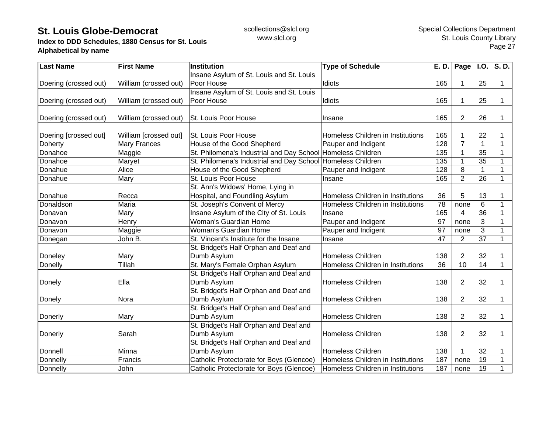**Index to DDD Schedules, 1880 Census for St. Louis Alphabetical by name**

| <b>Last Name</b>      | <b>First Name</b>     | <b>Institution</b>                                          | <b>Type of Schedule</b>           | E. D.           | Page            | I.O.            | S.D.         |
|-----------------------|-----------------------|-------------------------------------------------------------|-----------------------------------|-----------------|-----------------|-----------------|--------------|
|                       |                       | Insane Asylum of St. Louis and St. Louis                    |                                   |                 |                 |                 |              |
| Doering (crossed out) | William (crossed out) | Poor House                                                  | Idiots                            | 165             |                 | 25              | 1            |
|                       |                       | Insane Asylum of St. Louis and St. Louis                    |                                   |                 |                 |                 |              |
| Doering (crossed out) | William (crossed out) | Poor House                                                  | Idiots                            | 165             |                 | 25              | 1            |
|                       |                       |                                                             |                                   |                 |                 |                 |              |
| Doering (crossed out) | William (crossed out) | St. Louis Poor House                                        | Insane                            | 165             | $\overline{2}$  | 26              | 1            |
|                       |                       |                                                             |                                   |                 |                 |                 |              |
| Doering [crossed out] | William [crossed out] | St. Louis Poor House                                        | Homeless Children in Institutions | 165             |                 | 22              | 1            |
| Doherty               | <b>Mary Frances</b>   | House of the Good Shepherd                                  | Pauper and Indigent               | 128             | $\overline{7}$  |                 | 1            |
| Donahoe               | Maggie                | St. Philomena's Industrial and Day School Homeless Children |                                   | 135             |                 | 35              | 1            |
| Donahoe               | Maryet                | St. Philomena's Industrial and Day School Homeless Children |                                   | 135             |                 | 35              | $\mathbf{1}$ |
| Donahue               | Alice                 | House of the Good Shepherd                                  | Pauper and Indigent               | 128             | 8               | 1               | $\mathbf 1$  |
| Donahue               | Mary                  | St. Louis Poor House                                        | Insane                            | 165             | $\overline{2}$  | $\overline{26}$ | $\mathbf{1}$ |
|                       |                       | St. Ann's Widows' Home, Lying in                            |                                   |                 |                 |                 |              |
| Donahue               | Recca                 | Hospital, and Foundling Asylum                              | Homeless Children in Institutions | 36              | 5               | 13              | 1            |
| Donaldson             | Maria                 | St. Joseph's Convent of Mercy                               | Homeless Children in Institutions | 78              | none            | 6               | 1            |
| Donavan               | Mary                  | Insane Asylum of the City of St. Louis                      | Insane                            | 165             | 4               | 36              | 1            |
| Donavon               | Henry                 | Woman's Guardian Home                                       | Pauper and Indigent               | 97              | none            | 3               | $\mathbf{1}$ |
| Donavon               | Maggie                | Woman's Guardian Home                                       | Pauper and Indigent               | 97              | none            | 3               | 1            |
| Donegan               | John B.               | St. Vincent's Institute for the Insane                      | Insane                            | 47              | $\overline{2}$  | $\overline{37}$ | $\mathbf{1}$ |
|                       |                       | St. Bridget's Half Orphan and Deaf and                      |                                   |                 |                 |                 |              |
| Doneley               | Mary                  | Dumb Asylum                                                 | <b>Homeless Children</b>          | 138             | $\overline{2}$  | 32              | 1            |
| Donelly               | Tillah                | St. Mary's Female Orphan Asylum                             | Homeless Children in Institutions | $\overline{36}$ | $\overline{10}$ | $\overline{14}$ | $\mathbf{1}$ |
|                       |                       | St. Bridget's Half Orphan and Deaf and                      |                                   |                 |                 |                 |              |
| Donely                | Ella                  | Dumb Asylum                                                 | <b>Homeless Children</b>          | 138             | $\overline{2}$  | 32              | 1            |
|                       |                       | St. Bridget's Half Orphan and Deaf and                      |                                   |                 |                 |                 |              |
| Donely                | Nora                  | Dumb Asylum                                                 | <b>Homeless Children</b>          | 138             | $\overline{2}$  | 32              | 1            |
|                       |                       | St. Bridget's Half Orphan and Deaf and                      |                                   |                 |                 |                 |              |
| Donerly               | Mary                  | Dumb Asylum                                                 | <b>Homeless Children</b>          | 138             | $\overline{2}$  | 32              | 1            |
|                       |                       | St. Bridget's Half Orphan and Deaf and                      |                                   |                 |                 |                 |              |
| Donerly               | Sarah                 | Dumb Asylum                                                 | <b>Homeless Children</b>          | 138             | 2               | 32              | 1            |
|                       |                       | St. Bridget's Half Orphan and Deaf and                      |                                   |                 |                 |                 |              |
| Donnell               | Minna                 | Dumb Asylum                                                 | <b>Homeless Children</b>          | 138             |                 | 32              | 1            |
| Donnelly              | Francis               | Catholic Protectorate for Boys (Glencoe)                    | Homeless Children in Institutions | 187             | none            | 19              | 1            |
| Donnelly              | John                  | Catholic Protectorate for Boys (Glencoe)                    | Homeless Children in Institutions | 187             | none            | 19              | 1            |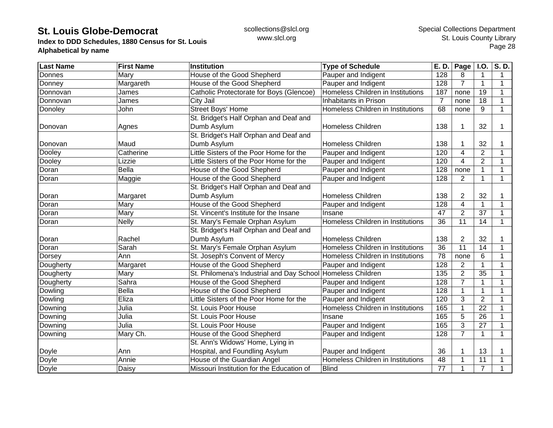**Index to DDD Schedules, 1880 Census for St. Louis Alphabetical by name**

| <b>Last Name</b> | <b>First Name</b> | <b>Institution</b>                                          | <b>Type of Schedule</b>           | E. D.           | Page           | <b>I.O.</b>     | $\overline{S. D.}$ |
|------------------|-------------------|-------------------------------------------------------------|-----------------------------------|-----------------|----------------|-----------------|--------------------|
| Donnes           | Mary              | House of the Good Shepherd                                  | Pauper and Indigent               | 128             | 8              | 1               | 1                  |
| Donney           | Margareth         | House of the Good Shepherd                                  | Pauper and Indigent               | 128             | $\overline{7}$ | 1               | 1                  |
| Donnovan         | James             | Catholic Protectorate for Boys (Glencoe)                    | Homeless Children in Institutions | 187             | none           | 19              | 1                  |
| Donnovan         | James             | City Jail                                                   | Inhabitants in Prison             | $\overline{7}$  | none           | 18              | 1                  |
| Donoley          | John              | <b>Street Boys' Home</b>                                    | Homeless Children in Institutions | 68              | none           | 9               | 1                  |
|                  |                   | St. Bridget's Half Orphan and Deaf and                      |                                   |                 |                |                 |                    |
| Donovan          | Agnes             | Dumb Asylum                                                 | <b>Homeless Children</b>          | 138             |                | 32              | 1                  |
|                  |                   | St. Bridget's Half Orphan and Deaf and                      |                                   |                 |                |                 |                    |
| Donovan          | Maud              | Dumb Asylum                                                 | Homeless Children                 | 138             |                | 32              |                    |
| Dooley           | Catherine         | Little Sisters of the Poor Home for the                     | Pauper and Indigent               | 120             | 4              | 2               | 1                  |
| Dooley           | Lizzie            | Little Sisters of the Poor Home for the                     | Pauper and Indigent               | 120             | 4              | $\overline{2}$  | 1                  |
| Doran            | <b>Bella</b>      | House of the Good Shepherd                                  | Pauper and Indigent               | 128             | none           | 1               |                    |
| Doran            | Maggie            | House of the Good Shepherd                                  | Pauper and Indigent               | 128             | $\overline{2}$ | $\mathbf{1}$    | 1                  |
|                  |                   | St. Bridget's Half Orphan and Deaf and                      |                                   |                 |                |                 |                    |
| Doran            | Margaret          | Dumb Asylum                                                 | <b>Homeless Children</b>          | 138             | 2              | 32              |                    |
| Doran            | Mary              | House of the Good Shepherd                                  | Pauper and Indigent               | 128             | 4              | 1               | 1                  |
| Doran            | Mary              | St. Vincent's Institute for the Insane                      | Insane                            | 47              | $\overline{2}$ | 37              | 1                  |
| Doran            | <b>Nelly</b>      | St. Mary's Female Orphan Asylum                             | Homeless Children in Institutions | 36              | 11             | 14              | 1                  |
|                  |                   | St. Bridget's Half Orphan and Deaf and                      |                                   |                 |                |                 |                    |
| Doran            | Rachel            | Dumb Asylum                                                 | <b>Homeless Children</b>          | 138             | $\overline{2}$ | 32              |                    |
| Doran            | Sarah             | St. Mary's Female Orphan Asylum                             | Homeless Children in Institutions | $\overline{36}$ | 11             | 14              |                    |
| Dorsey           | Ann               | St. Joseph's Convent of Mercy                               | Homeless Children in Institutions | 78              | none           | 6               | 1                  |
| Dougherty        | Margaret          | House of the Good Shepherd                                  | Pauper and Indigent               | 128             | $\overline{2}$ | $\mathbf{1}$    | 1                  |
| Dougherty        | Mary              | St. Philomena's Industrial and Day School Homeless Children |                                   | 135             | $\overline{2}$ | $\overline{35}$ | 1                  |
| Dougherty        | Sahra             | House of the Good Shepherd                                  | Pauper and Indigent               | 128             | $\overline{7}$ | 1               | 1                  |
| Dowling          | <b>Bella</b>      | House of the Good Shepherd                                  | Pauper and Indigent               | 128             |                | $\mathbf{1}$    | 1                  |
| Dowling          | Eliza             | Little Sisters of the Poor Home for the                     | Pauper and Indigent               | 120             | 3              | $\overline{2}$  | 1                  |
| Downing          | Julia             | St. Louis Poor House                                        | Homeless Children in Institutions | 165             | 1              | 22              | 1                  |
| Downing          | Julia             | St. Louis Poor House                                        | Insane                            | 165             | 5              | 26              | 1                  |
| Downing          | Julia             | St. Louis Poor House                                        | Pauper and Indigent               | 165             | 3              | 27              |                    |
| Downing          | Mary Ch.          | House of the Good Shepherd                                  | Pauper and Indigent               | 128             | $\overline{7}$ | $\mathbf{1}$    | 1                  |
|                  |                   | St. Ann's Widows' Home, Lying in                            |                                   |                 |                |                 |                    |
| Doyle            | Ann               | Hospital, and Foundling Asylum                              | Pauper and Indigent               | 36              |                | 13              |                    |
| Doyle            | Annie             | House of the Guardian Angel                                 | Homeless Children in Institutions | 48              |                | 11              | 1                  |
| Doyle            | Daisy             | Missouri Institution for the Education of                   | <b>Blind</b>                      | 77              |                | $\overline{7}$  |                    |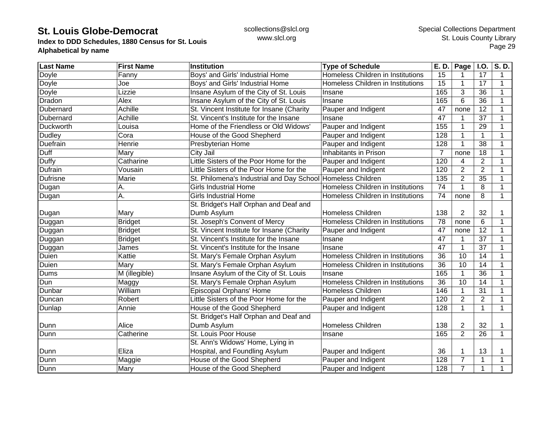**Index to DDD Schedules, 1880 Census for St. Louis Alphabetical by name**

| <b>Last Name</b> | <b>First Name</b> | <b>Institution</b>                                          | <b>Type of Schedule</b>           | E. D.           | Page $ $ I.O.   |                 | S.D.        |
|------------------|-------------------|-------------------------------------------------------------|-----------------------------------|-----------------|-----------------|-----------------|-------------|
| Doyle            | Fanny             | Boys' and Girls' Industrial Home                            | Homeless Children in Institutions | 15              |                 | 17              | 1           |
| Doyle            | Joe               | Boys' and Girls' Industrial Home                            | Homeless Children in Institutions | 15              |                 | 17              | 1           |
| Doyle            | Lizzie            | Insane Asylum of the City of St. Louis                      | Insane                            | 165             | 3               | 36              | 1           |
| Dradon           | Alex              | Insane Asylum of the City of St. Louis                      | Insane                            | 165             | 6               | 36              | 1           |
| Dubernard        | Achille           | St. Vincent Institute for Insane (Charity                   | Pauper and Indigent               | 47              | none            | 12              | 1           |
| Dubernard        | Achille           | St. Vincent's Institute for the Insane                      | Insane                            | 47              |                 | 37              |             |
| Duckworth        | Louisa            | Home of the Friendless or Old Widows'                       | Pauper and Indigent               | 155             | 1               | 29              |             |
| <b>Dudley</b>    | Cora              | House of the Good Shepherd                                  | Pauper and Indigent               | 128             |                 | 1               |             |
| Duefrain         | Henrie            | Presbyterian Home                                           | Pauper and Indigent               | 128             |                 | $\overline{38}$ |             |
| Duff             | Mary              | City Jail                                                   | Inhabitants in Prison             | $\overline{7}$  | none            | 18              |             |
| <b>Duffy</b>     | Catharine         | Little Sisters of the Poor Home for the                     | Pauper and Indigent               | 120             | 4               | $\overline{2}$  |             |
| Dufrain          | Vousain           | Little Sisters of the Poor Home for the                     | Pauper and Indigent               | 120             | $\overline{2}$  | $\overline{2}$  |             |
| <b>Dufrisne</b>  | Marie             | St. Philomena's Industrial and Day School Homeless Children |                                   | 135             | $\overline{2}$  | 35              |             |
| Dugan            | Α.                | <b>Girls Industrial Home</b>                                | Homeless Children in Institutions | 74              |                 | 8               |             |
| Dugan            | Α.                | <b>Girls Industrial Home</b>                                | Homeless Children in Institutions | 74              | none            | 8               | 1           |
|                  |                   | St. Bridget's Half Orphan and Deaf and                      |                                   |                 |                 |                 |             |
| Dugan            | Mary              | Dumb Asylum                                                 | <b>Homeless Children</b>          | 138             | $\overline{2}$  | 32              |             |
| Duggan           | <b>Bridget</b>    | St. Joseph's Convent of Mercy                               | Homeless Children in Institutions | 78              | none            | 6               | 1           |
| Duggan           | <b>Bridget</b>    | St. Vincent Institute for Insane (Charity                   | Pauper and Indigent               | 47              | none            | 12              |             |
| Duggan           | <b>Bridget</b>    | St. Vincent's Institute for the Insane                      | Insane                            | 47              |                 | 37              |             |
| Duggan           | James             | St. Vincent's Institute for the Insane                      | Insane                            | 47              |                 | $\overline{37}$ |             |
| Duien            | Kattie            | St. Mary's Female Orphan Asylum                             | Homeless Children in Institutions | 36              | 10              | 14              | 1           |
| Duien            | Mary              | St. Mary's Female Orphan Asylum                             | Homeless Children in Institutions | 36              | 10              | 14              | 1           |
| Dums             | M (illegible)     | Insane Asylum of the City of St. Louis                      | Insane                            | 165             |                 | $\overline{36}$ |             |
| Dun              | Maggy             | St. Mary's Female Orphan Asylum                             | Homeless Children in Institutions | $\overline{36}$ | $\overline{10}$ | 14              |             |
| Dunbar           | William           | Episcopal Orphans' Home                                     | <b>Homeless Children</b>          | 146             |                 | 31              | 1           |
| Duncan           | Robert            | Little Sisters of the Poor Home for the                     | Pauper and Indigent               | 120             | $\overline{2}$  | $\overline{2}$  | 1           |
| Dunlap           | Annie             | House of the Good Shepherd                                  | Pauper and Indigent               | 128             | 1               | $\mathbf{1}$    | 1           |
|                  |                   | St. Bridget's Half Orphan and Deaf and                      |                                   |                 |                 |                 |             |
| Dunn             | Alice             | Dumb Asylum                                                 | <b>Homeless Children</b>          | 138             | $\overline{2}$  | 32              |             |
| Dunn             | Catherine         | St. Louis Poor House                                        | Insane                            | 165             | $\overline{2}$  | 26              | $\mathbf 1$ |
|                  |                   | St. Ann's Widows' Home, Lying in                            |                                   |                 |                 |                 |             |
| Dunn             | Eliza             | Hospital, and Foundling Asylum                              | Pauper and Indigent               | 36              |                 | 13              |             |
| Dunn             | Maggie            | House of the Good Shepherd                                  | Pauper and Indigent               | 128             | $\overline{7}$  | 1               |             |
| Dunn             | Mary              | House of the Good Shepherd                                  | Pauper and Indigent               | 128             | $\overline{7}$  | 1               |             |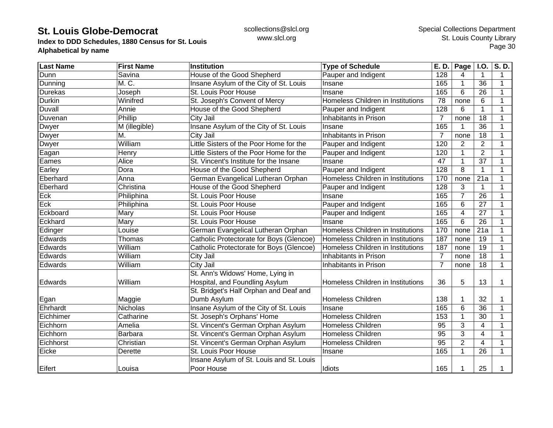**Index to DDD Schedules, 1880 Census for St. Louis Alphabetical by name**

| <b>Last Name</b> | <b>First Name</b> | Institution                              | <b>Type of Schedule</b>           | E. D.          | Page           | <b>I.O.</b>    | $\overline{S. D.}$ |
|------------------|-------------------|------------------------------------------|-----------------------------------|----------------|----------------|----------------|--------------------|
| Dunn             | Savina            | House of the Good Shepherd               | Pauper and Indigent               | 128            | 4              | $\mathbf 1$    | 1                  |
| Dunning          | M. C.             | Insane Asylum of the City of St. Louis   | Insane                            | 165            | 1              | 36             | 1                  |
| <b>Durekas</b>   | Joseph            | St. Louis Poor House                     | Insane                            | 165            | 6              | 26             | 1                  |
| Durkin           | Winifred          | St. Joseph's Convent of Mercy            | Homeless Children in Institutions | 78             | none           | 6              | $\mathbf 1$        |
| <b>Duvall</b>    | Annie             | House of the Good Shepherd               | Pauper and Indigent               | 128            | 6              | 1              | 1                  |
| Duvenan          | Phillip           | City Jail                                | Inhabitants in Prison             | $\overline{7}$ | none           | 18             |                    |
| <b>Dwyer</b>     | M (illegible)     | Insane Asylum of the City of St. Louis   | Insane                            | 165            |                | 36             |                    |
| <b>Dwyer</b>     | M.                | City Jail                                | Inhabitants in Prison             | $\overline{7}$ | none           | 18             |                    |
| <b>Dwyer</b>     | William           | Little Sisters of the Poor Home for the  | Pauper and Indigent               | 120            | $\overline{2}$ | $\overline{2}$ |                    |
| Eagan            | Henry             | Little Sisters of the Poor Home for the  | Pauper and Indigent               | 120            | 1              | $\overline{2}$ | 1                  |
| Eames            | Alice             | St. Vincent's Institute for the Insane   | Insane                            | 47             |                | 37             | 1                  |
| Earley           | Dora              | House of the Good Shepherd               | Pauper and Indigent               | 128            | 8              | $\mathbf{1}$   | 1                  |
| Eberhard         | Anna              | German Evangelical Lutheran Orphan       | Homeless Children in Institutions | 170            | none           | 21a            | 1                  |
| Eberhard         | Christina         | House of the Good Shepherd               | Pauper and Indigent               | 128            | 3              | 1              | 1                  |
| Eck              | Philiphina        | St. Louis Poor House                     | Insane                            | 165            | $\overline{7}$ | 26             | 1                  |
| Eck              | Philiphina        | St. Louis Poor House                     | Pauper and Indigent               | 165            | 6              | 27             | 1                  |
| Eckboard         | Mary              | St. Louis Poor House                     | Pauper and Indigent               | 165            | 4              | 27             | 1                  |
| Eckhard          | Mary              | St. Louis Poor House                     | Insane                            | 165            | 6              | 26             | 1                  |
| Edinger          | Louise            | German Evangelical Lutheran Orphan       | Homeless Children in Institutions | 170            | none           | 21a            | 1                  |
| Edwards          | <b>Thomas</b>     | Catholic Protectorate for Boys (Glencoe) | Homeless Children in Institutions | 187            | none           | 19             | 1                  |
| Edwards          | William           | Catholic Protectorate for Boys (Glencoe) | Homeless Children in Institutions | 187            | none           | 19             | 1                  |
| Edwards          | William           | City Jail                                | Inhabitants in Prison             | $\overline{7}$ | none           | 18             | 1                  |
| Edwards          | William           | City Jail                                | Inhabitants in Prison             | $\overline{7}$ | none           | 18             | $\mathbf{1}$       |
|                  |                   | St. Ann's Widows' Home, Lying in         |                                   |                |                |                |                    |
| <b>Edwards</b>   | William           | Hospital, and Foundling Asylum           | Homeless Children in Institutions | 36             | 5              | 13             | 1                  |
|                  |                   | St. Bridget's Half Orphan and Deaf and   |                                   |                |                |                |                    |
| Egan             | Maggie            | Dumb Asylum                              | <b>Homeless Children</b>          | 138            | 1              | 32             | 1                  |
| Ehrhardt         | <b>Nicholas</b>   | Insane Asylum of the City of St. Louis   | Insane                            | 165            | 6              | 36             | 1                  |
| Eichhimer        | Catharine         | St. Joseph's Orphans' Home               | Homeless Children                 | 153            |                | 30             | 1                  |
| Eichhorn         | Amelia            | St. Vincent's German Orphan Asylum       | Homeless Children                 | 95             | 3              | $\overline{4}$ | 1                  |
| Eichhorn         | <b>Barbara</b>    | St. Vincent's German Orphan Asylum       | <b>Homeless Children</b>          | 95             | 3              | $\overline{4}$ | 1                  |
| Eichhorst        | Christian         | St. Vincent's German Orphan Asylum       | <b>Homeless Children</b>          | 95             | $\overline{2}$ | $\overline{4}$ | 1                  |
| Eicke            | Derette           | St. Louis Poor House                     | Insane                            | 165            | 1              | 26             | 1                  |
|                  |                   | Insane Asylum of St. Louis and St. Louis |                                   |                |                |                |                    |
| Eifert           | Louisa            | Poor House                               | Idiots                            | 165            |                | 25             |                    |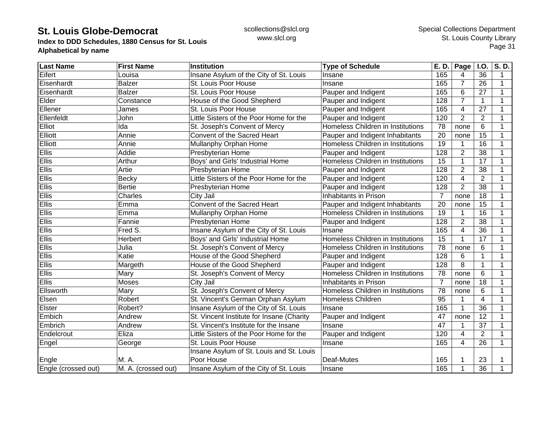**Index to DDD Schedules, 1880 Census for St. Louis Alphabetical by name**

| <b>Last Name</b>    | <b>First Name</b>   | <b>Institution</b>                        | <b>Type of Schedule</b>           | E. D.           | Page           | <b>I.O.</b>     | S.D.        |
|---------------------|---------------------|-------------------------------------------|-----------------------------------|-----------------|----------------|-----------------|-------------|
| Eifert              | Louisa              | Insane Asylum of the City of St. Louis    | Insane                            | 165             | 4              | 36              | 1           |
| Eisenhardt          | <b>Balzer</b>       | St. Louis Poor House                      | Insane                            | 165             | 7              | 26              | 1           |
| Eisenhardt          | <b>Balzer</b>       | St. Louis Poor House                      | Pauper and Indigent               | 165             | 6              | 27              | 1           |
| Elder               | Constance           | House of the Good Shepherd                | Pauper and Indigent               | 128             | 7              | $\mathbf{1}$    | 1           |
| Ellener             | James               | St. Louis Poor House                      | Pauper and Indigent               | 165             | 4              | 27              | 1           |
| Ellenfeldt          | John                | Little Sisters of the Poor Home for the   | Pauper and Indigent               | 120             | $\overline{2}$ | $\overline{2}$  | 1           |
| Elliot              | Ida                 | St. Joseph's Convent of Mercy             | Homeless Children in Institutions | 78              | none           | 6               | 1           |
| Elliott             | Annie               | Convent of the Sacred Heart               | Pauper and Indigent Inhabitants   | 20              | none           | 15              |             |
| Elliott             | Annie               | Mullanphy Orphan Home                     | Homeless Children in Institutions | 19              |                | 16              | 1           |
| Ellis               | Addie               | Presbyterian Home                         | Pauper and Indigent               | 128             | $\overline{2}$ | 38              |             |
| <b>Ellis</b>        | Arthur              | Boys' and Girls' Industrial Home          | Homeless Children in Institutions | $\overline{15}$ |                | 17              | 1           |
| Ellis               | Artie               | Presbyterian Home                         | Pauper and Indigent               | 128             | $\overline{2}$ | 38              | 1           |
| <b>Ellis</b>        | Becky               | Little Sisters of the Poor Home for the   | Pauper and Indigent               | 120             | 4              | $\overline{2}$  | 1           |
| <b>Ellis</b>        | <b>Bertie</b>       | Presbyterian Home                         | Pauper and Indigent               | 128             | $\overline{2}$ | $\overline{38}$ | 1           |
| <b>Ellis</b>        | Charles             | City Jail                                 | Inhabitants in Prison             | 7               | none           | 18              | 1           |
| <b>Ellis</b>        | Emma                | Convent of the Sacred Heart               | Pauper and Indigent Inhabitants   | 20              | none           | 15              | 1           |
| Ellis               | Emma                | Mullanphy Orphan Home                     | Homeless Children in Institutions | 19              | 1              | 16              | 1           |
| <b>Ellis</b>        | Fannie              | Presbyterian Home                         | Pauper and Indigent               | 128             | $\overline{2}$ | 38              | 1           |
| <b>Ellis</b>        | Fred S.             | Insane Asylum of the City of St. Louis    | Insane                            | 165             | $\overline{4}$ | 36              |             |
| <b>Ellis</b>        | Herbert             | Boys' and Girls' Industrial Home          | Homeless Children in Institutions | 15              |                | 17              |             |
| <b>Ellis</b>        | Julia               | St. Joseph's Convent of Mercy             | Homeless Children in Institutions | 78              | none           | 6               |             |
| Ellis               | Katie               | House of the Good Shepherd                | Pauper and Indigent               | 128             | 6              | $\mathbf{1}$    | 1           |
| <b>Ellis</b>        | Margeth             | House of the Good Shepherd                | Pauper and Indigent               | 128             | 8              | $\mathbf{1}$    | 1           |
| Ellis               | Mary                | St. Joseph's Convent of Mercy             | Homeless Children in Institutions | 78              | none           | 6               | 1           |
| Ellis               | Moses               | City Jail                                 | Inhabitants in Prison             | $\overline{7}$  | none           | 18              | 1           |
| Ellsworth           | Mary                | St. Joseph's Convent of Mercy             | Homeless Children in Institutions | $\overline{78}$ | none           | 6               | 1           |
| Elsen               | Robert              | St. Vincent's German Orphan Asylum        | <b>Homeless Children</b>          | 95              |                | $\overline{4}$  | 1           |
| Elster              | Robert?             | Insane Asylum of the City of St. Louis    | Insane                            | 165             | $\mathbf 1$    | 36              | $\mathbf 1$ |
| Embich              | Andrew              | St. Vincent Institute for Insane (Charity | Pauper and Indigent               | 47              | none           | 12              | 1           |
| Embrich             | Andrew              | St. Vincent's Institute for the Insane    | Insane                            | 47              |                | 37              | 1           |
| Endelcrout          | Eliza               | Little Sisters of the Poor Home for the   | Pauper and Indigent               | 120             | 4              | $\overline{2}$  |             |
| Engel               | George              | St. Louis Poor House                      | Insane                            | 165             | 4              | $\overline{26}$ | 1           |
|                     |                     | Insane Asylum of St. Louis and St. Louis  |                                   |                 |                |                 |             |
| Engle               | M. A.               | Poor House                                | Deaf-Mutes                        | 165             |                | 23              |             |
| Engle (crossed out) | M. A. (crossed out) | Insane Asylum of the City of St. Louis    | Insane                            | 165             |                | 36              |             |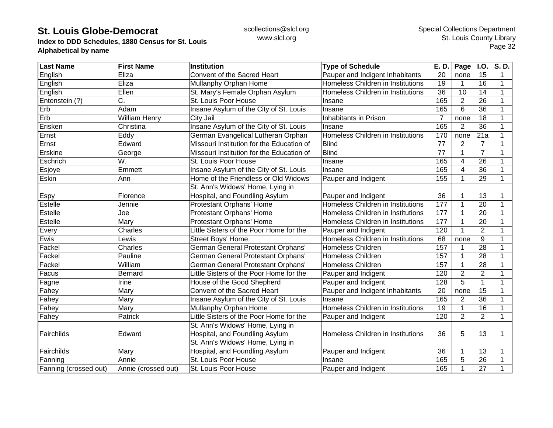**Index to DDD Schedules, 1880 Census for St. Louis Alphabetical by name**

| <b>Last Name</b>      | <b>First Name</b>    | <b>Institution</b>                        | <b>Type of Schedule</b>           | E. D.           | Page           | I.0.            | S.D.         |
|-----------------------|----------------------|-------------------------------------------|-----------------------------------|-----------------|----------------|-----------------|--------------|
| English               | Eliza                | Convent of the Sacred Heart               | Pauper and Indigent Inhabitants   | 20              | none           | 15              | $\mathbf 1$  |
| English               | Eliza                | Mullanphy Orphan Home                     | Homeless Children in Institutions | 19              | 1              | 16              | $\mathbf{1}$ |
| English               | Ellen                | St. Mary's Female Orphan Asylum           | Homeless Children in Institutions | $\overline{36}$ | 10             | 14              | $\mathbf 1$  |
| Entenstein (?)        | C.                   | St. Louis Poor House                      | Insane                            | 165             | $\overline{2}$ | 26              | $\mathbf{1}$ |
| Erb                   | Adam                 | Insane Asylum of the City of St. Louis    | Insane                            | 165             | 6              | 36              | $\mathbf 1$  |
| Erb                   | <b>William Henry</b> | City Jail                                 | Inhabitants in Prison             | $\overline{7}$  | none           | 18              | 1            |
| Erisken               | Christina            | Insane Asylum of the City of St. Louis    | Insane                            | 165             | $\overline{2}$ | 36              | 1            |
| Ernst                 | Eddy                 | German Evangelical Lutheran Orphan        | Homeless Children in Institutions | 170             | none           | 21a             | 1            |
| Ernst                 | Edward               | Missouri Institution for the Education of | <b>Blind</b>                      | $\overline{77}$ | $\overline{2}$ | $\overline{7}$  | 1            |
| Erskine               | George               | Missouri Institution for the Education of | <b>Blind</b>                      | $\overline{77}$ |                | $\overline{7}$  | $\mathbf 1$  |
| Eschrich              | W.                   | St. Louis Poor House                      | Insane                            | 165             | 4              | 26              | 1            |
| Esjoye                | Emmett               | Insane Asylum of the City of St. Louis    | Insane                            | 165             | 4              | $\overline{36}$ | $\mathbf{1}$ |
| Eskin                 | Ann                  | Home of the Friendless or Old Widows'     | Pauper and Indigent               | 155             |                | $\overline{29}$ | $\mathbf{1}$ |
|                       |                      | St. Ann's Widows' Home, Lying in          |                                   |                 |                |                 |              |
| Espy                  | Florence             | Hospital, and Foundling Asylum            | Pauper and Indigent               | 36              |                | 13              | 1            |
| <b>Estelle</b>        | Jennie               | Protestant Orphans' Home                  | Homeless Children in Institutions | 177             | 1              | 20              | 1            |
| Estelle               | Joe                  | Protestant Orphans' Home                  | Homeless Children in Institutions | 177             |                | 20              | $\mathbf 1$  |
| Estelle               | Mary                 | Protestant Orphans' Home                  | Homeless Children in Institutions | 177             | 1              | 20              | $\mathbf{1}$ |
| Every                 | Charles              | Little Sisters of the Poor Home for the   | Pauper and Indigent               | 120             |                | $\overline{2}$  | 1            |
| Ewis                  | Lewis                | Street Boys' Home                         | Homeless Children in Institutions | 68              | none           | 9               | 1            |
| Fackel                | Charles              | German General Protestant Orphans'        | <b>Homeless Children</b>          | 157             |                | 28              | $\mathbf{1}$ |
| Fackel                | Pauline              | German General Protestant Orphans'        | <b>Homeless Children</b>          | 157             |                | $\overline{28}$ | $\mathbf 1$  |
| Fackel                | William              | German General Protestant Orphans'        | <b>Homeless Children</b>          | 157             |                | 28              | $\mathbf 1$  |
| Facus                 | <b>Bernard</b>       | Little Sisters of the Poor Home for the   | Pauper and Indigent               | 120             | $\overline{2}$ | $\overline{2}$  | $\mathbf{1}$ |
| Fagne                 | Irine                | House of the Good Shepherd                | Pauper and Indigent               | 128             | 5              | $\mathbf{1}$    | $\mathbf{1}$ |
| Fahey                 | Mary                 | Convent of the Sacred Heart               | Pauper and Indigent Inhabitants   | 20              | none           | $\overline{15}$ | $\mathbf{1}$ |
| Fahey                 | Mary                 | Insane Asylum of the City of St. Louis    | Insane                            | 165             | $\overline{2}$ | $\overline{36}$ | $\mathbf{1}$ |
| Fahey                 | Mary                 | Mullanphy Orphan Home                     | Homeless Children in Institutions | 19              | $\mathbf 1$    | 16              | 1            |
| Fahey                 | Patrick              | Little Sisters of the Poor Home for the   | Pauper and Indigent               | 120             | $\overline{2}$ | $\overline{2}$  | $\mathbf{1}$ |
|                       |                      | St. Ann's Widows' Home, Lying in          |                                   |                 |                |                 |              |
| Fairchilds            | Edward               | Hospital, and Foundling Asylum            | Homeless Children in Institutions | 36              | 5              | 13              | 1            |
|                       |                      | St. Ann's Widows' Home, Lying in          |                                   |                 |                |                 |              |
| Fairchilds            | Mary                 | Hospital, and Foundling Asylum            | Pauper and Indigent               | 36              |                | 13              | 1            |
| Fanning               | Annie                | St. Louis Poor House                      | Insane                            | 165             | 5              | 26              | 1            |
| Fanning (crossed out) | Annie (crossed out)  | St. Louis Poor House                      | Pauper and Indigent               | 165             |                | 27              | 1            |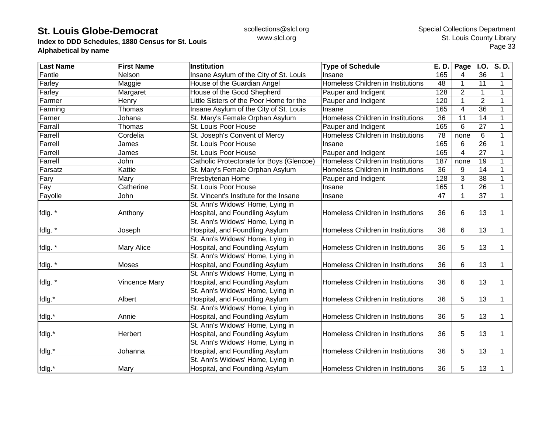**Index to DDD Schedules, 1880 Census for St. Louis Alphabetical by name**

| <b>Last Name</b> | <b>First Name</b>    | <b>Institution</b>                       | <b>Type of Schedule</b>           | E. D. | Page           | <b>I.O.</b>    | S.D.        |
|------------------|----------------------|------------------------------------------|-----------------------------------|-------|----------------|----------------|-------------|
| Fantle           | Nelson               | Insane Asylum of the City of St. Louis   | Insane                            | 165   | 4              | 36             | 1           |
| Farley           | Maggie               | House of the Guardian Angel              | Homeless Children in Institutions | 48    | $\mathbf 1$    | 11             | 1           |
| Farley           | Margaret             | House of the Good Shepherd               | Pauper and Indigent               | 128   | $\overline{2}$ | $\mathbf 1$    | $\mathbf 1$ |
| Farmer           | Henry                | Little Sisters of the Poor Home for the  | Pauper and Indigent               | 120   |                | $\overline{2}$ | $\mathbf 1$ |
| Farming          | Thomas               | Insane Asylum of the City of St. Louis   | Insane                            | 165   | $\overline{4}$ | 36             | $\mathbf 1$ |
| Farner           | Johana               | St. Mary's Female Orphan Asylum          | Homeless Children in Institutions | 36    | 11             | 14             | 1           |
| Farrall          | Thomas               | St. Louis Poor House                     | Pauper and Indigent               | 165   | 6              | 27             | 1           |
| Farrell          | Cordelia             | St. Joseph's Convent of Mercy            | Homeless Children in Institutions | 78    | none           | 6              | 1           |
| Farrell          | James                | St. Louis Poor House                     | Insane                            | 165   | 6              | 26             | 1           |
| Farrell          | James                | St. Louis Poor House                     | Pauper and Indigent               | 165   | 4              | 27             | $\mathbf 1$ |
| Farrell          | John                 | Catholic Protectorate for Boys (Glencoe) | Homeless Children in Institutions | 187   | none           | 19             | $\mathbf 1$ |
| Farsatz          | Kattie               | St. Mary's Female Orphan Asylum          | Homeless Children in Institutions | 36    | 9              | 14             | $\mathbf 1$ |
| Fary             | Mary                 | Presbyterian Home                        | Pauper and Indigent               | 128   | 3              | 38             | $\mathbf 1$ |
| Fay              | Catherine            | St. Louis Poor House                     | Insane                            | 165   |                | 26             | 1           |
| Fayolle          | John                 | St. Vincent's Institute for the Insane   | Insane                            | 47    |                | 37             | $\mathbf 1$ |
|                  |                      | St. Ann's Widows' Home, Lying in         |                                   |       |                |                |             |
| fdlg. *          | Anthony              | Hospital, and Foundling Asylum           | Homeless Children in Institutions | 36    | 6              | 13             | 1           |
|                  |                      | St. Ann's Widows' Home, Lying in         |                                   |       |                |                |             |
| fdlg. *          | Joseph               | Hospital, and Foundling Asylum           | Homeless Children in Institutions | 36    | 6              | 13             | 1           |
|                  |                      | St. Ann's Widows' Home, Lying in         |                                   |       |                |                |             |
| fdlg. *          | Mary Alice           | Hospital, and Foundling Asylum           | Homeless Children in Institutions | 36    | 5              | 13             | 1           |
|                  |                      | St. Ann's Widows' Home, Lying in         |                                   |       |                |                |             |
| fdlg. *          | <b>Moses</b>         | Hospital, and Foundling Asylum           | Homeless Children in Institutions | 36    | 6              | 13             | 1           |
|                  |                      | St. Ann's Widows' Home, Lying in         |                                   |       |                |                |             |
| fdlg. *          | <b>Vincence Mary</b> | Hospital, and Foundling Asylum           | Homeless Children in Institutions | 36    | 6              | 13             | 1           |
|                  |                      | St. Ann's Widows' Home, Lying in         |                                   |       |                |                |             |
| fdlg.*           | Albert               | Hospital, and Foundling Asylum           | Homeless Children in Institutions | 36    | 5              | 13             | 1           |
|                  |                      | St. Ann's Widows' Home, Lying in         |                                   |       |                |                |             |
| fdlg.*           | Annie                | Hospital, and Foundling Asylum           | Homeless Children in Institutions | 36    | 5              | 13             | 1           |
|                  |                      | St. Ann's Widows' Home, Lying in         |                                   |       |                |                |             |
| fdlg.*           | Herbert              | Hospital, and Foundling Asylum           | Homeless Children in Institutions | 36    | 5              | 13             | 1           |
|                  |                      | St. Ann's Widows' Home, Lying in         |                                   |       |                |                |             |
| fdlg.*           | Johanna              | Hospital, and Foundling Asylum           | Homeless Children in Institutions | 36    | 5              | 13             | 1           |
|                  |                      | St. Ann's Widows' Home, Lying in         |                                   |       |                |                |             |
| fdlg.*           | Mary                 | Hospital, and Foundling Asylum           | Homeless Children in Institutions | 36    | 5              | 13             | 1           |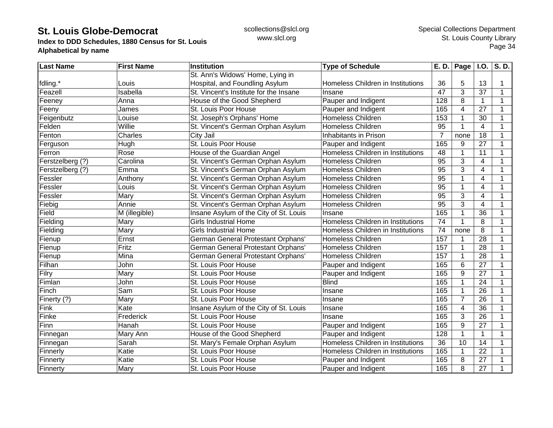**Index to DDD Schedules, 1880 Census for St. Louis Alphabetical by name**

| <b>Last Name</b> | <b>First Name</b> | Institution                               | <b>Type of Schedule</b>           | E. D.           | <b>Page</b>     | <b>I.O.</b>             | S.D.           |
|------------------|-------------------|-------------------------------------------|-----------------------------------|-----------------|-----------------|-------------------------|----------------|
|                  |                   | St. Ann's Widows' Home, Lying in          |                                   |                 |                 |                         |                |
| fdling.*         | Louis             | Hospital, and Foundling Asylum            | Homeless Children in Institutions | 36              | 5               | 13                      |                |
| Feazell          | Isabella          | St. Vincent's Institute for the Insane    | Insane                            | 47              | 3               | 37                      | $\mathbf{1}$   |
| Feeney           | Anna              | House of the Good Shepherd                | Pauper and Indigent               | 128             | 8               | $\mathbf{1}$            | 1              |
| Feeny            | James             | St. Louis Poor House                      | Pauper and Indigent               | 165             | 4               | 27                      |                |
| Feigenbutz       | Louise            | St. Joseph's Orphans' Home                | Homeless Children                 | 153             | 1               | 30                      |                |
| Felden           | Willie            | St. Vincent's German Orphan Asylum        | <b>Homeless Children</b>          | 95              | $\mathbf{1}$    | 4                       |                |
| Fenton           | Charles           | City Jail                                 | Inhabitants in Prison             | $\overline{7}$  | none            | 18                      |                |
| Ferguson         | Hugh              | St. Louis Poor House                      | Pauper and Indigent               | 165             | 9               | 27                      | 1              |
| Ferron           | Rose              | House of the Guardian Angel               | Homeless Children in Institutions | 48              | 1               | 11                      | $\overline{1}$ |
| Ferstzelberg (?) | Carolina          | St. Vincent's German Orphan Asylum        | Homeless Children                 | $\overline{95}$ | 3               | 4                       |                |
| Ferstzelberg (?) | Emma              | St. Vincent's German Orphan Asylum        | Homeless Children                 | 95              | 3               | 4                       |                |
| Fessler          | Anthony           | St. Vincent's German Orphan Asylum        | Homeless Children                 | $\overline{95}$ | 1               | $\overline{\mathbf{4}}$ | 1              |
| Fessler          | Louis             | St. Vincent's German Orphan Asylum        | Homeless Children                 | $\overline{95}$ | 1               | $\overline{4}$          |                |
| Fessler          | Mary              | St. Vincent's German Orphan Asylum        | <b>Homeless Children</b>          | 95              | 3               | $\overline{4}$          | 1              |
| Fiebig           | Annie             | St. Vincent's German Orphan Asylum        | Homeless Children                 | $\overline{95}$ | 3               | $\overline{4}$          | 1              |
| Field            | M (illegible)     | Insane Asylum of the City of St. Louis    | Insane                            | 165             | 1               | 36                      | 1              |
| Fielding         | Mary              | <b>Girls Industrial Home</b>              | Homeless Children in Institutions | 74              | $\mathbf{1}$    | 8                       |                |
| Fielding         | Mary              | <b>Girls Industrial Home</b>              | Homeless Children in Institutions | 74              | none            | 8                       |                |
| Fienup           | Ernst             | <b>German General Protestant Orphans'</b> | Homeless Children                 | 157             | 1               | 28                      |                |
| Fienup           | Fritz             | German General Protestant Orphans'        | Homeless Children                 | 157             | 1               | $\overline{28}$         |                |
| Fienup           | Mina              | German General Protestant Orphans'        | Homeless Children                 | 157             | 1               | $\overline{28}$         |                |
| Filhan           | John              | St. Louis Poor House                      | Pauper and Indigent               | 165             | 6               | $\overline{27}$         | $\mathbf 1$    |
| Filry            | Mary              | St. Louis Poor House                      | Pauper and Indigent               | 165             | 9               | $\overline{27}$         | 1              |
| Fimlan           | John              | St. Louis Poor House                      | <b>Blind</b>                      | 165             | $\mathbf 1$     | 24                      | $\mathbf 1$    |
| Finch            | Sam               | St. Louis Poor House                      | Insane                            | 165             | $\mathbf 1$     | 26                      | 1              |
| Finerty (?)      | Mary              | St. Louis Poor House                      | Insane                            | 165             | $\overline{7}$  | 26                      | 1              |
| Fink             | Kate              | Insane Asylum of the City of St. Louis    | Insane                            | 165             | 4               | 36                      |                |
| Finke            | Frederick         | St. Louis Poor House                      | Insane                            | 165             | 3               | 26                      | 1              |
| Finn             | Hanah             | St. Louis Poor House                      | Pauper and Indigent               | 165             | 9               | $\overline{27}$         |                |
| Finnegan         | Mary Ann          | House of the Good Shepherd                | Pauper and Indigent               | 128             | $\mathbf{1}$    | $\mathbf{1}$            | 1              |
| Finnegan         | Sarah             | St. Mary's Female Orphan Asylum           | Homeless Children in Institutions | $\overline{36}$ | $\overline{10}$ | $\overline{14}$         |                |
| Finnerly         | Katie             | St. Louis Poor House                      | Homeless Children in Institutions | 165             | 1               | 22                      |                |
| Finnerty         | Katie             | St. Louis Poor House                      | Pauper and Indigent               | 165             | 8               | 27                      | 1              |
| Finnerty         | Mary              | St. Louis Poor House                      | Pauper and Indigent               | 165             | 8               | 27                      | 1              |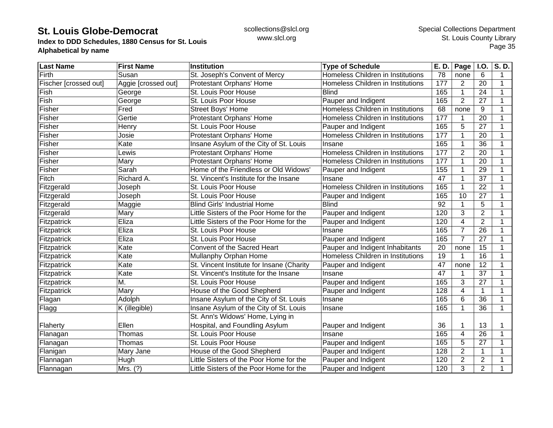**Index to DDD Schedules, 1880 Census for St. Louis Alphabetical by name**

| <b>Last Name</b>      | <b>First Name</b>   | <b>Institution</b>                        | <b>Type of Schedule</b>           | E. D. | Page           | <b>I.O.</b>     | S.D. |
|-----------------------|---------------------|-------------------------------------------|-----------------------------------|-------|----------------|-----------------|------|
| Firth                 | Susan               | St. Joseph's Convent of Mercy             | Homeless Children in Institutions | 78    | none           | 6               | 1    |
| Fischer [crossed out] | Aggie [crossed out] | Protestant Orphans' Home                  | Homeless Children in Institutions | 177   | $\overline{2}$ | 20              | 1    |
| Fish                  | George              | St. Louis Poor House                      | <b>Blind</b>                      | 165   | 1              | 24              | 1    |
| Fish                  | George              | St. Louis Poor House                      | Pauper and Indigent               | 165   | $\overline{2}$ | 27              | 1    |
| Fisher                | Fred                | Street Boys' Home                         | Homeless Children in Institutions | 68    | none           | 9               | 1    |
| Fisher                | Gertie              | Protestant Orphans' Home                  | Homeless Children in Institutions | 177   |                | 20              |      |
| Fisher                | Henry               | St. Louis Poor House                      | Pauper and Indigent               | 165   | 5              | 27              |      |
| Fisher                | Josie               | Protestant Orphans' Home                  | Homeless Children in Institutions | 177   |                | 20              |      |
| Fisher                | Kate                | Insane Asylum of the City of St. Louis    | Insane                            | 165   |                | 36              |      |
| Fisher                | Lewis               | Protestant Orphans' Home                  | Homeless Children in Institutions | 177   | $\overline{2}$ | 20              | 1    |
| Fisher                | Mary                | Protestant Orphans' Home                  | Homeless Children in Institutions | 177   |                | 20              | 1    |
| Fisher                | Sarah               | Home of the Friendless or Old Widows'     | Pauper and Indigent               | 155   |                | 29              | 1    |
| Fitch                 | Richard A.          | St. Vincent's Institute for the Insane    | Insane                            | 47    |                | 37              | 1    |
| Fitzgerald            | Joseph              | St. Louis Poor House                      | Homeless Children in Institutions | 165   |                | 22              | 1    |
| Fitzgerald            | Joseph              | St. Louis Poor House                      | Pauper and Indigent               | 165   | 10             | 27              | 1    |
| Fitzgerald            | Maggie              | <b>Blind Girls' Industrial Home</b>       | <b>Blind</b>                      | 92    | 1              | 5               | 1    |
| Fitzgerald            | Mary                | Little Sisters of the Poor Home for the   | Pauper and Indigent               | 120   | 3              | $\overline{2}$  | 1    |
| Fitzpatrick           | Eliza               | Little Sisters of the Poor Home for the   | Pauper and Indigent               | 120   | 4              | $\overline{2}$  |      |
| Fitzpatrick           | Eliza               | St. Louis Poor House                      | Insane                            | 165   | 7              | 26              |      |
| Fitzpatrick           | Eliza               | St. Louis Poor House                      | Pauper and Indigent               | 165   | $\overline{7}$ | 27              | 1    |
| Fitzpatrick           | Kate                | Convent of the Sacred Heart               | Pauper and Indigent Inhabitants   | 20    | none           | 15              | 1    |
| Fitzpatrick           | Kate                | Mullanphy Orphan Home                     | Homeless Children in Institutions | 19    |                | $\overline{16}$ | 1    |
| Fitzpatrick           | Kate                | St. Vincent Institute for Insane (Charity | Pauper and Indigent               | 47    | none           | 12              | 1    |
| Fitzpatrick           | Kate                | St. Vincent's Institute for the Insane    | Insane                            | 47    |                | 37              | 1    |
| Fitzpatrick           | M.                  | St. Louis Poor House                      | Pauper and Indigent               | 165   | 3              | 27              | 1    |
| Fitzpatrick           | Mary                | House of the Good Shepherd                | Pauper and Indigent               | 128   | 4              | $\mathbf{1}$    | 1    |
| Flagan                | Adolph              | Insane Asylum of the City of St. Louis    | Insane                            | 165   | 6              | 36              | 1    |
| Flagg                 | K (illegible)       | Insane Asylum of the City of St. Louis    | Insane                            | 165   | 1              | 36              | 1    |
|                       |                     | St. Ann's Widows' Home, Lying in          |                                   |       |                |                 |      |
| Flaherty              | Ellen               | Hospital, and Foundling Asylum            | Pauper and Indigent               | 36    |                | 13              |      |
| Flanagan              | Thomas              | St. Louis Poor House                      | Insane                            | 165   | 4              | 26              |      |
| Flanagan              | Thomas              | St. Louis Poor House                      | Pauper and Indigent               | 165   | 5              | 27              |      |
| Flanigan              | Mary Jane           | House of the Good Shepherd                | Pauper and Indigent               | 128   | $\overline{2}$ | $\mathbf 1$     |      |
| Flannagan             | Hugh                | Little Sisters of the Poor Home for the   | Pauper and Indigent               | 120   | $\overline{2}$ | $\overline{2}$  |      |
| Flannagan             | Mrs. (?)            | Little Sisters of the Poor Home for the   | Pauper and Indigent               | 120   | 3              | $\overline{2}$  |      |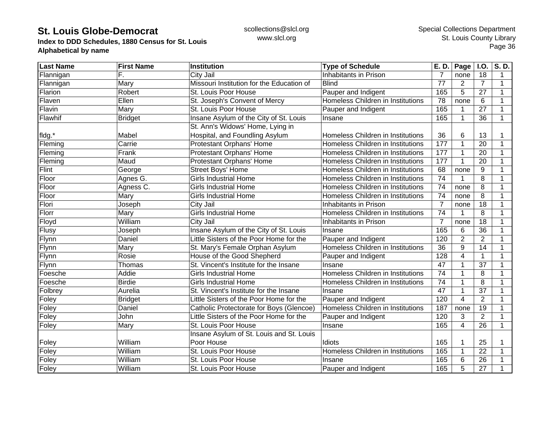**Index to DDD Schedules, 1880 Census for St. Louis Alphabetical by name**

| <b>Last Name</b> | <b>First Name</b> | <b>Institution</b>                        | <b>Type of Schedule</b>           | E. D.           | Page           | $\vert$ I.O.    | S.D.         |
|------------------|-------------------|-------------------------------------------|-----------------------------------|-----------------|----------------|-----------------|--------------|
| Flannigan        | F.                | City Jail                                 | Inhabitants in Prison             |                 | none           | 18              | 1            |
| Flannigan        | Mary              | Missouri Institution for the Education of | <b>Blind</b>                      | 77              | $\overline{c}$ | 7               | $\mathbf{1}$ |
| Flarion          | Robert            | St. Louis Poor House                      | Pauper and Indigent               | 165             | 5              | 27              | $\mathbf{1}$ |
| Flaven           | Ellen             | St. Joseph's Convent of Mercy             | Homeless Children in Institutions | 78              | none           | 6               | $\mathbf{1}$ |
| Flavin           | Mary              | St. Louis Poor House                      | Pauper and Indigent               | 165             |                | 27              | $\mathbf{1}$ |
| Flawhif          | <b>Bridget</b>    | Insane Asylum of the City of St. Louis    | Insane                            | 165             |                | 36              | $\mathbf{1}$ |
|                  |                   | St. Ann's Widows' Home, Lying in          |                                   |                 |                |                 |              |
| fldg.*           | Mabel             | Hospital, and Foundling Asylum            | Homeless Children in Institutions | 36              | 6              | 13              |              |
| Fleming          | Carrie            | Protestant Orphans' Home                  | Homeless Children in Institutions | 177             |                | 20              | $\mathbf{1}$ |
| Fleming          | Frank             | Protestant Orphans' Home                  | Homeless Children in Institutions | 177             |                | 20              | 1            |
| Fleming          | Maud              | Protestant Orphans' Home                  | Homeless Children in Institutions | 177             |                | 20              | 1            |
| Flint            | George            | Street Boys' Home                         | Homeless Children in Institutions | 68              | none           | 9               | $\mathbf{1}$ |
| Floor            | Agnes G.          | <b>Girls Industrial Home</b>              | Homeless Children in Institutions | 74              |                | 8               | $\mathbf{1}$ |
| Floor            | Agness C.         | <b>Girls Industrial Home</b>              | Homeless Children in Institutions | 74              | none           | 8               | 1            |
| Floor            | Mary              | <b>Girls Industrial Home</b>              | Homeless Children in Institutions | 74              | none           | 8               | $\mathbf{1}$ |
| Flori            | Joseph            | City Jail                                 | Inhabitants in Prison             | 7               | none           | 18              | 1            |
| Florr            | Mary              | <b>Girls Industrial Home</b>              | Homeless Children in Institutions | 74              |                | 8               | $\mathbf{1}$ |
| Floyd            | William           | City Jail                                 | Inhabitants in Prison             | $\overline{7}$  | none           | 18              | $\mathbf{1}$ |
| Flusy            | Joseph            | Insane Asylum of the City of St. Louis    | Insane                            | 165             | 6              | 36              | 1            |
| Flynn            | Daniel            | Little Sisters of the Poor Home for the   | Pauper and Indigent               | 120             | $\overline{2}$ | $\overline{2}$  | 1            |
| Flynn            | Mary              | St. Mary's Female Orphan Asylum           | Homeless Children in Institutions | 36              | 9              | 14              | 1            |
| Flynn            | Rosie             | House of the Good Shepherd                | Pauper and Indigent               | 128             | 4              | 1               | 1            |
| Flynn            | Thomas            | St. Vincent's Institute for the Insane    | Insane                            | $\overline{47}$ |                | $\overline{37}$ | 1            |
| Foesche          | Addie             | <b>Girls Industrial Home</b>              | Homeless Children in Institutions | 74              |                | 8               | $\mathbf{1}$ |
| Foesche          | <b>Birdie</b>     | <b>Girls Industrial Home</b>              | Homeless Children in Institutions | 74              |                | 8               | $\mathbf{1}$ |
| Folbrey          | Aurelia           | St. Vincent's Institute for the Insane    | Insane                            | 47              |                | 37              | $\mathbf{1}$ |
| Foley            | <b>Bridget</b>    | Little Sisters of the Poor Home for the   | Pauper and Indigent               | 120             | $\overline{4}$ | $\overline{2}$  | $\mathbf{1}$ |
| Foley            | Daniel            | Catholic Protectorate for Boys (Glencoe)  | Homeless Children in Institutions | 187             | none           | 19              | 1            |
| Foley            | John              | Little Sisters of the Poor Home for the   | Pauper and Indigent               | 120             | 3              | $\overline{2}$  | $\mathbf{1}$ |
| Foley            | Mary              | St. Louis Poor House                      | Insane                            | 165             | $\overline{4}$ | 26              | $\mathbf{1}$ |
|                  |                   | Insane Asylum of St. Louis and St. Louis  |                                   |                 |                |                 |              |
| Foley            | William           | Poor House                                | Idiots                            | 165             |                | 25              |              |
| Foley            | William           | St. Louis Poor House                      | Homeless Children in Institutions | 165             |                | 22              | 1            |
| Foley            | William           | St. Louis Poor House                      | Insane                            | 165             | 6              | 26              |              |
| Foley            | William           | St. Louis Poor House                      | Pauper and Indigent               | 165             | 5              | 27              | 1            |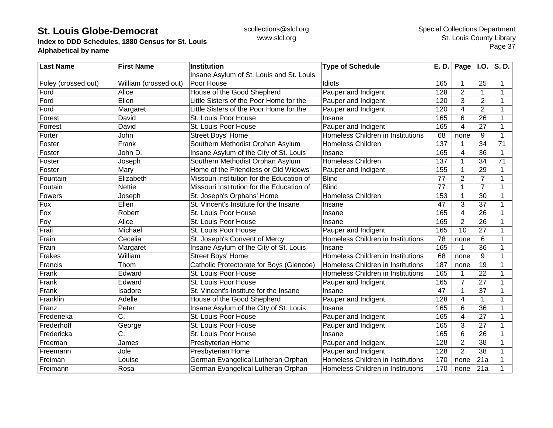**Index to DDD Schedules, 1880 Census for St. Louis Alphabetical by name**

| <b>Last Name</b>    | <b>First Name</b>     | <b>Institution</b>                        | <b>Type of Schedule</b>           | E. D.           | $\overline{Page}$ I.O. |                 | S.D. |
|---------------------|-----------------------|-------------------------------------------|-----------------------------------|-----------------|------------------------|-----------------|------|
|                     |                       | Insane Asylum of St. Louis and St. Louis  |                                   |                 |                        |                 |      |
| Foley (crossed out) | William (crossed out) | Poor House                                | Idiots                            | 165             |                        | 25              |      |
| Ford                | Alice                 | House of the Good Shepherd                | Pauper and Indigent               | 128             | $\overline{2}$         | $\mathbf{1}$    | 1    |
| Ford                | Ellen                 | Little Sisters of the Poor Home for the   | Pauper and Indigent               | 120             | 3                      | 2               | 1    |
| Ford                | Margaret              | Little Sisters of the Poor Home for the   | Pauper and Indigent               | 120             | 4                      | $\overline{2}$  | 1    |
| Forest              | David                 | St. Louis Poor House                      | Insane                            | 165             | 6                      | 26              | 1    |
| Forrest             | David                 | St. Louis Poor House                      | Pauper and Indigent               | 165             | 4                      | 27              |      |
| Forter              | John                  | Street Boys' Home                         | Homeless Children in Institutions | 68              | none                   | 9               |      |
| Foster              | Frank                 | Southern Methodist Orphan Asylum          | Homeless Children                 | 137             |                        | 34              | 71   |
| Foster              | John D.               | Insane Asylum of the City of St. Louis    | Insane                            | 165             | 4                      | 36              |      |
| Foster              | Joseph                | Southern Methodist Orphan Asylum          | Homeless Children                 | 137             |                        | 34              | 71   |
| Foster              | Mary                  | Home of the Friendless or Old Widows'     | Pauper and Indigent               | 155             |                        | 29              | 1    |
| Fountain            | Elizabeth             | Missouri Institution for the Education of | <b>Blind</b>                      | $\overline{77}$ | $\overline{2}$         | $\overline{7}$  |      |
| Foutain             | Nettie                | Missouri Institution for the Education of | <b>Blind</b>                      | 77              |                        | $\overline{7}$  | 1    |
| Fowers              | Joseph                | St. Joseph's Orphans' Home                | <b>Homeless Children</b>          | 153             |                        | 30              | 1    |
| Fox                 | Ellen                 | St. Vincent's Institute for the Insane    | Insane                            | 47              | 3                      | 37              | 1    |
| Fox                 | Robert                | St. Louis Poor House                      | Insane                            | 165             | 4                      | 26              |      |
| Foy                 | Alice                 | St. Louis Poor House                      | Insane                            | 165             | $\overline{2}$         | 26              |      |
| Frail               | Michael               | St. Louis Poor House                      | Pauper and Indigent               | 165             | 10                     | 27              | 1    |
| Frain               | Cecelia               | St. Joseph's Convent of Mercy             | Homeless Children in Institutions | 78              | none                   | 6               |      |
| Frain               | Margaret              | Insane Asylum of the City of St. Louis    | Insane                            | 165             |                        | $\overline{36}$ |      |
| Frakes              | William               | <b>Street Boys' Home</b>                  | Homeless Children in Institutions | 68              | none                   | $9\,$           |      |
| Francis             | Thom                  | Catholic Protectorate for Boys (Glencoe)  | Homeless Children in Institutions | 187             | none                   | 19              | 1    |
| Frank               | Edward                | St. Louis Poor House                      | Homeless Children in Institutions | 165             |                        | $\overline{22}$ | 1    |
| Frank               | Edward                | St. Louis Poor House                      | Pauper and Indigent               | 165             | 7                      | 27              | 1    |
| Frank               | Isadore               | St. Vincent's Institute for the Insane    | Insane                            | 47              |                        | 37              | 1    |
| Franklin            | Adelle                | House of the Good Shepherd                | Pauper and Indigent               | 128             | 4                      | 1               | 1    |
| Franz               | Peter                 | Insane Asylum of the City of St. Louis    | Insane                            | 165             | 6                      | 36              | 1    |
| Fredeneka           | C.                    | St. Louis Poor House                      | Pauper and Indigent               | 165             | 4                      | 27              | 1    |
| Frederhoff          | George                | St. Louis Poor House                      | Pauper and Indigent               | 165             | 3                      | 27              |      |
| Fredericka          | C.                    | St. Louis Poor House                      | Insane                            | 165             | 6                      | 26              |      |
| Freeman             | James                 | Presbyterian Home                         | Pauper and Indigent               | 128             | $\overline{2}$         | 38              |      |
| Freemann            | Jole                  | Presbyterian Home                         | Pauper and Indigent               | 128             | $\overline{2}$         | 38              |      |
| Freiman             | Louise                | German Evangelical Lutheran Orphan        | Homeless Children in Institutions | 170             | none                   | 21a             |      |
| Freimann            | Rosa                  | German Evangelical Lutheran Orphan        | Homeless Children in Institutions | 170             | none                   | 21a             |      |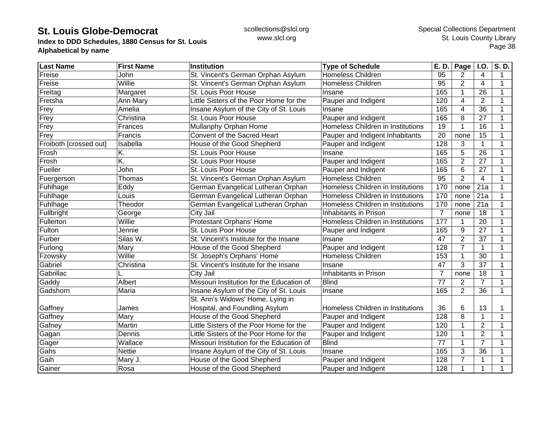**Index to DDD Schedules, 1880 Census for St. Louis Alphabetical by name**

| <b>Last Name</b>       | <b>First Name</b> | <b>Institution</b>                        | <b>Type of Schedule</b>           | E. D.           | Page           | <b>I.O.</b>     | $\overline{\mathsf{S}}$ . D. |
|------------------------|-------------------|-------------------------------------------|-----------------------------------|-----------------|----------------|-----------------|------------------------------|
| Freise                 | John              | St. Vincent's German Orphan Asylum        | <b>Homeless Children</b>          | 95              | 2              | 4               | 1                            |
| Freise                 | Willie            | St. Vincent's German Orphan Asylum        | <b>Homeless Children</b>          | 95              | $\overline{2}$ | 4               | 1                            |
| Freitag                | Margaret          | St. Louis Poor House                      | Insane                            | 165             | $\mathbf 1$    | 26              | 1                            |
| Fretsha                | Ann Mary          | Little Sisters of the Poor Home for the   | Pauper and Indigent               | 120             | $\overline{4}$ | $\overline{2}$  | 1                            |
| Frey                   | Amelia            | Insane Asylum of the City of St. Louis    | Insane                            | 165             | 4              | 36              |                              |
| Frey                   | Christina         | St. Louis Poor House                      | Pauper and Indigent               | 165             | 8              | 27              |                              |
| Frey                   | Frances           | Mullanphy Orphan Home                     | Homeless Children in Institutions | 19              |                | 16              |                              |
| Frey                   | Francis           | Convent of the Sacred Heart               | Pauper and Indigent Inhabitants   | 20              | none           | 15              |                              |
| Froiboth [crossed out] | Isabella          | House of the Good Shepherd                | Pauper and Indigent               | 128             | 3              | 1               |                              |
| Frosh                  | K.                | St. Louis Poor House                      | Insane                            | 165             | 5              | $\overline{26}$ | 1                            |
| Frosh                  | K.                | St. Louis Poor House                      | Pauper and Indigent               | 165             | $\overline{2}$ | 27              | 1                            |
| Fueller                | John              | St. Louis Poor House                      | Pauper and Indigent               | 165             | 6              | 27              |                              |
| Fuergerson             | Thomas            | St. Vincent's German Orphan Asylum        | <b>Homeless Children</b>          | 95              | $\overline{2}$ | $\overline{4}$  |                              |
| Fuhlhage               | Eddy              | German Evangelical Lutheran Orphan        | Homeless Children in Institutions | 170             | none           | 21a             |                              |
| Fuhlhage               | Louis             | German Evangelical Lutheran Orphan        | Homeless Children in Institutions | 170             | none           | 21a             | 1                            |
| Fuhlhage               | Theodor           | German Evangelical Lutheran Orphan        | Homeless Children in Institutions | 170             | none           | 21a             | 1                            |
| Fullbright             | George            | City Jail                                 | Inhabitants in Prison             | $\overline{7}$  | none           | 18              |                              |
| Fullerton              | Willie            | Protestant Orphans' Home                  | Homeless Children in Institutions | 177             |                | 20              |                              |
| Fulton                 | Jennie            | St. Louis Poor House                      | Pauper and Indigent               | 165             | 9              | $\overline{27}$ |                              |
| Furber                 | Silas W.          | St. Vincent's Institute for the Insane    | Insane                            | 47              | $\overline{2}$ | 37              |                              |
| Furlong                | Mary              | House of the Good Shepherd                | Pauper and Indigent               | 128             | $\overline{7}$ | $\mathbf{1}$    | 1                            |
| Fzowsky                | Willie            | St. Joseph's Orphans' Home                | Homeless Children                 | 153             | 1              | 30              | 1                            |
| Gabriel                | Christina         | St. Vincent's Institute for the Insane    | Insane                            | 47              | $\overline{3}$ | $\overline{37}$ | $\mathbf 1$                  |
| Gabrillac              |                   | City Jail                                 | Inhabitants in Prison             | $\overline{7}$  | none           | 18              | 1                            |
| Gaddy                  | Albert            | Missouri Institution for the Education of | <b>Blind</b>                      | $\overline{77}$ | $\overline{2}$ | $\overline{7}$  |                              |
| Gadshorn               | Maria             | Insane Asylum of the City of St. Louis    | Insane                            | 165             | $\overline{2}$ | $\overline{36}$ | 1                            |
|                        |                   | St. Ann's Widows' Home, Lying in          |                                   |                 |                |                 |                              |
| Gaffney                | James             | Hospital, and Foundling Asylum            | Homeless Children in Institutions | 36              | 6              | 13              | 1                            |
| Gaffney                | Mary              | House of the Good Shepherd                | Pauper and Indigent               | 128             | 8              | $\mathbf 1$     | 1                            |
| Gafney                 | Martin            | Little Sisters of the Poor Home for the   | Pauper and Indigent               | 120             |                | $\overline{2}$  |                              |
| Gagan                  | Dennis            | Little Sisters of the Poor Home for the   | Pauper and Indigent               | 120             | 1              | $\overline{2}$  |                              |
| Gager                  | Wallace           | Missouri Institution for the Education of | <b>Blind</b>                      | $\overline{77}$ |                | $\overline{7}$  |                              |
| Gahs                   | <b>Nettie</b>     | Insane Asylum of the City of St. Louis    | Insane                            | 165             | 3              | 36              |                              |
| Gaih                   | Mary J.           | House of the Good Shepherd                | Pauper and Indigent               | 128             | $\overline{7}$ | 1               |                              |
| Gainer                 | Rosa              | House of the Good Shepherd                | Pauper and Indigent               | 128             | 1              | $\mathbf 1$     |                              |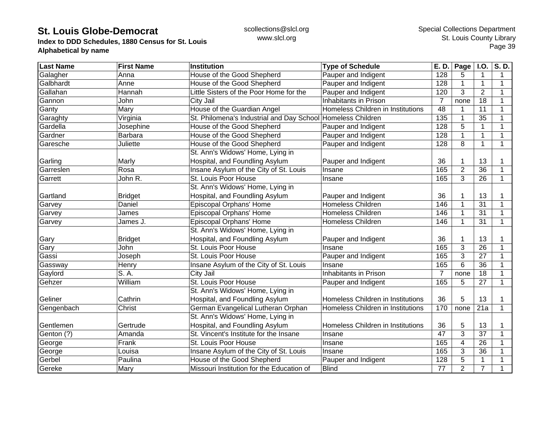**Index to DDD Schedules, 1880 Census for St. Louis Alphabetical by name**

| <b>Last Name</b> | <b>First Name</b> | Institution                               | <b>Type of Schedule</b>           | E. D.          | Page           | $\overline{1.0}$ . | $\overline{\mathsf{S}}$ . D. |
|------------------|-------------------|-------------------------------------------|-----------------------------------|----------------|----------------|--------------------|------------------------------|
| Galagher         | Anna              | House of the Good Shepherd                | Pauper and Indigent               | 128            | 5              | 1                  | 1                            |
| Galbhardt        | Anne              | House of the Good Shepherd                | Pauper and Indigent               | 128            |                | $\mathbf 1$        | 1                            |
| Gallahan         | Hannah            | Little Sisters of the Poor Home for the   | Pauper and Indigent               | 120            | 3              | $\overline{2}$     | 1                            |
| Gannon           | John              | City Jail                                 | Inhabitants in Prison             | $\overline{7}$ | none           | 18                 | $\mathbf 1$                  |
| Ganty            | Mary              | House of the Guardian Angel               | Homeless Children in Institutions | 48             |                | 11                 | 1                            |
| Garaghty         | Virginia          | St. Philomena's Industrial and Day School | Homeless Children                 | 135            |                | 35                 |                              |
| Gardella         | Josephine         | House of the Good Shepherd                | Pauper and Indigent               | 128            | 5              | 1                  |                              |
| Gardner          | Barbara           | House of the Good Shepherd                | Pauper and Indigent               | 128            |                | $\mathbf 1$        |                              |
| Garesche         | Juliette          | House of the Good Shepherd                | Pauper and Indigent               | 128            | 8              | 1                  | 1                            |
|                  |                   | St. Ann's Widows' Home, Lying in          |                                   |                |                |                    |                              |
| Garling          | Marly             | Hospital, and Foundling Asylum            | Pauper and Indigent               | 36             |                | 13                 |                              |
| Garreslen        | Rosa              | Insane Asylum of the City of St. Louis    | Insane                            | 165            | $\overline{2}$ | 36                 |                              |
| Garrett          | John R.           | St. Louis Poor House                      | Insane                            | 165            | 3              | $\overline{26}$    | $\mathbf 1$                  |
|                  |                   | St. Ann's Widows' Home, Lying in          |                                   |                |                |                    |                              |
| Gartland         | <b>Bridget</b>    | Hospital, and Foundling Asylum            | Pauper and Indigent               | 36             |                | 13                 | 1                            |
| Garvey           | Daniel            | Episcopal Orphans' Home                   | <b>Homeless Children</b>          | 146            |                | 31                 | 1                            |
| Garvey           | James             | Episcopal Orphans' Home                   | <b>Homeless Children</b>          | 146            |                | 31                 | 1                            |
| Garvey           | James J.          | Episcopal Orphans' Home                   | Homeless Children                 | 146            | 1              | 31                 | 1                            |
|                  |                   | St. Ann's Widows' Home, Lying in          |                                   |                |                |                    |                              |
| Gary             | <b>Bridget</b>    | Hospital, and Foundling Asylum            | Pauper and Indigent               | 36             |                | 13                 |                              |
| Gary             | John              | St. Louis Poor House                      | Insane                            | 165            | 3              | $\overline{26}$    |                              |
| Gassi            | Joseph            | St. Louis Poor House                      | Pauper and Indigent               | 165            | 3              | 27                 | 1                            |
| Gassway          | Henry             | Insane Asylum of the City of St. Louis    | Insane                            | 165            | 6              | 36                 | $\mathbf 1$                  |
| Gaylord          | S. A.             | City Jail                                 | Inhabitants in Prison             | 7              | none           | 18                 | 1                            |
| Gehzer           | William           | St. Louis Poor House                      | Pauper and Indigent               | 165            | 5              | 27                 | $\mathbf{1}$                 |
|                  |                   | St. Ann's Widows' Home, Lying in          |                                   |                |                |                    |                              |
| Geliner          | Cathrin           | Hospital, and Foundling Asylum            | Homeless Children in Institutions | 36             | 5              | 13                 | 1                            |
| Gengenbach       | Christ            | German Evangelical Lutheran Orphan        | Homeless Children in Institutions | 170            | none           | 21a                | 1                            |
|                  |                   | St. Ann's Widows' Home, Lying in          |                                   |                |                |                    |                              |
| Gentlemen        | Gertrude          | Hospital, and Foundling Asylum            | Homeless Children in Institutions | 36             | 5              | 13                 |                              |
| Genton (?)       | Amanda            | St. Vincent's Institute for the Insane    | Insane                            | 47             | 3              | 37                 | 1                            |
| George           | Frank             | St. Louis Poor House                      | Insane                            | 165            | 4              | 26                 |                              |
| George           | Louisa            | Insane Asylum of the City of St. Louis    | Insane                            | 165            | 3              | 36                 |                              |
| Gerbel           | Paulina           | House of the Good Shepherd                | Pauper and Indigent               | 128            | 5              | 1                  |                              |
| Gereke           | Mary              | Missouri Institution for the Education of | <b>Blind</b>                      | 77             | $\overline{2}$ | $\overline{7}$     |                              |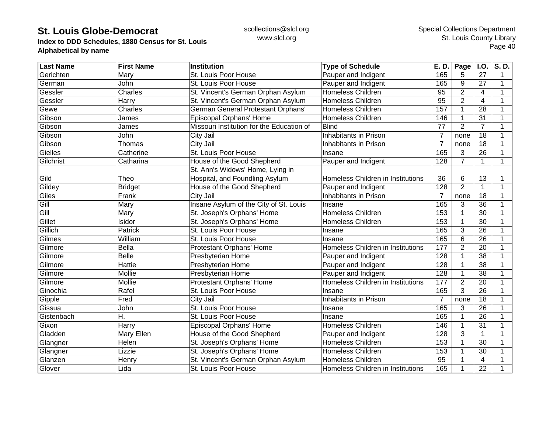**Index to DDD Schedules, 1880 Census for St. Louis Alphabetical by name**

| <b>Last Name</b> | <b>First Name</b> | <b>Institution</b>                        | <b>Type of Schedule</b>           | E. D.            | Page           | I.O.            | S. D.        |
|------------------|-------------------|-------------------------------------------|-----------------------------------|------------------|----------------|-----------------|--------------|
| Gerichten        | Mary              | St. Louis Poor House                      | Pauper and Indigent               | 165              | 5              | 27              | $\mathbf 1$  |
| German           | John              | St. Louis Poor House                      | Pauper and Indigent               | 165              | 9              | 27              | 1            |
| Gessler          | Charles           | St. Vincent's German Orphan Asylum        | Homeless Children                 | 95               | $\overline{2}$ | $\overline{4}$  | 1            |
| Gessler          | Harry             | St. Vincent's German Orphan Asylum        | Homeless Children                 | 95               | $\overline{2}$ | $\overline{4}$  | 1            |
| Gewe             | Charles           | German General Protestant Orphans'        | Homeless Children                 | 157              | $\mathbf{1}$   | 28              |              |
| Gibson           | James             | Episcopal Orphans' Home                   | Homeless Children                 | 146              | 1              | 31              |              |
| Gibson           | James             | Missouri Institution for the Education of | <b>Blind</b>                      | 77               | $\overline{2}$ | $\overline{7}$  |              |
| Gibson           | John              | City Jail                                 | Inhabitants in Prison             | $\overline{7}$   | none           | 18              |              |
| Gibson           | Thomas            | City Jail                                 | Inhabitants in Prison             | $\overline{7}$   | none           | 18              |              |
| Gielles          | Catherine         | St. Louis Poor House                      | Insane                            | 165              | 3              | 26              |              |
| Gilchrist        | Catharina         | House of the Good Shepherd                | Pauper and Indigent               | 128              | $\overline{7}$ | $\mathbf{1}$    | $\mathbf{1}$ |
|                  |                   | St. Ann's Widows' Home, Lying in          |                                   |                  |                |                 |              |
| Gild             | Theo              | Hospital, and Foundling Asylum            | Homeless Children in Institutions | 36               | 6              | 13              |              |
| Gildey           | <b>Bridget</b>    | House of the Good Shepherd                | Pauper and Indigent               | 128              | $\overline{2}$ | $\mathbf{1}$    |              |
| Giles            | Frank             | City Jail                                 | <b>Inhabitants in Prison</b>      | 7                | none           | 18              |              |
| Gill             | Mary              | Insane Asylum of the City of St. Louis    | Insane                            | 165              | 3              | 36              |              |
| Gill             | Mary              | St. Joseph's Orphans' Home                | <b>Homeless Children</b>          | 153              | 1              | 30              | 1            |
| Gillet           | Isidor            | St. Joseph's Orphans' Home                | Homeless Children                 | 153              | $\mathbf{1}$   | 30              |              |
| Gillich          | Patrick           | St. Louis Poor House                      | Insane                            | 165              | 3              | 26              |              |
| Gilmes           | William           | St. Louis Poor House                      | Insane                            | 165              | 6              | 26              |              |
| Gilmore          | Bella             | Protestant Orphans' Home                  | Homeless Children in Institutions | 177              | $\overline{2}$ | 20              |              |
| Gilmore          | <b>Belle</b>      | Presbyterian Home                         | Pauper and Indigent               | 128              | 1              | 38              |              |
| Gilmore          | Hattie            | <b>Presbyterian Home</b>                  | Pauper and Indigent               | 128              | 1              | $\overline{38}$ |              |
| Gilmore          | Mollie            | Presbyterian Home                         | Pauper and Indigent               | 128              | $\mathbf 1$    | $\overline{38}$ |              |
| Gilmore          | Mollie            | Protestant Orphans' Home                  | Homeless Children in Institutions | 177              | $\overline{2}$ | $\overline{20}$ |              |
| Ginochia         | Rafel             | St. Louis Poor House                      | Insane                            | 165              | 3              | $\overline{26}$ |              |
| Gipple           | Fred              | City Jail                                 | Inhabitants in Prison             | 7                | none           | 18              |              |
| Gissua           | John              | St. Louis Poor House                      | Insane                            | 165              | 3              | 26              | 1            |
| Gistenbach       | Η.                | St. Louis Poor House                      | Insane                            | 165              | 1              | 26              |              |
| Gixon            | Harry             | Episcopal Orphans' Home                   | Homeless Children                 | 146              | 1              | 31              |              |
| Gladden          | <b>Mary Ellen</b> | House of the Good Shepherd                | Pauper and Indigent               | $\overline{128}$ | 3              | 1               |              |
| Glangner         | Helen             | St. Joseph's Orphans' Home                | <b>Homeless Children</b>          | 153              |                | $\overline{30}$ |              |
| Glangner         | Lizzie            | St. Joseph's Orphans' Home                | Homeless Children                 | 153              | 1              | 30              |              |
| Glanzen          | Henry             | St. Vincent's German Orphan Asylum        | <b>Homeless Children</b>          | 95               |                | 4               |              |
| Glover           | Lida              | St. Louis Poor House                      | Homeless Children in Institutions | 165              | 1              | $\overline{22}$ |              |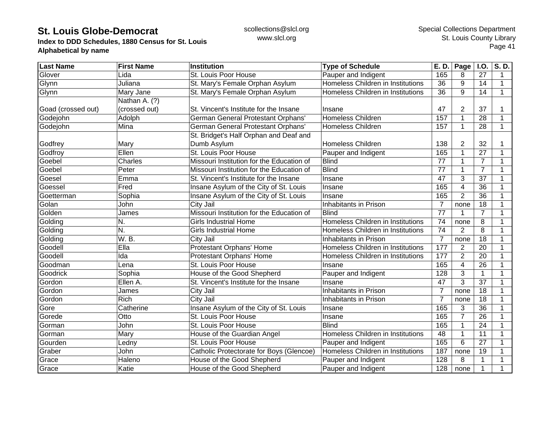**Index to DDD Schedules, 1880 Census for St. Louis Alphabetical by name**

| <b>Last Name</b>   | <b>First Name</b> | Institution                               | <b>Type of Schedule</b>           | E. D.           | Page           | <b>I.O.</b>     | $\overline{\mathsf{S}}$ . D. |
|--------------------|-------------------|-------------------------------------------|-----------------------------------|-----------------|----------------|-----------------|------------------------------|
| Glover             | Lida              | St. Louis Poor House                      | Pauper and Indigent               | 165             | 8              | 27              | 1                            |
| Glynn              | Juliana           | St. Mary's Female Orphan Asylum           | Homeless Children in Institutions | 36              | 9              | 14              | 1                            |
| Glynn              | Mary Jane         | St. Mary's Female Orphan Asylum           | Homeless Children in Institutions | 36              | 9              | 14              | $\mathbf 1$                  |
|                    | Nathan A. (?)     |                                           |                                   |                 |                |                 |                              |
| Goad (crossed out) | (crossed out)     | St. Vincent's Institute for the Insane    | Insane                            | 47              | 2              | 37              |                              |
| Godejohn           | Adolph            | German General Protestant Orphans'        | <b>Homeless Children</b>          | 157             |                | 28              |                              |
| Godejohn           | Mina              | German General Protestant Orphans'        | Homeless Children                 | 157             |                | 28              | 1                            |
|                    |                   | St. Bridget's Half Orphan and Deaf and    |                                   |                 |                |                 |                              |
| Godfrey            | Mary              | Dumb Asylum                               | <b>Homeless Children</b>          | 138             | 2              | 32              |                              |
| Godfroy            | Ellen             | St. Louis Poor House                      | Pauper and Indigent               | 165             |                | 27              | 1                            |
| Goebel             | Charles           | Missouri Institution for the Education of | <b>Blind</b>                      | 77              |                | $\overline{7}$  | 1                            |
| Goebel             | Peter             | Missouri Institution for the Education of | <b>Blind</b>                      | 77              |                | $\overline{7}$  |                              |
| Goesel             | Emma              | St. Vincent's Institute for the Insane    | Insane                            | $\overline{47}$ | 3              | $\overline{37}$ | 1                            |
| Goessel            | Fred              | Insane Asylum of the City of St. Louis    | Insane                            | 165             | 4              | 36              | 1                            |
| Goetterman         | Sophia            | Insane Asylum of the City of St. Louis    | Insane                            | 165             | $\overline{2}$ | 36              | 1                            |
| Golan              | John              | City Jail                                 | Inhabitants in Prison             | 7               | none           | 18              | 1                            |
| Golden             | James             | Missouri Institution for the Education of | <b>Blind</b>                      | $\overline{77}$ |                | $\overline{7}$  | 1                            |
| Golding            | N.                | <b>Girls Industrial Home</b>              | Homeless Children in Institutions | 74              | none           | 8               | 1                            |
| Golding            | N.                | <b>Girls Industrial Home</b>              | Homeless Children in Institutions | 74              | 2              | 8               | 1                            |
| Golding            | W. B.             | City Jail                                 | Inhabitants in Prison             | $\overline{7}$  | none           | 18              | 1                            |
| Goodell            | Ella              | Protestant Orphans' Home                  | Homeless Children in Institutions | 177             | $\overline{2}$ | 20              | 1                            |
| Goodell            | Ida               | Protestant Orphans' Home                  | Homeless Children in Institutions | 177             | $\overline{2}$ | 20              | 1                            |
| Goodman            | Lena              | St. Louis Poor House                      | Insane                            | 165             | 4              | 26              | $\mathbf 1$                  |
| Goodrick           | Sophia            | House of the Good Shepherd                | Pauper and Indigent               | 128             | 3              | $\mathbf 1$     | $\mathbf 1$                  |
| Gordon             | Ellen A.          | St. Vincent's Institute for the Insane    | Insane                            | 47              | 3              | 37              | 1                            |
| Gordon             | James             | City Jail                                 | Inhabitants in Prison             | $\overline{7}$  | none           | 18              | 1                            |
| Gordon             | Rich              | City Jail                                 | Inhabitants in Prison             | 7               | none           | 18              | 1                            |
| Gore               | Catherine         | Insane Asylum of the City of St. Louis    | Insane                            | 165             | 3              | 36              | 1                            |
| Gorede             | Otto              | St. Louis Poor House                      | Insane                            | 165             | $\overline{7}$ | 26              | 1                            |
| Gorman             | John              | St. Louis Poor House                      | <b>Blind</b>                      | 165             |                | 24              | 1                            |
| Gorman             | Mary              | House of the Guardian Angel               | Homeless Children in Institutions | 48              |                | 11              |                              |
| Gourden            | Ledny             | St. Louis Poor House                      | Pauper and Indigent               | 165             | 6              | $\overline{27}$ |                              |
| Graber             | John              | Catholic Protectorate for Boys (Glencoe)  | Homeless Children in Institutions | 187             | none           | 19              |                              |
| Grace              | Haleno            | House of the Good Shepherd                | Pauper and Indigent               | 128             | 8              | 1               |                              |
| Grace              | Katie             | House of the Good Shepherd                | Pauper and Indigent               | 128             | none           | $\mathbf{1}$    |                              |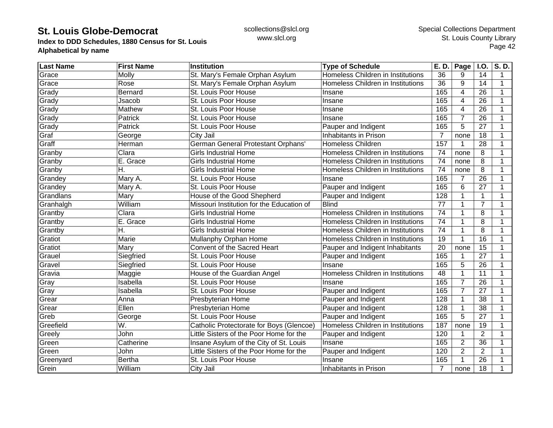**Index to DDD Schedules, 1880 Census for St. Louis Alphabetical by name**

| <b>Last Name</b> | <b>First Name</b> | Institution                               | <b>Type of Schedule</b>           | E. D.          | $\overline{Page}$ I.O. |                 | S.D. |
|------------------|-------------------|-------------------------------------------|-----------------------------------|----------------|------------------------|-----------------|------|
| Grace            | Molly             | St. Mary's Female Orphan Asylum           | Homeless Children in Institutions | 36             | 9                      | 14              | 1    |
| Grace            | Rose              | St. Mary's Female Orphan Asylum           | Homeless Children in Institutions | 36             | 9                      | 14              | 1    |
| Grady            | Bernard           | St. Louis Poor House                      | Insane                            | 165            | 4                      | 26              |      |
| Grady            | Jsacob            | St. Louis Poor House                      | Insane                            | 165            | 4                      | 26              | 1    |
| Grady            | Mathew            | St. Louis Poor House                      | Insane                            | 165            | 4                      | 26              | 1    |
| Grady            | Patrick           | St. Louis Poor House                      | Insane                            | 165            | $\overline{7}$         | 26              |      |
| Grady            | Patrick           | St. Louis Poor House                      | Pauper and Indigent               | 165            | 5                      | 27              |      |
| Graf             | George            | City Jail                                 | Inhabitants in Prison             | $\overline{7}$ | none                   | 18              |      |
| Graff            | Herman            | German General Protestant Orphans'        | <b>Homeless Children</b>          | 157            |                        | 28              |      |
| Granby           | Clara             | <b>Girls Industrial Home</b>              | Homeless Children in Institutions | 74             | none                   | 8               |      |
| Granby           | E. Grace          | <b>Girls Industrial Home</b>              | Homeless Children in Institutions | 74             | none                   | 8               | 1    |
| Granby           | Η.                | <b>Girls Industrial Home</b>              | Homeless Children in Institutions | 74             | none                   | 8               | 1    |
| Grandey          | Mary A.           | St. Louis Poor House                      | Insane                            | 165            | $\overline{7}$         | 26              |      |
| Grandey          | Mary A.           | St. Louis Poor House                      | Pauper and Indigent               | 165            | 6                      | 27              |      |
| Grandlans        | Mary              | House of the Good Shepherd                | Pauper and Indigent               | 128            |                        | $\mathbf 1$     |      |
| Granhalgh        | William           | Missouri Institution for the Education of | <b>Blind</b>                      | 77             |                        | $\overline{7}$  |      |
| Grantby          | Clara             | <b>Girls Industrial Home</b>              | Homeless Children in Institutions | 74             |                        | 8               | 1    |
| Grantby          | E. Grace          | <b>Girls Industrial Home</b>              | Homeless Children in Institutions | 74             | 1                      | 8               | 1    |
| Grantby          | Η.                | <b>Girls Industrial Home</b>              | Homeless Children in Institutions | 74             |                        | 8               |      |
| Gratiot          | Marie             | Mullanphy Orphan Home                     | Homeless Children in Institutions | 19             |                        | 16              |      |
| Gratiot          | Mary              | Convent of the Sacred Heart               | Pauper and Indigent Inhabitants   | 20             | none                   | 15              |      |
| Grauel           | Siegfried         | St. Louis Poor House                      | Pauper and Indigent               | 165            |                        | 27              |      |
| Gravel           | Siegfried         | St. Louis Poor House                      | Insane                            | 165            | 5                      | 26              | 1    |
| Gravia           | Maggie            | House of the Guardian Angel               | Homeless Children in Institutions | 48             |                        | 11              | 1    |
| Gray             | Isabella          | St. Louis Poor House                      | Insane                            | 165            | $\overline{7}$         | $\overline{26}$ |      |
| Gray             | Isabella          | St. Louis Poor House                      | Pauper and Indigent               | 165            | $\overline{7}$         | $\overline{27}$ |      |
| Grear            | Anna              | Presbyterian Home                         | Pauper and Indigent               | 128            | 1                      | 38              |      |
| Grear            | Ellen             | Presbyterian Home                         | Pauper and Indigent               | 128            | $\mathbf{1}$           | 38              |      |
| Greb             | George            | St. Louis Poor House                      | Pauper and Indigent               | 165            | 5                      | 27              | 1    |
| Greefield        | W.                | Catholic Protectorate for Boys (Glencoe)  | Homeless Children in Institutions | 187            | none                   | 19              |      |
| Greely           | John              | Little Sisters of the Poor Home for the   | Pauper and Indigent               | 120            |                        | $\overline{2}$  |      |
| Green            | Catherine         | Insane Asylum of the City of St. Louis    | Insane                            | 165            | $\overline{2}$         | $\overline{36}$ |      |
| Green            | John              | Little Sisters of the Poor Home for the   | Pauper and Indigent               | 120            | $\overline{2}$         | $\overline{2}$  |      |
| Greenyard        | <b>Bertha</b>     | St. Louis Poor House                      | Insane                            | 165            |                        | 26              |      |
| Grein            | William           | City Jail                                 | Inhabitants in Prison             | 7              | none                   | 18              |      |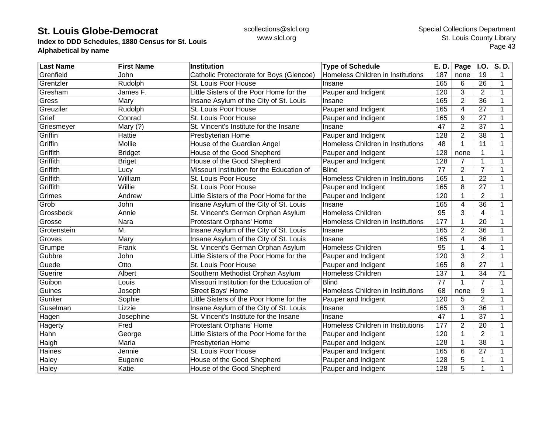**Index to DDD Schedules, 1880 Census for St. Louis Alphabetical by name**

| <b>Last Name</b> | <b>First Name</b> | <b>Institution</b>                        | <b>Type of Schedule</b>           | E. D. | Page                    | <b>I.O.</b>     | S.D.        |
|------------------|-------------------|-------------------------------------------|-----------------------------------|-------|-------------------------|-----------------|-------------|
| Grenfield        | John              | Catholic Protectorate for Boys (Glencoe)  | Homeless Children in Institutions | 187   | none                    | 19              | 1           |
| Grentzler        | Rudolph           | St. Louis Poor House                      | Insane                            | 165   | 6                       | 26              | 1           |
| Gresham          | James F.          | Little Sisters of the Poor Home for the   | Pauper and Indigent               | 120   | 3                       | $\overline{2}$  | 1           |
| Gress            | Mary              | Insane Asylum of the City of St. Louis    | Insane                            | 165   | $\overline{2}$          | 36              | $\mathbf 1$ |
| Greuziler        | Rudolph           | St. Louis Poor House                      | Pauper and Indigent               | 165   | 4                       | 27              |             |
| Grief            | Conrad            | St. Louis Poor House                      | Pauper and Indigent               | 165   | 9                       | 27              |             |
| Griesmeyer       | Mary (?)          | St. Vincent's Institute for the Insane    | Insane                            | 47    | $\overline{2}$          | 37              |             |
| Griffin          | Hattie            | Presbyterian Home                         | Pauper and Indigent               | 128   | $\overline{2}$          | 38              |             |
| Griffin          | Mollie            | House of the Guardian Angel               | Homeless Children in Institutions | 48    |                         | 11              | 1           |
| Griffith         | <b>Bridget</b>    | House of the Good Shepherd                | Pauper and Indigent               | 128   | none                    | $\mathbf{1}$    |             |
| Griffith         | <b>Briget</b>     | House of the Good Shepherd                | Pauper and Indigent               | 128   | $\overline{7}$          | $\mathbf{1}$    | 1           |
| Griffith         | Lucy              | Missouri Institution for the Education of | <b>Blind</b>                      | 77    | 2                       | $\overline{7}$  | 1           |
| Griffith         | William           | St. Louis Poor House                      | Homeless Children in Institutions | 165   |                         | $\overline{22}$ |             |
| Griffith         | Willie            | St. Louis Poor House                      | Pauper and Indigent               | 165   | 8                       | 27              | 1           |
| Grimes           | Andrew            | Little Sisters of the Poor Home for the   | Pauper and Indigent               | 120   |                         | $\overline{2}$  | 1           |
| Grob             | John              | Insane Asylum of the City of St. Louis    | Insane                            | 165   | 4                       | 36              | 1           |
| Grossbeck        | Annie             | St. Vincent's German Orphan Asylum        | <b>Homeless Children</b>          | 95    | 3                       | $\overline{4}$  | 1           |
| Grosse           | Nara              | Protestant Orphans' Home                  | Homeless Children in Institutions | 177   |                         | 20              | 1           |
| Grotenstein      | M.                | Insane Asylum of the City of St. Louis    | Insane                            | 165   | 2                       | 36              |             |
| Groves           | Mary              | Insane Asylum of the City of St. Louis    | Insane                            | 165   | $\overline{\mathbf{4}}$ | 36              |             |
| Grumpe           | Frank             | St. Vincent's German Orphan Asylum        | Homeless Children                 | 95    |                         | $\overline{4}$  | 1           |
| Gubbre           | John              | Little Sisters of the Poor Home for the   | Pauper and Indigent               | 120   | 3                       | $\overline{2}$  | 1           |
| Guede            | Otto              | St. Louis Poor House                      | Pauper and Indigent               | 165   | 8                       | $\overline{27}$ | 1           |
| Guerire          | Albert            | Southern Methodist Orphan Asylum          | Homeless Children                 | 137   |                         | 34              | 71          |
| Guibon           | Louis             | Missouri Institution for the Education of | <b>Blind</b>                      | 77    |                         | $\overline{7}$  | 1           |
| Guines           | Joseph            | <b>Street Boys' Home</b>                  | Homeless Children in Institutions | 68    | none                    | 9               | 1           |
| Gunker           | Sophie            | Little Sisters of the Poor Home for the   | Pauper and Indigent               | 120   | 5                       | $\overline{2}$  | $\mathbf 1$ |
| Guselman         | Lizzie            | Insane Asylum of the City of St. Louis    | Insane                            | 165   | 3                       | 36              | 1           |
| Hagen            | Josephine         | St. Vincent's Institute for the Insane    | Insane                            | 47    |                         | 37              | 1           |
| Hagerty          | Fred              | Protestant Orphans' Home                  | Homeless Children in Institutions | 177   | $\overline{2}$          | 20              | 1           |
| Hahn             | George            | Little Sisters of the Poor Home for the   | Pauper and Indigent               | 120   |                         | $\overline{2}$  |             |
| Haigh            | Maria             | Presbyterian Home                         | Pauper and Indigent               | 128   |                         | 38              |             |
| Haines           | Jennie            | St. Louis Poor House                      | Pauper and Indigent               | 165   | 6                       | 27              |             |
| <b>Haley</b>     | Eugenie           | House of the Good Shepherd                | Pauper and Indigent               | 128   | 5                       | 1               |             |
| Haley            | Katie             | House of the Good Shepherd                | Pauper and Indigent               | 128   | 5                       | $\mathbf{1}$    |             |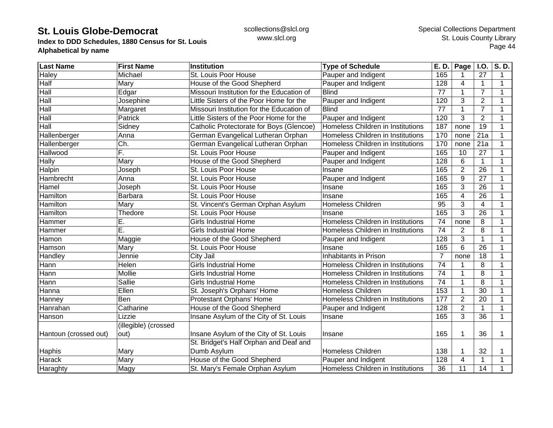**Index to DDD Schedules, 1880 Census for St. Louis Alphabetical by name**

| <b>Last Name</b>      | <b>First Name</b>    | <b>Institution</b>                        | <b>Type of Schedule</b>           | E. D.           | Page           | <b>I.O.</b>      | S.D.        |
|-----------------------|----------------------|-------------------------------------------|-----------------------------------|-----------------|----------------|------------------|-------------|
| <b>Haley</b>          | Michael              | St. Louis Poor House                      | Pauper and Indigent               | 165             |                | 27               | 1           |
| Half                  | Mary                 | House of the Good Shepherd                | Pauper and Indigent               | 128             | 4              | $\mathbf{1}$     | 1           |
| Hall                  | Edgar                | Missouri Institution for the Education of | <b>Blind</b>                      | 77              | 1              | $\overline{7}$   | 1           |
| Hall                  | Josephine            | Little Sisters of the Poor Home for the   | Pauper and Indigent               | 120             | 3              | 2                | 1           |
| Hall                  | Margaret             | Missouri Institution for the Education of | <b>Blind</b>                      | 77              |                | $\overline{7}$   | 1           |
| Hall                  | Patrick              | Little Sisters of the Poor Home for the   | Pauper and Indigent               | 120             | 3              | $\overline{2}$   |             |
| Hall                  | Sidney               | Catholic Protectorate for Boys (Glencoe)  | Homeless Children in Institutions | 187             | none           | $\overline{19}$  |             |
| Hallenberger          | Anna                 | German Evangelical Lutheran Orphan        | Homeless Children in Institutions | 170             | none           | $\overline{21a}$ | 1           |
| Hallenberger          | Ch.                  | German Evangelical Lutheran Orphan        | Homeless Children in Institutions | 170             | none           | 21a              |             |
| Hallwood              | F.                   | St. Louis Poor House                      | Pauper and Indigent               | 165             | 10             | 27               |             |
| Hally                 | Mary                 | House of the Good Shepherd                | Pauper and Indigent               | 128             | 6              | $\mathbf{1}$     | 1           |
| Halpin                | Joseph               | St. Louis Poor House                      | Insane                            | 165             | $\overline{2}$ | 26               | 1           |
| Hambrecht             | Anna                 | St. Louis Poor House                      | Pauper and Indigent               | 165             | 9              | 27               |             |
| Hamel                 | Joseph               | St. Louis Poor House                      | Insane                            | 165             | 3              | 26               | 1           |
| Hamilton              | Barbara              | St. Louis Poor House                      | Insane                            | 165             | 4              | 26               | 1           |
| Hamilton              | Mary                 | St. Vincent's German Orphan Asylum        | <b>Homeless Children</b>          | 95              | 3              | $\overline{4}$   | 1           |
| Hamilton              | Thedore              | St. Louis Poor House                      | Insane                            | 165             | 3              | 26               | 1           |
| Hammer                | Е.                   | <b>Girls Industrial Home</b>              | Homeless Children in Institutions | 74              | none           | 8                |             |
| Hammer                | Ē.                   | <b>Girls Industrial Home</b>              | Homeless Children in Institutions | 74              | $\overline{2}$ | 8                |             |
| Hamon                 | Maggie               | House of the Good Shepherd                | Pauper and Indigent               | 128             | 3              | $\mathbf{1}$     |             |
| Hamson                | Mary                 | St. Louis Poor House                      | Insane                            | 165             | 6              | 26               |             |
| Handley               | Jennie               | City Jail                                 | Inhabitants in Prison             | $\overline{7}$  | none           | 18               | 1           |
| Hann                  | Helen                | <b>Girls Industrial Home</b>              | Homeless Children in Institutions | 74              |                | 8                | 1           |
| Hann                  | Mollie               | <b>Girls Industrial Home</b>              | Homeless Children in Institutions | 74              |                | 8                | 1           |
| Hann                  | <b>Sallie</b>        | <b>Girls Industrial Home</b>              | Homeless Children in Institutions | $\overline{74}$ |                | 8                | 1           |
| Hanna                 | Ellen                | St. Joseph's Orphans' Home                | <b>Homeless Children</b>          | 153             |                | 30               | $\mathbf 1$ |
| Hanney                | Ben                  | Protestant Orphans' Home                  | Homeless Children in Institutions | 177             | $\overline{2}$ | 20               | 1           |
| Hanrahan              | Catharine            | House of the Good Shepherd                | Pauper and Indigent               | 128             | $\overline{2}$ | $\mathbf 1$      | 1           |
| Hanson                | Lizzie               | Insane Asylum of the City of St. Louis    | Insane                            | 165             | 3              | 36               | $\mathbf 1$ |
|                       | (illegible) (crossed |                                           |                                   |                 |                |                  |             |
| Hantoun (crossed out) | out)                 | Insane Asylum of the City of St. Louis    | Insane                            | 165             |                | 36               | 1           |
|                       |                      | St. Bridget's Half Orphan and Deaf and    |                                   |                 |                |                  |             |
| Haphis                | Mary                 | Dumb Asylum                               | <b>Homeless Children</b>          | 138             |                | 32               |             |
| Harack                | Mary                 | House of the Good Shepherd                | Pauper and Indigent               | 128             | 4              | 1                |             |
| Haraghty              | Magy                 | St. Mary's Female Orphan Asylum           | Homeless Children in Institutions | 36              | 11             | 14               |             |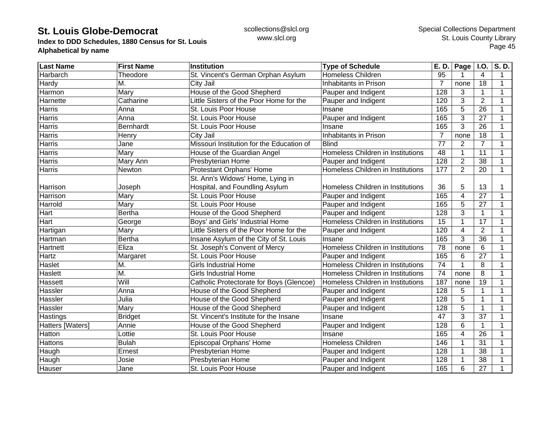**Index to DDD Schedules, 1880 Census for St. Louis Alphabetical by name**

| <b>Last Name</b> | <b>First Name</b>         | <b>Institution</b>                        | <b>Type of Schedule</b>           | E. D.            | Page           | I.O.            | S.D.         |
|------------------|---------------------------|-------------------------------------------|-----------------------------------|------------------|----------------|-----------------|--------------|
| Harbarch         | Theodore                  | St. Vincent's German Orphan Asylum        | <b>Homeless Children</b>          | 95               |                | 4               |              |
| Hardy            | М.                        | City Jail                                 | Inhabitants in Prison             | 7                | none           | 18              | 1            |
| Harmon           | Mary                      | House of the Good Shepherd                | Pauper and Indigent               | $\overline{128}$ | 3              | $\mathbf{1}$    | 1            |
| Harnette         | Catharine                 | Little Sisters of the Poor Home for the   | Pauper and Indigent               | 120              | 3              | $\overline{2}$  | 1            |
| Harris           | Anna                      | St. Louis Poor House                      | Insane                            | 165              | 5              | 26              | 1            |
| Harris           | Anna                      | St. Louis Poor House                      | Pauper and Indigent               | 165              | 3              | $\overline{27}$ | $\mathbf 1$  |
| Harris           | Bernhardt                 | St. Louis Poor House                      | Insane                            | 165              | 3              | 26              |              |
| Harris           | Henry                     | City Jail                                 | Inhabitants in Prison             | $\overline{7}$   | none           | 18              |              |
| Harris           | Jane                      | Missouri Institution for the Education of | <b>Blind</b>                      | 77               | $\overline{2}$ | $\overline{7}$  |              |
| Harris           | Mary                      | House of the Guardian Angel               | Homeless Children in Institutions | 48               | 1              | 11              |              |
| Harris           | Mary Ann                  | Presbyterian Home                         | Pauper and Indigent               | 128              | $\overline{2}$ | $\overline{38}$ |              |
| Harris           | Newton                    | Protestant Orphans' Home                  | Homeless Children in Institutions | 177              | $\overline{2}$ | $\overline{20}$ | $\mathbf 1$  |
|                  |                           | St. Ann's Widows' Home, Lying in          |                                   |                  |                |                 |              |
| Harrison         | Joseph                    | Hospital, and Foundling Asylum            | Homeless Children in Institutions | 36               | 5              | 13              |              |
| Harrison         | Mary                      | St. Louis Poor House                      | Pauper and Indigent               | 165              | 4              | 27              | 1            |
| Harrold          | Mary                      | St. Louis Poor House                      | Pauper and Indigent               | 165              | 5              | 27              |              |
| Hart             | <b>Bertha</b>             | House of the Good Shepherd                | Pauper and Indigent               | 128              | 3              | $\mathbf{1}$    | 1            |
| Hart             | George                    | Boys' and Girls' Industrial Home          | Homeless Children in Institutions | 15               | 1              | 17              |              |
| Hartigan         | Mary                      | Little Sisters of the Poor Home for the   | Pauper and Indigent               | 120              | 4              | $\overline{2}$  |              |
| Hartman          | <b>Bertha</b>             | Insane Asylum of the City of St. Louis    | Insane                            | 165              | 3              | 36              |              |
| Hartnett         | Eliza                     | St. Joseph's Convent of Mercy             | Homeless Children in Institutions | 78               | none           | 6               |              |
| Hartz            | Margaret                  | St. Louis Poor House                      | Pauper and Indigent               | 165              | 6              | $\overline{27}$ | 1            |
| Haslet           | М.                        | <b>Girls Industrial Home</b>              | Homeless Children in Institutions | 74               | 1              | 8               | 1            |
| Haslett          | $\overline{\mathsf{M}}$ . | <b>Girls Industrial Home</b>              | Homeless Children in Institutions | 74               | none           | 8               |              |
| Hassett          | Will                      | Catholic Protectorate for Boys (Glencoe)  | Homeless Children in Institutions | 187              | none           | $\overline{19}$ |              |
| Hassler          | Anna                      | House of the Good Shepherd                | Pauper and Indigent               | 128              | 5              | 1               |              |
| Hassler          | Julia                     | House of the Good Shepherd                | Pauper and Indigent               | 128              | $\overline{5}$ | $\mathbf{1}$    | $\mathbf{1}$ |
| Hassler          | Mary                      | House of the Good Shepherd                | Pauper and Indigent               | 128              | 5              | $\mathbf{1}$    | 1            |
| Hastings         | <b>Bridget</b>            | St. Vincent's Institute for the Insane    | Insane                            | 47               | 3              | 37              | 1            |
| Hatters [Waters] | Annie                     | House of the Good Shepherd                | Pauper and Indigent               | 128              | 6              | $\mathbf{1}$    | 1            |
| Hatton           | Lottie                    | St. Louis Poor House                      | Insane                            | 165              | 4              | 26              |              |
| Hattons          | <b>Bulah</b>              | Episcopal Orphans' Home                   | <b>Homeless Children</b>          | 146              | 1              | $\overline{31}$ |              |
| Haugh            | Ernest                    | Presbyterian Home                         | Pauper and Indigent               | 128              | 1              | 38              |              |
| Haugh            | Josie                     | Presbyterian Home                         | Pauper and Indigent               | 128              |                | 38              |              |
| Hauser           | Jane                      | St. Louis Poor House                      | Pauper and Indigent               | 165              | 6              | 27              | 1            |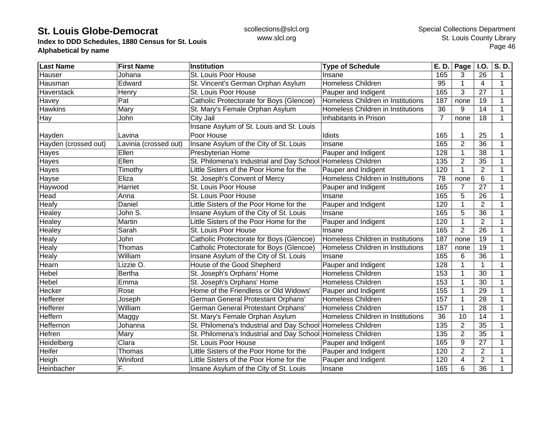**Index to DDD Schedules, 1880 Census for St. Louis Alphabetical by name**

| <b>Last Name</b>     | <b>First Name</b>     | <b>Institution</b>                                          | <b>Type of Schedule</b>           | E. D.          | Page           | <b>I.O.</b>     | S.D.         |
|----------------------|-----------------------|-------------------------------------------------------------|-----------------------------------|----------------|----------------|-----------------|--------------|
| Hauser               | Johana                | St. Louis Poor House                                        | Insane                            | 165            | 3              | 26              | 1            |
| Hausman              | Edward                | St. Vincent's German Orphan Asylum                          | <b>Homeless Children</b>          | 95             |                | $\overline{4}$  | 1            |
| Haverstack           | Henry                 | St. Louis Poor House                                        | Pauper and Indigent               | 165            | 3              | 27              | 1            |
| Havey                | Pat                   | Catholic Protectorate for Boys (Glencoe)                    | Homeless Children in Institutions | 187            | none           | 19              | 1            |
| <b>Hawkins</b>       | Mary                  | St. Mary's Female Orphan Asylum                             | Homeless Children in Institutions | 36             | 9              | 14              | 1            |
| Hay                  | John                  | City Jail                                                   | Inhabitants in Prison             | $\overline{7}$ | none           | 18              | $\mathbf{1}$ |
|                      |                       | Insane Asylum of St. Louis and St. Louis                    |                                   |                |                |                 |              |
| Hayden               | Lavina                | Poor House                                                  | Idiots                            | 165            |                | 25              |              |
| Hayden (crossed out) | Lavinia (crossed out) | Insane Asylum of the City of St. Louis                      | Insane                            | 165            | $\overline{2}$ | 36              |              |
| Hayes                | Ellen                 | Presbyterian Home                                           | Pauper and Indigent               | 128            |                | 38              |              |
| Hayes                | Ellen                 | St. Philomena's Industrial and Day School Homeless Children |                                   | 135            | $\overline{2}$ | 35              |              |
| Hayes                | Timothy               | Little Sisters of the Poor Home for the                     | Pauper and Indigent               | 120            |                | $\overline{2}$  | 1            |
| Hayse                | Eliza                 | St. Joseph's Convent of Mercy                               | Homeless Children in Institutions | 78             | none           | 6               |              |
| Haywood              | Harriet               | St. Louis Poor House                                        | Pauper and Indigent               | 165            |                | 27              | 1            |
| Head                 | Anna                  | St. Louis Poor House                                        | Insane                            | 165            | 5              | 26              | 1            |
| Heafy                | Daniel                | Little Sisters of the Poor Home for the                     | Pauper and Indigent               | 120            |                | 2               | 1            |
| Healey               | John S.               | Insane Asylum of the City of St. Louis                      | Insane                            | 165            | 5              | 36              | 1            |
| Healey               | Martin                | Little Sisters of the Poor Home for the                     | Pauper and Indigent               | 120            |                | $\overline{2}$  |              |
| Healey               | Sarah                 | St. Louis Poor House                                        | Insane                            | 165            | $\overline{2}$ | 26              | 1            |
| Healy                | John                  | Catholic Protectorate for Boys (Glencoe)                    | Homeless Children in Institutions | 187            | none           | 19              | 1            |
| Healy                | Thomas                | Catholic Protectorate for Boys (Glencoe)                    | Homeless Children in Institutions | 187            | none           | 19              | 1            |
| Healy                | William               | Insane Asylum of the City of St. Louis                      | Insane                            | 165            | 6              | $\overline{36}$ | 1            |
| Hearn                | Lizzie O.             | House of the Good Shepherd                                  | Pauper and Indigent               | 128            |                | $\mathbf{1}$    | 1            |
| Hebel                | <b>Bertha</b>         | St. Joseph's Orphans' Home                                  | <b>Homeless Children</b>          | 153            |                | 30              | 1            |
| Hebel                | Emma                  | St. Joseph's Orphans' Home                                  | <b>Homeless Children</b>          | 153            |                | 30              | 1            |
| Hecker               | Rose                  | Home of the Friendless or Old Widows'                       | Pauper and Indigent               | 155            |                | 29              | 1            |
| Hefferer             | Joseph                | German General Protestant Orphans'                          | <b>Homeless Children</b>          | 157            |                | 28              | 1            |
| Hefferer             | William               | German General Protestant Orphans'                          | <b>Homeless Children</b>          | 157            |                | 28              | 1            |
| Heffern              | Maggy                 | St. Mary's Female Orphan Asylum                             | Homeless Children in Institutions | 36             | 10             | 14              | 1            |
| Heffernon            | Johanna               | St. Philomena's Industrial and Day School Homeless Children |                                   | 135            | 2              | 35              | 1            |
| <b>Hefren</b>        | Mary                  | St. Philomena's Industrial and Day School Homeless Children |                                   | 135            | $\overline{2}$ | 35              |              |
| Heidelberg           | Clara                 | St. Louis Poor House                                        | Pauper and Indigent               | 165            | 9              | 27              |              |
| <b>Heifer</b>        | Thomas                | Little Sisters of the Poor Home for the                     | Pauper and Indigent               | 120            | $\overline{2}$ | $\overline{2}$  |              |
| Heigh                | Winiford              | Little Sisters of the Poor Home for the                     | Pauper and Indigent               | 120            | 4              | $\overline{2}$  |              |
| Heinbacher           | F.                    | Insane Asylum of the City of St. Louis                      | Insane                            | 165            | 6              | 36              |              |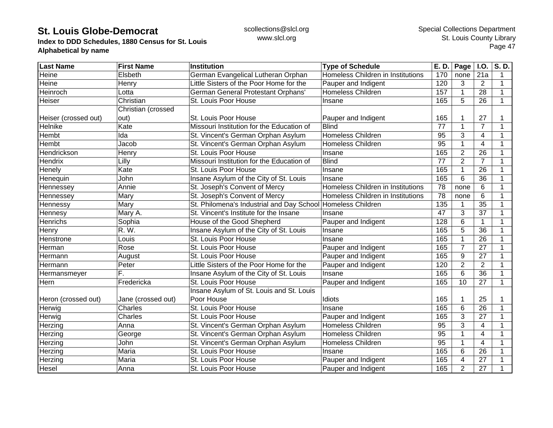**Index to DDD Schedules, 1880 Census for St. Louis Alphabetical by name**

| <b>Last Name</b>     | <b>First Name</b>  | <b>Institution</b>                                          | <b>Type of Schedule</b>           | E. D.           | Page $ $ I.O.   |                 | S.D.         |
|----------------------|--------------------|-------------------------------------------------------------|-----------------------------------|-----------------|-----------------|-----------------|--------------|
| Heine                | Elsbeth            | German Evangelical Lutheran Orphan                          | Homeless Children in Institutions | 170             | none            | 21a             | 1            |
| Heine                | Henry              | Little Sisters of the Poor Home for the                     | Pauper and Indigent               | 120             | 3               | $\overline{2}$  | $\mathbf 1$  |
| <b>Heinroch</b>      | Lotta              | German General Protestant Orphans'                          | <b>Homeless Children</b>          | 157             | 1               | 28              | 1            |
| Heiser               | Christian          | St. Louis Poor House                                        | Insane                            | 165             | 5               | 26              | $\mathbf 1$  |
|                      | Christian (crossed |                                                             |                                   |                 |                 |                 |              |
| Heiser (crossed out) | out)               | St. Louis Poor House                                        | Pauper and Indigent               | 165             |                 | 27              |              |
| Helnike              | Kate               | Missouri Institution for the Education of                   | <b>Blind</b>                      | 77              | 1               | $\overline{7}$  | 1            |
| Hembt                | Ida                | St. Vincent's German Orphan Asylum                          | Homeless Children                 | 95              | 3               | 4               |              |
| Hembt                | Jacob              | St. Vincent's German Orphan Asylum                          | <b>Homeless Children</b>          | $\overline{95}$ |                 | $\overline{4}$  |              |
| Hendrickson          | Henry              | St. Louis Poor House                                        | Insane                            | 165             | $\overline{2}$  | $\overline{26}$ |              |
| Hendrix              | Lilly              | Missouri Institution for the Education of                   | <b>Blind</b>                      | 77              | $\overline{2}$  | $\overline{7}$  | 1            |
| Henely               | Kate               | St. Louis Poor House                                        | Insane                            | 165             |                 | $\overline{26}$ | 1            |
| Henequin             | John               | Insane Asylum of the City of St. Louis                      | Insane                            | 165             | 6               | 36              | 1            |
| Hennessey            | Annie              | St. Joseph's Convent of Mercy                               | Homeless Children in Institutions | 78              | none            | 6               | 1            |
| Hennessey            | Mary               | St. Joseph's Convent of Mercy                               | Homeless Children in Institutions | $\overline{78}$ | none            | 6               | 1            |
| Hennessy             | Mary               | St. Philomena's Industrial and Day School Homeless Children |                                   | 135             |                 | 35              | 1            |
| Hennesy              | Mary A.            | St. Vincent's Institute for the Insane                      | Insane                            | 47              | 3               | 37              | 1            |
| <b>Henrichs</b>      | Sophia             | House of the Good Shepherd                                  | Pauper and Indigent               | 128             | 6               | $\mathbf{1}$    | 1            |
| Henry                | R. W.              | Insane Asylum of the City of St. Louis                      | Insane                            | 165             | 5               | 36              |              |
| Henstrone            | Louis              | St. Louis Poor House                                        | Insane                            | 165             |                 | 26              | 1            |
| Herman               | Rose               | St. Louis Poor House                                        | Pauper and Indigent               | 165             | $\overline{7}$  | $\overline{27}$ |              |
| Hermann              | August             | St. Louis Poor House                                        | Pauper and Indigent               | 165             | 9               | 27              | 1            |
| Hermann              | Peter              | Little Sisters of the Poor Home for the                     | Pauper and Indigent               | 120             | $\overline{2}$  | $\overline{2}$  | 1            |
| Hermansmeyer         | F.                 | Insane Asylum of the City of St. Louis                      | Insane                            | 165             | 6               | $\overline{36}$ | 1            |
| Hern                 | Fredericka         | St. Louis Poor House                                        | Pauper and Indigent               | 165             | $\overline{10}$ | $\overline{27}$ | $\mathbf{1}$ |
|                      |                    | Insane Asylum of St. Louis and St. Louis                    |                                   |                 |                 |                 |              |
| Heron (crossed out)  | Jane (crossed out) | Poor House                                                  | Idiots                            | 165             |                 | 25              | 1            |
| Herwig               | Charles            | St. Louis Poor House                                        | Insane                            | 165             | 6               | 26              | 1            |
| Herwig               | Charles            | St. Louis Poor House                                        | Pauper and Indigent               | 165             | 3               | 27              | 1            |
| Herzing              | Anna               | St. Vincent's German Orphan Asylum                          | <b>Homeless Children</b>          | 95              | 3               | $\overline{4}$  |              |
| Herzing              | George             | St. Vincent's German Orphan Asylum                          | Homeless Children                 | 95              |                 | 4               |              |
| Herzing              | John               | St. Vincent's German Orphan Asylum                          | Homeless Children                 | $\overline{95}$ |                 | 4               |              |
| Herzing              | Maria              | St. Louis Poor House                                        | Insane                            | 165             | 6               | 26              | 1            |
| Herzing              | Maria              | St. Louis Poor House                                        | Pauper and Indigent               | 165             | 4               | 27              |              |
| Hesel                | Anna               | St. Louis Poor House                                        | Pauper and Indigent               | 165             | $\overline{2}$  | 27              |              |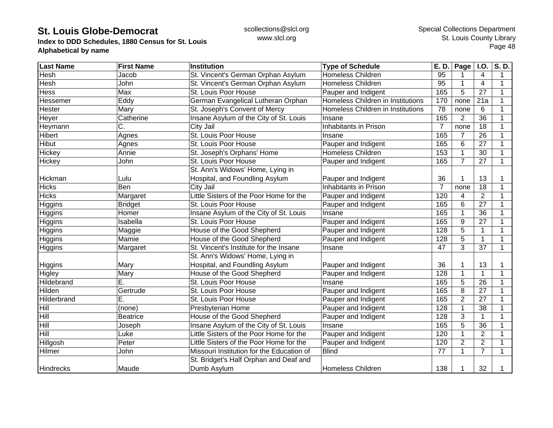**Index to DDD Schedules, 1880 Census for St. Louis Alphabetical by name**

| <b>Last Name</b> | <b>First Name</b> | <b>Institution</b>                        | <b>Type of Schedule</b>           | E. D.            | Page $ $ I.O.  |                 | S.D.         |
|------------------|-------------------|-------------------------------------------|-----------------------------------|------------------|----------------|-----------------|--------------|
| Hesh             | Jacob             | St. Vincent's German Orphan Asylum        | <b>Homeless Children</b>          | 95               |                | 4               | 1            |
| Hesh             | John              | St. Vincent's German Orphan Asylum        | Homeless Children                 | 95               |                | 4               | 1            |
| Hess             | Max               | St. Louis Poor House                      | Pauper and Indigent               | 165              | 5              | 27              | 1            |
| Hessemer         | Eddy              | German Evangelical Lutheran Orphan        | Homeless Children in Institutions | 170              | none           | 21a             | 1            |
| Hester           | Mary              | St. Joseph's Convent of Mercy             | Homeless Children in Institutions | 78               | none           | 6               | 1            |
| Heyer            | Catherine         | Insane Asylum of the City of St. Louis    | Insane                            | 165              | $\overline{2}$ | 36              | 1            |
| Heymann          | C.                | City Jail                                 | Inhabitants in Prison             | $\overline{7}$   | none           | 18              | 1            |
| Hibert           | Agnes             | St. Louis Poor House                      | Insane                            | 165              | 7              | 26              |              |
| <b>Hibut</b>     | Agnes             | St. Louis Poor House                      | Pauper and Indigent               | 165              | 6              | $\overline{27}$ |              |
| Hickey           | Annie             | St. Joseph's Orphans' Home                | <b>Homeless Children</b>          | 153              |                | 30              |              |
| Hickey           | John              | St. Louis Poor House                      | Pauper and Indigent               | 165              | $\overline{7}$ | 27              | $\mathbf{1}$ |
|                  |                   | St. Ann's Widows' Home, Lying in          |                                   |                  |                |                 |              |
| Hickman          | Lulu              | Hospital, and Foundling Asylum            | Pauper and Indigent               | 36               |                | 13              | 1            |
| <b>Hicks</b>     | Ben               | City Jail                                 | Inhabitants in Prison             | 7                | none           | 18              | 1            |
| <b>Hicks</b>     | Margaret          | Little Sisters of the Poor Home for the   | Pauper and Indigent               | 120              | 4              | $\overline{2}$  | 1            |
| Higgins          | <b>Bridget</b>    | St. Louis Poor House                      | Pauper and Indigent               | 165              | 6              | 27              | 1            |
| Higgins          | Homer             | Insane Asylum of the City of St. Louis    | Insane                            | 165              | 1              | 36              | 1            |
| Higgins          | Isabella          | St. Louis Poor House                      | Pauper and Indigent               | 165              | 9              | 27              | 1            |
| Higgins          | Maggie            | House of the Good Shepherd                | Pauper and Indigent               | 128              | 5              | $\mathbf{1}$    |              |
| Higgins          | Mamie             | House of the Good Shepherd                | Pauper and Indigent               | 128              | 5              | $\mathbf{1}$    | 1            |
| Higgins          | Margaret          | St. Vincent's Institute for the Insane    | Insane                            | 47               | 3              | 37              | 1            |
|                  |                   | St. Ann's Widows' Home, Lying in          |                                   |                  |                |                 |              |
| Higgins          | Mary              | Hospital, and Foundling Asylum            | Pauper and Indigent               | 36               |                | 13              |              |
| Higley           | Mary              | House of the Good Shepherd                | Pauper and Indigent               | $\overline{128}$ |                | $\mathbf{1}$    | 1            |
| Hildebrand       | E.                | St. Louis Poor House                      | Insane                            | 165              | 5              | $\overline{26}$ | 1            |
| Hilden           | Gertrude          | St. Louis Poor House                      | Pauper and Indigent               | 165              | 8              | 27              | 1            |
| Hilderbrand      | Ē.                | St. Louis Poor House                      | Pauper and Indigent               | 165              | $\overline{2}$ | 27              | $\mathbf 1$  |
| Hill             | (none)            | Presbyterian Home                         | Pauper and Indigent               | 128              | 1              | 38              | 1            |
| Hill             | <b>Beatrice</b>   | House of the Good Shepherd                | Pauper and Indigent               | 128              | 3              | 1               | 1            |
| Hill             | Joseph            | Insane Asylum of the City of St. Louis    | Insane                            | 165              | 5              | 36              | 1            |
| Hill             | Luke              | Little Sisters of the Poor Home for the   | Pauper and Indigent               | 120              |                | $\overline{2}$  |              |
| Hillgosh         | Peter             | Little Sisters of the Poor Home for the   | Pauper and Indigent               | 120              | $\overline{2}$ | $\overline{2}$  |              |
| Hilmer           | John              | Missouri Institution for the Education of | <b>Blind</b>                      | 77               |                | $\overline{7}$  | 1            |
|                  |                   | St. Bridget's Half Orphan and Deaf and    |                                   |                  |                |                 |              |
| <b>Hindrecks</b> | Maude             | Dumb Asylum                               | <b>Homeless Children</b>          | 138              |                | 32              |              |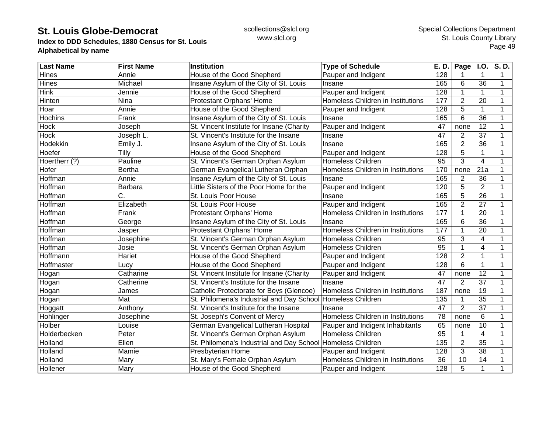**Index to DDD Schedules, 1880 Census for St. Louis Alphabetical by name**

| <b>Last Name</b> | <b>First Name</b> | <b>Institution</b>                                          | <b>Type of Schedule</b>           | E. D.           | Page           | <b>I.O.</b>     | $\overline{\mathsf{S}}$ . D. |
|------------------|-------------------|-------------------------------------------------------------|-----------------------------------|-----------------|----------------|-----------------|------------------------------|
| <b>Hines</b>     | Annie             | House of the Good Shepherd                                  | Pauper and Indigent               | 128             | 1              | 1               | 1                            |
| <b>Hines</b>     | Michael           | Insane Asylum of the City of St. Louis                      | Insane                            | 165             | 6              | 36              | $\mathbf 1$                  |
| <b>Hink</b>      | Jennie            | House of the Good Shepherd                                  | Pauper and Indigent               | 128             | 1              | 1               | 1                            |
| Hinten           | <b>Nina</b>       | Protestant Orphans' Home                                    | Homeless Children in Institutions | 177             | $\overline{2}$ | 20              | $\overline{1}$               |
| Hoar             | Annie             | House of the Good Shepherd                                  | Pauper and Indigent               | 128             | 5              | $\mathbf 1$     | 1                            |
| <b>Hochins</b>   | Frank             | Insane Asylum of the City of St. Louis                      | Insane                            | 165             | 6              | 36              |                              |
| <b>Hock</b>      | Joseph            | St. Vincent Institute for Insane (Charity                   | Pauper and Indigent               | 47              | none           | 12              |                              |
| <b>Hock</b>      | Joseph L.         | St. Vincent's Institute for the Insane                      | Insane                            | 47              | $\overline{2}$ | 37              |                              |
| Hodekkin         | Emily J.          | Insane Asylum of the City of St. Louis                      | Insane                            | 165             | $\overline{2}$ | $\overline{36}$ |                              |
| Hoefer           | Tilly             | House of the Good Shepherd                                  | Pauper and Indigent               | 128             | 5              | 1               |                              |
| Hoertherr (?)    | Pauline           | St. Vincent's German Orphan Asylum                          | <b>Homeless Children</b>          | 95              | 3              | 4               |                              |
| Hofer            | <b>Bertha</b>     | German Evangelical Lutheran Orphan                          | Homeless Children in Institutions | 170             | none           | 21a             |                              |
| Hoffman          | Annie             | Insane Asylum of the City of St. Louis                      | Insane                            | 165             | $\overline{2}$ | 36              |                              |
| Hoffman          | Barbara           | Little Sisters of the Poor Home for the                     | Pauper and Indigent               | 120             | 5              | $\overline{2}$  |                              |
| Hoffman          | C.                | St. Louis Poor House                                        | Insane                            | 165             | 5              | $\overline{26}$ | 1                            |
| Hoffman          | Elizabeth         | St. Louis Poor House                                        | Pauper and Indigent               | 165             | $\overline{2}$ | 27              |                              |
| Hoffman          | Frank             | Protestant Orphans' Home                                    | Homeless Children in Institutions | 177             | 1              | 20              |                              |
| Hoffman          | George            | Insane Asylum of the City of St. Louis                      | Insane                            | 165             | 6              | 36              |                              |
| Hoffman          | Jasper            | Protestant Orphans' Home                                    | Homeless Children in Institutions | 177             | 1              | 20              |                              |
| Hoffman          | Josephine         | St. Vincent's German Orphan Asylum                          | <b>Homeless Children</b>          | 95              | 3              | 4               |                              |
| Hoffman          | Josie             | St. Vincent's German Orphan Asylum                          | Homeless Children                 | 95              | 1              | 4               |                              |
| Hoffmann         | Hariet            | House of the Good Shepherd                                  | Pauper and Indigent               | 128             | $\overline{2}$ | 1               |                              |
| Hoffmaster       | Lucy              | House of the Good Shepherd                                  | Pauper and Indigent               | 128             | $6\phantom{1}$ | $\mathbf{1}$    |                              |
| Hogan            | Catharine         | St. Vincent Institute for Insane (Charity                   | Pauper and Indigent               | 47              | none           | $\overline{12}$ | $\mathbf 1$                  |
| Hogan            | Catherine         | St. Vincent's Institute for the Insane                      | Insane                            | 47              | $\overline{2}$ | $\overline{37}$ | $\mathbf 1$                  |
| Hogan            | James             | Catholic Protectorate for Boys (Glencoe)                    | Homeless Children in Institutions | 187             | none           | 19              |                              |
| Hogan            | Mat               | St. Philomena's Industrial and Day School Homeless Children |                                   | 135             | 1              | $\overline{35}$ |                              |
| Hoggatt          | Anthony           | St. Vincent's Institute for the Insane                      | Insane                            | 47              | $\overline{2}$ | 37              |                              |
| Hohlinger        | Josephine         | St. Joseph's Convent of Mercy                               | Homeless Children in Institutions | 78              | none           | 6               |                              |
| Holber           | Louise            | German Evangelical Lutheran Hospital                        | Pauper and Indigent Inhabitants   | 65              | none           | 10              |                              |
| Holderbecken     | Peter             | St. Vincent's German Orphan Asylum                          | <b>Homeless Children</b>          | $\overline{95}$ |                | $\overline{4}$  |                              |
| Holland          | Ellen             | St. Philomena's Industrial and Day School                   | Homeless Children                 | 135             | $\overline{2}$ | $\overline{35}$ |                              |
| Holland          | Mamie             | Presbyterian Home                                           | Pauper and Indigent               | 128             | 3              | 38              |                              |
| Holland          | Mary              | St. Mary's Female Orphan Asylum                             | Homeless Children in Institutions | 36              | 10             | 14              |                              |
| Hollener         | Mary              | House of the Good Shepherd                                  | Pauper and Indigent               | 128             | 5              | 1               |                              |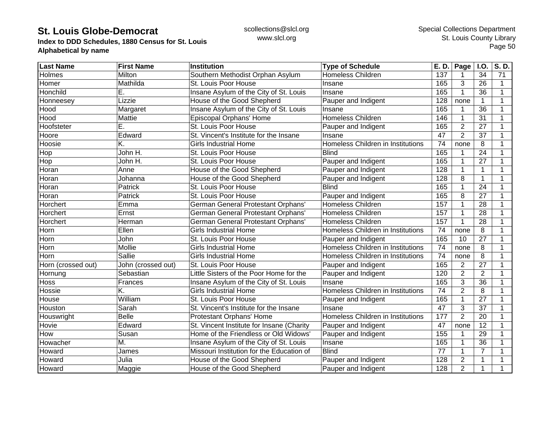**Index to DDD Schedules, 1880 Census for St. Louis Alphabetical by name**

| <b>Last Name</b>   | <b>First Name</b>  | <b>Institution</b>                        | <b>Type of Schedule</b>           | E. D. | <b>Page</b>    | <b>I.O.</b>     | S.D.        |
|--------------------|--------------------|-------------------------------------------|-----------------------------------|-------|----------------|-----------------|-------------|
| Holmes             | Milton             | Southern Methodist Orphan Asylum          | <b>Homeless Children</b>          | 137   |                | 34              | 71          |
| Homer              | Mathilda           | St. Louis Poor House                      | Insane                            | 165   | 3              | 26              | 1           |
| Honchild           | Е.                 | Insane Asylum of the City of St. Louis    | Insane                            | 165   |                | 36              | 1           |
| Honneesey          | Lizzie             | House of the Good Shepherd                | Pauper and Indigent               | 128   | none           | $\mathbf{1}$    | 1           |
| Hood               | Margaret           | Insane Asylum of the City of St. Louis    | Insane                            | 165   |                | 36              | 1           |
| Hood               | Mattie             | Episcopal Orphans' Home                   | Homeless Children                 | 146   | 1              | 31              |             |
| Hoofsteter         | Ē.                 | St. Louis Poor House                      | Pauper and Indigent               | 165   | $\overline{2}$ | 27              |             |
| Hoore              | Edward             | St. Vincent's Institute for the Insane    | Insane                            | 47    | $\overline{2}$ | 37              |             |
| Hoosie             | K.                 | <b>Girls Industrial Home</b>              | Homeless Children in Institutions | 74    | none           | 8               |             |
| Hop                | John H.            | St. Louis Poor House                      | <b>Blind</b>                      | 165   |                | 24              | 1           |
| Hop                | John H.            | St. Louis Poor House                      | Pauper and Indigent               | 165   |                | 27              | 1           |
| Horan              | Anne               | House of the Good Shepherd                | Pauper and Indigent               | 128   |                | $\mathbf{1}$    |             |
| Horan              | Johanna            | House of the Good Shepherd                | Pauper and Indigent               | 128   | 8              | $\mathbf{1}$    |             |
| Horan              | Patrick            | St. Louis Poor House                      | <b>Blind</b>                      | 165   |                | 24              |             |
| Horan              | Patrick            | St. Louis Poor House                      | Pauper and Indigent               | 165   | 8              | 27              |             |
| Horchert           | Emma               | German General Protestant Orphans'        | <b>Homeless Children</b>          | 157   | 1              | 28              | 1           |
| Horchert           | Ernst              | <b>German General Protestant Orphans'</b> | Homeless Children                 | 157   | 1              | 28              |             |
| Horchert           | Herman             | German General Protestant Orphans'        | <b>Homeless Children</b>          | 157   |                | 28              |             |
| Horn               | Ellen              | <b>Girls Industrial Home</b>              | Homeless Children in Institutions | 74    | none           | 8               |             |
| Horn               | John               | St. Louis Poor House                      | Pauper and Indigent               | 165   | 10             | $\overline{27}$ |             |
| Horn               | Mollie             | <b>Girls Industrial Home</b>              | Homeless Children in Institutions | 74    | none           | 8               |             |
| Horn               | Sallie             | <b>Girls Industrial Home</b>              | Homeless Children in Institutions | 74    | none           | 8               | 1           |
| Horn (crossed out) | John (crossed out) | St. Louis Poor House                      | Pauper and Indigent               | 165   | $\overline{2}$ | $\overline{27}$ | $\mathbf 1$ |
| Hornung            | Sebastian          | Little Sisters of the Poor Home for the   | Pauper and Indigent               | 120   | $\overline{2}$ | $\overline{2}$  |             |
| Hoss               | Frances            | Insane Asylum of the City of St. Louis    | Insane                            | 165   | 3              | 36              |             |
| Hossie             | K.                 | <b>Girls Industrial Home</b>              | Homeless Children in Institutions | 74    | $\overline{2}$ | 8               |             |
| House              | William            | St. Louis Poor House                      | Pauper and Indigent               | 165   | 1              | 27              |             |
| Houston            | Sarah              | St. Vincent's Institute for the Insane    | Insane                            | 47    | 3              | 37              |             |
| Houswright         | <b>Belle</b>       | Protestant Orphans' Home                  | Homeless Children in Institutions | 177   | $\overline{2}$ | 20              | 1           |
| <b>Hovie</b>       | Edward             | St. Vincent Institute for Insane (Charity | Pauper and Indigent               | 47    | none           | 12              |             |
| How                | Susan              | Home of the Friendless or Old Widows'     | Pauper and Indigent               | 155   |                | 29              |             |
| Howacher           | M.                 | Insane Asylum of the City of St. Louis    | Insane                            | 165   |                | $\overline{36}$ |             |
| Howard             | James              | Missouri Institution for the Education of | <b>Blind</b>                      | 77    |                | $\overline{7}$  |             |
| Howard             | Julia              | House of the Good Shepherd                | Pauper and Indigent               | 128   | $\overline{2}$ | 1               |             |
| Howard             | Maggie             | House of the Good Shepherd                | Pauper and Indigent               | 128   | $\overline{2}$ | 1               |             |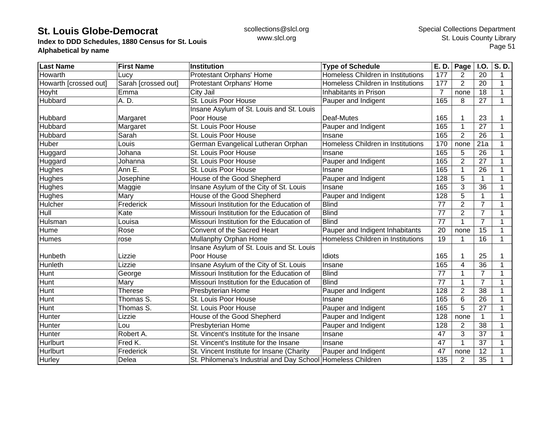**Index to DDD Schedules, 1880 Census for St. Louis Alphabetical by name**

| Last Name             | <b>First Name</b>   | <b>Institution</b>                                          | <b>Type of Schedule</b>           | E. D.          | Page           | <b>I.O.</b>    | S.D. |
|-----------------------|---------------------|-------------------------------------------------------------|-----------------------------------|----------------|----------------|----------------|------|
| Howarth               | Lucy                | Protestant Orphans' Home                                    | Homeless Children in Institutions | 177            | 2              | 20             | 1    |
| Howarth [crossed out] | Sarah [crossed out] | Protestant Orphans' Home                                    | Homeless Children in Institutions | 177            | $\overline{2}$ | 20             | 1    |
| Hoyht                 | Emma                | City Jail                                                   | Inhabitants in Prison             | $\overline{7}$ | none           | 18             |      |
| Hubbard               | A. D.               | St. Louis Poor House                                        | Pauper and Indigent               | 165            | 8              | 27             |      |
|                       |                     | Insane Asylum of St. Louis and St. Louis                    |                                   |                |                |                |      |
| Hubbard               | Margaret            | Poor House                                                  | Deaf-Mutes                        | 165            |                | 23             |      |
| Hubbard               | Margaret            | St. Louis Poor House                                        | Pauper and Indigent               | 165            |                | 27             | 1    |
| Hubbard               | Sarah               | St. Louis Poor House                                        | Insane                            | 165            | $\overline{2}$ | 26             | 1    |
| Huber                 | Louis               | German Evangelical Lutheran Orphan                          | Homeless Children in Institutions | 170            | none           | 21a            | 1    |
| Huggard               | Johana              | St. Louis Poor House                                        | Insane                            | 165            | 5              | 26             |      |
| Huggard               | Johanna             | St. Louis Poor House                                        | Pauper and Indigent               | 165            | $\overline{2}$ | 27             |      |
| Hughes                | Ann E.              | St. Louis Poor House                                        | Insane                            | 165            |                | 26             |      |
| Hughes                | Josephine           | House of the Good Shepherd                                  | Pauper and Indigent               | 128            | 5              | $\mathbf{1}$   | 1    |
| Hughes                | Maggie              | Insane Asylum of the City of St. Louis                      | Insane                            | 165            | 3              | 36             | 1    |
| Hughes                | Mary                | House of the Good Shepherd                                  | Pauper and Indigent               | 128            | 5              | $\mathbf{1}$   |      |
| Hulcher               | Frederick           | Missouri Institution for the Education of                   | <b>Blind</b>                      | 77             | $\overline{2}$ | $\overline{7}$ | 1    |
| Hull                  | Kate                | Missouri Institution for the Education of                   | <b>Blind</b>                      | 77             | $\overline{2}$ | $\overline{7}$ |      |
| Hulsman               | Louisa              | Missouri Institution for the Education of                   | <b>Blind</b>                      | 77             |                | $\overline{7}$ |      |
| Hume                  | Rose                | Convent of the Sacred Heart                                 | Pauper and Indigent Inhabitants   | 20             | none           | 15             |      |
| <b>Humes</b>          | rose                | Mullanphy Orphan Home                                       | Homeless Children in Institutions | 19             |                | 16             | 1    |
|                       |                     | Insane Asylum of St. Louis and St. Louis                    |                                   |                |                |                |      |
| Hunbeth               | Lizzie              | Poor House                                                  | Idiots                            | 165            |                | 25             |      |
| Hunleth               | Lizzie              | Insane Asylum of the City of St. Louis                      | Insane                            | 165            | 4              | 36             | 1    |
| Hunt                  | George              | Missouri Institution for the Education of                   | <b>Blind</b>                      | 77             |                | 7              |      |
| Hunt                  | Mary                | Missouri Institution for the Education of                   | <b>Blind</b>                      | 77             |                | $\overline{7}$ |      |
| <b>Hunt</b>           | Therese             | Presbyterian Home                                           | Pauper and Indigent               | 128            | $\overline{2}$ | 38             |      |
| Hunt                  | Thomas S.           | St. Louis Poor House                                        | Insane                            | 165            | 6              | 26             | 1    |
| Hunt                  | Thomas S.           | St. Louis Poor House                                        | Pauper and Indigent               | 165            | 5              | 27             | 1    |
| Hunter                | Lizzie              | House of the Good Shepherd                                  | Pauper and Indigent               | 128            | none           | 1              | 1    |
| Hunter                | Lou                 | Presbyterian Home                                           | Pauper and Indigent               | 128            | 2              | 38             | 1    |
| Hunter                | Robert A.           | St. Vincent's Institute for the Insane                      | Insane                            | 47             | 3              | 37             | 1    |
| <b>Hurlburt</b>       | Fred K.             | St. Vincent's Institute for the Insane                      | Insane                            | 47             | 1              | 37             |      |
| <b>Hurlburt</b>       | Frederick           | St. Vincent Institute for Insane (Charity                   | Pauper and Indigent               | 47             | none           | 12             |      |
| Hurley                | Delea               | St. Philomena's Industrial and Day School Homeless Children |                                   | 135            | 2              | 35             |      |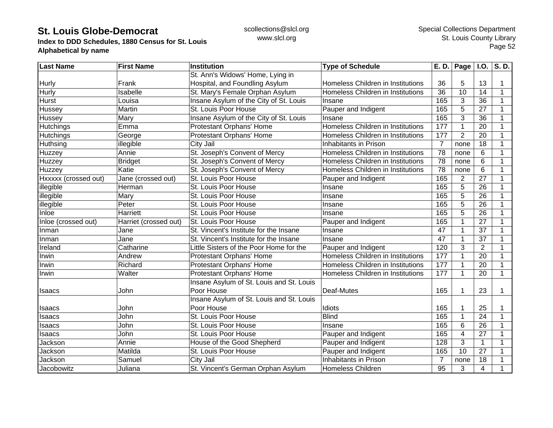**Index to DDD Schedules, 1880 Census for St. Louis Alphabetical by name**

| <b>Last Name</b>     | <b>First Name</b>     | <b>Institution</b>                       | <b>Type of Schedule</b>           | E. D.           | Page $\vert$ I.O. |                 | S.D.         |
|----------------------|-----------------------|------------------------------------------|-----------------------------------|-----------------|-------------------|-----------------|--------------|
|                      |                       | St. Ann's Widows' Home, Lying in         |                                   |                 |                   |                 |              |
| Hurly                | Frank                 | Hospital, and Foundling Asylum           | Homeless Children in Institutions | 36              | 5                 | 13              | 1            |
| Hurly                | <b>Isabelle</b>       | St. Mary's Female Orphan Asylum          | Homeless Children in Institutions | $\overline{36}$ | 10                | 14              | 1            |
| <b>Hurst</b>         | Louisa                | Insane Asylum of the City of St. Louis   | Insane                            | 165             | 3                 | 36              | $\mathbf 1$  |
| Hussey               | Martin                | St. Louis Poor House                     | Pauper and Indigent               | 165             | 5                 | 27              | 1            |
| Hussey               | Mary                  | Insane Asylum of the City of St. Louis   | Insane                            | 165             | 3                 | 36              | 1            |
| Hutchings            | Emma                  | Protestant Orphans' Home                 | Homeless Children in Institutions | 177             | $\mathbf{1}$      | 20              | 1            |
| Hutchings            | George                | Protestant Orphans' Home                 | Homeless Children in Institutions | 177             | $\overline{2}$    | 20              | 1            |
| Huthsing             | illegible             | City Jail                                | Inhabitants in Prison             | $\overline{7}$  | none              | $\overline{18}$ |              |
| Huzzey               | Annie                 | St. Joseph's Convent of Mercy            | Homeless Children in Institutions | $\overline{78}$ | none              | 6               |              |
| Huzzey               | <b>Bridget</b>        | St. Joseph's Convent of Mercy            | Homeless Children in Institutions | 78              | none              | 6               | 1            |
| Huzzey               | Katie                 | St. Joseph's Convent of Mercy            | Homeless Children in Institutions | 78              | none              | 6               | 1            |
| Hxxxxx (crossed out) | Jane (crossed out)    | St. Louis Poor House                     | Pauper and Indigent               | 165             | 2                 | 27              | 1            |
| illegible            | Herman                | St. Louis Poor House                     | Insane                            | 165             | 5                 | 26              | 1            |
| illegible            | Mary                  | St. Louis Poor House                     | Insane                            | 165             | 5                 | 26              | 1            |
| illegible            | Peter                 | St. Louis Poor House                     | Insane                            | 165             | 5                 | 26              | 1            |
| Inloe                | Harriett              | St. Louis Poor House                     | Insane                            | 165             | 5                 | 26              | 1            |
| Inloe (crossed out)  | Harriet (crossed out) | St. Louis Poor House                     | Pauper and Indigent               | 165             |                   | 27              | 1            |
| Inman                | Jane                  | St. Vincent's Institute for the Insane   | Insane                            | 47              |                   | 37              |              |
| Inman                | Jane                  | St. Vincent's Institute for the Insane   | Insane                            | 47              |                   | 37              |              |
| Ireland              | Catharine             | Little Sisters of the Poor Home for the  | Pauper and Indigent               | 120             | 3                 | $\overline{2}$  |              |
| Irwin                | Andrew                | Protestant Orphans' Home                 | Homeless Children in Institutions | 177             |                   | $\overline{20}$ | 1            |
| Irwin                | Richard               | Protestant Orphans' Home                 | Homeless Children in Institutions | 177             |                   | 20              | 1            |
| Irwin                | Walter                | Protestant Orphans' Home                 | Homeless Children in Institutions | 177             |                   | $\overline{20}$ | $\mathbf{1}$ |
|                      |                       | Insane Asylum of St. Louis and St. Louis |                                   |                 |                   |                 |              |
| Isaacs               | John                  | Poor House                               | Deaf-Mutes                        | 165             |                   | 23              | 1            |
|                      |                       | Insane Asylum of St. Louis and St. Louis |                                   |                 |                   |                 |              |
| Isaacs               | John                  | Poor House                               | Idiots                            | 165             |                   | 25              | 1            |
| Isaacs               | John                  | St. Louis Poor House                     | <b>Blind</b>                      | 165             | 1                 | 24              | 1            |
| Isaacs               | John                  | St. Louis Poor House                     | Insane                            | 165             | 6                 | 26              | 1            |
| Isaacs               | John                  | St. Louis Poor House                     | Pauper and Indigent               | 165             | 4                 | 27              |              |
| Jackson              | Annie                 | House of the Good Shepherd               | Pauper and Indigent               | 128             | 3                 | 1               |              |
| Jackson              | Matilda               | St. Louis Poor House                     | Pauper and Indigent               | 165             | 10                | 27              |              |
| Jackson              | Samuel                | City Jail                                | Inhabitants in Prison             | 7               | none              | 18              |              |
| Jacobowitz           | Juliana               | St. Vincent's German Orphan Asylum       | Homeless Children                 | 95              | 3                 | $\overline{4}$  |              |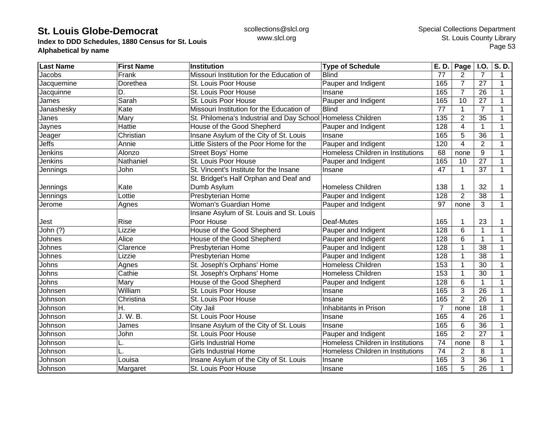**Index to DDD Schedules, 1880 Census for St. Louis Alphabetical by name**

| <b>Last Name</b> | <b>First Name</b> | Institution                               | <b>Type of Schedule</b>           | E. D.          | <b>Page</b>    | <b>I.O.</b>     | S.D.         |
|------------------|-------------------|-------------------------------------------|-----------------------------------|----------------|----------------|-----------------|--------------|
| Jacobs           | Frank             | Missouri Institution for the Education of | <b>Blind</b>                      | 77             | 2              | 7               | 1            |
| Jacquemine       | Dorethea          | St. Louis Poor House                      | Pauper and Indigent               | 165            | 7              | 27              | 1            |
| Jacquinne        | D.                | St. Louis Poor House                      | Insane                            | 165            | $\overline{7}$ | 26              | 1            |
| James            | Sarah             | St. Louis Poor House                      | Pauper and Indigent               | 165            | 10             | 27              | 1            |
| Janashesky       | Kate              | Missouri Institution for the Education of | <b>Blind</b>                      | 77             | $\mathbf{1}$   | $\overline{7}$  | 1            |
| Janes            | Mary              | St. Philomena's Industrial and Day School | Homeless Children                 | 135            | $\overline{2}$ | 35              | 1            |
| Jaynes           | Hattie            | House of the Good Shepherd                | Pauper and Indigent               | 128            | 4              | 1               |              |
| Jeager           | Christian         | Insane Asylum of the City of St. Louis    | Insane                            | 165            | 5              | 36              |              |
| Jeffs            | Annie             | Little Sisters of the Poor Home for the   | Pauper and Indigent               | 120            | 4              | $\overline{2}$  |              |
| Jenkins          | Alonzo            | <b>Street Boys' Home</b>                  | Homeless Children in Institutions | 68             | none           | $9\,$           |              |
| Jenkins          | Nathaniel         | St. Louis Poor House                      | Pauper and Indigent               | 165            | 10             | 27              | 1            |
| Jennings         | John              | St. Vincent's Institute for the Insane    | Insane                            | 47             | 1              | 37              | $\mathbf 1$  |
|                  |                   | St. Bridget's Half Orphan and Deaf and    |                                   |                |                |                 |              |
| Jennings         | Kate              | Dumb Asylum                               | <b>Homeless Children</b>          | 138            |                | 32              |              |
| Jennings         | Lottie            | <b>Presbyterian Home</b>                  | Pauper and Indigent               | 128            | $\overline{2}$ | $\overline{38}$ | 1            |
| Jerome           | Agnes             | <b>Woman's Guardian Home</b>              | Pauper and Indigent               | 97             | none           | 3               | $\mathbf 1$  |
|                  |                   | Insane Asylum of St. Louis and St. Louis  |                                   |                |                |                 |              |
| Jest             | <b>Rise</b>       | Poor House                                | Deaf-Mutes                        | 165            |                | 23              |              |
| John (?)         | Lizzie            | House of the Good Shepherd                | Pauper and Indigent               | 128            | 6              | $\mathbf{1}$    | 1            |
| Johnes           | Alice             | House of the Good Shepherd                | Pauper and Indigent               | 128            | 6              | 1               |              |
| Johnes           | Clarence          | Presbyterian Home                         | Pauper and Indigent               | 128            |                | $\overline{38}$ |              |
| Johnes           | Lizzie            | Presbyterian Home                         | Pauper and Indigent               | 128            |                | 38              | 1            |
| Johns            | Agnes             | St. Joseph's Orphans' Home                | <b>Homeless Children</b>          | 153            |                | 30              | 1            |
| Johns            | Cathie            | St. Joseph's Orphans' Home                | <b>Homeless Children</b>          | 153            |                | $\overline{30}$ | 1            |
| Johns            | Mary              | House of the Good Shepherd                | Pauper and Indigent               | 128            | 6              | $\mathbf{1}$    | $\mathbf{1}$ |
| Johnsen          | William           | St. Louis Poor House                      | Insane                            | 165            | 3              | 26              | 1            |
| Johnson          | Christina         | St. Louis Poor House                      | Insane                            | 165            | $\overline{2}$ | 26              | 1            |
| Johnson          | Η.                | City Jail                                 | Inhabitants in Prison             | $\overline{7}$ | none           | 18              | 1            |
| Johnson          | J. W. B.          | St. Louis Poor House                      | Insane                            | 165            | 4              | 26              | 1            |
| Johnson          | James             | Insane Asylum of the City of St. Louis    | Insane                            | 165            | 6              | 36              |              |
| Johnson          | John              | St. Louis Poor House                      | Pauper and Indigent               | 165            | $\overline{2}$ | 27              |              |
| Johnson          |                   | <b>Girls Industrial Home</b>              | Homeless Children in Institutions | 74             | none           | 8               |              |
| Johnson          |                   | <b>Girls Industrial Home</b>              | Homeless Children in Institutions | 74             | $\overline{2}$ | 8               |              |
| Johnson          | Louisa            | Insane Asylum of the City of St. Louis    | Insane                            | 165            | 3              | 36              |              |
| Johnson          | Margaret          | St. Louis Poor House                      | Insane                            | 165            | 5              | 26              |              |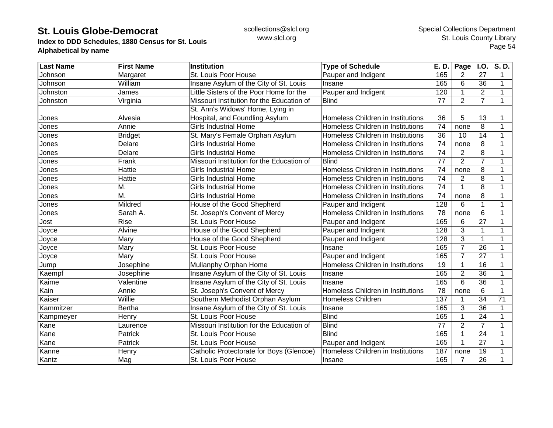**Index to DDD Schedules, 1880 Census for St. Louis Alphabetical by name**

| <b>Last Name</b> | <b>First Name</b>         | Institution                               | <b>Type of Schedule</b>           | E. D.           | Page           | <b>I.O.</b>    | S.D.        |
|------------------|---------------------------|-------------------------------------------|-----------------------------------|-----------------|----------------|----------------|-------------|
| Johnson          | Margaret                  | St. Louis Poor House                      | Pauper and Indigent               | 165             | 2              | 27             | 1           |
| Johnson          | William                   | Insane Asylum of the City of St. Louis    | Insane                            | 165             | 6              | 36             | 1           |
| Johnston         | James                     | Little Sisters of the Poor Home for the   | Pauper and Indigent               | 120             |                | $\overline{2}$ |             |
| Johnston         | Virginia                  | Missouri Institution for the Education of | <b>Blind</b>                      | 77              | $\overline{2}$ | $\overline{7}$ | 1           |
|                  |                           | St. Ann's Widows' Home, Lying in          |                                   |                 |                |                |             |
| Jones            | Alvesia                   | Hospital, and Foundling Asylum            | Homeless Children in Institutions | 36              | 5              | 13             |             |
| Jones            | Annie                     | <b>Girls Industrial Home</b>              | Homeless Children in Institutions | $\overline{74}$ | none           | 8              |             |
| Jones            | <b>Bridget</b>            | St. Mary's Female Orphan Asylum           | Homeless Children in Institutions | 36              | 10             | 14             | 1           |
| Jones            | Delare                    | <b>Girls Industrial Home</b>              | Homeless Children in Institutions | 74              | none           | 8              | 1           |
| Jones            | Delare                    | <b>Girls Industrial Home</b>              | Homeless Children in Institutions | 74              | 2              | 8              | 1           |
| Jones            | Frank                     | Missouri Institution for the Education of | <b>Blind</b>                      | $\overline{77}$ | $\overline{2}$ | $\overline{7}$ |             |
| Jones            | Hattie                    | <b>Girls Industrial Home</b>              | Homeless Children in Institutions | 74              | none           | 8              |             |
| Jones            | Hattie                    | <b>Girls Industrial Home</b>              | Homeless Children in Institutions | 74              | 2              | 8              | 1           |
| Jones            | M.                        | <b>Girls Industrial Home</b>              | Homeless Children in Institutions | 74              |                | 8              | 1           |
| Jones            | $\overline{\mathsf{M}}$ . | <b>Girls Industrial Home</b>              | Homeless Children in Institutions | 74              | none           | 8              | 1           |
| Jones            | Mildred                   | House of the Good Shepherd                | Pauper and Indigent               | 128             | 6              | $\mathbf 1$    |             |
| Jones            | Sarah A.                  | St. Joseph's Convent of Mercy             | Homeless Children in Institutions | 78              | none           | 6              | 1           |
| Jost             | <b>Rise</b>               | St. Louis Poor House                      | Pauper and Indigent               | 165             | 6              | 27             |             |
| Joyce            | Alvine                    | House of the Good Shepherd                | Pauper and Indigent               | 128             | 3              | $\mathbf{1}$   |             |
| Joyce            | Mary                      | House of the Good Shepherd                | Pauper and Indigent               | 128             | 3              | $\mathbf{1}$   |             |
| Joyce            | Mary                      | St. Louis Poor House                      | Insane                            | 165             | 7              | 26             | 1           |
| Joyce            | Mary                      | St. Louis Poor House                      | Pauper and Indigent               | 165             | 7              | 27             | 1           |
| Jump             | Josephine                 | Mullanphy Orphan Home                     | Homeless Children in Institutions | 19              | 1              | 16             | 1           |
| Kaempf           | Josephine                 | Insane Asylum of the City of St. Louis    | Insane                            | 165             | $\overline{2}$ | 36             |             |
| Kaime            | Valentine                 | Insane Asylum of the City of St. Louis    | Insane                            | 165             | 6              | 36             |             |
| Kain             | Annie                     | St. Joseph's Convent of Mercy             | Homeless Children in Institutions | 78              | none           | 6              |             |
| Kaiser           | Willie                    | Southern Methodist Orphan Asylum          | <b>Homeless Children</b>          | 137             |                | 34             | 71          |
| Kammitzer        | <b>Bertha</b>             | Insane Asylum of the City of St. Louis    | Insane                            | 165             | 3              | 36             | $\mathbf 1$ |
| Kampmeyer        | Henry                     | St. Louis Poor House                      | <b>Blind</b>                      | 165             |                | 24             | 1           |
| Kane             | Laurence                  | Missouri Institution for the Education of | <b>Blind</b>                      | 77              | $\overline{2}$ | $\overline{7}$ | 1           |
| Kane             | Patrick                   | St. Louis Poor House                      | <b>Blind</b>                      | 165             |                | 24             | 1           |
| Kane             | Patrick                   | St. Louis Poor House                      | Pauper and Indigent               | 165             | $\mathbf 1$    | 27             |             |
| Kanne            | Henry                     | Catholic Protectorate for Boys (Glencoe)  | Homeless Children in Institutions | 187             | none           | 19             |             |
| Kantz            | Mag                       | St. Louis Poor House                      | Insane                            | 165             | 7              | 26             |             |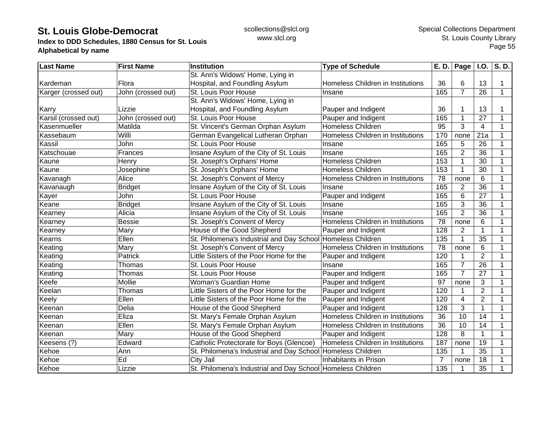**Index to DDD Schedules, 1880 Census for St. Louis Alphabetical by name**

| <b>Last Name</b>     | <b>First Name</b>  | Institution                                                 | <b>Type of Schedule</b>           | E. D.            | Page           | <b>I.O.</b>     | S. D.        |
|----------------------|--------------------|-------------------------------------------------------------|-----------------------------------|------------------|----------------|-----------------|--------------|
|                      |                    | St. Ann's Widows' Home, Lying in                            |                                   |                  |                |                 |              |
| Kardeman             | Flora              | Hospital, and Foundling Asylum                              | Homeless Children in Institutions | 36               | 6              | 13              | 1            |
| Karger (crossed out) | John (crossed out) | St. Louis Poor House                                        | Insane                            | 165              | $\overline{7}$ | 26              | $\mathbf 1$  |
|                      |                    | St. Ann's Widows' Home, Lying in                            |                                   |                  |                |                 |              |
| Karry                | Lizzie             | Hospital, and Foundling Asylum                              | Pauper and Indigent               | 36               |                | 13              |              |
| Karsil (crossed out) | John (crossed out) | St. Louis Poor House                                        | Pauper and Indigent               | 165              |                | 27              |              |
| Kasenmueller         | Matilda            | St. Vincent's German Orphan Asylum                          | <b>Homeless Children</b>          | 95               | 3              | 4               | 1            |
| Kassebaum            | Willi              | German Evangelical Lutheran Orphan                          | Homeless Children in Institutions | 170              | none           | 21a             | 1            |
| Kassil               | John               | St. Louis Poor House                                        | Insane                            | 165              | 5              | 26              | 1            |
| Katschouae           | Frances            | Insane Asylum of the City of St. Louis                      | Insane                            | 165              | $\overline{2}$ | 36              | 1            |
| Kaune                | Henry              | St. Joseph's Orphans' Home                                  | <b>Homeless Children</b>          | 153              |                | 30              | 1            |
| Kaune                | Josephine          | St. Joseph's Orphans' Home                                  | <b>Homeless Children</b>          | 153              |                | 30              | 1            |
| Kavanagh             | Alice              | St. Joseph's Convent of Mercy                               | Homeless Children in Institutions | 78               | none           | 6               | 1            |
| Kavanaugh            | <b>Bridget</b>     | Insane Asylum of the City of St. Louis                      | Insane                            | 165              | $\overline{2}$ | 36              | 1            |
| Kayer                | John               | St. Louis Poor House                                        | Pauper and Indigent               | 165              | 6              | 27              | 1            |
| Keane                | <b>Bridget</b>     | Insane Asylum of the City of St. Louis                      | Insane                            | 165              | 3              | 36              | 1            |
| Kearney              | Alicia             | Insane Asylum of the City of St. Louis                      | Insane                            | 165              | $\overline{2}$ | 36              | 1            |
| Kearney              | <b>Bessie</b>      | St. Joseph's Convent of Mercy                               | Homeless Children in Institutions | 78               | none           | 6               | 1            |
| Kearney              | Mary               | House of the Good Shepherd                                  | Pauper and Indigent               | 128              | $\overline{2}$ | $\mathbf 1$     | 1            |
| Kearns               | Ellen              | St. Philomena's Industrial and Day School Homeless Children |                                   | $\overline{135}$ |                | $\overline{35}$ | 1            |
| Keating              | Mary               | St. Joseph's Convent of Mercy                               | Homeless Children in Institutions | 78               | none           | 6               | 1            |
| Keating              | Patrick            | Little Sisters of the Poor Home for the                     | Pauper and Indigent               | 120              |                | $\overline{2}$  | 1            |
| Keating              | Thomas             | St. Louis Poor House                                        | Insane                            | 165              | $\overline{7}$ | 26              | $\mathbf{1}$ |
| Keating              | Thomas             | St. Louis Poor House                                        | Pauper and Indigent               | 165              | $\overline{7}$ | 27              | 1            |
| Keefe                | Mollie             | Woman's Guardian Home                                       | Pauper and Indigent               | 97               | none           | 3               | 1            |
| Keelan               | Thomas             | Little Sisters of the Poor Home for the                     | Pauper and Indigent               | 120              |                | $\overline{2}$  | 1            |
| Keely                | Ellen              | Little Sisters of the Poor Home for the                     | Pauper and Indigent               | 120              | 4              | $\overline{2}$  | 1            |
| Keenan               | Delia              | House of the Good Shepherd                                  | Pauper and Indigent               | 128              | 3              | $\mathbf{1}$    | 1            |
| Keenan               | Eliza              | St. Mary's Female Orphan Asylum                             | Homeless Children in Institutions | 36               | 10             | 14              | 1            |
| Keenan               | Ellen              | St. Mary's Female Orphan Asylum                             | Homeless Children in Institutions | 36               | 10             | 14              | 1            |
| Keenan               | Mary               | House of the Good Shepherd                                  | Pauper and Indigent               | 128              | 8              | $\mathbf{1}$    | 1            |
| Keesens (?)          | Edward             | Catholic Protectorate for Boys (Glencoe)                    | Homeless Children in Institutions | 187              | none           | 19              | 1            |
| Kehoe                | Ann                | St. Philomena's Industrial and Day School Homeless Children |                                   | 135              |                | 35              | 1            |
| Kehoe                | Ed                 | City Jail                                                   | Inhabitants in Prison             | 7                | none           | 18              | 1            |
| Kehoe                | Lizzie             | St. Philomena's Industrial and Day School Homeless Children |                                   | 135              | 1              | 35              |              |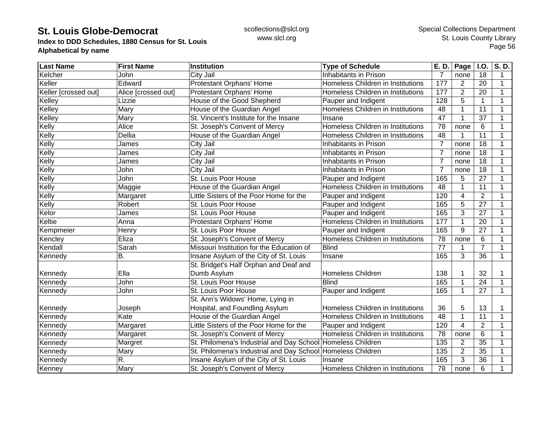**Index to DDD Schedules, 1880 Census for St. Louis Alphabetical by name**

| <b>Last Name</b>     | <b>First Name</b>   | Institution                                                 | <b>Type of Schedule</b>           | E. D.          | Page           | <b>I.O.</b>     | S.D. |
|----------------------|---------------------|-------------------------------------------------------------|-----------------------------------|----------------|----------------|-----------------|------|
| Kelcher              | John                | City Jail                                                   | Inhabitants in Prison             | 7              | none           | 18              | 1    |
| Keller               | Edward              | Protestant Orphans' Home                                    | Homeless Children in Institutions | 177            | $\overline{2}$ | 20              | 1    |
| Keller [crossed out] | Alice [crossed out] | Protestant Orphans' Home                                    | Homeless Children in Institutions | 177            | $\overline{2}$ | 20              | 1    |
| Kelley               | Lizzie              | House of the Good Shepherd                                  | Pauper and Indigent               | 128            | 5              | $\mathbf{1}$    | 1    |
| Kelley               | Mary                | House of the Guardian Angel                                 | Homeless Children in Institutions | 48             |                | 11              | 1    |
| Kelley               | Mary                | St. Vincent's Institute for the Insane                      | Insane                            | 47             |                | 37              |      |
| Kelly                | Alice               | St. Joseph's Convent of Mercy                               | Homeless Children in Institutions | 78             | none           | 6               |      |
| Kelly                | Dellia              | House of the Guardian Angel                                 | Homeless Children in Institutions | 48             |                | 11              | 1    |
| Kelly                | James               | City Jail                                                   | Inhabitants in Prison             | $\overline{7}$ | none           | 18              |      |
| Kelly                | James               | City Jail                                                   | Inhabitants in Prison             | $\overline{7}$ | none           | 18              |      |
| Kelly                | James               | City Jail                                                   | Inhabitants in Prison             | $\overline{7}$ | none           | $\overline{18}$ |      |
| Kelly                | John                | City Jail                                                   | Inhabitants in Prison             | $\overline{7}$ | none           | 18              | 1    |
| Kelly                | John                | St. Louis Poor House                                        | Pauper and Indigent               | 165            | 5              | 27              | 1    |
| Kelly                | Maggie              | House of the Guardian Angel                                 | Homeless Children in Institutions | 48             | 1              | 11              | 1    |
| Kelly                | Margaret            | Little Sisters of the Poor Home for the                     | Pauper and Indigent               | 120            | 4              | $\overline{2}$  | 1    |
| Kelly                | Robert              | St. Louis Poor House                                        | Pauper and Indigent               | 165            | 5              | 27              | 1    |
| Kelor                | James               | St. Louis Poor House                                        | Pauper and Indigent               | 165            | 3              | 27              | 1    |
| Keltie               | Anna                | Protestant Orphans' Home                                    | Homeless Children in Institutions | 177            | 1              | 20              | 1    |
| Kempmeier            | Henry               | St. Louis Poor House                                        | Pauper and Indigent               | 165            | 9              | 27              |      |
| Kencley              | Eliza               | St. Joseph's Convent of Mercy                               | Homeless Children in Institutions | 78             | none           | 6               |      |
| Kendall              | Sarah               | Missouri Institution for the Education of                   | <b>Blind</b>                      | 77             |                | $\overline{7}$  | 1    |
| Kennedy              | <b>B.</b>           | Insane Asylum of the City of St. Louis                      | Insane                            | 165            | 3              | $\overline{36}$ | 1    |
|                      |                     | St. Bridget's Half Orphan and Deaf and                      |                                   |                |                |                 |      |
| Kennedy              | Ella                | Dumb Asylum                                                 | <b>Homeless Children</b>          | 138            |                | 32              |      |
| Kennedy              | John                | St. Louis Poor House                                        | <b>Blind</b>                      | 165            |                | 24              | 1    |
| Kennedy              | John                | St. Louis Poor House                                        | Pauper and Indigent               | 165            |                | 27              | 1    |
|                      |                     | St. Ann's Widows' Home, Lying in                            |                                   |                |                |                 |      |
| Kennedy              | Joseph              | Hospital, and Foundling Asylum                              | Homeless Children in Institutions | 36             | 5              | 13              | 1    |
| Kennedy              | Kate                | House of the Guardian Angel                                 | Homeless Children in Institutions | 48             | 1              | 11              | 1    |
| Kennedy              | Margaret            | Little Sisters of the Poor Home for the                     | Pauper and Indigent               | 120            | 4              | $\overline{2}$  |      |
| Kennedy              | Margaret            | St. Joseph's Convent of Mercy                               | Homeless Children in Institutions | 78             | none           | 6               |      |
| Kennedy              | Margret             | St. Philomena's Industrial and Day School Homeless Children |                                   | 135            | $\overline{2}$ | $\overline{35}$ |      |
| Kennedy              | Mary                | St. Philomena's Industrial and Day School Homeless Children |                                   | 135            | $\overline{2}$ | 35              |      |
| Kennedy              | R.                  | Insane Asylum of the City of St. Louis                      | Insane                            | 165            | 3              | 36              |      |
| Kenney               | Mary                | St. Joseph's Convent of Mercy                               | Homeless Children in Institutions | 78             | none           | 6               |      |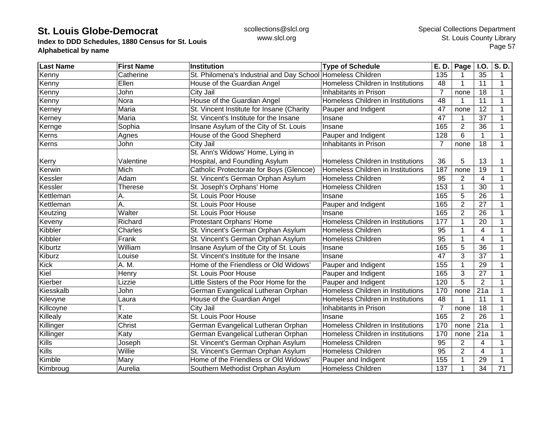**Index to DDD Schedules, 1880 Census for St. Louis Alphabetical by name**

| <b>Last Name</b> | <b>First Name</b> | <b>Institution</b>                                          | <b>Type of Schedule</b>           | E. D.           | Page           | <b>I.O.</b>     | S.D.        |
|------------------|-------------------|-------------------------------------------------------------|-----------------------------------|-----------------|----------------|-----------------|-------------|
| Kenny            | Catherine         | St. Philomena's Industrial and Day School Homeless Children |                                   | 135             |                | 35              | 1           |
| Kenny            | Ellen             | House of the Guardian Angel                                 | Homeless Children in Institutions | 48              |                | 11              | 1           |
| Kenny            | John              | City Jail                                                   | Inhabitants in Prison             | $\overline{7}$  | none           | 18              | 1           |
| Kenny            | Nora              | House of the Guardian Angel                                 | Homeless Children in Institutions | 48              |                | 11              | 1           |
| Kerney           | Maria             | St. Vincent Institute for Insane (Charity                   | Pauper and Indigent               | 47              | none           | 12              | 1           |
| Kerney           | Maria             | St. Vincent's Institute for the Insane                      | Insane                            | 47              |                | 37              | 1           |
| Kernge           | Sophia            | Insane Asylum of the City of St. Louis                      | Insane                            | 165             | $\overline{2}$ | 36              | 1           |
| Kerns            | Agnes             | House of the Good Shepherd                                  | Pauper and Indigent               | 128             | 6              | $\mathbf{1}$    | 1           |
| Kerns            | John              | City Jail                                                   | Inhabitants in Prison             | $\overline{7}$  | none           | 18              | 1           |
|                  |                   | St. Ann's Widows' Home, Lying in                            |                                   |                 |                |                 |             |
| Kerry            | Valentine         | Hospital, and Foundling Asylum                              | Homeless Children in Institutions | 36              | 5              | 13              |             |
| Kerwin           | Mich              | Catholic Protectorate for Boys (Glencoe)                    | Homeless Children in Institutions | 187             | none           | 19              | 1           |
| Kessler          | Adam              | St. Vincent's German Orphan Asylum                          | <b>Homeless Children</b>          | 95              | 2              | 4               | 1           |
| Kessler          | Therese           | St. Joseph's Orphans' Home                                  | <b>Homeless Children</b>          | 153             |                | $\overline{30}$ | 1           |
| Kettleman        | Α.                | St. Louis Poor House                                        | Insane                            | 165             | 5              | 26              | 1           |
| Kettleman        | Α.                | St. Louis Poor House                                        | Pauper and Indigent               | 165             | $\overline{2}$ | 27              | 1           |
| Keutzing         | Walter            | St. Louis Poor House                                        | Insane                            | 165             | $\overline{2}$ | 26              | 1           |
| Keveny           | Richard           | Protestant Orphans' Home                                    | Homeless Children in Institutions | 177             |                | 20              | 1           |
| Kibbler          | Charles           | St. Vincent's German Orphan Asylum                          | <b>Homeless Children</b>          | 95              |                | 4               |             |
| Kibbler          | Frank             | St. Vincent's German Orphan Asylum                          | <b>Homeless Children</b>          | 95              |                | 4               |             |
| Kiburtz          | William           | Insane Asylum of the City of St. Louis                      | Insane                            | 165             | 5              | 36              |             |
| Kiburz           | Louise            | St. Vincent's Institute for the Insane                      | Insane                            | 47              | 3              | 37              | 1           |
| <b>Kick</b>      | A. M.             | Home of the Friendless or Old Widows'                       | Pauper and Indigent               | 155             |                | 29              | 1           |
| Kiel             | Henry             | St. Louis Poor House                                        | Pauper and Indigent               | 165             | 3              | 27              | $\mathbf 1$ |
| Kierber          | Lizzie            | Little Sisters of the Poor Home for the                     | Pauper and Indigent               | 120             | $\overline{5}$ | $\overline{2}$  | 1           |
| Kiesskalb        | John              | German Evangelical Lutheran Orphan                          | Homeless Children in Institutions | 170             | none           | 21a             | 1           |
| Kilevyne         | Laura             | House of the Guardian Angel                                 | Homeless Children in Institutions | 48              |                | 11              | 1           |
| Killcoyne        | Т.                | City Jail                                                   | Inhabitants in Prison             | $\overline{7}$  | none           | 18              | $\mathbf 1$ |
| Killealy         | Kate              | St. Louis Poor House                                        | Insane                            | 165             | 2              | 26              | 1           |
| Killinger        | Christ            | German Evangelical Lutheran Orphan                          | Homeless Children in Institutions | 170             | none           | 21a             | 1           |
| Killinger        | Katy              | German Evangelical Lutheran Orphan                          | Homeless Children in Institutions | 170             | none           | 21a             |             |
| Kills            | Joseph            | St. Vincent's German Orphan Asylum                          | <b>Homeless Children</b>          | $\overline{95}$ | $\overline{2}$ | 4               |             |
| Kills            | Willie            | St. Vincent's German Orphan Asylum                          | <b>Homeless Children</b>          | 95              | $\overline{2}$ | $\overline{4}$  | 1           |
| Kimble           | Mary              | Home of the Friendless or Old Widows'                       | Pauper and Indigent               | 155             |                | 29              |             |
| Kimbroug         | Aurelia           | Southern Methodist Orphan Asylum                            | <b>Homeless Children</b>          | 137             |                | 34              | 71          |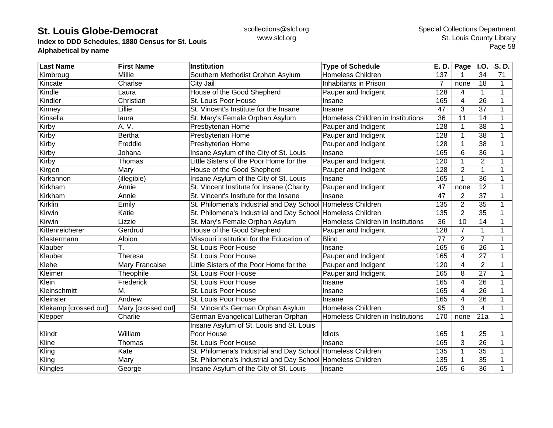**Index to DDD Schedules, 1880 Census for St. Louis Alphabetical by name**

| <b>Last Name</b>      | <b>First Name</b>  | <b>Institution</b>                                          | <b>Type of Schedule</b>           | E. D. | Page           | <b>I.O.</b>     | S.D.        |
|-----------------------|--------------------|-------------------------------------------------------------|-----------------------------------|-------|----------------|-----------------|-------------|
| Kimbroug              | Millie             | Southern Methodist Orphan Asylum                            | <b>Homeless Children</b>          | 137   |                | 34              | 71          |
| Kincate               | Charlse            | City Jail                                                   | Inhabitants in Prison             | 7     | none           | 18              | 1           |
| Kindle                | Laura              | House of the Good Shepherd                                  | Pauper and Indigent               | 128   | 4              | $\mathbf{1}$    | 1           |
| Kindler               | Christian          | St. Louis Poor House                                        | Insane                            | 165   | 4              | 26              | 1           |
| Kinney                | Lillie             | St. Vincent's Institute for the Insane                      | Insane                            | 47    | 3              | 37              | 1           |
| Kinsella              | laura              | St. Mary's Female Orphan Asylum                             | Homeless Children in Institutions | 36    | 11             | 14              | 1           |
| Kirby                 | A. V.              | Presbyterian Home                                           | Pauper and Indigent               | 128   |                | 38              |             |
| Kirby                 | <b>Bertha</b>      | Presbyterian Home                                           | Pauper and Indigent               | 128   |                | 38              |             |
| Kirby                 | Freddie            | Presbyterian Home                                           | Pauper and Indigent               | 128   |                | 38              |             |
| Kirby                 | Johana             | Insane Asylum of the City of St. Louis                      | Insane                            | 165   | 6              | 36              |             |
| Kirby                 | Thomas             | Little Sisters of the Poor Home for the                     | Pauper and Indigent               | 120   |                | $\overline{2}$  |             |
| Kirgen                | Mary               | House of the Good Shepherd                                  | Pauper and Indigent               | 128   | $\overline{2}$ | $\mathbf{1}$    | 1           |
| Kirkannon             | (illegible)        | Insane Asylum of the City of St. Louis                      | Insane                            | 165   |                | 36              | 1           |
| Kirkham               | Annie              | St. Vincent Institute for Insane (Charity                   | Pauper and Indigent               | 47    | none           | 12              | 1           |
| Kirkham               | Annie              | St. Vincent's Institute for the Insane                      | Insane                            | 47    | 2              | 37              | 1           |
| <b>Kirklin</b>        | Emily              | St. Philomena's Industrial and Day School Homeless Children |                                   | 135   | $\overline{2}$ | 35              | 1           |
| Kirwin                | Katie              | St. Philomena's Industrial and Day School Homeless Children |                                   | 135   | $\overline{2}$ | 35              | 1           |
| Kirwin                | Lizzie             | St. Mary's Female Orphan Asylum                             | Homeless Children in Institutions | 36    | 10             | 14              | 1           |
| Kittenreicherer       | Gerdrud            | House of the Good Shepherd                                  | Pauper and Indigent               | 128   | $\overline{7}$ | 1               |             |
| Klastermann           | Albion             | Missouri Institution for the Education of                   | <b>Blind</b>                      | 77    | $\overline{2}$ | $\overline{7}$  |             |
| Klauber               |                    | St. Louis Poor House                                        | Insane                            | 165   | 6              | $\overline{26}$ |             |
| Klauber               | Theresa            | St. Louis Poor House                                        | Pauper and Indigent               | 165   | 4              | 27              | 1           |
| Klehe                 | Mary Francaise     | Little Sisters of the Poor Home for the                     | Pauper and Indigent               | 120   | 4              | $\overline{2}$  | 1           |
| Kleimer               | Theophile          | St. Louis Poor House                                        | Pauper and Indigent               | 165   | 8              | 27              | 1           |
| Klein                 | Frederick          | St. Louis Poor House                                        | Insane                            | 165   | 4              | 26              | 1           |
| Kleinschmitt          | М.                 | St. Louis Poor House                                        | Insane                            | 165   | 4              | 26              | 1           |
| Kleinsler             | Andrew             | St. Louis Poor House                                        | Insane                            | 165   | 4              | 26              | 1           |
| Klekamp [crossed out] | Mary [crossed out] | St. Vincent's German Orphan Asylum                          | <b>Homeless Children</b>          | 95    | 3              | $\overline{4}$  | 1           |
| Klepper               | Charlie            | German Evangelical Lutheran Orphan                          | Homeless Children in Institutions | 170   | none           | 21a             | $\mathbf 1$ |
|                       |                    | Insane Asylum of St. Louis and St. Louis                    |                                   |       |                |                 |             |
| Klindt                | William            | Poor House                                                  | Idiots                            | 165   |                | 25              |             |
| Kline                 | Thomas             | St. Louis Poor House                                        | Insane                            | 165   | 3              | 26              |             |
| Kling                 | Kate               | St. Philomena's Industrial and Day School Homeless Children |                                   | 135   |                | 35              |             |
| Kling                 | Mary               | St. Philomena's Industrial and Day School Homeless Children |                                   | 135   |                | 35              |             |
| Klingles              | George             | Insane Asylum of the City of St. Louis                      | Insane                            | 165   | 6              | 36              |             |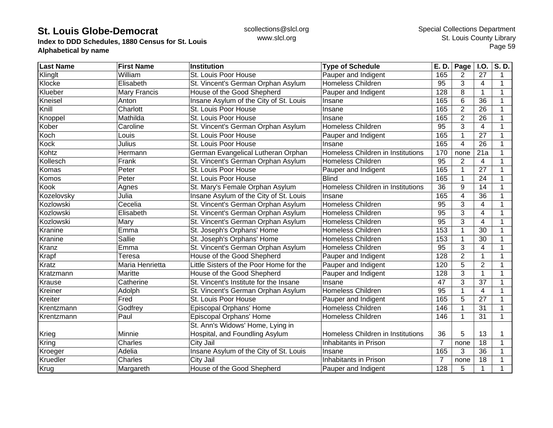**Index to DDD Schedules, 1880 Census for St. Louis Alphabetical by name**

| <b>Last Name</b> | <b>First Name</b> | Institution                             | <b>Type of Schedule</b>           | E. D.           | Page           | I.O.                    | S.D.         |
|------------------|-------------------|-----------------------------------------|-----------------------------------|-----------------|----------------|-------------------------|--------------|
| Klinglt          | William           | St. Louis Poor House                    | Pauper and Indigent               | 165             | 2              | 27                      | 1            |
| Klocke           | Elisabeth         | St. Vincent's German Orphan Asylum      | Homeless Children                 | 95              | 3              | 4                       | $\mathbf 1$  |
| Klueber          | Mary Francis      | House of the Good Shepherd              | Pauper and Indigent               | 128             | 8              | 1                       | 1            |
| Kneisel          | Anton             | Insane Asylum of the City of St. Louis  | Insane                            | 165             | 6              | 36                      | 1            |
| Knill            | Charlott          | St. Louis Poor House                    | Insane                            | 165             | $\overline{2}$ | 26                      |              |
| Knoppel          | Mathilda          | St. Louis Poor House                    | Insane                            | 165             | $\overline{2}$ | 26                      |              |
| Kober            | Caroline          | St. Vincent's German Orphan Asylum      | <b>Homeless Children</b>          | 95              | 3              | 4                       |              |
| Koch             | Louis             | St. Louis Poor House                    | Pauper and Indigent               | 165             | 1              | 27                      |              |
| Kock             | Julius            | St. Louis Poor House                    | Insane                            | 165             | $\overline{4}$ | $\overline{26}$         |              |
| Kohtz            | Hermann           | German Evangelical Lutheran Orphan      | Homeless Children in Institutions | 170             | none           | 21a                     | 1            |
| Kollesch         | Frank             | St. Vincent's German Orphan Asylum      | Homeless Children                 | 95              | $\overline{2}$ | 4                       |              |
| Komas            | Peter             | St. Louis Poor House                    | Pauper and Indigent               | 165             | 1              | 27                      |              |
| Komos            | Peter             | St. Louis Poor House                    | <b>Blind</b>                      | 165             |                | 24                      |              |
| Kook             | Agnes             | St. Mary's Female Orphan Asylum         | Homeless Children in Institutions | $\overline{36}$ | 9              | 14                      |              |
| Kozelovsky       | Julia             | Insane Asylum of the City of St. Louis  | Insane                            | 165             | 4              | 36                      |              |
| Kozlowski        | Cecelia           | St. Vincent's German Orphan Asylum      | <b>Homeless Children</b>          | 95              | 3              | $\overline{4}$          | -1           |
| Kozlowski        | Elisabeth         | St. Vincent's German Orphan Asylum      | <b>Homeless Children</b>          | 95              | 3              | $\overline{4}$          | 1            |
| Kozlowski        | Mary              | St. Vincent's German Orphan Asylum      | <b>Homeless Children</b>          | $\overline{95}$ | 3              | $\overline{\mathbf{4}}$ |              |
| Kranine          | Emma              | St. Joseph's Orphans' Home              | Homeless Children                 | 153             | 1              | 30                      |              |
| Kranine          | Sallie            | St. Joseph's Orphans' Home              | Homeless Children                 | 153             | 1              | 30                      |              |
| Kranz            | Emma              | St. Vincent's German Orphan Asylum      | Homeless Children                 | 95              | 3              | 4                       |              |
| Krapf            | Teresa            | House of the Good Shepherd              | Pauper and Indigent               | 128             | $\overline{2}$ | 1                       | 1            |
| Kratz            | Maria Henrietta   | Little Sisters of the Poor Home for the | Pauper and Indigent               | 120             | $\overline{5}$ | $\overline{2}$          | 1            |
| Kratzmann        | Maritte           | House of the Good Shepherd              | Pauper and Indigent               | 128             | 3              | $\mathbf{1}$            | 1            |
| Krause           | Catherine         | St. Vincent's Institute for the Insane  | Insane                            | 47              | 3              | $\overline{37}$         | 1            |
| Kreiner          | Adolph            | St. Vincent's German Orphan Asylum      | Homeless Children                 | 95              | 1              | $\overline{\mathbf{4}}$ |              |
| Kreiter          | Fred              | St. Louis Poor House                    | Pauper and Indigent               | 165             | 5              | $\overline{27}$         | $\mathbf{1}$ |
| Krentzmann       | Godfrey           | Episcopal Orphans' Home                 | Homeless Children                 | 146             | 1              | 31                      | 1            |
| Krentzmann       | Paul              | Episcopal Orphans' Home                 | Homeless Children                 | 146             | $\mathbf{1}$   | 31                      | $\mathbf 1$  |
|                  |                   | St. Ann's Widows' Home, Lying in        |                                   |                 |                |                         |              |
| Krieg            | Minnie            | Hospital, and Foundling Asylum          | Homeless Children in Institutions | 36              | 5              | 13                      |              |
| Kring            | Charles           | <b>City Jail</b>                        | Inhabitants in Prison             | $\overline{7}$  | none           | $\overline{18}$         | 1            |
| Kroeger          | Adelia            | Insane Asylum of the City of St. Louis  | Insane                            | 165             | 3              | 36                      |              |
| Kruedler         | Charles           | City Jail                               | Inhabitants in Prison             | $\overline{7}$  | none           | 18                      |              |
| Krug             | Margareth         | House of the Good Shepherd              | Pauper and Indigent               | 128             | 5              | 1                       |              |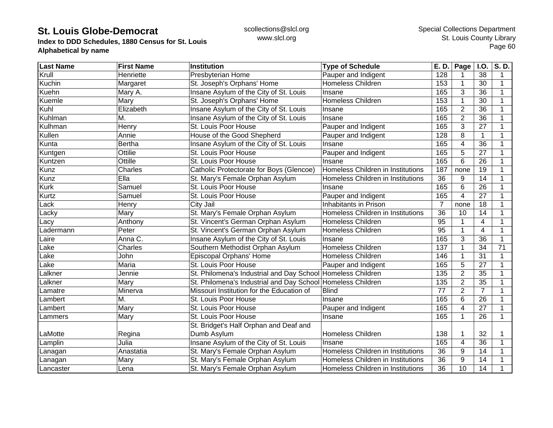**Index to DDD Schedules, 1880 Census for St. Louis Alphabetical by name**

| <b>Last Name</b> | <b>First Name</b> | Institution                                                 | <b>Type of Schedule</b>           | E. D.           | Page <sup>1</sup> | I.O.                    | S.D.         |
|------------------|-------------------|-------------------------------------------------------------|-----------------------------------|-----------------|-------------------|-------------------------|--------------|
| Krull            | Henriette         | Presbyterian Home                                           | Pauper and Indigent               | 128             |                   | 38                      | 1            |
| Kuchin           | Margaret          | St. Joseph's Orphans' Home                                  | Homeless Children                 | 153             | 1                 | 30                      | 1            |
| Kuehn            | Mary A.           | Insane Asylum of the City of St. Louis                      | Insane                            | 165             | 3                 | 36                      | $\mathbf{1}$ |
| Kuemle           | Mary              | St. Joseph's Orphans' Home                                  | <b>Homeless Children</b>          | 153             | $\mathbf 1$       | 30                      |              |
| Kuhl             | Elizabeth         | Insane Asylum of the City of St. Louis                      | Insane                            | 165             | $\overline{2}$    | 36                      |              |
| Kuhlman          | M.                | Insane Asylum of the City of St. Louis                      | Insane                            | 165             | $\overline{2}$    | 36                      |              |
| Kulhman          | Henry             | St. Louis Poor House                                        | Pauper and Indigent               | 165             | 3                 | 27                      |              |
| Kullen           | Annie             | House of the Good Shepherd                                  | Pauper and Indigent               | 128             | 8                 | $\mathbf{1}$            |              |
| Kunta            | <b>Bertha</b>     | Insane Asylum of the City of St. Louis                      | Insane                            | 165             | 4                 | $\overline{36}$         |              |
| Kuntgen          | Ottilie           | St. Louis Poor House                                        | Pauper and Indigent               | 165             | 5                 | $\overline{27}$         |              |
| Kuntzen          | Ottille           | St. Louis Poor House                                        | Insane                            | 165             | 6                 | 26                      |              |
| Kunz             | Charles           | Catholic Protectorate for Boys (Glencoe)                    | Homeless Children in Institutions | 187             | none              | 19                      |              |
| Kunz             | Ella              | St. Mary's Female Orphan Asylum                             | Homeless Children in Institutions | $\overline{36}$ | 9                 | 14                      |              |
| <b>Kurk</b>      | Samuel            | St. Louis Poor House                                        | Insane                            | 165             | 6                 | $\overline{26}$         | 1            |
| Kurtz            | Samuel            | St. Louis Poor House                                        | Pauper and Indigent               | 165             | 4                 | 27                      |              |
| Lack             | Henry             | City Jail                                                   | Inhabitants in Prison             | 7               | none              | 18                      |              |
| Lacky            | Mary              | St. Mary's Female Orphan Asylum                             | Homeless Children in Institutions | 36              | 10                | 14                      |              |
| Lacy             | Anthony           | St. Vincent's German Orphan Asylum                          | <b>Homeless Children</b>          | 95              | 1                 | $\overline{4}$          |              |
| Ladermann        | Peter             | St. Vincent's German Orphan Asylum                          | Homeless Children                 | 95              | $\mathbf{1}$      | $\overline{\mathbf{4}}$ |              |
| Laire            | Anna C.           | Insane Asylum of the City of St. Louis                      | Insane                            | 165             | 3                 | $\overline{36}$         |              |
| Lake             | Charles           | Southern Methodist Orphan Asylum                            | Homeless Children                 | 137             | 1                 | 34                      | 71           |
| Lake             | John              | Episcopal Orphans' Home                                     | Homeless Children                 | 146             |                   | 31                      |              |
| Lake             | Maria             | St. Louis Poor House                                        | Pauper and Indigent               | 165             | 5                 | $\overline{27}$         | $\mathbf{1}$ |
| Lalkner          | Jennie            | St. Philomena's Industrial and Day School Homeless Children |                                   | 135             | $\overline{2}$    | $\overline{35}$         |              |
| Lalkner          | Mary              | St. Philomena's Industrial and Day School Homeless Children |                                   | 135             | $\overline{2}$    | $\overline{35}$         |              |
| Lamatre          | Minerva           | Missouri Institution for the Education of                   | <b>Blind</b>                      | 77              | $\overline{2}$    | $\overline{7}$          |              |
| Lambert          | M.                | St. Louis Poor House                                        | Insane                            | 165             | 6                 | 26                      | 1            |
| Lambert          | Mary              | St. Louis Poor House                                        | Pauper and Indigent               | 165             | 4                 | 27                      |              |
| Lammers          | Mary              | St. Louis Poor House                                        | Insane                            | 165             | $\mathbf 1$       | 26                      | 1            |
|                  |                   | St. Bridget's Half Orphan and Deaf and                      |                                   |                 |                   |                         |              |
| LaMotte          | Regina            | Dumb Asylum                                                 | <b>Homeless Children</b>          | 138             | 1                 | 32                      |              |
| Lamplin          | Julia             | Insane Asylum of the City of St. Louis                      | Insane                            | 165             | 4                 | 36                      |              |
| Lanagan          | Anastatia         | St. Mary's Female Orphan Asylum                             | Homeless Children in Institutions | 36              | 9                 | 14                      |              |
| Lanagan          | Mary              | St. Mary's Female Orphan Asylum                             | Homeless Children in Institutions | 36              | 9                 | 14                      |              |
| Lancaster        | Lena              | St. Mary's Female Orphan Asylum                             | Homeless Children in Institutions | 36              | 10                | 14                      |              |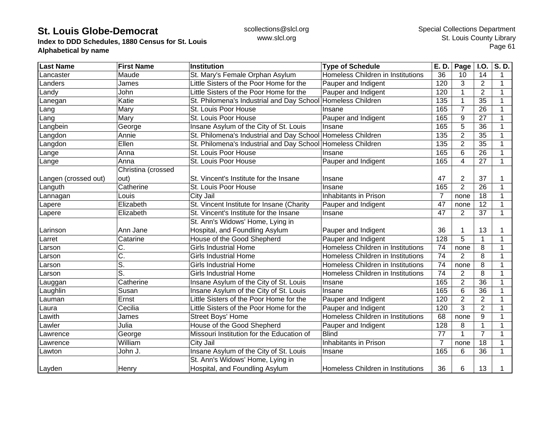**Index to DDD Schedules, 1880 Census for St. Louis Alphabetical by name**

| <b>Last Name</b>     | <b>First Name</b>  | Institution                                                 | <b>Type of Schedule</b>           | E. D.            | Page           | <b>I.O.</b>     | $\overline{S. D.}$ |
|----------------------|--------------------|-------------------------------------------------------------|-----------------------------------|------------------|----------------|-----------------|--------------------|
| ancaster             | Maude              | St. Mary's Female Orphan Asylum                             | Homeless Children in Institutions | 36               | 10             | 14              | 1                  |
| _anders              | James              | Little Sisters of the Poor Home for the                     | Pauper and Indigent               | 120              | 3              | $\overline{2}$  | 1                  |
| Landy                | John               | Little Sisters of the Poor Home for the                     | Pauper and Indigent               | 120              |                | $\overline{2}$  | $\mathbf 1$        |
| Lanegan              | Katie              | St. Philomena's Industrial and Day School                   | Homeless Children                 | 135              | 1              | 35              | 1                  |
| _ang                 | Mary               | St. Louis Poor House                                        | Insane                            | 165              | $\overline{7}$ | 26              |                    |
| _ang                 | Mary               | St. Louis Poor House                                        | Pauper and Indigent               | 165              | 9              | 27              |                    |
| Langbein             | George             | Insane Asylum of the City of St. Louis                      | Insane                            | 165              | 5              | 36              |                    |
| _angdon              | Annie              | St. Philomena's Industrial and Day School Homeless Children |                                   | 135              | $\overline{2}$ | 35              |                    |
| _angdon              | Ellen              | St. Philomena's Industrial and Day School Homeless Children |                                   | 135              | 2              | 35              | 1                  |
| _ange                | Anna               | St. Louis Poor House                                        | Insane                            | 165              | 6              | 26              |                    |
| Lange                | Anna               | St. Louis Poor House                                        | Pauper and Indigent               | 165              | $\overline{4}$ | 27              | $\mathbf{1}$       |
|                      | Christina (crossed |                                                             |                                   |                  |                |                 |                    |
| Langen (crossed out) | out)               | St. Vincent's Institute for the Insane                      | Insane                            | 47               | $\overline{2}$ | 37              | 1                  |
| Languth              | Catherine          | St. Louis Poor House                                        | Insane                            | 165              | $\overline{2}$ | 26              | 1                  |
| Lannagan             | Louis              | City Jail                                                   | Inhabitants in Prison             | 7                | none           | 18              | 1                  |
| Lapere               | Elizabeth          | St. Vincent Institute for Insane (Charity                   | Pauper and Indigent               | 47               | none           | 12              | 1                  |
| Lapere               | Elizabeth          | St. Vincent's Institute for the Insane                      | Insane                            | 47               | 2              | 37              | $\mathbf{1}$       |
|                      |                    | St. Ann's Widows' Home, Lying in                            |                                   |                  |                |                 |                    |
| <b>Larinson</b>      | Ann Jane           | Hospital, and Foundling Asylum                              | Pauper and Indigent               | 36               |                | 13              |                    |
| Larret               | Catarine           | House of the Good Shepherd                                  | Pauper and Indigent               | $\overline{128}$ | 5              | $\mathbf{1}$    | 1                  |
| Larson               | C.                 | <b>Girls Industrial Home</b>                                | Homeless Children in Institutions | 74               | none           | 8               | 1                  |
| Larson               | $\overline{C}$ .   | <b>Girls Industrial Home</b>                                | Homeless Children in Institutions | 74               | $\overline{2}$ | 8               | 1                  |
| Larson               | S.                 | <b>Girls Industrial Home</b>                                | Homeless Children in Institutions | 74               | none           | 8               | 1                  |
| .arson               | S.                 | <b>Girls Industrial Home</b>                                | Homeless Children in Institutions | 74               | $\overline{2}$ | 8               | 1                  |
| auggan_              | Catherine          | Insane Asylum of the City of St. Louis                      | Insane                            | 165              | $\overline{2}$ | $\overline{36}$ | 1                  |
| Laughlin             | Susan              | Insane Asylum of the City of St. Louis                      | Insane                            | 165              | 6              | 36              | 1                  |
| Lauman               | Ernst              | Little Sisters of the Poor Home for the                     | Pauper and Indigent               | 120              | $\overline{2}$ | $\overline{2}$  | $\mathbf 1$        |
| Laura                | Cecilia            | Little Sisters of the Poor Home for the                     | Pauper and Indigent               | 120              | 3              | $\overline{2}$  | 1                  |
| _awith               | James              | <b>Street Boys' Home</b>                                    | Homeless Children in Institutions | 68               | none           | 9               | 1                  |
| _awler               | Julia              | House of the Good Shepherd                                  | Pauper and Indigent               | 128              | 8              | $\mathbf{1}$    | 1                  |
| _awrence             | George             | Missouri Institution for the Education of                   | <b>Blind</b>                      | 77               |                | $\overline{7}$  | 1                  |
| _awrence             | William            | City Jail                                                   | Inhabitants in Prison             | $\overline{7}$   | none           | 18              |                    |
| Lawton               | John J.            | Insane Asylum of the City of St. Louis                      | Insane                            | 165              | 6              | 36              | 1                  |
|                      |                    | St. Ann's Widows' Home, Lying in                            |                                   |                  |                |                 |                    |
| Layden               | Henry              | Hospital, and Foundling Asylum                              | Homeless Children in Institutions | 36               | 6              | 13              |                    |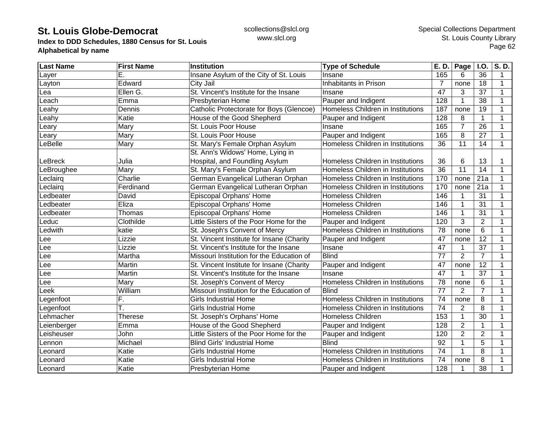**Index to DDD Schedules, 1880 Census for St. Louis Alphabetical by name**

| <b>Last Name</b> | <b>First Name</b> | <b>Institution</b>                        | <b>Type of Schedule</b>           | E. D.           | Page            | <b>I.O.</b>     | S.D.        |
|------------------|-------------------|-------------------------------------------|-----------------------------------|-----------------|-----------------|-----------------|-------------|
| _ayer            | Ē.                | Insane Asylum of the City of St. Louis    | Insane                            | 165             | 6               | 36              | $\mathbf 1$ |
| Layton           | Edward            | City Jail                                 | Inhabitants in Prison             | 7               | none            | 18              | 1           |
| ea               | Ellen G.          | St. Vincent's Institute for the Insane    | Insane                            | $\overline{47}$ | 3               | $\overline{37}$ | $\mathbf 1$ |
| .each            | Emma              | Presbyterian Home                         | Pauper and Indigent               | 128             |                 | 38              | 1           |
| eahy             | Dennis            | Catholic Protectorate for Boys (Glencoe)  | Homeless Children in Institutions | 187             | none            | 19              | 1           |
| eahy.            | Katie             | House of the Good Shepherd                | Pauper and Indigent               | 128             | 8               | $\mathbf{1}$    | 1           |
| eary             | Mary              | St. Louis Poor House                      | Insane                            | 165             | $\overline{7}$  | 26              | 1           |
| eary             | Mary              | St. Louis Poor House                      | Pauper and Indigent               | 165             | 8               | 27              |             |
| _eBelle          | Mary              | St. Mary's Female Orphan Asylum           | Homeless Children in Institutions | 36              | 11              | 14              | 1           |
|                  |                   | St. Ann's Widows' Home, Lying in          |                                   |                 |                 |                 |             |
| LeBreck          | Julia             | Hospital, and Foundling Asylum            | Homeless Children in Institutions | 36              | 6               | 13              |             |
| _eBroughee       | Mary              | St. Mary's Female Orphan Asylum           | Homeless Children in Institutions | $\overline{36}$ | $\overline{11}$ | $\overline{14}$ | 1           |
| eclairq          | Charlie           | German Evangelical Lutheran Orphan        | Homeless Children in Institutions | 170             | none            | 21a             | 1           |
| eclairq          | Ferdinand         | German Evangelical Lutheran Orphan        | Homeless Children in Institutions | 170             | none            | 21a             | 1           |
| edbeater         | David             | Episcopal Orphans' Home                   | <b>Homeless Children</b>          | 146             |                 | 31              | $\mathbf 1$ |
| _edbeater        | Eliza             | Episcopal Orphans' Home                   | Homeless Children                 | 146             |                 | 31              | 1           |
| _edbeater        | Thomas            | Episcopal Orphans' Home                   | Homeless Children                 | 146             | 1               | 31              | 1           |
| Leduc            | Clothilde         | Little Sisters of the Poor Home for the   | Pauper and Indigent               | 120             | 3               | $\overline{2}$  | 1           |
| Ledwith          | katie             | St. Joseph's Convent of Mercy             | Homeless Children in Institutions | 78              | none            | 6               | 1           |
| Lee              | Lizzie            | St. Vincent Institute for Insane (Charity | Pauper and Indigent               | 47              | none            | 12              | 1           |
| ${\sf Lee}$      | Lizzie            | St. Vincent's Institute for the Insane    | Insane                            | $\overline{47}$ |                 | $\overline{37}$ |             |
| ∟ee              | Martha            | Missouri Institution for the Education of | <b>Blind</b>                      | 77              | $\overline{2}$  | $\overline{7}$  |             |
| _ee              | Martin            | St. Vincent Institute for Insane (Charity | Pauper and Indigent               | 47              | none            | $\overline{12}$ | 1           |
| _ee              | Martin            | St. Vincent's Institute for the Insane    | Insane                            | 47              | $\mathbf 1$     | 37              | $\mathbf 1$ |
| ee.              | Mary              | St. Joseph's Convent of Mercy             | Homeless Children in Institutions | 78              | none            | 6               | 1           |
| eek.             | William           | Missouri Institution for the Education of | <b>Blind</b>                      | $\overline{77}$ | 2               | $\overline{7}$  | 1           |
| egenfoot         | F.                | <b>Girls Industrial Home</b>              | Homeless Children in Institutions | $\overline{74}$ | none            | 8               | 1           |
| Legenfoot        | т.                | <b>Girls Industrial Home</b>              | Homeless Children in Institutions | 74              | 2               | 8               | 1           |
| _ehmacher        | <b>Therese</b>    | St. Joseph's Orphans' Home                | Homeless Children                 | 153             | 1               | 30              | 1           |
| Leienberger      | Emma              | House of the Good Shepherd                | Pauper and Indigent               | 128             | $\overline{2}$  | $\mathbf{1}$    | $\mathbf 1$ |
| Leisheuser       | John              | Little Sisters of the Poor Home for the   | Pauper and Indigent               | 120             | $\overline{2}$  | $\overline{2}$  | 1           |
| <b>Lennon</b>    | Michael           | <b>Blind Girls' Industrial Home</b>       | <b>Blind</b>                      | $\overline{92}$ |                 | $\overline{5}$  |             |
| _eonard          | Katie             | <b>Girls Industrial Home</b>              | Homeless Children in Institutions | $\overline{74}$ |                 | 8               |             |
| Leonard          | Katie             | <b>Girls Industrial Home</b>              | Homeless Children in Institutions | 74              | none            | 8               | 1           |
| Leonard          | Katie             | Presbyterian Home                         | Pauper and Indigent               | 128             |                 | 38              | 1           |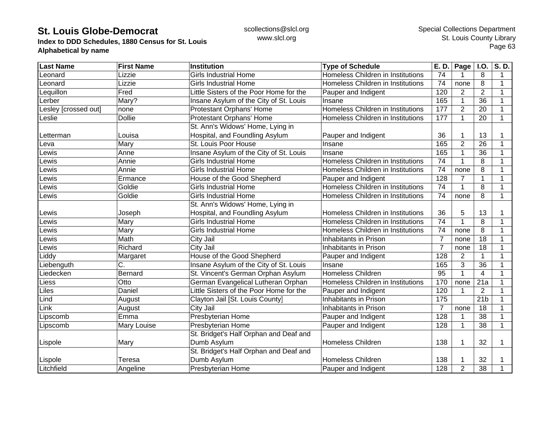**Index to DDD Schedules, 1880 Census for St. Louis Alphabetical by name**

| <b>Last Name</b>     | <b>First Name</b> | <b>Institution</b>                      | <b>Type of Schedule</b>           | E. D.          | Page           | I.0.            | S.D.         |
|----------------------|-------------------|-----------------------------------------|-----------------------------------|----------------|----------------|-----------------|--------------|
| _eonard              | Lizzie            | <b>Girls Industrial Home</b>            | Homeless Children in Institutions | 74             |                | 8               | $\mathbf 1$  |
| Leonard              | Lizzie            | <b>Girls Industrial Home</b>            | Homeless Children in Institutions | 74             | none           | 8               | $\mathbf 1$  |
| Lequillon            | Fred              | Little Sisters of the Poor Home for the | Pauper and Indigent               | 120            | 2              | $\overline{2}$  | $\mathbf{1}$ |
| Lerber               | Mary?             | Insane Asylum of the City of St. Louis  | Insane                            | 165            | 1              | 36              | $\mathbf{1}$ |
| _esley [crossed out] | none              | Protestant Orphans' Home                | Homeless Children in Institutions | 177            | $\overline{2}$ | 20              | 1            |
| <b>Leslie</b>        | <b>Dollie</b>     | Protestant Orphans' Home                | Homeless Children in Institutions | 177            | 1              | 20              | $\mathbf 1$  |
|                      |                   | St. Ann's Widows' Home, Lying in        |                                   |                |                |                 |              |
| Letterman            | Louisa            | Hospital, and Foundling Asylum          | Pauper and Indigent               | 36             |                | 13              | 1            |
| Leva                 | Mary              | St. Louis Poor House                    | Insane                            | 165            | $\overline{2}$ | 26              | 1            |
| _ewis                | Anne              | Insane Asylum of the City of St. Louis  | Insane                            | 165            |                | $\overline{36}$ | 1            |
| <b>Lewis</b>         | Annie             | <b>Girls Industrial Home</b>            | Homeless Children in Institutions | 74             |                | 8               | $\mathbf{1}$ |
| <b>Lewis</b>         | Annie             | <b>Girls Industrial Home</b>            | Homeless Children in Institutions | 74             | none           | 8               | 1            |
| <b>Lewis</b>         | Ermance           | House of the Good Shepherd              | Pauper and Indigent               | 128            |                | 1               | $\mathbf{1}$ |
| _ewis                | Goldie            | <b>Girls Industrial Home</b>            | Homeless Children in Institutions | 74             |                | $\overline{8}$  | $\mathbf{1}$ |
| Lewis                | Goldie            | <b>Girls Industrial Home</b>            | Homeless Children in Institutions | 74             | none           | 8               | $\mathbf{1}$ |
|                      |                   | St. Ann's Widows' Home, Lying in        |                                   |                |                |                 |              |
| Lewis                | Joseph            | Hospital, and Foundling Asylum          | Homeless Children in Institutions | 36             | 5              | 13              | 1            |
| Lewis                | Mary              | <b>Girls Industrial Home</b>            | Homeless Children in Institutions | 74             |                | 8               | 1            |
| Lewis                | Mary              | <b>Girls Industrial Home</b>            | Homeless Children in Institutions | 74             | none           | 8               | 1            |
| _ewis                | Math              | City Jail                               | Inhabitants in Prison             | $\overline{7}$ | none           | 18              | 1            |
| _ewis                | Richard           | City Jail                               | Inhabitants in Prison             | $\overline{7}$ | none           | 18              | 1            |
| Liddy                | Margaret          | House of the Good Shepherd              | Pauper and Indigent               | 128            | 2              |                 | 1            |
| Liebenguth           | C.                | Insane Asylum of the City of St. Louis  | Insane                            | 165            | 3              | 36              | $\mathbf{1}$ |
| Liedecken            | Bernard           | St. Vincent's German Orphan Asylum      | Homeless Children                 | 95             |                | $\overline{4}$  | $\mathbf{1}$ |
| Liess                | Otto              | German Evangelical Lutheran Orphan      | Homeless Children in Institutions | 170            | none           | 21a             | $\mathbf{1}$ |
| Liles                | Daniel            | Little Sisters of the Poor Home for the | Pauper and Indigent               | 120            | 1              | $\overline{2}$  | $\mathbf{1}$ |
| Lind                 | August            | Clayton Jail [St. Louis County]         | Inhabitants in Prison             | 175            |                | 21 <sub>b</sub> | $\mathbf{1}$ |
| Link                 | August            | City Jail                               | Inhabitants in Prison             | $\overline{7}$ | none           | 18              | $\mathbf 1$  |
| Lipscomb             | Emma              | Presbyterian Home                       | Pauper and Indigent               | 128            |                | 38              | $\mathbf 1$  |
| Lipscomb             | Mary Louise       | Presbyterian Home                       | Pauper and Indigent               | 128            | 1              | $\overline{38}$ | $\mathbf{1}$ |
|                      |                   | St. Bridget's Half Orphan and Deaf and  |                                   |                |                |                 |              |
| Lispole              | Mary              | Dumb Asylum                             | <b>Homeless Children</b>          | 138            |                | 32              | 1            |
|                      |                   | St. Bridget's Half Orphan and Deaf and  |                                   |                |                |                 |              |
| Lispole              | Teresa            | Dumb Asylum                             | <b>Homeless Children</b>          | 138            |                | 32              | 1            |
| Litchfield           | Angeline          | <b>Presbyterian Home</b>                | Pauper and Indigent               | 128            | $\overline{2}$ | 38              | 1            |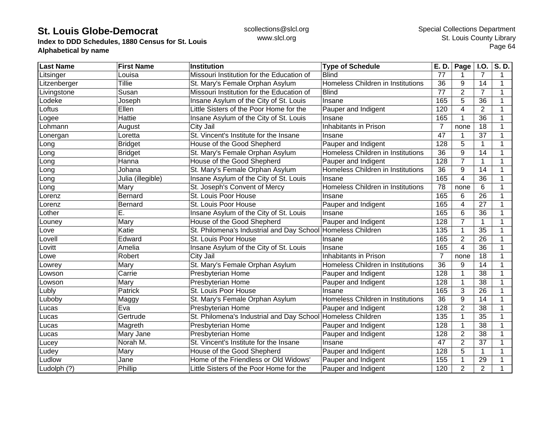**Index to DDD Schedules, 1880 Census for St. Louis Alphabetical by name**

| <b>Last Name</b> | <b>First Name</b> | <b>Institution</b>                                          | <b>Type of Schedule</b>           | E. D.           | Page $ $ I.O.           |                 | S.D. |
|------------------|-------------------|-------------------------------------------------------------|-----------------------------------|-----------------|-------------------------|-----------------|------|
| Litsinger        | Louisa            | Missouri Institution for the Education of                   | <b>Blind</b>                      | 77              |                         | 7               | 1    |
| Litzenberger     | <b>Tillie</b>     | St. Mary's Female Orphan Asylum                             | Homeless Children in Institutions | 36              | 9                       | 14              | 1    |
| Livingstone      | Susan             | Missouri Institution for the Education of                   | <b>Blind</b>                      | 77              | $\overline{2}$          | $\overline{7}$  | 1    |
| Lodeke           | Joseph            | Insane Asylum of the City of St. Louis                      | Insane                            | 165             | 5                       | 36              | 1    |
| Loftus           | Ellen             | Little Sisters of the Poor Home for the                     | Pauper and Indigent               | 120             | $\overline{4}$          | $\overline{2}$  |      |
| Logee            | Hattie            | Insane Asylum of the City of St. Louis                      | Insane                            | 165             | $\mathbf{1}$            | 36              |      |
| Lohmann          | August            | City Jail                                                   | Inhabitants in Prison             | $\overline{7}$  | none                    | 18              |      |
| _onergan         | Loretta           | St. Vincent's Institute for the Insane                      | Insane                            | 47              |                         | 37              |      |
| Long             | <b>Bridget</b>    | House of the Good Shepherd                                  | Pauper and Indigent               | 128             | 5                       | 1               |      |
| Long             | <b>Bridget</b>    | St. Mary's Female Orphan Asylum                             | Homeless Children in Institutions | $\overline{36}$ | 9                       | 14              |      |
| Long             | Hanna             | House of the Good Shepherd                                  | Pauper and Indigent               | 128             | $\overline{7}$          | 1               | 1    |
| Long             | Johana            | St. Mary's Female Orphan Asylum                             | Homeless Children in Institutions | 36              | 9                       | 14              | 1    |
| _ong             | Julia (illegible) | Insane Asylum of the City of St. Louis                      | Insane                            | 165             | 4                       | 36              |      |
| _ong             | Mary              | St. Joseph's Convent of Mercy                               | Homeless Children in Institutions | 78              | none                    | 6               |      |
| _orenz           | Bernard           | St. Louis Poor House                                        | Insane                            | 165             | 6                       | 26              |      |
| _orenz           | <b>Bernard</b>    | St. Louis Poor House                                        | Pauper and Indigent               | 165             | 4                       | 27              |      |
| _other           | Ε.                | Insane Asylum of the City of St. Louis                      | Insane                            | 165             | 6                       | 36              |      |
| Louney           | Mary              | House of the Good Shepherd                                  | Pauper and Indigent               | 128             | $\overline{7}$          | 1               |      |
| Love             | Katie             | St. Philomena's Industrial and Day School Homeless Children |                                   | 135             |                         | 35              |      |
| _ovell           | Edward            | St. Louis Poor House                                        | Insane                            | 165             | $\overline{2}$          | 26              |      |
| _ovitt           | Amelia            | Insane Asylum of the City of St. Louis                      | Insane                            | 165             | $\overline{\mathbf{4}}$ | $\overline{36}$ |      |
| -owe             | Robert            | City Jail                                                   | Inhabitants in Prison             | $\overline{7}$  | none                    | 18              | 1    |
| _owrey           | Mary              | St. Mary's Female Orphan Asylum                             | Homeless Children in Institutions | 36              | 9                       | 14              | 1    |
| _owson           | Carrie            | Presbyterian Home                                           | Pauper and Indigent               | 128             |                         | $\overline{38}$ |      |
| _owson           | Mary              | Presbyterian Home                                           | Pauper and Indigent               | 128             |                         | $\overline{38}$ |      |
| _ubly            | Patrick           | St. Louis Poor House                                        | Insane                            | 165             | 3                       | 26              |      |
| _uboby           | Maggy             | St. Mary's Female Orphan Asylum                             | Homeless Children in Institutions | $\overline{36}$ | 9                       | 14              | 1    |
| Lucas            | Eva               | Presbyterian Home                                           | Pauper and Indigent               | 128             | $\overline{2}$          | 38              | 1    |
| Lucas            | Gertrude          | St. Philomena's Industrial and Day School                   | Homeless Children                 | 135             |                         | 35              |      |
| Lucas            | Magreth           | Presbyterian Home                                           | Pauper and Indigent               | 128             | 1                       | 38              |      |
| Lucas            | Mary Jane         | Presbyterian Home                                           | Pauper and Indigent               | 128             | $\overline{2}$          | 38              |      |
| _ucey            | Norah M.          | St. Vincent's Institute for the Insane                      | Insane                            | 47              | $\overline{2}$          | 37              |      |
| Ludey            | Mary              | House of the Good Shepherd                                  | Pauper and Indigent               | 128             | 5                       | $\mathbf{1}$    |      |
| Ludlow           | Jane              | Home of the Friendless or Old Widows'                       | Pauper and Indigent               | 155             |                         | 29              |      |
| Ludolph (?)      | Phillip           | Little Sisters of the Poor Home for the                     | Pauper and Indigent               | 120             | $\overline{2}$          | $\overline{2}$  |      |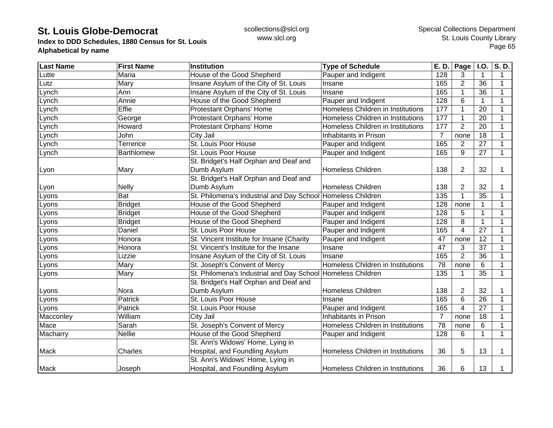**Index to DDD Schedules, 1880 Census for St. Louis Alphabetical by name**

| <b>Last Name</b> | <b>First Name</b> | <b>Institution</b>                                          | <b>Type of Schedule</b>           | E. D.           | Page           | I.O.            | S.D.         |
|------------------|-------------------|-------------------------------------------------------------|-----------------------------------|-----------------|----------------|-----------------|--------------|
| Lutte            | Maria             | House of the Good Shepherd                                  | Pauper and Indigent               | 128             | 3              | $\mathbf 1$     | 1            |
| Lutz             | Mary              | Insane Asylum of the City of St. Louis                      | Insane                            | 165             | $\overline{2}$ | 36              | $\mathbf 1$  |
| Lynch            | Ann               | Insane Asylum of the City of St. Louis                      | Insane                            | 165             |                | 36              | 1            |
| Lynch            | Annie             | House of the Good Shepherd                                  | Pauper and Indigent               | 128             | 6              | $\mathbf{1}$    | $\mathbf 1$  |
| Lynch            | Effie             | Protestant Orphans' Home                                    | Homeless Children in Institutions | 177             | 1              | 20              | $\mathbf 1$  |
| Lynch            | George            | Protestant Orphans' Home                                    | Homeless Children in Institutions | 177             | 1              | 20              | 1            |
| Lynch            | Howard            | Protestant Orphans' Home                                    | Homeless Children in Institutions | 177             | $\overline{2}$ | 20              | 1            |
| Lynch            | John              | City Jail                                                   | Inhabitants in Prison             | $\overline{7}$  | none           | 18              |              |
| Lynch            | Terrence          | St. Louis Poor House                                        | Pauper and Indigent               | 165             | $\overline{2}$ | $\overline{27}$ |              |
| Lynch            | Barthlomew        | St. Louis Poor House                                        | Pauper and Indigent               | 165             | 9              | 27              | 1            |
|                  |                   | St. Bridget's Half Orphan and Deaf and                      |                                   |                 |                |                 |              |
| Lyon             | Mary              | Dumb Asylum                                                 | <b>Homeless Children</b>          | 138             | $\overline{2}$ | 32              | 1            |
|                  |                   | St. Bridget's Half Orphan and Deaf and                      |                                   |                 |                |                 |              |
| Lyon             | <b>Nelly</b>      | Dumb Asylum                                                 | Homeless Children                 | 138             | 2              | 32              | 1            |
| Lyons            | Bat               | St. Philomena's Industrial and Day School Homeless Children |                                   | 135             |                | 35              | 1            |
| Lyons            | <b>Bridget</b>    | House of the Good Shepherd                                  | Pauper and Indigent               | 128             | none           | 1               | 1            |
| Lyons            | <b>Bridget</b>    | House of the Good Shepherd                                  | Pauper and Indigent               | 128             | 5              | 1               | 1            |
| Lyons            | <b>Bridget</b>    | House of the Good Shepherd                                  | Pauper and Indigent               | 128             | 8              | $\mathbf{1}$    | 1            |
| Lyons            | Daniel            | St. Louis Poor House                                        | Pauper and Indigent               | 165             | 4              | 27              |              |
| Lyons            | Honora            | St. Vincent Institute for Insane (Charity                   | Pauper and Indigent               | 47              | none           | 12              |              |
| Lyons            | Honora            | St. Vincent's Institute for the Insane                      | Insane                            | 47              | 3              | 37              |              |
| Lyons            | Lizzie            | Insane Asylum of the City of St. Louis                      | Insane                            | 165             | $\overline{2}$ | 36              | 1            |
| Lyons            | Mary              | St. Joseph's Convent of Mercy                               | Homeless Children in Institutions | 78              | none           | 6               | 1            |
| Lyons            | Mary              | St. Philomena's Industrial and Day School Homeless Children |                                   | 135             |                | $\overline{35}$ | $\mathbf{1}$ |
|                  |                   | St. Bridget's Half Orphan and Deaf and                      |                                   |                 |                |                 |              |
| Lyons            | Nora              | Dumb Asylum                                                 | <b>Homeless Children</b>          | 138             | 2              | 32              | 1            |
| Lyons            | Patrick           | St. Louis Poor House                                        | Insane                            | 165             | 6              | 26              | $\mathbf 1$  |
| Lyons            | Patrick           | St. Louis Poor House                                        | Pauper and Indigent               | 165             | 4              | 27              | 1            |
| Macconley        | William           | City Jail                                                   | Inhabitants in Prison             | 7               | none           | 18              | 1            |
| Mace             | Sarah             | St. Joseph's Convent of Mercy                               | Homeless Children in Institutions | $\overline{78}$ | none           | 6               | 1            |
| Macharry         | <b>Nellie</b>     | House of the Good Shepherd                                  | Pauper and Indigent               | 128             | 6              | $\mathbf{1}$    | 1            |
|                  |                   | St. Ann's Widows' Home, Lying in                            |                                   |                 |                |                 |              |
| Mack             | Charles           | Hospital, and Foundling Asylum                              | Homeless Children in Institutions | 36              | 5              | 13              | 1            |
|                  |                   | St. Ann's Widows' Home, Lying in                            |                                   |                 |                |                 |              |
| Mack             | Joseph            | Hospital, and Foundling Asylum                              | Homeless Children in Institutions | 36              | 6              | 13              |              |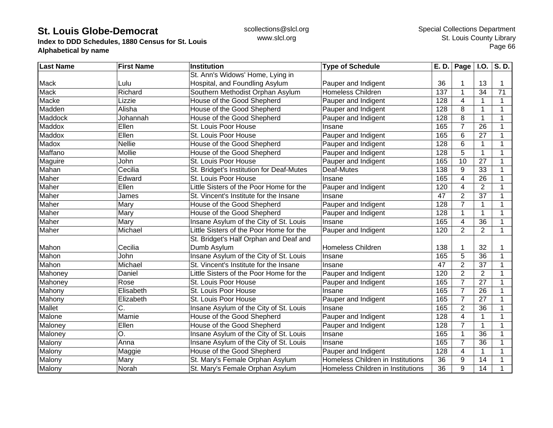**Index to DDD Schedules, 1880 Census for St. Louis Alphabetical by name**

| <b>Last Name</b> | <b>First Name</b> | <b>Institution</b>                       | <b>Type of Schedule</b>           | E. D. | Page $ $ I.O.  |                | S.D.         |
|------------------|-------------------|------------------------------------------|-----------------------------------|-------|----------------|----------------|--------------|
|                  |                   | St. Ann's Widows' Home, Lying in         |                                   |       |                |                |              |
| <b>Mack</b>      | Lulu              | Hospital, and Foundling Asylum           | Pauper and Indigent               | 36    |                | 13             | 1            |
| Mack             | Richard           | Southern Methodist Orphan Asylum         | <b>Homeless Children</b>          | 137   | 1              | 34             | 71           |
| Macke            | Lizzie            | House of the Good Shepherd               | Pauper and Indigent               | 128   | 4              | $\mathbf{1}$   | $\mathbf{1}$ |
| Madden           | Alisha            | House of the Good Shepherd               | Pauper and Indigent               | 128   | 8              | $\mathbf{1}$   | 1            |
| Maddock          | Johannah          | House of the Good Shepherd               | Pauper and Indigent               | 128   | 8              | $\mathbf{1}$   |              |
| <b>Maddox</b>    | Ellen             | St. Louis Poor House                     | Insane                            | 165   | $\overline{7}$ | 26             |              |
| Maddox           | Ellen             | St. Louis Poor House                     | Pauper and Indigent               | 165   | 6              | 27             |              |
| Madox            | <b>Nellie</b>     | House of the Good Shepherd               | Pauper and Indigent               | 128   | 6              | 1              |              |
| Maffano          | Mollie            | House of the Good Shepherd               | Pauper and Indigent               | 128   | 5              | 1              |              |
| Maguire          | John              | St. Louis Poor House                     | Pauper and Indigent               | 165   | 10             | 27             | 1            |
| Mahan            | Cecilia           | St. Bridget's Institution for Deaf-Mutes | Deaf-Mutes                        | 138   | 9              | 33             |              |
| Maher            | Edward            | St. Louis Poor House                     | Insane                            | 165   | 4              | 26             |              |
| Maher            | Ellen             | Little Sisters of the Poor Home for the  | Pauper and Indigent               | 120   | 4              | $\overline{2}$ |              |
| Maher            | James             | St. Vincent's Institute for the Insane   | Insane                            | 47    | $\overline{2}$ | 37             |              |
| Maher            | Mary              | House of the Good Shepherd               | Pauper and Indigent               | 128   | 7              | 1              |              |
| Maher            | Mary              | House of the Good Shepherd               | Pauper and Indigent               | 128   | 1              | 1              | 1            |
| Maher            | Mary              | Insane Asylum of the City of St. Louis   | Insane                            | 165   | 4              | 36             |              |
| Maher            | Michael           | Little Sisters of the Poor Home for the  | Pauper and Indigent               | 120   | $\overline{2}$ | $\overline{2}$ | 1            |
|                  |                   | St. Bridget's Half Orphan and Deaf and   |                                   |       |                |                |              |
| Mahon            | Cecilia           | Dumb Asylum                              | <b>Homeless Children</b>          | 138   |                | 32             |              |
| Mahon            | John              | Insane Asylum of the City of St. Louis   | Insane                            | 165   | 5              | 36             | 1            |
| Mahon            | Michael           | St. Vincent's Institute for the Insane   | Insane                            | 47    | $\overline{2}$ | 37             | 1            |
| Mahoney          | Daniel            | Little Sisters of the Poor Home for the  | Pauper and Indigent               | 120   | $\overline{2}$ | $\overline{2}$ | $\mathbf 1$  |
| Mahoney          | Rose              | St. Louis Poor House                     | Pauper and Indigent               | 165   | $\overline{7}$ | 27             |              |
| Mahony           | Elisabeth         | St. Louis Poor House                     | Insane                            | 165   | $\overline{7}$ | 26             |              |
| Mahony           | Elizabeth         | St. Louis Poor House                     | Pauper and Indigent               | 165   | $\overline{7}$ | 27             |              |
| Mallet           | C.                | Insane Asylum of the City of St. Louis   | Insane                            | 165   | $\overline{2}$ | 36             |              |
| Malone           | Mamie             | House of the Good Shepherd               | Pauper and Indigent               | 128   | 4              | $\mathbf{1}$   | 1            |
| Maloney          | Ellen             | House of the Good Shepherd               | Pauper and Indigent               | 128   | 7              | $\mathbf{1}$   | 1            |
| Maloney          | О.                | Insane Asylum of the City of St. Louis   | Insane                            | 165   |                | 36             |              |
| Malony           | Anna              | Insane Asylum of the City of St. Louis   | Insane                            | 165   | $\overline{7}$ | 36             |              |
| Malony           | Maggie            | House of the Good Shepherd               | Pauper and Indigent               | 128   | $\overline{4}$ | 1              |              |
| Malony           | Mary              | St. Mary's Female Orphan Asylum          | Homeless Children in Institutions | 36    | 9              | 14             |              |
| Malony           | Norah             | St. Mary's Female Orphan Asylum          | Homeless Children in Institutions | 36    | 9              | 14             |              |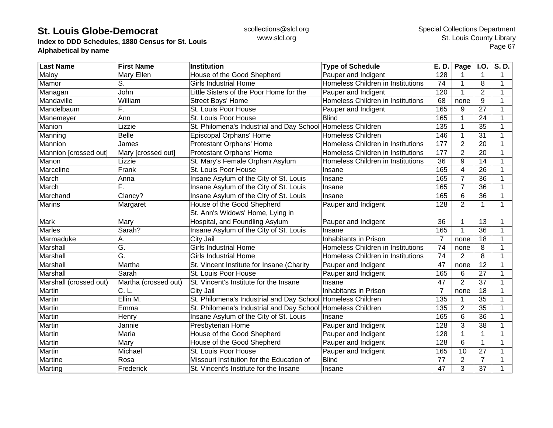**Index to DDD Schedules, 1880 Census for St. Louis Alphabetical by name**

| <b>Last Name</b>       | <b>First Name</b>    | <b>Institution</b>                                          | <b>Type of Schedule</b>           | E. D.          | Page           | <b>I.O.</b>     | S.D. |
|------------------------|----------------------|-------------------------------------------------------------|-----------------------------------|----------------|----------------|-----------------|------|
| Maloy                  | Mary Ellen           | House of the Good Shepherd                                  | Pauper and Indigent               | 128            |                | 1               | 1    |
| Mamor                  | S.                   | <b>Girls Industrial Home</b>                                | Homeless Children in Institutions | 74             |                | 8               | 1    |
| Managan                | John                 | Little Sisters of the Poor Home for the                     | Pauper and Indigent               | 120            |                | $\overline{2}$  | 1    |
| Mandaville             | William              | <b>Street Boys' Home</b>                                    | Homeless Children in Institutions | 68             | none           | 9               | 1    |
| Mandelbaum             | F.                   | St. Louis Poor House                                        | Pauper and Indigent               | 165            | 9              | 27              | 1    |
| Manemeyer              | Ann                  | St. Louis Poor House                                        | <b>Blind</b>                      | 165            | 1              | 24              |      |
| Manion                 | Lizzie               | St. Philomena's Industrial and Day School Homeless Children |                                   | 135            | 1              | 35              |      |
| Manning                | <b>Belle</b>         | Episcopal Orphans' Home                                     | <b>Homeless Children</b>          | 146            |                | 31              |      |
| Mannion                | James                | Protestant Orphans' Home                                    | Homeless Children in Institutions | 177            | $\overline{2}$ | 20              |      |
| Mannion [crossed out]  | Mary [crossed out]   | Protestant Orphans' Home                                    | Homeless Children in Institutions | 177            | $\overline{2}$ | 20              |      |
| Manon                  | Lizzie               | St. Mary's Female Orphan Asylum                             | Homeless Children in Institutions | 36             | 9              | 14              |      |
| Marceline              | Frank                | St. Louis Poor House                                        | Insane                            | 165            | $\overline{4}$ | 26              |      |
| March                  | Anna                 | Insane Asylum of the City of St. Louis                      | Insane                            | 165            | $\overline{7}$ | 36              |      |
| March                  | F.                   | Insane Asylum of the City of St. Louis                      | Insane                            | 165            | 7              | 36              |      |
| Marchand               | Clancy?              | Insane Asylum of the City of St. Louis                      | Insane                            | 165            | 6              | 36              |      |
| <b>Marins</b>          | Margaret             | House of the Good Shepherd                                  | Pauper and Indigent               | 128            | $\overline{2}$ | 1               | 1    |
|                        |                      | St. Ann's Widows' Home, Lying in                            |                                   |                |                |                 |      |
| <b>Mark</b>            | Mary                 | Hospital, and Foundling Asylum                              | Pauper and Indigent               | 36             |                | 13              |      |
| <b>Marles</b>          | Sarah?               | Insane Asylum of the City of St. Louis                      | Insane                            | 165            |                | 36              |      |
| Marmaduke              | Α.                   | City Jail                                                   | Inhabitants in Prison             | $\overline{7}$ | none           | 18              |      |
| Marshall               | G.                   | <b>Girls Industrial Home</b>                                | Homeless Children in Institutions | 74             | none           | 8               |      |
| Marshall               | Ğ.                   | <b>Girls Industrial Home</b>                                | Homeless Children in Institutions | 74             | $\overline{2}$ | 8               | 1    |
| Marshall               | Martha               | St. Vincent Institute for Insane (Charity                   | Pauper and Indigent               | 47             | none           | 12              | 1    |
| Marshall               | Sarah                | St. Louis Poor House                                        | Pauper and Indigent               | 165            | 6              | $\overline{27}$ | 1    |
| Marshall (crossed out) | Martha (crossed out) | St. Vincent's Institute for the Insane                      | Insane                            | 47             | $\overline{2}$ | $\overline{37}$ |      |
| Martin                 | C. L                 | City Jail                                                   | Inhabitants in Prison             | 7              | none           | 18              |      |
| Martin                 | Ellin M.             | St. Philomena's Industrial and Day School Homeless Children |                                   | 135            |                | 35              | 1    |
| Martin                 | Emma                 | St. Philomena's Industrial and Day School Homeless Children |                                   | 135            | $\overline{2}$ | 35              | 1    |
| Martin                 | Henry                | Insane Asylum of the City of St. Louis                      | Insane                            | 165            | 6              | 36              |      |
| Martin                 | Jannie               | Presbyterian Home                                           | Pauper and Indigent               | 128            | 3              | 38              |      |
| Martin                 | Maria                | House of the Good Shepherd                                  | Pauper and Indigent               | 128            | 1              | $\mathbf{1}$    |      |
| Martin                 | Mary                 | House of the Good Shepherd                                  | Pauper and Indigent               | 128            | 6              | 1               |      |
| Martin                 | Michael              | St. Louis Poor House                                        | Pauper and Indigent               | 165            | 10             | 27              |      |
| Martine                | Rosa                 | Missouri Institution for the Education of                   | <b>Blind</b>                      | 77             | $\overline{2}$ | $\overline{7}$  |      |
| Marting                | Frederick            | St. Vincent's Institute for the Insane                      | Insane                            | 47             | 3              | 37              |      |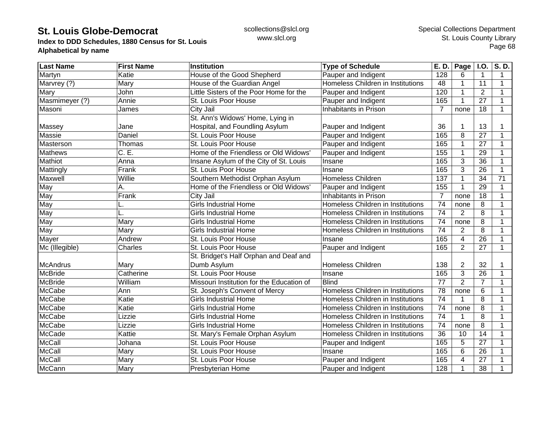**Index to DDD Schedules, 1880 Census for St. Louis Alphabetical by name**

| <b>Last Name</b> | <b>First Name</b> | <b>Institution</b>                        | <b>Type of Schedule</b>           | E. D.           | Page           | <b>I.O.</b>     | $\overline{S. D.}$ |
|------------------|-------------------|-------------------------------------------|-----------------------------------|-----------------|----------------|-----------------|--------------------|
| Martyn           | Katie             | House of the Good Shepherd                | Pauper and Indigent               | 128             | 6              | $\mathbf{1}$    | 1                  |
| Marvrey (?)      | Mary              | House of the Guardian Angel               | Homeless Children in Institutions | 48              |                | 11              | 1                  |
| Mary             | <b>John</b>       | Little Sisters of the Poor Home for the   | Pauper and Indigent               | 120             | 1              | $\overline{2}$  | 1                  |
| Masmimeyer (?)   | Annie             | St. Louis Poor House                      | Pauper and Indigent               | 165             | 1              | 27              | $\mathbf 1$        |
| Masoni           | James             | City Jail                                 | <b>Inhabitants in Prison</b>      | 7               | none           | 18              | 1                  |
|                  |                   | St. Ann's Widows' Home, Lying in          |                                   |                 |                |                 |                    |
| Massey           | Jane              | Hospital, and Foundling Asylum            | Pauper and Indigent               | 36              |                | 13              |                    |
| Massie           | Daniel            | St. Louis Poor House                      | Pauper and Indigent               | 165             | 8              | $\overline{27}$ |                    |
| Masterson        | Thomas            | St. Louis Poor House                      | Pauper and Indigent               | 165             |                | 27              |                    |
| Mathews          | C.E.              | Home of the Friendless or Old Widows'     | Pauper and Indigent               | 155             |                | 29              |                    |
| Mathiot          | Anna              | Insane Asylum of the City of St. Louis    | Insane                            | 165             | 3              | 36              | $\mathbf 1$        |
| Mattingly        | Frank             | St. Louis Poor House                      | Insane                            | 165             | 3              | 26              | 1                  |
| Maxwell          | Willie            | Southern Methodist Orphan Asylum          | <b>Homeless Children</b>          | 137             |                | $\overline{34}$ | $\overline{71}$    |
| May              | Α.                | Home of the Friendless or Old Widows'     | Pauper and Indigent               | 155             |                | 29              | 1                  |
| May              | Frank             | City Jail                                 | Inhabitants in Prison             | 7               | none           | 18              | 1                  |
| May              |                   | <b>Girls Industrial Home</b>              | Homeless Children in Institutions | 74              | none           | 8               | 1                  |
| May              |                   | <b>Girls Industrial Home</b>              | Homeless Children in Institutions | 74              | $\overline{2}$ | 8               | 1                  |
| May              | Mary              | <b>Girls Industrial Home</b>              | Homeless Children in Institutions | 74              | none           | 8               | 1                  |
| May              | Mary              | <b>Girls Industrial Home</b>              | Homeless Children in Institutions | $\overline{74}$ | $\overline{2}$ | 8               |                    |
| Mayer            | Andrew            | St. Louis Poor House                      | Insane                            | 165             | 4              | $\overline{26}$ | 1                  |
| Mc (Illegible)   | Charles           | St. Louis Poor House                      | Pauper and Indigent               | 165             | $\overline{2}$ | 27              | 1                  |
|                  |                   | St. Bridget's Half Orphan and Deaf and    |                                   |                 |                |                 |                    |
| <b>McAndrus</b>  | Mary              | Dumb Asylum                               | Homeless Children                 | 138             | $\overline{2}$ | 32              |                    |
| <b>McBride</b>   | Catherine         | St. Louis Poor House                      | Insane                            | 165             | 3              | $\overline{26}$ | 1                  |
| <b>McBride</b>   | William           | Missouri Institution for the Education of | <b>Blind</b>                      | $\overline{77}$ | $\overline{2}$ | $\overline{7}$  | 1                  |
| <b>McCabe</b>    | Ann               | St. Joseph's Convent of Mercy             | Homeless Children in Institutions | 78              | none           | 6               | 1                  |
| <b>McCabe</b>    | Katie             | <b>Girls Industrial Home</b>              | Homeless Children in Institutions | 74              |                | 8               | 1                  |
| <b>McCabe</b>    | Katie             | <b>Girls Industrial Home</b>              | Homeless Children in Institutions | 74              | none           | 8               | 1                  |
| <b>McCabe</b>    | Lizzie            | <b>Girls Industrial Home</b>              | Homeless Children in Institutions | 74              |                | 8               | 1                  |
| <b>McCabe</b>    | Lizzie            | <b>Girls Industrial Home</b>              | Homeless Children in Institutions | 74              | none           | 8               | 1                  |
| McCade           | Kattie            | St. Mary's Female Orphan Asylum           | Homeless Children in Institutions | 36              | 10             | 14              | 1                  |
| <b>McCall</b>    | Johana            | St. Louis Poor House                      | Pauper and Indigent               | 165             | 5              | $\overline{27}$ |                    |
| McCall           | Mary              | St. Louis Poor House                      | Insane                            | 165             | 6              | 26              |                    |
| McCall           | Mary              | St. Louis Poor House                      | Pauper and Indigent               | 165             | 4              | 27              |                    |
| McCann           | Mary              | <b>Presbyterian Home</b>                  | Pauper and Indigent               | 128             |                | 38              |                    |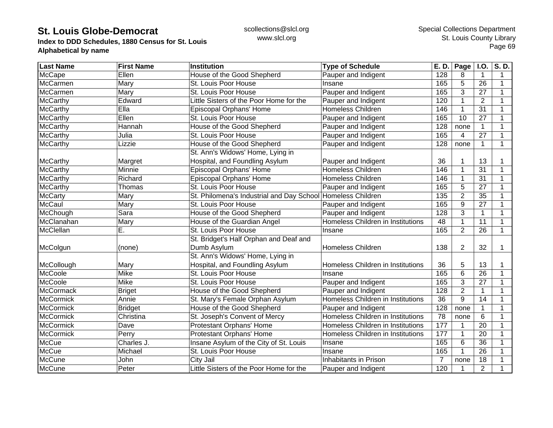**Index to DDD Schedules, 1880 Census for St. Louis Alphabetical by name**

| <b>Last Name</b> | <b>First Name</b> | <b>Institution</b>                                          | <b>Type of Schedule</b>           | E. D. | Page           | <b>I.O.</b>     | $\overline{\mathsf{S}}$ . D. |
|------------------|-------------------|-------------------------------------------------------------|-----------------------------------|-------|----------------|-----------------|------------------------------|
| <b>McCape</b>    | Ellen             | House of the Good Shepherd                                  | Pauper and Indigent               | 128   | 8              | 1               | 1                            |
| McCarmen         | Mary              | St. Louis Poor House                                        | Insane                            | 165   | 5              | 26              | 1                            |
| McCarmen         | Mary              | St. Louis Poor House                                        | Pauper and Indigent               | 165   | 3              | 27              | 1                            |
| <b>McCarthy</b>  | Edward            | Little Sisters of the Poor Home for the                     | Pauper and Indigent               | 120   | 1              | $\overline{2}$  | 1                            |
| McCarthy         | Ella              | Episcopal Orphans' Home                                     | Homeless Children                 | 146   | 1              | 31              |                              |
| McCarthy         | Ellen             | St. Louis Poor House                                        | Pauper and Indigent               | 165   | 10             | 27              |                              |
| McCarthy         | Hannah            | House of the Good Shepherd                                  | Pauper and Indigent               | 128   | none           | 1               |                              |
| McCarthy         | Julia             | St. Louis Poor House                                        | Pauper and Indigent               | 165   | 4              | $\overline{27}$ |                              |
| <b>McCarthy</b>  | Lizzie            | House of the Good Shepherd                                  | Pauper and Indigent               | 128   | none           | 1               | 1                            |
|                  |                   | St. Ann's Widows' Home, Lying in                            |                                   |       |                |                 |                              |
| McCarthy         | Margret           | Hospital, and Foundling Asylum                              | Pauper and Indigent               | 36    |                | 13              |                              |
| <b>McCarthy</b>  | Minnie            | Episcopal Orphans' Home                                     | Homeless Children                 | 146   |                | 31              |                              |
| <b>McCarthy</b>  | Richard           | Episcopal Orphans' Home                                     | Homeless Children                 | 146   |                | 31              |                              |
| <b>McCarthy</b>  | Thomas            | St. Louis Poor House                                        | Pauper and Indigent               | 165   | 5              | 27              |                              |
| <b>McCarty</b>   | Mary              | St. Philomena's Industrial and Day School Homeless Children |                                   | 135   | $\overline{2}$ | 35              | 1                            |
| <b>McCaul</b>    | Mary              | St. Louis Poor House                                        | Pauper and Indigent               | 165   | 9              | 27              | 1                            |
| McChough         | Sara              | House of the Good Shepherd                                  | Pauper and Indigent               | 128   | 3              | $\mathbf{1}$    | 1                            |
| McClanahan       | Mary              | House of the Guardian Angel                                 | Homeless Children in Institutions | 48    |                | 11              |                              |
| McClellan        | E.                | St. Louis Poor House                                        | Insane                            | 165   | $\overline{2}$ | 26              | 1                            |
|                  |                   | St. Bridget's Half Orphan and Deaf and                      |                                   |       |                |                 |                              |
| McColgun         | (none)            | Dumb Asylum                                                 | <b>Homeless Children</b>          | 138   | $\overline{2}$ | 32              | 1                            |
|                  |                   | St. Ann's Widows' Home, Lying in                            |                                   |       |                |                 |                              |
| McCollough       | Mary              | Hospital, and Foundling Asylum                              | Homeless Children in Institutions | 36    | 5              | 13              |                              |
| McCoole          | Mike              | St. Louis Poor House                                        | Insane                            | 165   | 6              | $\overline{26}$ | 1                            |
| McCoole          | Mike              | St. Louis Poor House                                        | Pauper and Indigent               | 165   | 3              | $\overline{27}$ |                              |
| <b>McCormack</b> | <b>Briget</b>     | House of the Good Shepherd                                  | Pauper and Indigent               | 128   | $\overline{2}$ | $\mathbf{1}$    |                              |
| <b>McCormick</b> | Annie             | St. Mary's Female Orphan Asylum                             | Homeless Children in Institutions | 36    | 9              | 14              | 1                            |
| <b>McCormick</b> | <b>Bridget</b>    | House of the Good Shepherd                                  | Pauper and Indigent               | 128   | none           | $\mathbf{1}$    | 1                            |
| <b>McCormick</b> | Christina         | St. Joseph's Convent of Mercy                               | Homeless Children in Institutions | 78    | none           | 6               | 1                            |
| <b>McCormick</b> | Dave              | Protestant Orphans' Home                                    | Homeless Children in Institutions | 177   |                | 20              |                              |
| McCormick        | Perry             | Protestant Orphans' Home                                    | Homeless Children in Institutions | 177   |                | 20              |                              |
| <b>McCue</b>     | Charles J.        | Insane Asylum of the City of St. Louis                      | Insane                            | 165   | 6              | 36              |                              |
| <b>McCue</b>     | Michael           | St. Louis Poor House                                        | Insane                            | 165   |                | 26              |                              |
| McCune           | John              | City Jail                                                   | Inhabitants in Prison             | 7     | none           | 18              |                              |
| <b>McCune</b>    | Peter             | Little Sisters of the Poor Home for the                     | Pauper and Indigent               | 120   | 1              | $\overline{2}$  |                              |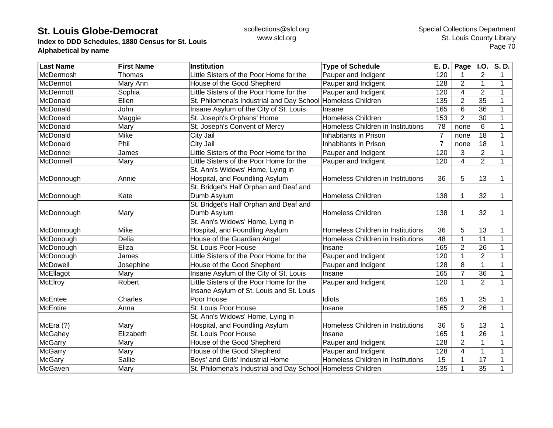**Index to DDD Schedules, 1880 Census for St. Louis Alphabetical by name**

| <b>Last Name</b> | <b>First Name</b> | <b>Institution</b>                                          | <b>Type of Schedule</b>           | E. D.          | Page           | <b>I.O.</b>    | S.D.         |
|------------------|-------------------|-------------------------------------------------------------|-----------------------------------|----------------|----------------|----------------|--------------|
| McDermosh        | Thomas            | Little Sisters of the Poor Home for the                     | Pauper and Indigent               | 120            |                | 2              | 1            |
| McDermot         | Mary Ann          | House of the Good Shepherd                                  | Pauper and Indigent               | 128            | $\overline{2}$ | $\mathbf 1$    | $\mathbf 1$  |
| McDermott        | Sophia            | Little Sisters of the Poor Home for the                     | Pauper and Indigent               | 120            | 4              | 2              | 1            |
| McDonald         | Ellen             | St. Philomena's Industrial and Day School                   | Homeless Children                 | 135            | $\overline{2}$ | 35             | 1            |
| McDonald         | John              | Insane Asylum of the City of St. Louis                      | Insane                            | 165            | 6              | 36             |              |
| McDonald         | Maggie            | St. Joseph's Orphans' Home                                  | Homeless Children                 | 153            | $\overline{2}$ | 30             |              |
| McDonald         | Mary              | St. Joseph's Convent of Mercy                               | Homeless Children in Institutions | 78             | none           | 6              | 1            |
| McDonald         | Mike              | City Jail                                                   | Inhabitants in Prison             | $\overline{7}$ | none           | 18             | 1            |
| McDonald         | Phil              | City Jail                                                   | Inhabitants in Prison             | $\overline{7}$ | none           | 18             |              |
| McDonnel         | James             | Little Sisters of the Poor Home for the                     | Pauper and Indigent               | 120            | 3              | $\overline{2}$ |              |
| McDonnell        | Mary              | Little Sisters of the Poor Home for the                     | Pauper and Indigent               | 120            | 4              | $\overline{2}$ | $\mathbf 1$  |
|                  |                   | St. Ann's Widows' Home, Lying in                            |                                   |                |                |                |              |
| McDonnough       | Annie             | Hospital, and Foundling Asylum                              | Homeless Children in Institutions | 36             | 5              | 13             | 1            |
|                  |                   | St. Bridget's Half Orphan and Deaf and                      |                                   |                |                |                |              |
| McDonnough       | Kate              | Dumb Asylum                                                 | <b>Homeless Children</b>          | 138            |                | 32             | 1            |
|                  |                   | St. Bridget's Half Orphan and Deaf and                      |                                   |                |                |                |              |
| McDonnough       | Mary              | Dumb Asylum                                                 | <b>Homeless Children</b>          | 138            |                | 32             | 1            |
|                  |                   | St. Ann's Widows' Home, Lying in                            |                                   |                |                |                |              |
| McDonnough       | Mike              | Hospital, and Foundling Asylum                              | Homeless Children in Institutions | 36             | 5              | 13             |              |
| McDonough        | Delia             | House of the Guardian Angel                                 | Homeless Children in Institutions | 48             |                | 11             | 1            |
| McDonough        | Eliza             | St. Louis Poor House                                        | Insane                            | 165            | $\overline{2}$ | 26             | 1            |
| McDonough        | James             | Little Sisters of the Poor Home for the                     | Pauper and Indigent               | 120            |                | $\overline{2}$ | 1            |
| McDowell         | Josephine         | House of the Good Shepherd                                  | Pauper and Indigent               | 128            | 8              | $\mathbf{1}$   | $\mathbf 1$  |
| McEllagot        | Mary              | Insane Asylum of the City of St. Louis                      | Insane                            | 165            | $\overline{7}$ | 36             | 1            |
| <b>McElroy</b>   | Robert            | Little Sisters of the Poor Home for the                     | Pauper and Indigent               | 120            |                | $\overline{2}$ | $\mathbf{1}$ |
|                  |                   | Insane Asylum of St. Louis and St. Louis                    |                                   |                |                |                |              |
| <b>McEntee</b>   | Charles           | Poor House                                                  | Idiots                            | 165            |                | 25             | 1            |
| <b>McEntire</b>  | Anna              | St. Louis Poor House                                        | Insane                            | 165            | $\overline{2}$ | 26             | $\mathbf 1$  |
|                  |                   | St. Ann's Widows' Home, Lying in                            |                                   |                |                |                |              |
| McEra (?)        | Mary              | Hospital, and Foundling Asylum                              | Homeless Children in Institutions | 36             | 5              | 13             |              |
| McGahey          | Elizabeth         | St. Louis Poor House                                        | Insane                            | 165            |                | 26             |              |
| <b>McGarry</b>   | Mary              | House of the Good Shepherd                                  | Pauper and Indigent               | 128            | $\overline{2}$ | 1              |              |
| <b>McGarry</b>   | Mary              | House of the Good Shepherd                                  | Pauper and Indigent               | 128            | 4              | $\mathbf 1$    |              |
| <b>McGary</b>    | Sallie            | Boys' and Girls' Industrial Home                            | Homeless Children in Institutions | 15             |                | 17             | 1            |
| McGaven          | Mary              | St. Philomena's Industrial and Day School Homeless Children |                                   | 135            |                | 35             |              |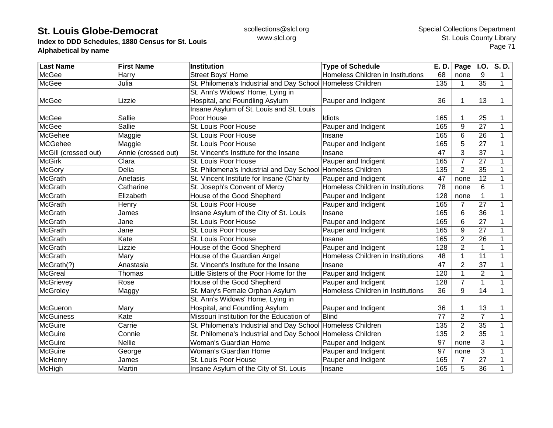**Index to DDD Schedules, 1880 Census for St. Louis Alphabetical by name**

| <b>Last Name</b>     | <b>First Name</b>   | <b>Institution</b>                                          | <b>Type of Schedule</b>           | E. D.           | Page           | I.O.             | S.D.         |
|----------------------|---------------------|-------------------------------------------------------------|-----------------------------------|-----------------|----------------|------------------|--------------|
| <b>McGee</b>         | Harry               | Street Boys' Home                                           | Homeless Children in Institutions | 68              | none           | 9                | $\mathbf 1$  |
| <b>McGee</b>         | Julia               | St. Philomena's Industrial and Day School Homeless Children |                                   | 135             | $\mathbf 1$    | 35               | $\mathbf{1}$ |
|                      |                     | St. Ann's Widows' Home, Lying in                            |                                   |                 |                |                  |              |
| <b>McGee</b>         | Lizzie              | Hospital, and Foundling Asylum                              | Pauper and Indigent               | 36              | $\mathbf 1$    | 13               | 1            |
|                      |                     | Insane Asylum of St. Louis and St. Louis                    |                                   |                 |                |                  |              |
| <b>McGee</b>         | Sallie              | Poor House                                                  | Idiots                            | 165             | 1              | 25               |              |
| <b>McGee</b>         | Sallie              | St. Louis Poor House                                        | Pauper and Indigent               | 165             | $\overline{9}$ | $\overline{27}$  | $\mathbf 1$  |
| <b>McGehee</b>       | Maggie              | St. Louis Poor House                                        | Insane                            | 165             | 6              | 26               |              |
| <b>MCGehee</b>       | Maggie              | St. Louis Poor House                                        | Pauper and Indigent               | 165             | 5              | 27               | 1            |
| McGill (crossed out) | Annie (crossed out) | St. Vincent's Institute for the Insane                      | Insane                            | 47              | 3              | 37               | 1            |
| <b>McGirk</b>        | Clara               | St. Louis Poor House                                        | Pauper and Indigent               | 165             | $\overline{7}$ | $\overline{27}$  | $\mathbf 1$  |
| <b>McGory</b>        | Delia               | St. Philomena's Industrial and Day School Homeless Children |                                   | 135             | $\overline{2}$ | $\overline{35}$  |              |
| <b>McGrath</b>       | Anetasis            | St. Vincent Institute for Insane (Charity                   | Pauper and Indigent               | 47              | none           | 12               |              |
| <b>McGrath</b>       | Catharine           | St. Joseph's Convent of Mercy                               | Homeless Children in Institutions | 78              | none           | 6                |              |
| <b>McGrath</b>       | Elizabeth           | House of the Good Shepherd                                  | Pauper and Indigent               | 128             | none           | $\mathbf{1}$     | 1            |
| <b>McGrath</b>       | Henry               | St. Louis Poor House                                        | Pauper and Indigent               | 165             | 7              | 27               | 1            |
| <b>McGrath</b>       | James               | Insane Asylum of the City of St. Louis                      | Insane                            | 165             | 6              | 36               |              |
| <b>McGrath</b>       | Jane                | St. Louis Poor House                                        | Pauper and Indigent               | 165             | $6\phantom{1}$ | $\overline{27}$  |              |
| <b>McGrath</b>       | Jane                | St. Louis Poor House                                        | Pauper and Indigent               | 165             | 9              | 27               | 1            |
| <b>McGrath</b>       | Kate                | St. Louis Poor House                                        | Insane                            | 165             | $\overline{2}$ | 26               |              |
| <b>McGrath</b>       | Lizzie              | House of the Good Shepherd                                  | Pauper and Indigent               | 128             | $\overline{2}$ | 1                | 1            |
| <b>McGrath</b>       | Mary                | House of the Guardian Angel                                 | Homeless Children in Institutions | 48              | 1              | $\overline{11}$  | $\mathbf 1$  |
| McGrath(?)           | Anastasia           | St. Vincent's Institute for the Insane                      | Insane                            | $\overline{47}$ | $\overline{2}$ | $\overline{37}$  | $\mathbf{1}$ |
| <b>McGreal</b>       | Thomas              | Little Sisters of the Poor Home for the                     | Pauper and Indigent               | 120             | 1              | $\boldsymbol{2}$ |              |
| McGrievey            | Rose                | House of the Good Shepherd                                  | Pauper and Indigent               | 128             | $\overline{7}$ | $\mathbf{1}$     | $\mathbf{1}$ |
| McGroley             | Maggy               | St. Mary's Female Orphan Asylum                             | Homeless Children in Institutions | 36              | 9              | 14               | $\mathbf{1}$ |
|                      |                     | St. Ann's Widows' Home, Lying in                            |                                   |                 |                |                  |              |
| McGueron             | Mary                | Hospital, and Foundling Asylum                              | Pauper and Indigent               | 36              | 1.             | 13               |              |
| <b>McGuiness</b>     | Kate                | Missouri Institution for the Education of                   | Blind                             | $\overline{77}$ | $\overline{2}$ | $\overline{7}$   | 1            |
| <b>McGuire</b>       | Carrie              | St. Philomena's Industrial and Day School Homeless Children |                                   | 135             | $\overline{2}$ | 35               |              |
| <b>McGuire</b>       | Connie              | St. Philomena's Industrial and Day School Homeless Children |                                   | 135             | $\overline{2}$ | 35               |              |
| <b>McGuire</b>       | Nellie              | <b>Woman's Guardian Home</b>                                | Pauper and Indigent               | $\overline{97}$ | none           | 3                |              |
| <b>McGuire</b>       | George              | Woman's Guardian Home                                       | Pauper and Indigent               | 97              | none           | 3                | 1            |
| McHenry              | James               | St. Louis Poor House                                        | Pauper and Indigent               | 165             | 7              | 27               | 1            |
| McHigh               | Martin              | Insane Asylum of the City of St. Louis                      | Insane                            | 165             | 5              | 36               | 1            |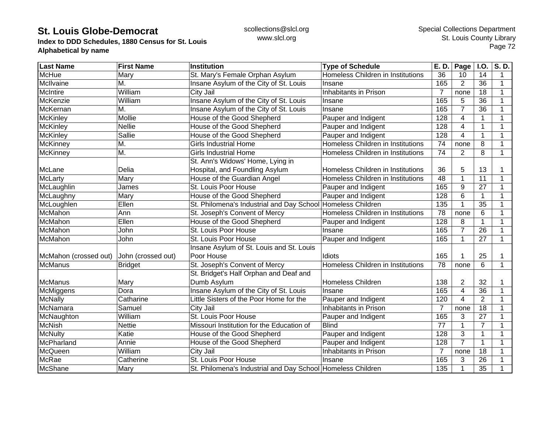**Index to DDD Schedules, 1880 Census for St. Louis Alphabetical by name**

| <b>Last Name</b>      | <b>First Name</b>  | <b>Institution</b>                                          | <b>Type of Schedule</b>           | E. D.          | Page           | <b>I.O.</b>    | $\overline{\mathsf{S}}$ . D. |
|-----------------------|--------------------|-------------------------------------------------------------|-----------------------------------|----------------|----------------|----------------|------------------------------|
| <b>McHue</b>          | Mary               | St. Mary's Female Orphan Asylum                             | Homeless Children in Institutions | 36             | 10             | 14             | 1                            |
| McIlvaine             | M.                 | Insane Asylum of the City of St. Louis                      | Insane                            | 165            | $\overline{2}$ | 36             | 1                            |
| <b>McIntire</b>       | William            | City Jail                                                   | Inhabitants in Prison             | $\overline{7}$ | none           | 18             | 1                            |
| McKenzie              | William            | Insane Asylum of the City of St. Louis                      | Insane                            | 165            | 5              | 36             | $\mathbf 1$                  |
| McKernan              | M.                 | Insane Asylum of the City of St. Louis                      | Insane                            | 165            | $\overline{7}$ | 36             |                              |
| <b>McKinley</b>       | Mollie             | House of the Good Shepherd                                  | Pauper and Indigent               | 128            | 4              | 1              |                              |
| <b>McKinley</b>       | <b>Nellie</b>      | House of the Good Shepherd                                  | Pauper and Indigent               | 128            | 4              | $\mathbf{1}$   |                              |
| <b>McKinley</b>       | Sallie             | House of the Good Shepherd                                  | Pauper and Indigent               | 128            | 4              | $\mathbf{1}$   |                              |
| <b>McKinney</b>       | M.                 | <b>Girls Industrial Home</b>                                | Homeless Children in Institutions | 74             | none           | 8              | 1                            |
| McKinney              | M.                 | <b>Girls Industrial Home</b>                                | Homeless Children in Institutions | 74             | $\overline{2}$ | 8              | 1                            |
|                       |                    | St. Ann's Widows' Home, Lying in                            |                                   |                |                |                |                              |
| McLane                | Delia              | Hospital, and Foundling Asylum                              | Homeless Children in Institutions | 36             | 5              | 13             |                              |
| McLarty               | Mary               | House of the Guardian Angel                                 | Homeless Children in Institutions | 48             |                | 11             | 1                            |
| McLaughlin            | James              | St. Louis Poor House                                        | Pauper and Indigent               | 165            | 9              | 27             | 1                            |
| McLaughny             | Mary               | House of the Good Shepherd                                  | Pauper and Indigent               | 128            | 6              | $\mathbf 1$    | 1                            |
| McLoughlen            | Ellen              | St. Philomena's Industrial and Day School Homeless Children |                                   | 135            |                | 35             | 1                            |
| McMahon               | Ann                | St. Joseph's Convent of Mercy                               | Homeless Children in Institutions | 78             | none           | 6              | 1                            |
| McMahon               | Ellen              | House of the Good Shepherd                                  | Pauper and Indigent               | 128            | 8              | $\mathbf{1}$   | 1                            |
| McMahon               | John               | St. Louis Poor House                                        | Insane                            | 165            | 7              | 26             | 1                            |
| McMahon               | John               | St. Louis Poor House                                        | Pauper and Indigent               | 165            |                | 27             | $\mathbf{1}$                 |
|                       |                    | Insane Asylum of St. Louis and St. Louis                    |                                   |                |                |                |                              |
| McMahon (crossed out) | John (crossed out) | Poor House                                                  | Idiots                            | 165            |                | 25             |                              |
| <b>McManus</b>        | <b>Bridget</b>     | St. Joseph's Convent of Mercy                               | Homeless Children in Institutions | 78             | none           | 6              | $\mathbf{1}$                 |
|                       |                    | St. Bridget's Half Orphan and Deaf and                      |                                   |                |                |                |                              |
| <b>McManus</b>        | Mary               | Dumb Asylum                                                 | <b>Homeless Children</b>          | 138            | 2              | 32             |                              |
| McMiggens             | Dora               | Insane Asylum of the City of St. Louis                      | Insane                            | 165            | 4              | 36             | 1                            |
| <b>McNally</b>        | Catharine          | Little Sisters of the Poor Home for the                     | Pauper and Indigent               | 120            | 4              | $\overline{2}$ | 1                            |
| McNamara              | Samuel             | City Jail                                                   | Inhabitants in Prison             | $\overline{7}$ | none           | 18             | 1                            |
| McNaughton            | William            | St. Louis Poor House                                        | Pauper and Indigent               | 165            | 3              | 27             | 1                            |
| <b>McNish</b>         | <b>Nettie</b>      | Missouri Institution for the Education of                   | <b>Blind</b>                      | 77             |                | $\overline{7}$ |                              |
| <b>McNulty</b>        | Katie              | House of the Good Shepherd                                  | Pauper and Indigent               | 128            | 3              | $\mathbf{1}$   |                              |
| McPharland            | Annie              | House of the Good Shepherd                                  | Pauper and Indigent               | 128            | $\overline{7}$ | 1              |                              |
| McQueen               | William            | City Jail                                                   | Inhabitants in Prison             | $\overline{7}$ | none           | 18             |                              |
| McRae                 | Catherine          | St. Louis Poor House                                        | Insane                            | 165            | 3              | 26             | 1                            |
| McShane               | Mary               | St. Philomena's Industrial and Day School Homeless Children |                                   | 135            | 1              | 35             |                              |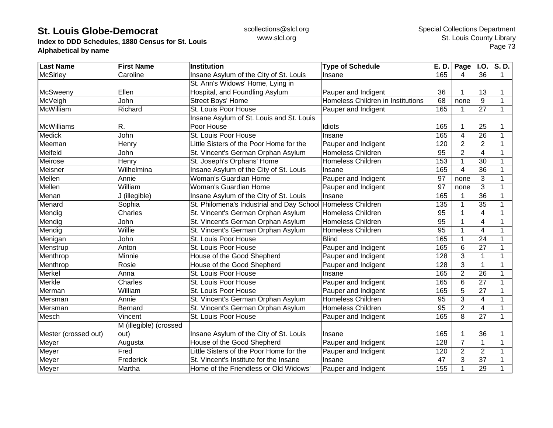**Index to DDD Schedules, 1880 Census for St. Louis Alphabetical by name**

| <b>Last Name</b>     | <b>First Name</b>      | <b>Institution</b>                                          | <b>Type of Schedule</b>           | E. D. | Page           | <b>I.O.</b>             | S.D.        |
|----------------------|------------------------|-------------------------------------------------------------|-----------------------------------|-------|----------------|-------------------------|-------------|
| <b>McSirley</b>      | Caroline               | Insane Asylum of the City of St. Louis                      | Insane                            | 165   | 4              | 36                      | $\mathbf 1$ |
|                      |                        | St. Ann's Widows' Home, Lying in                            |                                   |       |                |                         |             |
| <b>McSweeny</b>      | Ellen                  | Hospital, and Foundling Asylum                              | Pauper and Indigent               | 36    |                | 13                      |             |
| McVeigh              | John                   | <b>Street Boys' Home</b>                                    | Homeless Children in Institutions | 68    | none           | 9                       | 1           |
| McWilliam            | Richard                | St. Louis Poor House                                        | Pauper and Indigent               | 165   |                | $\overline{27}$         | 1           |
|                      |                        | Insane Asylum of St. Louis and St. Louis                    |                                   |       |                |                         |             |
| McWilliams           | R.                     | Poor House                                                  | Idiots                            | 165   |                | 25                      |             |
| <b>Medick</b>        | John                   | St. Louis Poor House                                        | Insane                            | 165   | 4              | 26                      | 1           |
| Meeman               | Henry                  | Little Sisters of the Poor Home for the                     | Pauper and Indigent               | 120   | $\overline{2}$ | $\overline{2}$          |             |
| Meifeld              | John                   | St. Vincent's German Orphan Asylum                          | <b>Homeless Children</b>          | 95    | $\overline{2}$ | $\overline{\mathbf{4}}$ |             |
| Meirose              | Henry                  | St. Joseph's Orphans' Home                                  | <b>Homeless Children</b>          | 153   |                | $\overline{30}$         | 1           |
| Meisner              | Wilhelmina             | Insane Asylum of the City of St. Louis                      | Insane                            | 165   | $\overline{4}$ | 36                      |             |
| Mellen               | Annie                  | Woman's Guardian Home                                       | Pauper and Indigent               | 97    | none           | 3                       |             |
| Mellen               | William                | Woman's Guardian Home                                       | Pauper and Indigent               | 97    | none           | 3                       | 1           |
| Menan                | J (illegible)          | Insane Asylum of the City of St. Louis                      | Insane                            | 165   |                | 36                      | 1           |
| Menard               | Sophia                 | St. Philomena's Industrial and Day School Homeless Children |                                   | 135   |                | 35                      |             |
| Mendig               | Charles                | St. Vincent's German Orphan Asylum                          | <b>Homeless Children</b>          | 95    | 1              | 4                       |             |
| Mendig               | John                   | St. Vincent's German Orphan Asylum                          | <b>Homeless Children</b>          | 95    |                | $\overline{4}$          |             |
| Mendig               | Willie                 | St. Vincent's German Orphan Asylum                          | Homeless Children                 | 95    |                | $\overline{4}$          |             |
| Menigan              | John                   | St. Louis Poor House                                        | <b>Blind</b>                      | 165   |                | 24                      |             |
| Menstrup             | Anton                  | St. Louis Poor House                                        | Pauper and Indigent               | 165   | 6              | 27                      | 1           |
| Menthrop             | Minnie                 | House of the Good Shepherd                                  | Pauper and Indigent               | 128   | 3              | $\mathbf{1}$            | 1           |
| Menthrop             | Rosie                  | House of the Good Shepherd                                  | Pauper and Indigent               | 128   | 3              | $\mathbf{1}$            | 1           |
| Merkel               | Anna                   | St. Louis Poor House                                        | Insane                            | 165   | $\overline{2}$ | 26                      |             |
| Merkle               | Charles                | St. Louis Poor House                                        | Pauper and Indigent               | 165   | 6              | 27                      |             |
| Merman               | William                | St. Louis Poor House                                        | Pauper and Indigent               | 165   | 5              | 27                      |             |
| Mersman              | Annie                  | St. Vincent's German Orphan Asylum                          | <b>Homeless Children</b>          | 95    | 3              | 4                       | 1           |
| Mersman              | <b>Bernard</b>         | St. Vincent's German Orphan Asylum                          | Homeless Children                 | 95    | $\overline{2}$ | 4                       | 1           |
| Mesch                | Vincent                | St. Louis Poor House                                        | Pauper and Indigent               | 165   | 8              | 27                      | $\mathbf 1$ |
|                      | M (illegible) (crossed |                                                             |                                   |       |                |                         |             |
| Mester (crossed out) | out)                   | Insane Asylum of the City of St. Louis                      | Insane                            | 165   |                | 36                      |             |
| Meyer                | Augusta                | House of the Good Shepherd                                  | Pauper and Indigent               | 128   | $\overline{7}$ | 1                       |             |
| Meyer                | Fred                   | Little Sisters of the Poor Home for the                     | Pauper and Indigent               | 120   | $\overline{2}$ | $\overline{2}$          |             |
| Meyer                | Frederick              | St. Vincent's Institute for the Insane                      | Insane                            | 47    | 3              | 37                      |             |
| Meyer                | Martha                 | Home of the Friendless or Old Widows'                       | Pauper and Indigent               | 155   | 1              | 29                      |             |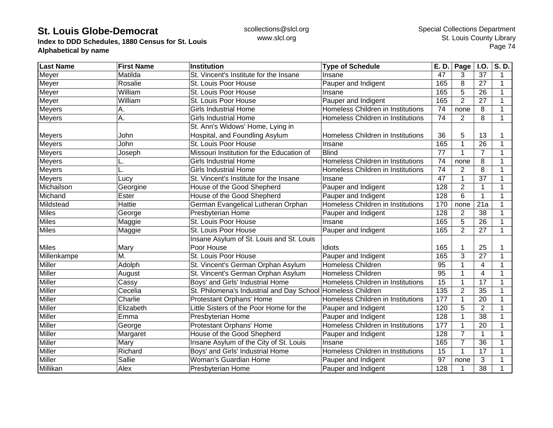**Index to DDD Schedules, 1880 Census for St. Louis Alphabetical by name**

| <b>Last Name</b> | <b>First Name</b> | Institution                                                 | <b>Type of Schedule</b>           | E. D.           | Page           | <b>I.O.</b>     | S.D.        |
|------------------|-------------------|-------------------------------------------------------------|-----------------------------------|-----------------|----------------|-----------------|-------------|
| Meyer            | Matilda           | St. Vincent's Institute for the Insane                      | Insane                            | 47              | 3              | 37              | 1           |
| Meyer            | Rosalie           | St. Louis Poor House                                        | Pauper and Indigent               | 165             | 8              | 27              | 1           |
| Meyer            | William           | St. Louis Poor House                                        | Insane                            | 165             | 5              | 26              | 1           |
| Meyer            | William           | St. Louis Poor House                                        | Pauper and Indigent               | 165             | $\overline{2}$ | 27              | 1           |
| <b>Meyers</b>    | А.                | <b>Girls Industrial Home</b>                                | Homeless Children in Institutions | 74              | none           | 8               | 1           |
| Meyers           | Ā.                | <b>Girls Industrial Home</b>                                | Homeless Children in Institutions | 74              | $\overline{2}$ | 8               | 1           |
|                  |                   | St. Ann's Widows' Home, Lying in                            |                                   |                 |                |                 |             |
| <b>Meyers</b>    | John              | Hospital, and Foundling Asylum                              | Homeless Children in Institutions | 36              | 5              | 13              |             |
| Meyers           | John              | St. Louis Poor House                                        | Insane                            | 165             |                | $\overline{26}$ |             |
| Meyers           | Joseph            | Missouri Institution for the Education of                   | <b>Blind</b>                      | 77              |                | $\overline{7}$  |             |
| <b>Meyers</b>    |                   | <b>Girls Industrial Home</b>                                | Homeless Children in Institutions | 74              | none           | 8               | 1           |
| <b>Meyers</b>    |                   | <b>Girls Industrial Home</b>                                | Homeless Children in Institutions | 74              | $\overline{2}$ | 8               | 1           |
| <b>Meyers</b>    | Lucy              | St. Vincent's Institute for the Insane                      | Insane                            | 47              |                | 37              | 1           |
| Michailson       | Georgine          | House of the Good Shepherd                                  | Pauper and Indigent               | 128             | $\overline{2}$ | 1               | 1           |
| Michand          | Ester             | House of the Good Shepherd                                  | Pauper and Indigent               | 128             | 6              | $\mathbf{1}$    | 1           |
| Mildstead        | Hattie            | German Evangelical Lutheran Orphan                          | Homeless Children in Institutions | 170             | none           | 21a             | 1           |
| <b>Miles</b>     | George            | Presbyterian Home                                           | Pauper and Indigent               | 128             | $\overline{2}$ | 38              | 1           |
| <b>Miles</b>     | Maggie            | St. Louis Poor House                                        | Insane                            | 165             | 5              | 26              | 1           |
| <b>Miles</b>     | Maggie            | St. Louis Poor House                                        | Pauper and Indigent               | 165             | $\overline{2}$ | 27              | 1           |
|                  |                   | Insane Asylum of St. Louis and St. Louis                    |                                   |                 |                |                 |             |
| <b>Miles</b>     | Mary              | Poor House                                                  | Idiots                            | 165             |                | 25              |             |
| Millenkampe      | M.                | St. Louis Poor House                                        | Pauper and Indigent               | 165             | 3              | 27              | 1           |
| Miller           | Adolph            | St. Vincent's German Orphan Asylum                          | Homeless Children                 | 95              |                | $\overline{4}$  | 1           |
| <b>Miller</b>    | August            | St. Vincent's German Orphan Asylum                          | <b>Homeless Children</b>          | $\overline{95}$ |                | $\overline{4}$  | 1           |
| Miller           | Cassy             | Boys' and Girls' Industrial Home                            | Homeless Children in Institutions | $\overline{15}$ |                | $\overline{17}$ | 1           |
| Miller           | Cecelia           | St. Philomena's Industrial and Day School Homeless Children |                                   | 135             | $\overline{2}$ | 35              | 1           |
| Miller           | Charlie           | Protestant Orphans' Home                                    | Homeless Children in Institutions | 177             | 1              | 20              | $\mathbf 1$ |
| Miller           | Elizabeth         | Little Sisters of the Poor Home for the                     | Pauper and Indigent               | 120             | 5              | $\overline{2}$  | $\mathbf 1$ |
| <b>Miller</b>    | Emma              | Presbyterian Home                                           | Pauper and Indigent               | 128             |                | 38              | 1           |
| <b>Miller</b>    | George            | Protestant Orphans' Home                                    | Homeless Children in Institutions | 177             | 1              | 20              | 1           |
| Miller           | Margaret          | House of the Good Shepherd                                  | Pauper and Indigent               | 128             | $\overline{7}$ | $\mathbf{1}$    | 1           |
| <b>Miller</b>    | Mary              | Insane Asylum of the City of St. Louis                      | Insane                            | 165             | $\overline{7}$ | $\overline{36}$ |             |
| Miller           | Richard           | Boys' and Girls' Industrial Home                            | Homeless Children in Institutions | 15              | $\mathbf{1}$   | 17              | 1           |
| Miller           | Sallie            | <b>Woman's Guardian Home</b>                                | Pauper and Indigent               | 97              | none           | 3               |             |
| Millikan         | Alex              | <b>Presbyterian Home</b>                                    | Pauper and Indigent               | 128             |                | 38              |             |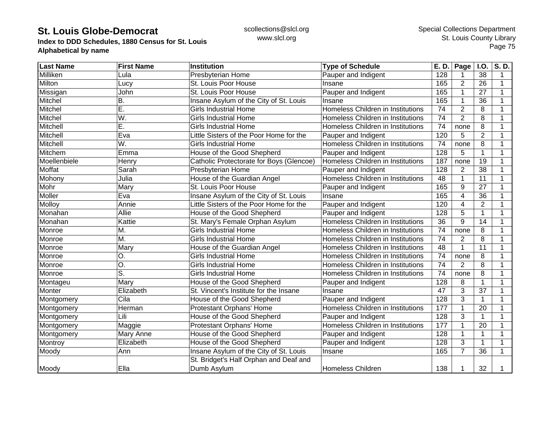**Index to DDD Schedules, 1880 Census for St. Louis Alphabetical by name**

| <b>Last Name</b> | <b>First Name</b> | <b>Institution</b>                       | <b>Type of Schedule</b>           | E. D. | Page           | <b>I.O.</b>    | S.D. |
|------------------|-------------------|------------------------------------------|-----------------------------------|-------|----------------|----------------|------|
| Milliken         | Lula              | Presbyterian Home                        | Pauper and Indigent               | 128   |                | 38             | 1    |
| Milton           | Lucy              | St. Louis Poor House                     | Insane                            | 165   | 2              | 26             | 1    |
| Missigan         | John              | St. Louis Poor House                     | Pauper and Indigent               | 165   |                | 27             | 1    |
| Mitchel          | В.                | Insane Asylum of the City of St. Louis   | Insane                            | 165   |                | 36             | 1    |
| Mitchel          | Е.                | <b>Girls Industrial Home</b>             | Homeless Children in Institutions | 74    | $\overline{2}$ | 8              | 1    |
| Mitchel          | W.                | <b>Girls Industrial Home</b>             | Homeless Children in Institutions | 74    | $\overline{2}$ | 8              | 1    |
| Mitchell         | E.                | <b>Girls Industrial Home</b>             | Homeless Children in Institutions | 74    | none           | 8              | 1    |
| Mitchell         | Eva               | Little Sisters of the Poor Home for the  | Pauper and Indigent               | 120   | 5              | $\overline{2}$ | 1    |
| Mitchell         | W.                | <b>Girls Industrial Home</b>             | Homeless Children in Institutions | 74    | none           | 8              | 1    |
| Mitchem          | Emma              | House of the Good Shepherd               | Pauper and Indigent               | 128   | 5              | $\mathbf{1}$   |      |
| Moellenbiele     | Henry             | Catholic Protectorate for Boys (Glencoe) | Homeless Children in Institutions | 187   | none           | 19             | 1    |
| Moffat           | Sarah             | Presbyterian Home                        | Pauper and Indigent               | 128   | $\overline{2}$ | 38             | 1    |
| Mohony           | Julia             | House of the Guardian Angel              | Homeless Children in Institutions | 48    |                | 11             | 1    |
| Mohr             | Mary              | St. Louis Poor House                     | Pauper and Indigent               | 165   | 9              | 27             | 1    |
| Moller           | Eva               | Insane Asylum of the City of St. Louis   | Insane                            | 165   | 4              | 36             | 1    |
| Molloy           | Annie             | Little Sisters of the Poor Home for the  | Pauper and Indigent               | 120   | 4              | $\overline{2}$ | 1    |
| Monahan          | Allie             | House of the Good Shepherd               | Pauper and Indigent               | 128   | 5              | $\mathbf{1}$   | 1    |
| Monahan          | Kattie            | St. Mary's Female Orphan Asylum          | Homeless Children in Institutions | 36    | 9              | 14             | 1    |
| Monroe           | M.                | <b>Girls Industrial Home</b>             | Homeless Children in Institutions | 74    | none           | 8              | 1    |
| Monroe           | M.                | <b>Girls Industrial Home</b>             | Homeless Children in Institutions | 74    | $\overline{2}$ | 8              |      |
| Monroe           | Mary              | House of the Guardian Angel              | Homeless Children in Institutions | 48    |                | 11             | 1    |
| Monroe           | O.                | <b>Girls Industrial Home</b>             | Homeless Children in Institutions | 74    | none           | 8              | 1    |
| Monroe           | O.                | <b>Girls Industrial Home</b>             | Homeless Children in Institutions | 74    | $\overline{2}$ | 8              | 1    |
| Monroe           | S.                | <b>Girls Industrial Home</b>             | Homeless Children in Institutions | 74    | none           | 8              | 1    |
| Montageu         | Mary              | House of the Good Shepherd               | Pauper and Indigent               | 128   | 8              | $\mathbf{1}$   | 1    |
| Monter           | Elizabeth         | St. Vincent's Institute for the Insane   | Insane                            | 47    | 3              | 37             | 1    |
| Montgomery       | Cila              | House of the Good Shepherd               | Pauper and Indigent               | 128   | 3              | $\mathbf{1}$   | 1    |
| Montgomery       | Herman            | Protestant Orphans' Home                 | Homeless Children in Institutions | 177   | 1              | 20             | 1    |
| Montgomery       | Lili              | House of the Good Shepherd               | Pauper and Indigent               | 128   | 3              | $\mathbf{1}$   | 1    |
| Montgomery       | Maggie            | Protestant Orphans' Home                 | Homeless Children in Institutions | 177   |                | 20             | 1    |
| Montgomery       | Mary Anne         | House of the Good Shepherd               | Pauper and Indigent               | 128   |                | $\mathbf{1}$   |      |
| Montroy          | Elizabeth         | House of the Good Shepherd               | Pauper and Indigent               | 128   | 3              | 1              | 1    |
| Moody            | Ann               | Insane Asylum of the City of St. Louis   | Insane                            | 165   | 7              | 36             | 1    |
|                  |                   | St. Bridget's Half Orphan and Deaf and   |                                   |       |                |                |      |
| Moody            | Ella              | Dumb Asylum                              | <b>Homeless Children</b>          | 138   | 1              | 32             |      |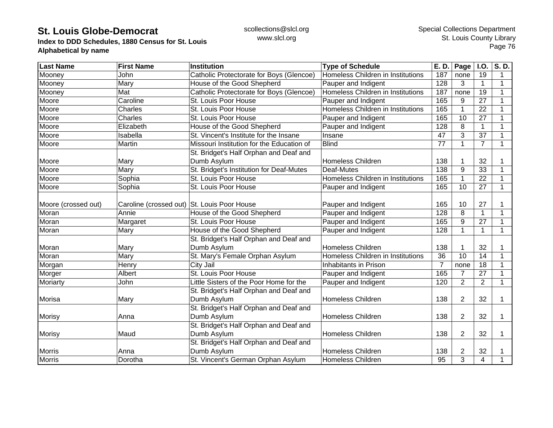**Index to DDD Schedules, 1880 Census for St. Louis Alphabetical by name**

| <b>Last Name</b>    | <b>First Name</b> | <b>Institution</b>                          | <b>Type of Schedule</b>           | E. D. | Page           | I.O.           | S.D.         |
|---------------------|-------------------|---------------------------------------------|-----------------------------------|-------|----------------|----------------|--------------|
| Mooney              | John              | Catholic Protectorate for Boys (Glencoe)    | Homeless Children in Institutions | 187   | none           | 19             | 1            |
| Mooney              | Mary              | House of the Good Shepherd                  | Pauper and Indigent               | 128   | 3              | $\mathbf{1}$   | 1            |
| Mooney              | Mat               | Catholic Protectorate for Boys (Glencoe)    | Homeless Children in Institutions | 187   | none           | 19             | 1            |
| Moore               | Caroline          | St. Louis Poor House                        | Pauper and Indigent               | 165   | 9              | 27             | 1            |
| Moore               | Charles           | St. Louis Poor House                        | Homeless Children in Institutions | 165   |                | 22             | 1            |
| Moore               | Charles           | St. Louis Poor House                        | Pauper and Indigent               | 165   | 10             | 27             |              |
| Moore               | Elizabeth         | House of the Good Shepherd                  | Pauper and Indigent               | 128   | 8              | 1              | 1            |
| Moore               | Isabella          | St. Vincent's Institute for the Insane      | Insane                            | 47    | 3              | 37             | 1            |
| Moore               | Martin            | Missouri Institution for the Education of   | <b>Blind</b>                      | 77    | $\mathbf{1}$   | $\overline{7}$ | 1            |
|                     |                   | St. Bridget's Half Orphan and Deaf and      |                                   |       |                |                |              |
| Moore               | Mary              | Dumb Asylum                                 | <b>Homeless Children</b>          | 138   |                | 32             |              |
| Moore               | Mary              | St. Bridget's Institution for Deaf-Mutes    | Deaf-Mutes                        | 138   | 9              | 33             | 1            |
| Moore               | Sophia            | St. Louis Poor House                        | Homeless Children in Institutions | 165   |                | 22             | 1            |
| Moore               | Sophia            | St. Louis Poor House                        | Pauper and Indigent               | 165   | 10             | 27             | $\mathbf{1}$ |
| Moore (crossed out) |                   | Caroline (crossed out) St. Louis Poor House | Pauper and Indigent               | 165   | 10             | 27             |              |
| Moran               | Annie             | House of the Good Shepherd                  | Pauper and Indigent               | 128   | 8              | $\mathbf{1}$   | 1            |
| Moran               | Margaret          | St. Louis Poor House                        | Pauper and Indigent               | 165   | 9              | 27             |              |
| Moran               | Mary              | House of the Good Shepherd                  | Pauper and Indigent               | 128   |                | 1              | 1            |
|                     |                   | St. Bridget's Half Orphan and Deaf and      |                                   |       |                |                |              |
| Moran               | Mary              | Dumb Asylum                                 | <b>Homeless Children</b>          | 138   |                | 32             |              |
| Moran               | Mary              | St. Mary's Female Orphan Asylum             | Homeless Children in Institutions | 36    | 10             | 14             | 1            |
| Morgan              | Henry             | City Jail                                   | Inhabitants in Prison             | 7     | none           | 18             | 1            |
| Morger              | Albert            | St. Louis Poor House                        | Pauper and Indigent               | 165   | $\overline{7}$ | 27             | 1            |
| Moriarty            | John              | Little Sisters of the Poor Home for the     | Pauper and Indigent               | 120   | $\overline{2}$ | $\overline{2}$ | 1            |
|                     |                   | St. Bridget's Half Orphan and Deaf and      |                                   |       |                |                |              |
| <b>Morisa</b>       | Mary              | Dumb Asylum                                 | <b>Homeless Children</b>          | 138   | $\overline{2}$ | 32             | 1            |
|                     |                   | St. Bridget's Half Orphan and Deaf and      |                                   |       |                |                |              |
| <b>Morisy</b>       | Anna              | Dumb Asylum                                 | <b>Homeless Children</b>          | 138   | $\overline{2}$ | 32             | 1            |
|                     |                   | St. Bridget's Half Orphan and Deaf and      |                                   |       |                |                |              |
| <b>Morisy</b>       | Maud              | Dumb Asylum                                 | <b>Homeless Children</b>          | 138   | 2              | 32             |              |
|                     |                   | St. Bridget's Half Orphan and Deaf and      |                                   |       |                |                |              |
| <b>Morris</b>       | Anna              | Dumb Asylum                                 | <b>Homeless Children</b>          | 138   | 2              | 32             |              |
| <b>Morris</b>       | Dorotha           | St. Vincent's German Orphan Asylum          | <b>Homeless Children</b>          | 95    | 3              | $\overline{4}$ |              |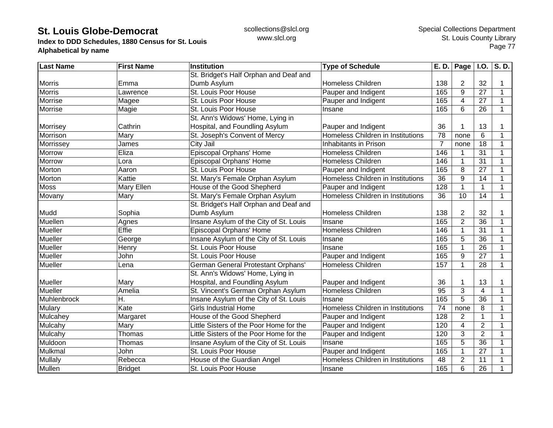**Index to DDD Schedules, 1880 Census for St. Louis Alphabetical by name**

| <b>Last Name</b> | <b>First Name</b> | <b>Institution</b>                      | <b>Type of Schedule</b>           | E. D.           | Page $ $ I.O.  |                 | S.D.        |
|------------------|-------------------|-----------------------------------------|-----------------------------------|-----------------|----------------|-----------------|-------------|
|                  |                   | St. Bridget's Half Orphan and Deaf and  |                                   |                 |                |                 |             |
| <b>Morris</b>    | Emma              | Dumb Asylum                             | <b>Homeless Children</b>          | 138             | $\overline{2}$ | 32              | 1           |
| <b>Morris</b>    | Lawrence          | St. Louis Poor House                    | Pauper and Indigent               | 165             | 9              | 27              | 1           |
| Morrise          | Magee             | St. Louis Poor House                    | Pauper and Indigent               | 165             | 4              | 27              | $\mathbf 1$ |
| Morrise          | Magie             | St. Louis Poor House                    | Insane                            | 165             | 6              | 26              | $\mathbf 1$ |
|                  |                   | St. Ann's Widows' Home, Lying in        |                                   |                 |                |                 |             |
| Morrisey         | Cathrin           | Hospital, and Foundling Asylum          | Pauper and Indigent               | 36              |                | 13              |             |
| Morrison         | Mary              | St. Joseph's Convent of Mercy           | Homeless Children in Institutions | 78              | none           | 6               | 1           |
| Morrissey        | James             | City Jail                               | Inhabitants in Prison             | $\overline{7}$  | none           | 18              |             |
| <b>Morrow</b>    | Eliza             | Episcopal Orphans' Home                 | <b>Homeless Children</b>          | 146             |                | 31              | 1           |
| Morrow           | Lora              | Episcopal Orphans' Home                 | <b>Homeless Children</b>          | 146             |                | 31              | 1           |
| Morton           | Aaron             | St. Louis Poor House                    | Pauper and Indigent               | 165             | 8              | 27              | $\mathbf 1$ |
| Morton           | Kattie            | St. Mary's Female Orphan Asylum         | Homeless Children in Institutions | 36              | 9              | 14              | 1           |
| <b>Moss</b>      | Mary Ellen        | House of the Good Shepherd              | Pauper and Indigent               | 128             |                | $\mathbf{1}$    | 1           |
| Movany           | Mary              | St. Mary's Female Orphan Asylum         | Homeless Children in Institutions | 36              | 10             | 14              | 1           |
|                  |                   | St. Bridget's Half Orphan and Deaf and  |                                   |                 |                |                 |             |
| Mudd             | Sophia            | Dumb Asylum                             | <b>Homeless Children</b>          | 138             | 2              | 32              |             |
| Muellen          | Agnes             | Insane Asylum of the City of St. Louis  | Insane                            | 165             | $\overline{2}$ | 36              | 1           |
| Mueller          | Effie             | Episcopal Orphans' Home                 | <b>Homeless Children</b>          | 146             |                | 31              | 1           |
| <b>Mueller</b>   | George            | Insane Asylum of the City of St. Louis  | Insane                            | 165             | 5              | $\overline{36}$ | 1           |
| Mueller          | Henry             | St. Louis Poor House                    | Insane                            | 165             |                | 26              | 1           |
| Mueller          | John              | St. Louis Poor House                    | Pauper and Indigent               | 165             | 9              | 27              | 1           |
| Mueller          | Lena              | German General Protestant Orphans'      | <b>Homeless Children</b>          | 157             | 1              | $\overline{28}$ | 1           |
|                  |                   | St. Ann's Widows' Home, Lying in        |                                   |                 |                |                 |             |
| Mueller          | Mary              | Hospital, and Foundling Asylum          | Pauper and Indigent               | 36              |                | 13              | 1           |
| Mueller          | Amelia            | St. Vincent's German Orphan Asylum      | <b>Homeless Children</b>          | $\overline{95}$ | 3              | $\overline{4}$  | 1           |
| Muhlenbrock      | Η.                | Insane Asylum of the City of St. Louis  | Insane                            | 165             | $\overline{5}$ | $\overline{36}$ | 1           |
| <b>Mulary</b>    | Kate              | <b>Girls Industrial Home</b>            | Homeless Children in Institutions | 74              | none           | 8               | 1           |
| Mulcahey         | Margaret          | House of the Good Shepherd              | Pauper and Indigent               | 128             | $\overline{2}$ | $\mathbf{1}$    | 1           |
| Mulcahy          | Mary              | Little Sisters of the Poor Home for the | Pauper and Indigent               | 120             | $\overline{4}$ | $\overline{2}$  | 1           |
| Mulcahy          | Thomas            | Little Sisters of the Poor Home for the | Pauper and Indigent               | 120             | 3              | $\overline{2}$  | 1           |
| Muldoon          | Thomas            | Insane Asylum of the City of St. Louis  | Insane                            | 165             | 5              | $\overline{36}$ |             |
| Mulkmal          | John              | St. Louis Poor House                    | Pauper and Indigent               | 165             |                | 27              |             |
| Mullaly          | Rebecca           | House of the Guardian Angel             | Homeless Children in Institutions | 48              | $\overline{2}$ | 11              |             |
| Mullen           | <b>Bridget</b>    | St. Louis Poor House                    | Insane                            | 165             | 6              | 26              |             |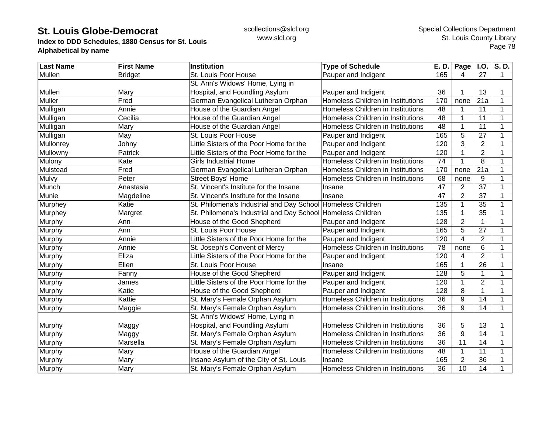**Index to DDD Schedules, 1880 Census for St. Louis Alphabetical by name**

| <b>Last Name</b> | <b>First Name</b> | Institution                                                 | <b>Type of Schedule</b>           | E. D. | Page           | <b>I.O.</b>     | S.D.        |
|------------------|-------------------|-------------------------------------------------------------|-----------------------------------|-------|----------------|-----------------|-------------|
| Mullen           | <b>Bridget</b>    | St. Louis Poor House                                        | Pauper and Indigent               | 165   | 4              | 27              | $\mathbf 1$ |
|                  |                   | St. Ann's Widows' Home, Lying in                            |                                   |       |                |                 |             |
| Mullen           | Mary              | Hospital, and Foundling Asylum                              | Pauper and Indigent               | 36    |                | 13              | 1           |
| <b>Muller</b>    | Fred              | German Evangelical Lutheran Orphan                          | Homeless Children in Institutions | 170   | none           | 21a             | 1           |
| Mulligan         | Annie             | House of the Guardian Angel                                 | Homeless Children in Institutions | 48    |                | 11              |             |
| Mulligan         | Cecilia           | House of the Guardian Angel                                 | Homeless Children in Institutions | 48    |                | 11              | 1           |
| Mulligan         | Mary              | House of the Guardian Angel                                 | Homeless Children in Institutions | 48    |                | 11              | 1           |
| Mulligan         | May               | St. Louis Poor House                                        | Pauper and Indigent               | 165   | 5              | 27              |             |
| Mullonrey        | Johny             | Little Sisters of the Poor Home for the                     | Pauper and Indigent               | 120   | 3              | $\overline{2}$  |             |
| Mullowny         | Patrick           | Little Sisters of the Poor Home for the                     | Pauper and Indigent               | 120   |                | $\overline{2}$  |             |
| Mulony           | Kate              | <b>Girls Industrial Home</b>                                | Homeless Children in Institutions | 74    |                | 8               | 1           |
| Mulstead         | Fred              | German Evangelical Lutheran Orphan                          | Homeless Children in Institutions | 170   | none           | 21a             | 1           |
| Mulvy            | Peter             | Street Boys' Home                                           | Homeless Children in Institutions | 68    | none           | 9               | 1           |
| Munch            | Anastasia         | St. Vincent's Institute for the Insane                      | Insane                            | 47    | 2              | 37              | 1           |
| Munie            | Magdeline         | St. Vincent's Institute for the Insane                      | Insane                            | 47    | $\overline{2}$ | 37              | 1           |
| Murphey          | Katie             | St. Philomena's Industrial and Day School Homeless Children |                                   | 135   |                | 35              | 1           |
| Murphey          | Margret           | St. Philomena's Industrial and Day School Homeless Children |                                   | 135   | 1              | 35              | 1           |
| Murphy           | Ann               | House of the Good Shepherd                                  | Pauper and Indigent               | 128   | $\overline{2}$ | $\mathbf{1}$    | 1           |
| Murphy           | Ann               | St. Louis Poor House                                        | Pauper and Indigent               | 165   | 5              | 27              |             |
| Murphy           | Annie             | Little Sisters of the Poor Home for the                     | Pauper and Indigent               | 120   | 4              | $\overline{2}$  |             |
| Murphy           | Annie             | St. Joseph's Convent of Mercy                               | Homeless Children in Institutions | 78    | none           | 6               | 1           |
| Murphy           | Eliza             | Little Sisters of the Poor Home for the                     | Pauper and Indigent               | 120   | 4              | $\overline{2}$  | 1           |
| Murphy           | Ellen             | St. Louis Poor House                                        | Insane                            | 165   |                | 26              | $\mathbf 1$ |
| Murphy           | Fanny             | House of the Good Shepherd                                  | Pauper and Indigent               | 128   | 5              | $\mathbf 1$     | $\mathbf 1$ |
| Murphy           | James             | Little Sisters of the Poor Home for the                     | Pauper and Indigent               | 120   |                | $\overline{2}$  | 1           |
| Murphy           | Katie             | House of the Good Shepherd                                  | Pauper and Indigent               | 128   | 8              | $\mathbf{1}$    | 1           |
| Murphy           | Kattie            | St. Mary's Female Orphan Asylum                             | Homeless Children in Institutions | 36    | 9              | 14              | 1           |
| Murphy           | Maggie            | St. Mary's Female Orphan Asylum                             | Homeless Children in Institutions | 36    | 9              | 14              | $\mathbf 1$ |
|                  |                   | St. Ann's Widows' Home, Lying in                            |                                   |       |                |                 |             |
| Murphy           | Maggy             | Hospital, and Foundling Asylum                              | Homeless Children in Institutions | 36    | 5              | 13              |             |
| Murphy           | Maggy             | St. Mary's Female Orphan Asylum                             | Homeless Children in Institutions | 36    | 9              | 14              | 1           |
| Murphy           | Marsella          | St. Mary's Female Orphan Asylum                             | Homeless Children in Institutions | 36    | 11             | 14              |             |
| Murphy           | Mary              | House of the Guardian Angel                                 | Homeless Children in Institutions | 48    |                | $\overline{11}$ | 1           |
| Murphy           | Mary              | Insane Asylum of the City of St. Louis                      | Insane                            | 165   | $\overline{2}$ | 36              | 1           |
| Murphy           | Mary              | St. Mary's Female Orphan Asylum                             | Homeless Children in Institutions | 36    | 10             | 14              | 1           |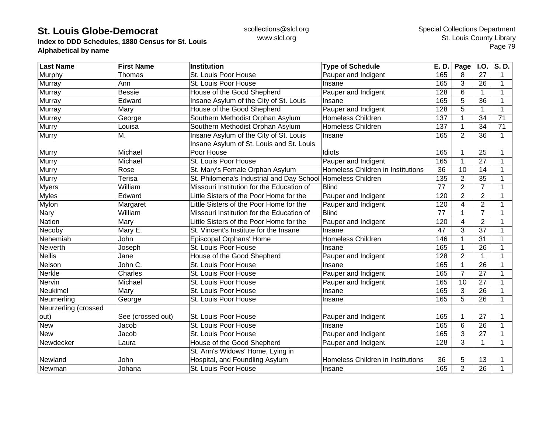**Index to DDD Schedules, 1880 Census for St. Louis Alphabetical by name**

| <b>Last Name</b>     | <b>First Name</b> | <b>Institution</b>                                          | <b>Type of Schedule</b>           | E. D. | Page           | <b>I.O.</b>     | S.D.         |
|----------------------|-------------------|-------------------------------------------------------------|-----------------------------------|-------|----------------|-----------------|--------------|
| Murphy               | Thomas            | St. Louis Poor House                                        | Pauper and Indigent               | 165   | 8              | 27              | 1            |
| <b>Murray</b>        | Ann               | St. Louis Poor House                                        | Insane                            | 165   | 3              | 26              | 1            |
| Murray               | Bessie            | House of the Good Shepherd                                  | Pauper and Indigent               | 128   | 6              | $\mathbf{1}$    | 1            |
| Murray               | Edward            | Insane Asylum of the City of St. Louis                      | Insane                            | 165   | 5              | 36              |              |
| Murray               | Mary              | House of the Good Shepherd                                  | Pauper and Indigent               | 128   | 5              | 1               |              |
| <b>Murrey</b>        | George            | Southern Methodist Orphan Asylum                            | <b>Homeless Children</b>          | 137   |                | 34              | 71           |
| <b>Murry</b>         | Louisa            | Southern Methodist Orphan Asylum                            | Homeless Children                 | 137   |                | 34              | 71           |
| <b>Murry</b>         | M.                | Insane Asylum of the City of St. Louis                      | Insane                            | 165   | $\overline{2}$ | 36              | $\mathbf{1}$ |
|                      |                   | Insane Asylum of St. Louis and St. Louis                    |                                   |       |                |                 |              |
| <b>Murry</b>         | Michael           | Poor House                                                  | Idiots                            | 165   |                | 25              |              |
| Murry                | Michael           | St. Louis Poor House                                        | Pauper and Indigent               | 165   |                | $\overline{27}$ |              |
| Murry                | Rose              | St. Mary's Female Orphan Asylum                             | Homeless Children in Institutions | 36    | 10             | 14              |              |
| Murry                | Terisa            | St. Philomena's Industrial and Day School Homeless Children |                                   | 135   | 2              | 35              |              |
| <b>Myers</b>         | William           | Missouri Institution for the Education of                   | <b>Blind</b>                      | 77    | $\overline{2}$ | $\overline{7}$  | 1            |
| <b>Myles</b>         | Edward            | Little Sisters of the Poor Home for the                     | Pauper and Indigent               | 120   | $\overline{2}$ | $\overline{2}$  |              |
| Mylon                | Margaret          | Little Sisters of the Poor Home for the                     | Pauper and Indigent               | 120   | 4              | $\overline{2}$  |              |
| <b>Nary</b>          | William           | Missouri Institution for the Education of                   | <b>Blind</b>                      | 77    |                | $\overline{7}$  |              |
| <b>Nation</b>        | Mary              | Little Sisters of the Poor Home for the                     | Pauper and Indigent               | 120   | 4              | $\overline{2}$  |              |
| Necoby               | Mary E.           | St. Vincent's Institute for the Insane                      | Insane                            | 47    | 3              | 37              |              |
| Nehemiah             | John              | Episcopal Orphans' Home                                     | Homeless Children                 | 146   |                | 31              | 1            |
| Neiverth             | Joseph            | St. Louis Poor House                                        | Insane                            | 165   |                | 26              | 1            |
| <b>Nellis</b>        | Jane              | House of the Good Shepherd                                  | Pauper and Indigent               | 128   | $\overline{2}$ | $\mathbf{1}$    | 1            |
| Nelson               | John C.           | St. Louis Poor House                                        | Insane                            | 165   | $\mathbf 1$    | 26              | 1            |
| Nerkle               | Charles           | St. Louis Poor House                                        | Pauper and Indigent               | 165   | $\overline{7}$ | 27              |              |
| Nervin               | Michael           | St. Louis Poor House                                        | Pauper and Indigent               | 165   | 10             | 27              | 1            |
| Neukimel             | Mary              | St. Louis Poor House                                        | Insane                            | 165   | 3              | 26              | 1            |
| Neumerling           | George            | St. Louis Poor House                                        | Insane                            | 165   | 5              | 26              | 1            |
| Neurzerling (crossed |                   |                                                             |                                   |       |                |                 |              |
| out)                 | See (crossed out) | St. Louis Poor House                                        | Pauper and Indigent               | 165   |                | 27              |              |
| <b>New</b>           | Jacob             | St. Louis Poor House                                        | Insane                            | 165   | 6              | 26              |              |
| <b>New</b>           | Jacob             | St. Louis Poor House                                        | Pauper and Indigent               | 165   | 3              | 27              |              |
| Newdecker            | Laura             | House of the Good Shepherd                                  | Pauper and Indigent               | 128   | $\overline{3}$ | $\mathbf{1}$    | 1            |
|                      |                   | St. Ann's Widows' Home, Lying in                            |                                   |       |                |                 |              |
| Newland              | John              | Hospital, and Foundling Asylum                              | Homeless Children in Institutions | 36    | 5              | 13              |              |
| Newman               | Johana            | St. Louis Poor House                                        | Insane                            | 165   | $\overline{2}$ | 26              |              |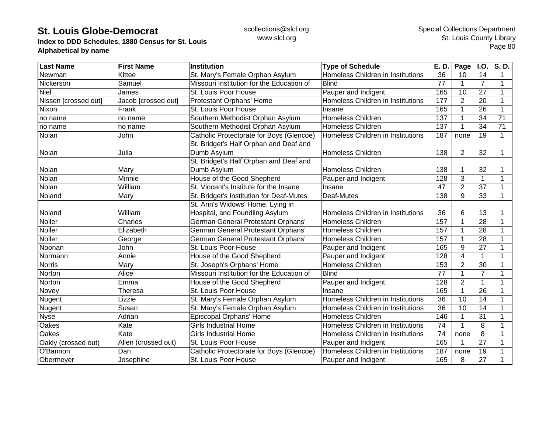**Index to DDD Schedules, 1880 Census for St. Louis Alphabetical by name**

| Last Name            | <b>First Name</b>   | <b>Institution</b>                        | <b>Type of Schedule</b>           | E. D.           | Page           | I.O.            | $\overline{S}$ . D. |
|----------------------|---------------------|-------------------------------------------|-----------------------------------|-----------------|----------------|-----------------|---------------------|
| Newman               | Kittee              | St. Mary's Female Orphan Asylum           | Homeless Children in Institutions | 36              | 10             | 14              | 1                   |
| Nickerson            | Samuel              | Missouri Institution for the Education of | <b>Blind</b>                      | 77              | 1              | $\overline{7}$  | 1                   |
| <b>Niel</b>          | James               | St. Louis Poor House                      | Pauper and Indigent               | 165             | 10             | 27              |                     |
| Nissen [crossed out] | Jacob [crossed out] | Protestant Orphans' Home                  | Homeless Children in Institutions | 177             | $\overline{2}$ | 20              |                     |
| Nixon                | Frank               | St. Louis Poor House                      | Insane                            | 165             |                | 26              |                     |
| no name              | no name             | Southern Methodist Orphan Asylum          | <b>Homeless Children</b>          | 137             |                | 34              | 71                  |
| no name              | no name             | Southern Methodist Orphan Asylum          | <b>Homeless Children</b>          | 137             |                | 34              | 71                  |
| Nolan                | John                | Catholic Protectorate for Boys (Glencoe)  | Homeless Children in Institutions | 187             | none           | 19              | 1                   |
|                      |                     | St. Bridget's Half Orphan and Deaf and    |                                   |                 |                |                 |                     |
| Nolan                | Julia               | Dumb Asylum                               | <b>Homeless Children</b>          | 138             | 2              | 32              | 1                   |
|                      |                     | St. Bridget's Half Orphan and Deaf and    |                                   |                 |                |                 |                     |
| Nolan                | Mary                | Dumb Asylum                               | Homeless Children                 | 138             |                | 32              |                     |
| Nolan                | Minnie              | House of the Good Shepherd                | Pauper and Indigent               | 128             | 3              | $\mathbf{1}$    | 1                   |
| Nolan                | William             | St. Vincent's Institute for the Insane    | Insane                            | 47              | $\overline{2}$ | 37              |                     |
| Noland               | Mary                | St. Bridget's Institution for Deaf-Mutes  | Deaf-Mutes                        | 138             | 9              | 33              | 1                   |
|                      |                     | St. Ann's Widows' Home, Lying in          |                                   |                 |                |                 |                     |
| Noland               | William             | Hospital, and Foundling Asylum            | Homeless Children in Institutions | 36              | 6              | 13              |                     |
| Noller               | Charles             | German General Protestant Orphans'        | <b>Homeless Children</b>          | 157             |                | 28              |                     |
| Noller               | Elizabeth           | German General Protestant Orphans'        | <b>Homeless Children</b>          | 157             |                | 28              |                     |
| Noller               | George              | German General Protestant Orphans'        | <b>Homeless Children</b>          | 157             |                | 28              |                     |
| Noonan               | John                | St. Louis Poor House                      | Pauper and Indigent               | 165             | 9              | 27              |                     |
| Normann              | Annie               | House of the Good Shepherd                | Pauper and Indigent               | 128             | 4              | $\mathbf{1}$    |                     |
| <b>Norris</b>        | Mary                | St. Joseph's Orphans' Home                | <b>Homeless Children</b>          | 153             | $\overline{2}$ | 30              |                     |
| Norton               | Alice               | Missouri Institution for the Education of | <b>Blind</b>                      | 77              |                | $\overline{7}$  |                     |
| Norton               | Emma                | House of the Good Shepherd                | Pauper and Indigent               | 128             | $\overline{2}$ | $\mathbf 1$     |                     |
| Novey                | Theresa             | St. Louis Poor House                      | Insane                            | 165             |                | $\overline{26}$ |                     |
| Nugent               | Lizzie              | St. Mary's Female Orphan Asylum           | Homeless Children in Institutions | $\overline{36}$ | 10             | 14              | 1                   |
| Nugent               | Susan               | St. Mary's Female Orphan Asylum           | Homeless Children in Institutions | 36              | 10             | 14              |                     |
| <b>Nyse</b>          | Adrian              | Episcopal Orphans' Home                   | <b>Homeless Children</b>          | 146             |                | 31              |                     |
| Oakes                | Kate                | <b>Girls Industrial Home</b>              | Homeless Children in Institutions | 74              |                | 8               |                     |
| Oakes                | Kate                | <b>Girls Industrial Home</b>              | Homeless Children in Institutions | 74              | none           | 8               |                     |
| Oakly (crossed out)  | Allen (crossed out) | St. Louis Poor House                      | Pauper and Indigent               | 165             |                | $\overline{27}$ |                     |
| O'Bannon             | Dan                 | Catholic Protectorate for Boys (Glencoe)  | Homeless Children in Institutions | 187             | none           | 19              |                     |
| Obermeyer            | Josephine           | St. Louis Poor House                      | Pauper and Indigent               | 165             | 8              | 27              |                     |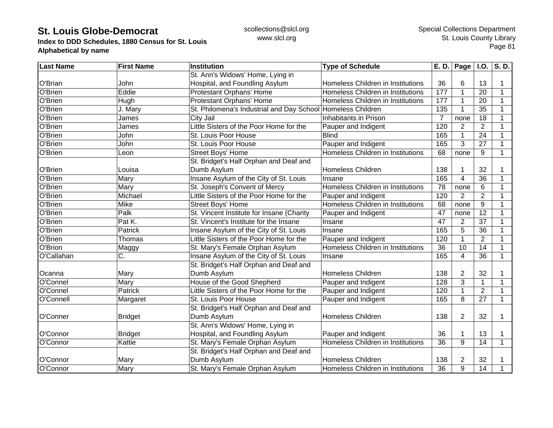**Index to DDD Schedules, 1880 Census for St. Louis Alphabetical by name**

| <b>Last Name</b> | <b>First Name</b> | Institution                               | <b>Type of Schedule</b>           | E. D.           | Page I.O.      |                 | $\overline{\mathsf{S}}$ . D. |
|------------------|-------------------|-------------------------------------------|-----------------------------------|-----------------|----------------|-----------------|------------------------------|
|                  |                   | St. Ann's Widows' Home, Lying in          |                                   |                 |                |                 |                              |
| O'Brian          | John              | Hospital, and Foundling Asylum            | Homeless Children in Institutions | 36              | 6              | 13              | 1                            |
| O'Brien          | Eddie             | Protestant Orphans' Home                  | Homeless Children in Institutions | 177             | 1              | 20              | $\mathbf{1}$                 |
| O'Brien          | Hugh              | Protestant Orphans' Home                  | Homeless Children in Institutions | 177             |                | 20              | $\mathbf 1$                  |
| O'Brien          | J. Mary           | St. Philomena's Industrial and Day School | Homeless Children                 | 135             |                | 35              | 1                            |
| O'Brien          | James             | City Jail                                 | Inhabitants in Prison             | $\overline{7}$  | none           | 18              |                              |
| O'Brien          | James             | Little Sisters of the Poor Home for the   | Pauper and Indigent               | 120             | $\overline{2}$ | $\overline{2}$  |                              |
| O'Brien          | John              | St. Louis Poor House                      | <b>Blind</b>                      | 165             |                | 24              |                              |
| O'Brien          | John              | St. Louis Poor House                      | Pauper and Indigent               | 165             | 3              | 27              | 1                            |
| O'Brien          | Leon              | <b>Street Boys' Home</b>                  | Homeless Children in Institutions | 68              | none           | 9               | 1                            |
|                  |                   | St. Bridget's Half Orphan and Deaf and    |                                   |                 |                |                 |                              |
| O'Brien          | Louisa            | Dumb Asylum                               | <b>Homeless Children</b>          | 138             |                | 32              |                              |
| O'Brien          | Mary              | Insane Asylum of the City of St. Louis    | Insane                            | 165             | $\overline{4}$ | $\overline{36}$ | 1                            |
| O'Brien          | Mary              | St. Joseph's Convent of Mercy             | Homeless Children in Institutions | 78              | none           | 6               | 1                            |
| O'Brien          | Michael           | Little Sisters of the Poor Home for the   | Pauper and Indigent               | 120             | $\overline{2}$ | $\overline{2}$  | 1                            |
| O'Brien          | Mike              | <b>Street Boys' Home</b>                  | Homeless Children in Institutions | 68              | none           | 9               | 1                            |
| O'Brien          | Palk              | St. Vincent Institute for Insane (Charity | Pauper and Indigent               | 47              | none           | $\overline{12}$ | 1                            |
| O'Brien          | Pat K.            | St. Vincent's Institute for the Insane    | Insane                            | 47              | $\overline{2}$ | 37              | 1                            |
| O'Brien          | Patrick           | Insane Asylum of the City of St. Louis    | Insane                            | 165             | 5              | 36              |                              |
| O'Brien          | Thomas            | Little Sisters of the Poor Home for the   | Pauper and Indigent               | 120             |                | $\overline{2}$  | 1                            |
| O'Brion          | Maggy             | St. Mary's Female Orphan Asylum           | Homeless Children in Institutions | 36              | 10             | 14              | 1                            |
| O'Callahan       | C.                | Insane Asylum of the City of St. Louis    | Insane                            | 165             | 4              | $\overline{36}$ | 1                            |
|                  |                   | St. Bridget's Half Orphan and Deaf and    |                                   |                 |                |                 |                              |
| Ocanna           | Mary              | Dumb Asylum                               | <b>Homeless Children</b>          | 138             | $\overline{2}$ | 32              |                              |
| O'Connel         | Mary              | House of the Good Shepherd                | Pauper and Indigent               | 128             | 3              | 1               | 1                            |
| O'Connel         | Patrick           | Little Sisters of the Poor Home for the   | Pauper and Indigent               | 120             |                | $\overline{2}$  | $\mathbf 1$                  |
| O'Connell        | Margaret          | St. Louis Poor House                      | Pauper and Indigent               | 165             | 8              | 27              | $\mathbf 1$                  |
|                  |                   | St. Bridget's Half Orphan and Deaf and    |                                   |                 |                |                 |                              |
| O'Conner         | <b>Bridget</b>    | Dumb Asylum                               | <b>Homeless Children</b>          | 138             | $\overline{2}$ | 32              | 1                            |
|                  |                   | St. Ann's Widows' Home, Lying in          |                                   |                 |                |                 |                              |
| O'Connor         | <b>Bridget</b>    | Hospital, and Foundling Asylum            | Pauper and Indigent               | 36              |                | 13              |                              |
| O'Connor         | Kattie            | St. Mary's Female Orphan Asylum           | Homeless Children in Institutions | $\overline{36}$ | 9              | 14              | 1                            |
|                  |                   | St. Bridget's Half Orphan and Deaf and    |                                   |                 |                |                 |                              |
| O'Connor         | Mary              | Dumb Asylum                               | <b>Homeless Children</b>          | 138             | $\overline{2}$ | 32              |                              |
| O'Connor         | Mary              | St. Mary's Female Orphan Asylum           | Homeless Children in Institutions | 36              | 9              | 14              | 1                            |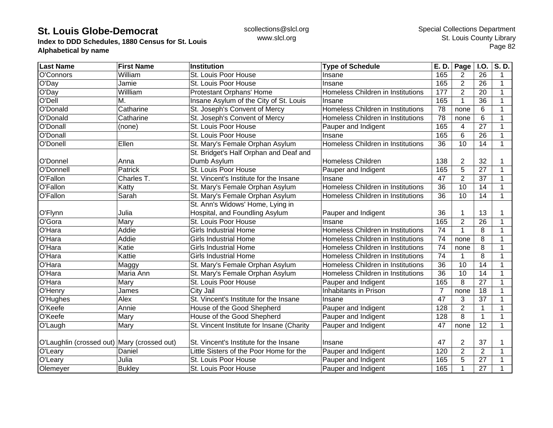**Index to DDD Schedules, 1880 Census for St. Louis Alphabetical by name**

| <b>Last Name</b>                            | <b>First Name</b> | Institution                               | <b>Type of Schedule</b>           | E. D.           | Page           | <b>I.O.</b>     | S. D.       |
|---------------------------------------------|-------------------|-------------------------------------------|-----------------------------------|-----------------|----------------|-----------------|-------------|
| O'Connors                                   | William           | St. Louis Poor House                      | Insane                            | 165             | 2              | 26              | 1           |
| O'Day                                       | Jamie             | St. Louis Poor House                      | Insane                            | 165             | $\overline{2}$ | 26              | 1           |
| O'Day                                       | Willliam          | Protestant Orphans' Home                  | Homeless Children in Institutions | 177             | 2              | 20              | $\mathbf 1$ |
| <b>O'Dell</b>                               | Μ.                | Insane Asylum of the City of St. Louis    | Insane                            | 165             | $\mathbf{1}$   | 36              | $\mathbf 1$ |
| O'Donald                                    | Catharine         | St. Joseph's Convent of Mercy             | Homeless Children in Institutions | 78              | none           | 6               |             |
| O'Donald                                    | Catharine         | St. Joseph's Convent of Mercy             | Homeless Children in Institutions | 78              | none           | 6               |             |
| O'Donall                                    | (none)            | St. Louis Poor House                      | Pauper and Indigent               | 165             | 4              | $\overline{27}$ |             |
| O'Donall                                    |                   | St. Louis Poor House                      | Insane                            | 165             | 6              | 26              |             |
| O'Donell                                    | Ellen             | St. Mary's Female Orphan Asylum           | Homeless Children in Institutions | 36              | 10             | 14              | 1           |
|                                             |                   | St. Bridget's Half Orphan and Deaf and    |                                   |                 |                |                 |             |
| O'Donnel                                    | Anna              | Dumb Asylum                               | <b>Homeless Children</b>          | 138             | $\overline{2}$ | 32              |             |
| O'Donnell                                   | Patrick           | St. Louis Poor House                      | Pauper and Indigent               | 165             | 5              | 27              | 1           |
| O'Fallon                                    | Charles T.        | St. Vincent's Institute for the Insane    | Insane                            | 47              | $\overline{2}$ | 37              | $\mathbf 1$ |
| O'Fallon                                    | Katty             | St. Mary's Female Orphan Asylum           | Homeless Children in Institutions | 36              | 10             | 14              | 1           |
| O'Fallon                                    | Sarah             | St. Mary's Female Orphan Asylum           | Homeless Children in Institutions | 36              | 10             | 14              | 1           |
|                                             |                   | St. Ann's Widows' Home, Lying in          |                                   |                 |                |                 |             |
| O'Flynn                                     | Julia             | Hospital, and Foundling Asylum            | Pauper and Indigent               | 36              |                | 13              | 1           |
| O'Gora                                      | Mary              | St. Louis Poor House                      | Insane                            | 165             | $\overline{2}$ | 26              | 1           |
| O'Hara                                      | Addie             | <b>Girls Industrial Home</b>              | Homeless Children in Institutions | 74              | 1              | 8               |             |
| O'Hara                                      | Addie             | <b>Girls Industrial Home</b>              | Homeless Children in Institutions | 74              | none           | 8               | 1           |
| O'Hara                                      | Katie             | <b>Girls Industrial Home</b>              | Homeless Children in Institutions | 74              | none           | 8               | 1           |
| O'Hara                                      | Kattie            | <b>Girls Industrial Home</b>              | Homeless Children in Institutions | 74              |                | 8               | 1           |
| O'Hara                                      | Maggy             | St. Mary's Female Orphan Asylum           | Homeless Children in Institutions | $\overline{36}$ | 10             | 14              | $\mathbf 1$ |
| O'Hara                                      | Maria Ann         | St. Mary's Female Orphan Asylum           | Homeless Children in Institutions | 36              | 10             | 14              | 1           |
| O'Hara                                      | Mary              | St. Louis Poor House                      | Pauper and Indigent               | 165             | 8              | $\overline{27}$ | $\mathbf 1$ |
| O'Henry                                     | James             | City Jail                                 | <b>Inhabitants in Prison</b>      | $\overline{7}$  | none           | 18              | $\mathbf 1$ |
| O'Hughes                                    | Alex              | St. Vincent's Institute for the Insane    | Insane                            | 47              | 3              | 37              | 1           |
| O'Keefe                                     | Annie             | House of the Good Shepherd                | Pauper and Indigent               | 128             | $\overline{2}$ | 1               | $\mathbf 1$ |
| O'Keefe                                     | Mary              | House of the Good Shepherd                | Pauper and Indigent               | 128             | 8              | $\mathbf 1$     | 1           |
| O'Laugh                                     | Mary              | St. Vincent Institute for Insane (Charity | Pauper and Indigent               | 47              | none           | $\overline{12}$ | 1           |
|                                             |                   |                                           |                                   |                 |                |                 |             |
| O'Laughlin (crossed out) Mary (crossed out) |                   | St. Vincent's Institute for the Insane    | Insane                            | 47              | 2              | 37              |             |
| O'Leary                                     | Daniel            | Little Sisters of the Poor Home for the   | Pauper and Indigent               | 120             | $\overline{2}$ | $\overline{2}$  |             |
| O'Leary                                     | Julia             | St. Louis Poor House                      | Pauper and Indigent               | 165             | 5              | 27              |             |
| Olemeyer                                    | <b>Bukley</b>     | St. Louis Poor House                      | Pauper and Indigent               | 165             | 1              | 27              | 1           |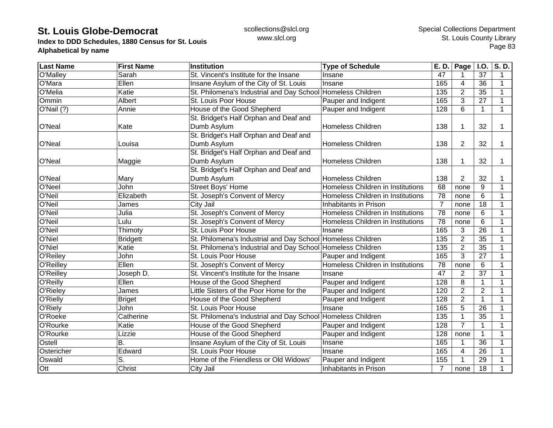**Index to DDD Schedules, 1880 Census for St. Louis Alphabetical by name**

| <b>Last Name</b> | <b>First Name</b> | Institution                                                 | <b>Type of Schedule</b>           | E. D.           | Page           | <b>I.O.</b>     | S.D.        |
|------------------|-------------------|-------------------------------------------------------------|-----------------------------------|-----------------|----------------|-----------------|-------------|
| O'Malley         | Sarah             | St. Vincent's Institute for the Insane                      | Insane                            | 47              |                | 37              | 1           |
| O'Mara           | Ellen             | Insane Asylum of the City of St. Louis                      | Insane                            | 165             | 4              | 36              | $\mathbf 1$ |
| O'Melia          | Katie             | St. Philomena's Industrial and Day School Homeless Children |                                   | 135             | $\overline{2}$ | 35              | 1           |
| Ommin            | Albert            | St. Louis Poor House                                        | Pauper and Indigent               | 165             | 3              | 27              | 1           |
| O'Nail(?)        | Annie             | House of the Good Shepherd                                  | Pauper and Indigent               | 128             | 6              | $\mathbf{1}$    | 1           |
|                  |                   | St. Bridget's Half Orphan and Deaf and                      |                                   |                 |                |                 |             |
| O'Neal           | Kate              | Dumb Asylum                                                 | <b>Homeless Children</b>          | 138             |                | 32              | 1           |
|                  |                   | St. Bridget's Half Orphan and Deaf and                      |                                   |                 |                |                 |             |
| O'Neal           | Louisa            | Dumb Asylum                                                 | Homeless Children                 | 138             | $\overline{2}$ | 32              | 1           |
|                  |                   | St. Bridget's Half Orphan and Deaf and                      |                                   |                 |                |                 |             |
| O'Neal           | Maggie            | Dumb Asylum                                                 | <b>Homeless Children</b>          | 138             |                | 32              | 1           |
|                  |                   | St. Bridget's Half Orphan and Deaf and                      |                                   |                 |                |                 |             |
| O'Neal           | Mary              | Dumb Asylum                                                 | <b>Homeless Children</b>          | 138             | $\overline{2}$ | 32              | 1           |
| O'Neel           | John              | <b>Street Boys' Home</b>                                    | Homeless Children in Institutions | 68              | none           | 9               | 1           |
| O'Neil           | Elizabeth         | St. Joseph's Convent of Mercy                               | Homeless Children in Institutions | 78              | none           | 6               | 1           |
| O'Neil           | James             | City Jail                                                   | Inhabitants in Prison             | $\overline{7}$  | none           | 18              | 1           |
| O'Neil           | Julia             | St. Joseph's Convent of Mercy                               | Homeless Children in Institutions | $\overline{78}$ | none           | 6               | 1           |
| O'Neil           | Lulu              | St. Joseph's Convent of Mercy                               | Homeless Children in Institutions | 78              | none           | 6               | 1           |
| O'Neil           | Thimoty           | St. Louis Poor House                                        | Insane                            | 165             | 3              | 26              | 1           |
| O'Niel           | <b>Bridgett</b>   | St. Philomena's Industrial and Day School Homeless Children |                                   | 135             | $\overline{2}$ | $\overline{35}$ | 1           |
| O'Niel           | Katie             | St. Philomena's Industrial and Day School Homeless Children |                                   | 135             | $\overline{2}$ | $\overline{35}$ | 1           |
| O'Reiley         | John              | St. Louis Poor House                                        | Pauper and Indigent               | 165             | 3              | 27              | 1           |
| O'Reilley        | Ellen             | St. Joseph's Convent of Mercy                               | Homeless Children in Institutions | 78              | none           | 6               | 1           |
| <b>O'Reilley</b> | Joseph D.         | St. Vincent's Institute for the Insane                      | Insane                            | 47              | $\overline{2}$ | $\overline{37}$ | $\mathbf 1$ |
| O'Reilly         | Ellen             | House of the Good Shepherd                                  | Pauper and Indigent               | 128             | 8              | 1               | $\mathbf 1$ |
| O'Rieley         | James             | Little Sisters of the Poor Home for the                     | Pauper and Indigent               | 120             | $\overline{2}$ | $\overline{2}$  | 1           |
| O'Rielly         | <b>Briget</b>     | House of the Good Shepherd                                  | Pauper and Indigent               | 128             | $\overline{2}$ | $\mathbf{1}$    | 1           |
| O'Riely          | John              | St. Louis Poor House                                        | Insane                            | 165             | 5              | 26              | 1           |
| O'Roeke          | Catherine         | St. Philomena's Industrial and Day School                   | Homeless Children                 | 135             | $\mathbf{1}$   | 35              | 1           |
| O'Rourke         | Katie             | House of the Good Shepherd                                  | Pauper and Indigent               | 128             | $\overline{7}$ | $\mathbf{1}$    | 1           |
| O'Rourke         | Lizzie            | House of the Good Shepherd                                  | Pauper and Indigent               | 128             | none           | 1               | 1           |
| Ostell           | В.                | Insane Asylum of the City of St. Louis                      | Insane                            | 165             |                | $\overline{36}$ |             |
| Ostericher       | Edward            | St. Louis Poor House                                        | Insane                            | 165             | $\overline{4}$ | 26              |             |
| Oswald           | S.                | Home of the Friendless or Old Widows'                       | Pauper and Indigent               | 155             |                | 29              |             |
| Ott              | Christ            | City Jail                                                   | Inhabitants in Prison             | 7               | none           | 18              | 1           |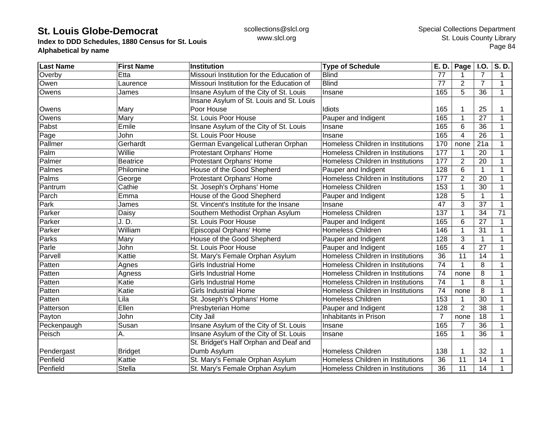**Index to DDD Schedules, 1880 Census for St. Louis Alphabetical by name**

| <b>Last Name</b> | <b>First Name</b> | <b>Institution</b>                        | <b>Type of Schedule</b>           | E. D.          | Page           | $\overline{1.0}$ . | S.D.         |
|------------------|-------------------|-------------------------------------------|-----------------------------------|----------------|----------------|--------------------|--------------|
| Overby           | Etta              | Missouri Institution for the Education of | <b>Blind</b>                      | 77             |                | $\overline{7}$     | 1            |
| Owen             | Laurence          | Missouri Institution for the Education of | <b>Blind</b>                      | 77             | 2              | $\overline{7}$     | $\mathbf{1}$ |
| Owens            | James             | Insane Asylum of the City of St. Louis    | Insane                            | 165            | 5              | 36                 | $\mathbf{1}$ |
|                  |                   | Insane Asylum of St. Louis and St. Louis  |                                   |                |                |                    |              |
| Owens            | Mary              | Poor House                                | Idiots                            | 165            |                | 25                 | 1            |
| Owens            | Mary              | St. Louis Poor House                      | Pauper and Indigent               | 165            |                | 27                 | 1            |
| Pabst            | Emile             | Insane Asylum of the City of St. Louis    | Insane                            | 165            | 6              | 36                 | 1            |
| Page             | John              | St. Louis Poor House                      | Insane                            | 165            | 4              | 26                 | 1            |
| Pallmer          | Gerhardt          | German Evangelical Lutheran Orphan        | Homeless Children in Institutions | 170            | none           | 21a                | 1            |
| Palm             | Willie            | Protestant Orphans' Home                  | Homeless Children in Institutions | 177            |                | 20                 | 1            |
| Palmer           | <b>Beatrice</b>   | Protestant Orphans' Home                  | Homeless Children in Institutions | 177            | $\overline{2}$ | 20                 | 1            |
| Palmes           | Philomine         | House of the Good Shepherd                | Pauper and Indigent               | 128            | 6              |                    | 1            |
| Palms            | George            | Protestant Orphans' Home                  | Homeless Children in Institutions | 177            | $\overline{2}$ | $\overline{20}$    | 1            |
| Pantrum          | Cathie            | St. Joseph's Orphans' Home                | <b>Homeless Children</b>          | 153            |                | 30                 | 1            |
| Parch            | Emma              | House of the Good Shepherd                | Pauper and Indigent               | 128            | 5              | 1                  | 1            |
| Park             | James             | St. Vincent's Institute for the Insane    | Insane                            | 47             | 3              | 37                 | 1            |
| Parker           | Daisy             | Southern Methodist Orphan Asylum          | <b>Homeless Children</b>          | 137            |                | 34                 | 71           |
| Parker           | J.D.              | St. Louis Poor House                      | Pauper and Indigent               | 165            | 6              | 27                 | 1            |
| Parker           | William           | Episcopal Orphans' Home                   | Homeless Children                 | 146            |                | 31                 | 1            |
| Parks            | Mary              | House of the Good Shepherd                | Pauper and Indigent               | 128            | 3              |                    | 1            |
| Parle            | John              | St. Louis Poor House                      | Pauper and Indigent               | 165            | 4              | $\overline{27}$    | 1            |
| Parvell          | Kattie            | St. Mary's Female Orphan Asylum           | Homeless Children in Institutions | 36             | 11             | 14                 | 1            |
| Patten           | Agnes             | <b>Girls Industrial Home</b>              | Homeless Children in Institutions | 74             | 1              | 8                  | 1            |
| Patten           | Agness            | <b>Girls Industrial Home</b>              | Homeless Children in Institutions | 74             | none           | 8                  | 1            |
| Patten           | Katie             | <b>Girls Industrial Home</b>              | Homeless Children in Institutions | 74             |                | 8                  | 1            |
| Patten           | Katie             | <b>Girls Industrial Home</b>              | Homeless Children in Institutions | 74             | none           | $\overline{8}$     | 1            |
| Patten           | Lila              | St. Joseph's Orphans' Home                | <b>Homeless Children</b>          | 153            |                | 30                 | 1            |
| Patterson        | Ellen             | Presbyterian Home                         | Pauper and Indigent               | 128            | $\overline{2}$ | 38                 | 1            |
| Payton           | John              | City Jail                                 | Inhabitants in Prison             | $\overline{7}$ | none           | 18                 | 1            |
| Peckenpaugh      | Susan             | Insane Asylum of the City of St. Louis    | Insane                            | 165            |                | 36                 | 1            |
| Peisch           | Α.                | Insane Asylum of the City of St. Louis    | Insane                            | 165            | 1              | 36                 | 1            |
|                  |                   | St. Bridget's Half Orphan and Deaf and    |                                   |                |                |                    |              |
| Pendergast       | <b>Bridget</b>    | Dumb Asylum                               | <b>Homeless Children</b>          | 138            |                | 32                 |              |
| Penfield         | Kattie            | St. Mary's Female Orphan Asylum           | Homeless Children in Institutions | 36             | 11             | 14                 | 1            |
| Penfield         | <b>Stella</b>     | St. Mary's Female Orphan Asylum           | Homeless Children in Institutions | 36             | 11             | 14                 |              |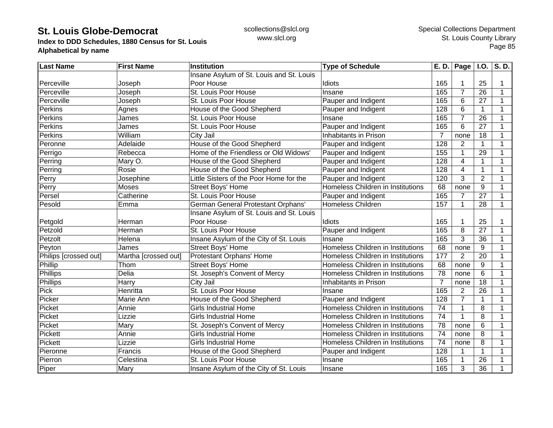**Index to DDD Schedules, 1880 Census for St. Louis Alphabetical by name**

| <b>Last Name</b>      | <b>First Name</b>    | Institution                              | <b>Type of Schedule</b>           | E. D.           | Page $ $ I.O.  |                 | S.D.        |
|-----------------------|----------------------|------------------------------------------|-----------------------------------|-----------------|----------------|-----------------|-------------|
|                       |                      | Insane Asylum of St. Louis and St. Louis |                                   |                 |                |                 |             |
| Perceville            | Joseph               | Poor House                               | Idiots                            | 165             |                | 25              | 1           |
| Perceville            | Joseph               | St. Louis Poor House                     | Insane                            | 165             | $\overline{7}$ | 26              | $\mathbf 1$ |
| Perceville            | Joseph               | St. Louis Poor House                     | Pauper and Indigent               | 165             | 6              | 27              | 1           |
| <b>Perkins</b>        | Agnes                | House of the Good Shepherd               | Pauper and Indigent               | 128             | 6              | $\mathbf{1}$    | 1           |
| Perkins               | James                | St. Louis Poor House                     | Insane                            | 165             | $\overline{7}$ | 26              | 1           |
| Perkins               | James                | St. Louis Poor House                     | Pauper and Indigent               | 165             | 6              | 27              |             |
| Perkins               | William              | City Jail                                | Inhabitants in Prison             | $\overline{7}$  | none           | 18              |             |
| Peronne               | Adelaide             | House of the Good Shepherd               | Pauper and Indigent               | 128             | 2              | 1               |             |
| Perrigo               | Rebecca              | Home of the Friendless or Old Widows'    | Pauper and Indigent               | 155             |                | 29              |             |
| Perring               | Mary O.              | House of the Good Shepherd               | Pauper and Indigent               | 128             | 4              | 1               |             |
| Perring               | Rosie                | House of the Good Shepherd               | Pauper and Indigent               | 128             | 4              | $\mathbf{1}$    |             |
| Perry                 | Josephine            | Little Sisters of the Poor Home for the  | Pauper and Indigent               | 120             | 3              | $\overline{2}$  | 1           |
| Perry                 | <b>Moses</b>         | Street Boys' Home                        | Homeless Children in Institutions | 68              | none           | 9               | 1           |
| Persel                | Catherine            | St. Louis Poor House                     | Pauper and Indigent               | 165             | 7              | 27              | 1           |
| Pesold                | Emma                 | German General Protestant Orphans'       | <b>Homeless Children</b>          | 157             | 1              | 28              | 1           |
|                       |                      | Insane Asylum of St. Louis and St. Louis |                                   |                 |                |                 |             |
| Petgold               | Herman               | Poor House                               | Idiots                            | 165             |                | 25              |             |
| Petzold               | Herman               | St. Louis Poor House                     | Pauper and Indigent               | 165             | 8              | 27              | 1           |
| Petzolt               | Helena               | Insane Asylum of the City of St. Louis   | Insane                            | 165             | 3              | 36              |             |
| Peyton                | James                | <b>Street Boys' Home</b>                 | Homeless Children in Institutions | 68              | none           | 9               | 1           |
| Philips [crossed out] | Martha [crossed out] | Protestant Orphans' Home                 | Homeless Children in Institutions | 177             | $\overline{2}$ | 20              | 1           |
| Phillip               | Thom                 | <b>Street Boys' Home</b>                 | Homeless Children in Institutions | 68              | none           | 9               | 1           |
| Phillips              | Delia                | St. Joseph's Convent of Mercy            | Homeless Children in Institutions | 78              | none           | 6               | $\mathbf 1$ |
| Phillips              | Harry                | City Jail                                | Inhabitants in Prison             | $\overline{7}$  | none           | 18              | 1           |
| Pick                  | Henritta             | St. Louis Poor House                     | Insane                            | 165             | $\overline{2}$ | $\overline{26}$ | 1           |
| Picker                | Marie Ann            | House of the Good Shepherd               | Pauper and Indigent               | 128             | 7              | 1               | 1           |
| Picket                | Annie                | <b>Girls Industrial Home</b>             | Homeless Children in Institutions | 74              | 1              | 8               | 1           |
| Picket                | Lizzie               | <b>Girls Industrial Home</b>             | Homeless Children in Institutions | 74              | 1              | 8               | 1           |
| Picket                | Mary                 | St. Joseph's Convent of Mercy            | Homeless Children in Institutions | 78              | none           | 6               | 1           |
| Pickett               | Annie                | <b>Girls Industrial Home</b>             | Homeless Children in Institutions | $\overline{74}$ | none           | 8               | 1           |
| Pickett               | Lizzie               | <b>Girls Industrial Home</b>             | Homeless Children in Institutions | $\overline{74}$ | none           | 8               | 1           |
| Pieronne              | Francis              | House of the Good Shepherd               | Pauper and Indigent               | 128             |                | 1               | 1           |
| Pierron               | Celestina            | St. Louis Poor House                     | Insane                            | 165             |                | 26              | 1           |
| Piper                 | Mary                 | Insane Asylum of the City of St. Louis   | Insane                            | 165             | 3              | 36              |             |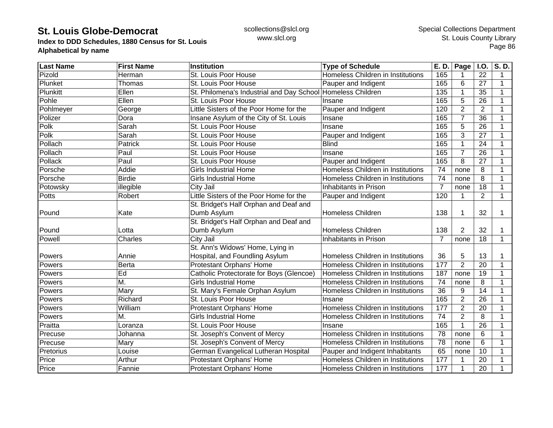**Index to DDD Schedules, 1880 Census for St. Louis Alphabetical by name**

| <b>Last Name</b> | <b>First Name</b> | Institution                                                 | <b>Type of Schedule</b>           | E. D.           | Page           | I.O.            | $\overline{\mathsf{S}}$ . D. |
|------------------|-------------------|-------------------------------------------------------------|-----------------------------------|-----------------|----------------|-----------------|------------------------------|
| Pizold           | Herman            | St. Louis Poor House                                        | Homeless Children in Institutions | 165             |                | 22              | 1                            |
| Plunket          | Thomas            | St. Louis Poor House                                        | Pauper and Indigent               | 165             | 6              | 27              | $\mathbf{1}$                 |
| Plunkitt         | Ellen             | St. Philomena's Industrial and Day School Homeless Children |                                   | 135             | 1              | 35              | 1                            |
| Pohle            | Ellen             | St. Louis Poor House                                        | Insane                            | 165             | 5              | 26              | $\overline{1}$               |
| Pohlmeyer        | George            | Little Sisters of the Poor Home for the                     | Pauper and Indigent               | 120             | $\overline{2}$ | $\overline{2}$  | 1                            |
| Polizer          | Dora              | Insane Asylum of the City of St. Louis                      | Insane                            | 165             | $\overline{7}$ | 36              |                              |
| Polk             | Sarah             | St. Louis Poor House                                        | Insane                            | 165             | 5              | 26              |                              |
| Polk             | Sarah             | St. Louis Poor House                                        | Pauper and Indigent               | 165             | 3              | 27              |                              |
| Pollach          | <b>Patrick</b>    | St. Louis Poor House                                        | <b>Blind</b>                      | 165             | 1              | 24              |                              |
| Pollach          | Paul              | St. Louis Poor House                                        | Insane                            | 165             | $\overline{7}$ | 26              |                              |
| Pollack          | Paul              | St. Louis Poor House                                        | Pauper and Indigent               | 165             | 8              | 27              |                              |
| Porsche          | Addie             | Girls Industrial Home                                       | Homeless Children in Institutions | $\overline{74}$ | none           | 8               |                              |
| Porsche          | <b>Birdie</b>     | <b>Girls Industrial Home</b>                                | Homeless Children in Institutions | 74              | none           | $\overline{8}$  |                              |
| Potowsky         | illegible         | City Jail                                                   | Inhabitants in Prison             | $\overline{7}$  | none           | 18              |                              |
| Potts            | Robert            | Little Sisters of the Poor Home for the                     | Pauper and Indigent               | 120             | 1              | $\overline{2}$  | $\mathbf{1}$                 |
|                  |                   | St. Bridget's Half Orphan and Deaf and                      |                                   |                 |                |                 |                              |
| Pound            | Kate              | Dumb Asylum                                                 | <b>Homeless Children</b>          | 138             | 1              | 32              | 1                            |
|                  |                   | St. Bridget's Half Orphan and Deaf and                      |                                   |                 |                |                 |                              |
| Pound            | Lotta             | Dumb Asylum                                                 | <b>Homeless Children</b>          | 138             | $\overline{2}$ | 32              |                              |
| Powell           | Charles           | City Jail                                                   | Inhabitants in Prison             | $\overline{7}$  | none           | 18              | $\mathbf 1$                  |
|                  |                   | St. Ann's Widows' Home, Lying in                            |                                   |                 |                |                 |                              |
| Powers           | Annie             | Hospital, and Foundling Asylum                              | Homeless Children in Institutions | 36              | 5              | 13              |                              |
| Powers           | Berta             | Protestant Orphans' Home                                    | Homeless Children in Institutions | 177             | $\overline{2}$ | $\overline{20}$ | 1                            |
| Powers           | Ed                | Catholic Protectorate for Boys (Glencoe)                    | Homeless Children in Institutions | 187             | none           | $\overline{19}$ |                              |
| Powers           | M.                | <b>Girls Industrial Home</b>                                | Homeless Children in Institutions | 74              | none           | 8               |                              |
| Powers           | Mary              | St. Mary's Female Orphan Asylum                             | Homeless Children in Institutions | 36              | 9              | 14              | 1                            |
| Powers           | Richard           | St. Louis Poor House                                        | Insane                            | 165             | $\overline{2}$ | $\overline{26}$ | $\overline{1}$               |
| Powers           | William           | Protestant Orphans' Home                                    | Homeless Children in Institutions | 177             | $\overline{2}$ | 20              |                              |
| Powers           | M.                | <b>Girls Industrial Home</b>                                | Homeless Children in Institutions | 74              | $\overline{2}$ | 8               |                              |
| Praitta          | Loranza           | St. Louis Poor House                                        | Insane                            | 165             | 1              | 26              |                              |
| Precuse          | Johanna           | St. Joseph's Convent of Mercy                               | Homeless Children in Institutions | $\overline{78}$ | none           | 6               |                              |
| Precuse          | Mary              | St. Joseph's Convent of Mercy                               | Homeless Children in Institutions | 78              | none           | $\overline{6}$  |                              |
| Pretorius        | Louise            | German Evangelical Lutheran Hospital                        | Pauper and Indigent Inhabitants   | 65              | none           | 10              |                              |
| Price            | Arthur            | Protestant Orphans' Home                                    | Homeless Children in Institutions | 177             | 1              | 20              |                              |
| Price            | Fannie            | Protestant Orphans' Home                                    | Homeless Children in Institutions | 177             | 1              | 20              |                              |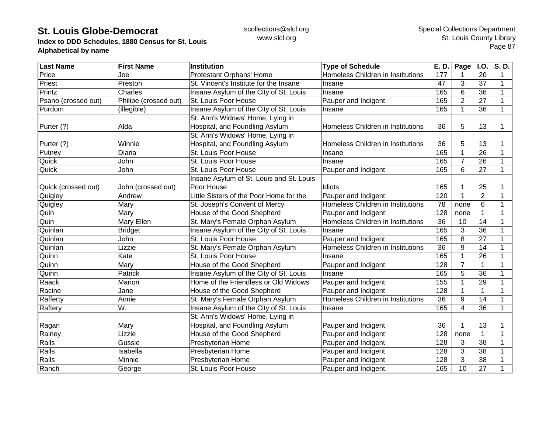**Index to DDD Schedules, 1880 Census for St. Louis Alphabetical by name**

| <b>Last Name</b>    | <b>First Name</b>     | <b>Institution</b>                       | <b>Type of Schedule</b>           | E. D. | Page           | <b>I.O.</b>     | S.D.        |
|---------------------|-----------------------|------------------------------------------|-----------------------------------|-------|----------------|-----------------|-------------|
| Price               | Joe                   | Protestant Orphans' Home                 | Homeless Children in Institutions | 177   |                | 20              | 1           |
| Priest              | Preston               | St. Vincent's Institute for the Insane   | Insane                            | 47    | 3              | 37              | $\mathbf 1$ |
| Printz              | Charles               | Insane Asylum of the City of St. Louis   | Insane                            | 165   | 6              | 36              | 1           |
| Psano (crossed out) | Philipe (crossed out) | St. Louis Poor House                     | Pauper and Indigent               | 165   | $\overline{2}$ | 27              | 1           |
| Purdom              | (illegible)           | Insane Asylum of the City of St. Louis   | Insane                            | 165   |                | 36              | $\mathbf 1$ |
|                     |                       | St. Ann's Widows' Home, Lying in         |                                   |       |                |                 |             |
| Purter (?)          | Alda                  | Hospital, and Foundling Asylum           | Homeless Children in Institutions | 36    | 5              | 13              | 1           |
|                     |                       | St. Ann's Widows' Home, Lying in         |                                   |       |                |                 |             |
| Purter (?)          | Winnie                | Hospital, and Foundling Asylum           | Homeless Children in Institutions | 36    | 5              | 13              |             |
| Putney              | Diana                 | St. Louis Poor House                     | Insane                            | 165   |                | 26              |             |
| Quick               | John                  | St. Louis Poor House                     | Insane                            | 165   | 7              | 26              | 1           |
| Quick               | John                  | St. Louis Poor House                     | Pauper and Indigent               | 165   | 6              | 27              | $\mathbf 1$ |
|                     |                       | Insane Asylum of St. Louis and St. Louis |                                   |       |                |                 |             |
| Quick (crossed out) | John (crossed out)    | Poor House                               | Idiots                            | 165   |                | 25              | 1           |
| Quigley             | Andrew                | Little Sisters of the Poor Home for the  | Pauper and Indigent               | 120   |                | $\overline{2}$  | 1           |
| Quigley             | Mary                  | St. Joseph's Convent of Mercy            | Homeless Children in Institutions | 78    | none           | 6               | 1           |
| Quin                | Mary                  | House of the Good Shepherd               | Pauper and Indigent               | 128   | none           | $\mathbf{1}$    | 1           |
| Quin                | Mary Ellen            | St. Mary's Female Orphan Asylum          | Homeless Children in Institutions | 36    | 10             | 14              | 1           |
| Quinlan             | <b>Bridget</b>        | Insane Asylum of the City of St. Louis   | Insane                            | 165   | 3              | 36              |             |
| Quinlan             | John                  | St. Louis Poor House                     | Pauper and Indigent               | 165   | 8              | 27              | 1           |
| Quinlan             | Lizzie                | St. Mary's Female Orphan Asylum          | Homeless Children in Institutions | 36    | 9              | 14              | 1           |
| Quinn               | Kate                  | St. Louis Poor House                     | Insane                            | 165   |                | 26              | 1           |
| Quinn               | Mary                  | House of the Good Shepherd               | Pauper and Indigent               | 128   | $\overline{7}$ | 1               | 1           |
| Quinn               | Patrick               | Insane Asylum of the City of St. Louis   | Insane                            | 165   | 5              | $\overline{36}$ | 1           |
| Raack               | Marion                | Home of the Friendless or Old Widows'    | Pauper and Indigent               | 155   |                | 29              | $\mathbf 1$ |
| Racine              | Jane                  | House of the Good Shepherd               | Pauper and Indigent               | 128   |                | $\mathbf{1}$    | $\mathbf 1$ |
| Rafferty            | Annie                 | St. Mary's Female Orphan Asylum          | Homeless Children in Institutions | 36    | 9              | 14              | 1           |
| Raftery             | W.                    | Insane Asylum of the City of St. Louis   | Insane                            | 165   | 4              | 36              | $\mathbf 1$ |
|                     |                       | St. Ann's Widows' Home, Lying in         |                                   |       |                |                 |             |
| Ragan               | Mary                  | Hospital, and Foundling Asylum           | Pauper and Indigent               | 36    |                | 13              | 1           |
| Rainey              | Lizzie                | House of the Good Shepherd               | Pauper and Indigent               | 128   | none           | 1               | 1           |
| Ralls               | Gussie                | Presbyterian Home                        | Pauper and Indigent               | 128   | 3              | $\overline{38}$ |             |
| Ralls               | Isabella              | Presbyterian Home                        | Pauper and Indigent               | 128   | 3              | 38              |             |
| Ralls               | Minnie                | Presbyterian Home                        | Pauper and Indigent               | 128   | 3              | 38              |             |
| Ranch               | George                | St. Louis Poor House                     | Pauper and Indigent               | 165   | 10             | 27              | 1           |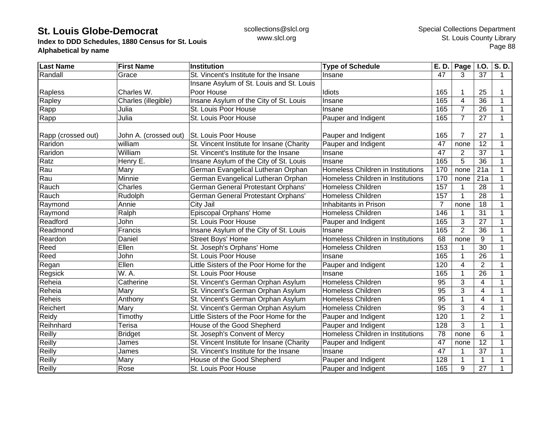**Index to DDD Schedules, 1880 Census for St. Louis Alphabetical by name**

| <b>Last Name</b>   | <b>First Name</b>     | <b>Institution</b>                        | <b>Type of Schedule</b>           | E. D. | Page           | I.O.                    | S.D.         |
|--------------------|-----------------------|-------------------------------------------|-----------------------------------|-------|----------------|-------------------------|--------------|
| Randall            | Grace                 | St. Vincent's Institute for the Insane    | Insane                            | 47    | 3              | 37                      | 1            |
|                    |                       | Insane Asylum of St. Louis and St. Louis  |                                   |       |                |                         |              |
| Rapless            | Charles W.            | Poor House                                | Idiots                            | 165   |                | 25                      | 1            |
| Rapley             | Charles (illegible)   | Insane Asylum of the City of St. Louis    | Insane                            | 165   | $\overline{4}$ | 36                      | $\mathbf{1}$ |
| Rapp               | Julia                 | St. Louis Poor House                      | Insane                            | 165   | $\overline{7}$ | 26                      | 1            |
| Rapp               | Julia                 | St. Louis Poor House                      | Pauper and Indigent               | 165   | $\overline{7}$ | 27                      | 1            |
| Rapp (crossed out) | John A. (crossed out) | St. Louis Poor House                      | Pauper and Indigent               | 165   | $\overline{7}$ | 27                      |              |
| Raridon            | william               | St. Vincent Institute for Insane (Charity | Pauper and Indigent               | 47    | none           | 12                      |              |
| Raridon            | William               | St. Vincent's Institute for the Insane    | Insane                            | 47    | $\overline{2}$ | 37                      | 1            |
| Ratz               | Henry E.              | Insane Asylum of the City of St. Louis    | Insane                            | 165   | 5              | 36                      | 1            |
| Rau                | Mary                  | German Evangelical Lutheran Orphan        | Homeless Children in Institutions | 170   | none           | 21a                     | 1            |
| Rau                | Minnie                | German Evangelical Lutheran Orphan        | Homeless Children in Institutions | 170   | none           | 21a                     |              |
| Rauch              | Charles               | <b>German General Protestant Orphans'</b> | <b>Homeless Children</b>          | 157   |                | 28                      | 1            |
| Rauch              | Rudolph               | German General Protestant Orphans'        | <b>Homeless Children</b>          | 157   |                | 28                      | 1            |
| Raymond            | Annie                 | City Jail                                 | Inhabitants in Prison             | 7     | none           | 18                      | 1            |
| Raymond            | Ralph                 | Episcopal Orphans' Home                   | <b>Homeless Children</b>          | 146   |                | 31                      | 1            |
| Readford           | John                  | St. Louis Poor House                      | Pauper and Indigent               | 165   | 3              | 27                      | 1            |
| Readmond           | Francis               | Insane Asylum of the City of St. Louis    | Insane                            | 165   | $\overline{2}$ | 36                      | 1            |
| Reardon            | Daniel                | <b>Street Boys' Home</b>                  | Homeless Children in Institutions | 68    | none           | 9                       | 1            |
| Reed               | Ellen                 | St. Joseph's Orphans' Home                | <b>Homeless Children</b>          | 153   |                | 30                      | 1            |
| Reed               | John                  | St. Louis Poor House                      | Insane                            | 165   |                | 26                      | 1            |
| Regan              | Ellen                 | Little Sisters of the Poor Home for the   | Pauper and Indigent               | 120   | 4              | $\overline{2}$          | 1            |
| Regsick            | W. A.                 | St. Louis Poor House                      | Insane                            | 165   |                | $\overline{26}$         | 1            |
| Reheia             | Catherine             | St. Vincent's German Orphan Asylum        | <b>Homeless Children</b>          | 95    | 3              | $\overline{\mathbf{4}}$ | 1            |
| Reheia             | Mary                  | St. Vincent's German Orphan Asylum        | <b>Homeless Children</b>          | 95    | 3              | $\overline{4}$          | 1            |
| Reheis             | Anthony               | St. Vincent's German Orphan Asylum        | <b>Homeless Children</b>          | 95    |                | $\overline{\mathbf{4}}$ | 1            |
| Reichert           | Mary                  | St. Vincent's German Orphan Asylum        | <b>Homeless Children</b>          | 95    | 3              | $\overline{4}$          | 1            |
| Reidy              | Timothy               | Little Sisters of the Poor Home for the   | Pauper and Indigent               | 120   | 1              | 2                       | 1            |
| Reihnhard          | Terisa                | House of the Good Shepherd                | Pauper and Indigent               | 128   | 3              | $\mathbf{1}$            | $\mathbf 1$  |
| Reilly             | <b>Bridget</b>        | St. Joseph's Convent of Mercy             | Homeless Children in Institutions | 78    | none           | 6                       | 1            |
| Reilly             | James                 | St. Vincent Institute for Insane (Charity | Pauper and Indigent               | 47    | none           | $\overline{12}$         |              |
| Reilly             | James                 | St. Vincent's Institute for the Insane    | Insane                            | 47    |                | 37                      |              |
| Reilly             | Mary                  | House of the Good Shepherd                | Pauper and Indigent               | 128   |                | 1                       |              |
| Reilly             | Rose                  | St. Louis Poor House                      | Pauper and Indigent               | 165   | 9              | 27                      | 1            |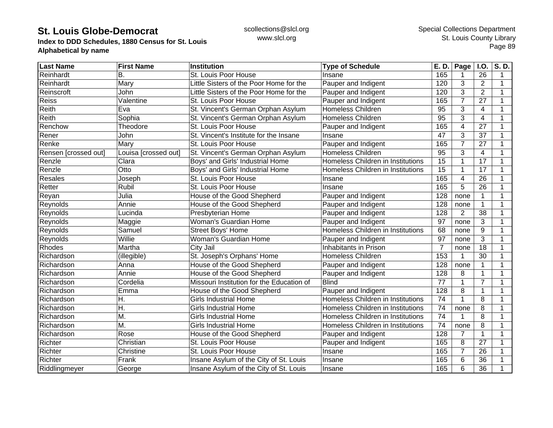**Index to DDD Schedules, 1880 Census for St. Louis Alphabetical by name**

| <b>Last Name</b>     | <b>First Name</b>    | <b>Institution</b>                        | <b>Type of Schedule</b>           | E. D.           | Page <sup>1</sup> | I.O.            | S.D. |
|----------------------|----------------------|-------------------------------------------|-----------------------------------|-----------------|-------------------|-----------------|------|
| Reinhardt            | В.                   | St. Louis Poor House                      | Insane                            | 165             |                   | 26              | 1    |
| Reinhardt            | Mary                 | Little Sisters of the Poor Home for the   | Pauper and Indigent               | 120             | 3                 | $\overline{2}$  | 1    |
| Reinscroft           | John                 | Little Sisters of the Poor Home for the   | Pauper and Indigent               | 120             | 3                 | 2               | 1    |
| Reiss                | Valentine            | St. Louis Poor House                      | Pauper and Indigent               | 165             | $\overline{7}$    | 27              |      |
| Reith                | Eva                  | St. Vincent's German Orphan Asylum        | Homeless Children                 | 95              | 3                 | 4               |      |
| Reith                | Sophia               | St. Vincent's German Orphan Asylum        | <b>Homeless Children</b>          | $\overline{95}$ | 3                 | $\overline{4}$  |      |
| Renchow              | Theodore             | St. Louis Poor House                      | Pauper and Indigent               | 165             | 4                 | 27              |      |
| Rener                | John                 | St. Vincent's Institute for the Insane    | Insane                            | 47              | 3                 | 37              |      |
| Renke                | Mary                 | St. Louis Poor House                      | Pauper and Indigent               | 165             | $\overline{7}$    | 27              |      |
| Rensen [crossed out] | Louisa [crossed out] | St. Vincent's German Orphan Asylum        | <b>Homeless Children</b>          | $\overline{95}$ | 3                 | $\overline{4}$  |      |
| Renzle               | Clara                | Boys' and Girls' Industrial Home          | Homeless Children in Institutions | 15              | 1                 | 17              |      |
| Renzle               | Otto                 | Boys' and Girls' Industrial Home          | Homeless Children in Institutions | 15              | 1                 | 17              |      |
| <b>Resales</b>       | Joseph               | St. Louis Poor House                      | Insane                            | 165             | $\overline{4}$    | $\overline{26}$ |      |
| Retter               | Rubil                | St. Louis Poor House                      | Insane                            | 165             | 5                 | $\overline{26}$ |      |
| Reyan                | Julia                | House of the Good Shepherd                | Pauper and Indigent               | 128             | none              | 1               |      |
| Reynolds             | Annie                | House of the Good Shepherd                | Pauper and Indigent               | 128             | none              | 1               | 1    |
| Reynolds             | Lucinda              | Presbyterian Home                         | Pauper and Indigent               | 128             | $\overline{2}$    | 38              |      |
| Reynolds             | Maggie               | Woman's Guardian Home                     | Pauper and Indigent               | 97              | none              | 3               |      |
| Reynolds             | Samuel               | <b>Street Boys' Home</b>                  | Homeless Children in Institutions | 68              | none              | 9               |      |
| Reynolds             | Willie               | Woman's Guardian Home                     | Pauper and Indigent               | 97              | none              | $\overline{3}$  |      |
| Rhodes               | Martha               | City Jail                                 | Inhabitants in Prison             | $\overline{7}$  | none              | 18              |      |
| Richardson           | (illegible)          | St. Joseph's Orphans' Home                | <b>Homeless Children</b>          | 153             | 1                 | 30              |      |
| Richardson           | Anna                 | House of the Good Shepherd                | Pauper and Indigent               | 128             | none              | 1               |      |
| Richardson           | Annie                | House of the Good Shepherd                | Pauper and Indigent               | 128             | 8                 |                 |      |
| Richardson           | Cordelia             | Missouri Institution for the Education of | <b>Blind</b>                      | $\overline{77}$ | 1                 | $\overline{7}$  |      |
| Richardson           | Emma                 | House of the Good Shepherd                | Pauper and Indigent               | 128             | 8                 | $\mathbf{1}$    |      |
| Richardson           | Η.                   | <b>Girls Industrial Home</b>              | Homeless Children in Institutions | 74              | $\mathbf{1}$      | 8               | 1    |
| Richardson           | Η.                   | <b>Girls Industrial Home</b>              | Homeless Children in Institutions | 74              | none              | 8               | -1   |
| Richardson           | M.                   | <b>Girls Industrial Home</b>              | Homeless Children in Institutions | 74              | 1                 | 8               |      |
| Richardson           | М.                   | <b>Girls Industrial Home</b>              | Homeless Children in Institutions | 74              | none              | 8               |      |
| Richardson           | Rose                 | House of the Good Shepherd                | Pauper and Indigent               | 128             | 7                 | 1               |      |
| Richter              | Christian            | St. Louis Poor House                      | Pauper and Indigent               | 165             | 8                 | $\overline{27}$ |      |
| Richter              | Christine            | St. Louis Poor House                      | Insane                            | 165             | 7                 | 26              |      |
| Richter              | Frank                | Insane Asylum of the City of St. Louis    | Insane                            | 165             | 6                 | 36              |      |
| Riddlingmeyer        | George               | Insane Asylum of the City of St. Louis    | Insane                            | 165             | 6                 | 36              |      |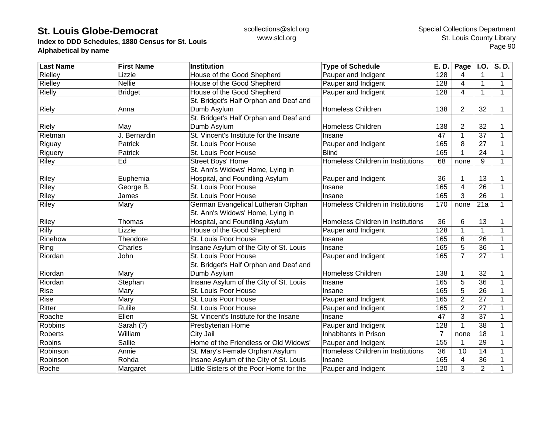**Index to DDD Schedules, 1880 Census for St. Louis Alphabetical by name**

| <b>Last Name</b> | <b>First Name</b> | <b>Institution</b>                      | <b>Type of Schedule</b>           | E. D.          | Page                    | <b>I.O.</b>     | S.D.         |
|------------------|-------------------|-----------------------------------------|-----------------------------------|----------------|-------------------------|-----------------|--------------|
| Rielley          | Lizzie            | House of the Good Shepherd              | Pauper and Indigent               | 128            | 4                       | 1               | 1            |
| Rielley          | <b>Nellie</b>     | House of the Good Shepherd              | Pauper and Indigent               | 128            | 4                       | 1               | $\mathbf 1$  |
| Rielly           | <b>Bridget</b>    | House of the Good Shepherd              | Pauper and Indigent               | 128            | 4                       | $\mathbf{1}$    | $\mathbf{1}$ |
|                  |                   | St. Bridget's Half Orphan and Deaf and  |                                   |                |                         |                 |              |
| <b>Riely</b>     | Anna              | Dumb Asylum                             | <b>Homeless Children</b>          | 138            | 2                       | 32              |              |
|                  |                   | St. Bridget's Half Orphan and Deaf and  |                                   |                |                         |                 |              |
| <b>Riely</b>     | May               | Dumb Asylum                             | <b>Homeless Children</b>          | 138            | $\overline{2}$          | 32              |              |
| Rietman          | J. Bernardin      | St. Vincent's Institute for the Insane  | Insane                            | 47             | 1                       | 37              | 1            |
| Riguay           | Patrick           | St. Louis Poor House                    | Pauper and Indigent               | 165            | 8                       | 27              | 1            |
| Riguery          | Patrick           | St. Louis Poor House                    | <b>Blind</b>                      | 165            | 1                       | 24              | 1            |
| <b>Riley</b>     | Ed                | <b>Street Boys' Home</b>                | Homeless Children in Institutions | 68             | none                    | 9               | $\mathbf 1$  |
|                  |                   | St. Ann's Widows' Home, Lying in        |                                   |                |                         |                 |              |
| <b>Riley</b>     | Euphemia          | Hospital, and Foundling Asylum          | Pauper and Indigent               | 36             | 1                       | 13              |              |
| <b>Riley</b>     | George B.         | St. Louis Poor House                    | Insane                            | 165            | $\overline{\mathbf{4}}$ | $\overline{26}$ |              |
| Riley            | James             | St. Louis Poor House                    | Insane                            | 165            | 3                       | 26              | 1            |
| Riley            | Mary              | German Evangelical Lutheran Orphan      | Homeless Children in Institutions | 170            | none                    | 21a             | $\mathbf{1}$ |
|                  |                   | St. Ann's Widows' Home, Lying in        |                                   |                |                         |                 |              |
| <b>Riley</b>     | Thomas            | Hospital, and Foundling Asylum          | Homeless Children in Institutions | 36             | 6                       | 13              |              |
| Rilly            | Lizzie            | House of the Good Shepherd              | Pauper and Indigent               | 128            |                         | 1               | 1            |
| Rinehow          | Theodore          | St. Louis Poor House                    | Insane                            | 165            | 6                       | 26              |              |
| Ring             | Charles           | Insane Asylum of the City of St. Louis  | Insane                            | 165            | 5                       | 36              | 1            |
| Riordan          | John              | St. Louis Poor House                    | Pauper and Indigent               | 165            | $\overline{7}$          | 27              | $\mathbf{1}$ |
|                  |                   | St. Bridget's Half Orphan and Deaf and  |                                   |                |                         |                 |              |
| Riordan          | Mary              | Dumb Asylum                             | <b>Homeless Children</b>          | 138            | 1                       | 32              |              |
| Riordan          | Stephan           | Insane Asylum of the City of St. Louis  | Insane                            | 165            | $\overline{5}$          | $\overline{36}$ |              |
| Rise             | Mary              | St. Louis Poor House                    | Insane                            | 165            | 5                       | $\overline{26}$ |              |
| <b>Rise</b>      | Mary              | St. Louis Poor House                    | Pauper and Indigent               | 165            | $\overline{2}$          | 27              | 1            |
| Ritter           | Rulile            | St. Louis Poor House                    | Pauper and Indigent               | 165            | $\overline{2}$          | 27              | 1            |
| Roache           | Ellen             | St. Vincent's Institute for the Insane  | Insane                            | 47             | 3                       | 37              | 1            |
| <b>Robbins</b>   | Sarah (?)         | Presbyterian Home                       | Pauper and Indigent               | 128            | 1                       | 38              |              |
| <b>Roberts</b>   | William           | City Jail                               | Inhabitants in Prison             | $\overline{7}$ | none                    | 18              |              |
| <b>Robins</b>    | <b>Sallie</b>     | Home of the Friendless or Old Widows'   | Pauper and Indigent               | 155            |                         | 29              |              |
| Robinson         | Annie             | St. Mary's Female Orphan Asylum         | Homeless Children in Institutions | 36             | 10                      | 14              |              |
| Robinson         | Rohda             | Insane Asylum of the City of St. Louis  | Insane                            | 165            | 4                       | 36              |              |
| Roche            | Margaret          | Little Sisters of the Poor Home for the | Pauper and Indigent               | 120            | 3                       | $\overline{2}$  |              |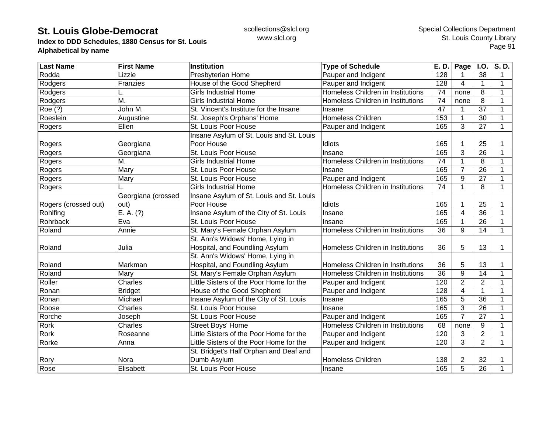**Index to DDD Schedules, 1880 Census for St. Louis Alphabetical by name**

| <b>Last Name</b>     | <b>First Name</b>  | <b>Institution</b>                       | <b>Type of Schedule</b>           | E. D. | Page           | <b>I.O.</b>    | $\overline{\mathsf{S}}$ . D. |
|----------------------|--------------------|------------------------------------------|-----------------------------------|-------|----------------|----------------|------------------------------|
| Rodda                | Lizzie             | Presbyterian Home                        | Pauper and Indigent               | 128   |                | 38             | 1                            |
| Rodgers              | Franzies           | House of the Good Shepherd               | Pauper and Indigent               | 128   | 4              | 1              | 1                            |
| Rodgers              |                    | <b>Girls Industrial Home</b>             | Homeless Children in Institutions | 74    | none           | 8              | 1                            |
| Rodgers              | M.                 | <b>Girls Industrial Home</b>             | Homeless Children in Institutions | 74    | none           | 8              | 1                            |
| Roe (?)              | John M.            | St. Vincent's Institute for the Insane   | Insane                            | 47    |                | 37             | 1                            |
| Roeslein             | Augustine          | St. Joseph's Orphans' Home               | <b>Homeless Children</b>          | 153   |                | 30             |                              |
| Rogers               | Ellen              | St. Louis Poor House                     | Pauper and Indigent               | 165   | 3              | 27             | 1                            |
|                      |                    | Insane Asylum of St. Louis and St. Louis |                                   |       |                |                |                              |
| Rogers               | Georgiana          | Poor House                               | Idiots                            | 165   |                | 25             |                              |
| Rogers               | Georgiana          | St. Louis Poor House                     | Insane                            | 165   | 3              | 26             | 1                            |
| Rogers               | М.                 | <b>Girls Industrial Home</b>             | Homeless Children in Institutions | 74    |                | 8              | 1                            |
| Rogers               | Mary               | St. Louis Poor House                     | Insane                            | 165   | 7              | 26             | 1                            |
| Rogers               | Mary               | St. Louis Poor House                     | Pauper and Indigent               | 165   | 9              | 27             | 1                            |
| Rogers               |                    | <b>Girls Industrial Home</b>             | Homeless Children in Institutions | 74    | 1              | 8              | 1                            |
|                      | Georgiana (crossed | Insane Asylum of St. Louis and St. Louis |                                   |       |                |                |                              |
| Rogers (crossed out) | out)               | Poor House                               | Idiots                            | 165   |                | 25             |                              |
| Rohlfing             | E. A. (?)          | Insane Asylum of the City of St. Louis   | Insane                            | 165   | 4              | 36             | 1                            |
| Rohrback             | Eva                | St. Louis Poor House                     | Insane                            | 165   |                | 26             |                              |
| Roland               | Annie              | St. Mary's Female Orphan Asylum          | Homeless Children in Institutions | 36    | 9              | 14             | $\mathbf 1$                  |
|                      |                    | St. Ann's Widows' Home, Lying in         |                                   |       |                |                |                              |
| Roland               | Julia              | Hospital, and Foundling Asylum           | Homeless Children in Institutions | 36    | 5              | 13             | 1                            |
|                      |                    | St. Ann's Widows' Home, Lying in         |                                   |       |                |                |                              |
| Roland               | Markman            | Hospital, and Foundling Asylum           | Homeless Children in Institutions | 36    | 5              | 13             |                              |
| Roland               | Mary               | St. Mary's Female Orphan Asylum          | Homeless Children in Institutions | 36    | 9              | 14             | 1                            |
| Roller               | Charles            | Little Sisters of the Poor Home for the  | Pauper and Indigent               | 120   | $\overline{2}$ | $\overline{2}$ | 1                            |
| Ronan                | <b>Bridget</b>     | House of the Good Shepherd               | Pauper and Indigent               | 128   | 4              | 1              | 1                            |
| Ronan                | Michael            | Insane Asylum of the City of St. Louis   | Insane                            | 165   | 5              | 36             | 1                            |
| Roose                | Charles            | St. Louis Poor House                     | Insane                            | 165   | 3              | 26             | 1                            |
| Rorche               | Joseph             | St. Louis Poor House                     | Pauper and Indigent               | 165   | $\overline{7}$ | 27             | 1                            |
| Rork                 | Charles            | Street Boys' Home                        | Homeless Children in Institutions | 68    | none           | 9              |                              |
| <b>Rork</b>          | Roseanne           | Little Sisters of the Poor Home for the  | Pauper and Indigent               | 120   | 3              | $\overline{2}$ |                              |
| Rorke                | Anna               | Little Sisters of the Poor Home for the  | Pauper and Indigent               | 120   | 3              | $\overline{2}$ | 1                            |
|                      |                    | St. Bridget's Half Orphan and Deaf and   |                                   |       |                |                |                              |
| Rory                 | Nora               | Dumb Asylum                              | Homeless Children                 | 138   | $\overline{2}$ | 32             |                              |
| Rose                 | Elisabett          | St. Louis Poor House                     | Insane                            | 165   | 5              | 26             |                              |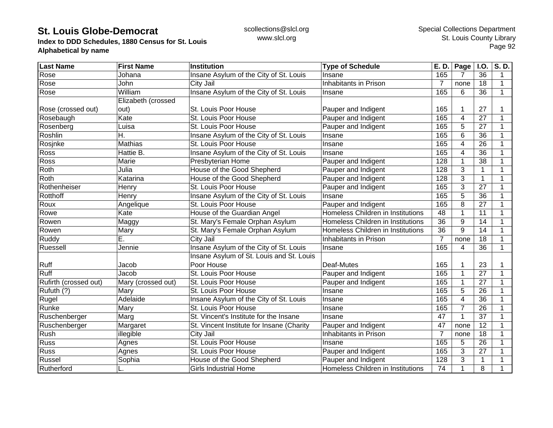**Index to DDD Schedules, 1880 Census for St. Louis Alphabetical by name**

| <b>Last Name</b>      | <b>First Name</b>  | <b>Institution</b>                        | <b>Type of Schedule</b>           | E. D.          | Page           | <b>I.O.</b>     | S.D.         |
|-----------------------|--------------------|-------------------------------------------|-----------------------------------|----------------|----------------|-----------------|--------------|
| Rose                  | Johana             | Insane Asylum of the City of St. Louis    | Insane                            | 165            | 7              | 36              | 1            |
| Rose                  | John               | City Jail                                 | Inhabitants in Prison             | 7              | none           | 18              | 1            |
| Rose                  | William            | Insane Asylum of the City of St. Louis    | Insane                            | 165            | 6              | 36              | $\mathbf{1}$ |
|                       | Elizabeth (crossed |                                           |                                   |                |                |                 |              |
| Rose (crossed out)    | out)               | St. Louis Poor House                      | Pauper and Indigent               | 165            |                | 27              |              |
| Rosebaugh             | Kate               | St. Louis Poor House                      | Pauper and Indigent               | 165            | 4              | 27              |              |
| Rosenberg             | Luisa              | St. Louis Poor House                      | Pauper and Indigent               | 165            | 5              | 27              |              |
| Roshlin               | H.                 | Insane Asylum of the City of St. Louis    | Insane                            | 165            | 6              | 36              |              |
| Rosjnke               | Mathias            | St. Louis Poor House                      | Insane                            | 165            | 4              | 26              | 1            |
| Ross                  | Hattie B.          | Insane Asylum of the City of St. Louis    | Insane                            | 165            | 4              | 36              |              |
| Ross                  | Marie              | Presbyterian Home                         | Pauper and Indigent               | 128            |                | 38              | 1            |
| Roth                  | Julia              | House of the Good Shepherd                | Pauper and Indigent               | 128            | 3              | $\mathbf{1}$    | 1            |
| Roth                  | Katarina           | House of the Good Shepherd                | Pauper and Indigent               | 128            | 3              | $\mathbf{1}$    | 1            |
| Rothenheiser          | Henry              | St. Louis Poor House                      | Pauper and Indigent               | 165            | 3              | 27              | 1            |
| Rotthoff              | Henry              | Insane Asylum of the City of St. Louis    | Insane                            | 165            | 5              | 36              | 1            |
| Roux                  | Angelique          | St. Louis Poor House                      | Pauper and Indigent               | 165            | 8              | 27              | 1            |
| Rowe                  | Kate               | House of the Guardian Angel               | Homeless Children in Institutions | 48             | 1              | 11              | 1            |
| Rowen                 | Maggy              | St. Mary's Female Orphan Asylum           | Homeless Children in Institutions | 36             | 9              | 14              | 1            |
| Rowen                 | Mary               | St. Mary's Female Orphan Asylum           | Homeless Children in Institutions | 36             | 9              | 14              |              |
| Ruddy                 | Ē.                 | <b>City Jail</b>                          | Inhabitants in Prison             | $\overline{7}$ | none           | 18              |              |
| Ruessell              | Jennie             | Insane Asylum of the City of St. Louis    | Insane                            | 165            | 4              | 36              | 1            |
|                       |                    | Insane Asylum of St. Louis and St. Louis  |                                   |                |                |                 |              |
| Ruff                  | Jacob              | Poor House                                | Deaf-Mutes                        | 165            |                | 23              |              |
| Ruff                  | Jacob              | St. Louis Poor House                      | Pauper and Indigent               | 165            |                | $\overline{27}$ | 1            |
| Rufirth (crossed out) | Mary (crossed out) | St. Louis Poor House                      | Pauper and Indigent               | 165            |                | 27              | 1            |
| Rufuth (?)            | Mary               | St. Louis Poor House                      | Insane                            | 165            | 5              | 26              | 1            |
| Rugel                 | Adelaide           | Insane Asylum of the City of St. Louis    | Insane                            | 165            | 4              | 36              | 1            |
| Runke                 | Mary               | St. Louis Poor House                      | Insane                            | 165            | $\overline{7}$ | 26              | 1            |
| Ruschenberger         | Marg               | St. Vincent's Institute for the Insane    | Insane                            | 47             | 1              | 37              | 1            |
| Ruschenberger         | Margaret           | St. Vincent Institute for Insane (Charity | Pauper and Indigent               | 47             | none           | 12              | 1            |
| Rush                  | illegible          | City Jail                                 | Inhabitants in Prison             | $\overline{7}$ | none           | 18              | 1            |
| <b>Russ</b>           | Agnes              | St. Louis Poor House                      | Insane                            | 165            | 5              | $\overline{26}$ |              |
| <b>Russ</b>           | Agnes              | St. Louis Poor House                      | Pauper and Indigent               | 165            | 3              | 27              |              |
| Russel                | Sophia             | House of the Good Shepherd                | Pauper and Indigent               | 128            | 3              | $\mathbf{1}$    |              |
| Rutherford            |                    | <b>Girls Industrial Home</b>              | Homeless Children in Institutions | 74             |                | 8               |              |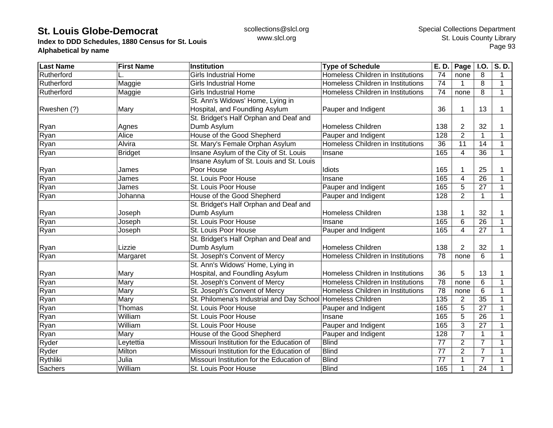**Index to DDD Schedules, 1880 Census for St. Louis Alphabetical by name**

| <b>Last Name</b> | <b>First Name</b> | <b>Institution</b>                                          | <b>Type of Schedule</b>           | E. D.           | Page           | <b>I.O.</b>     | S.D. |
|------------------|-------------------|-------------------------------------------------------------|-----------------------------------|-----------------|----------------|-----------------|------|
| Rutherford       |                   | <b>Girls Industrial Home</b>                                | Homeless Children in Institutions | 74              | none           | 8               | 1    |
| Rutherford       | Maggie            | <b>Girls Industrial Home</b>                                | Homeless Children in Institutions | 74              |                | 8               | 1    |
| Rutherford       | Maggie            | <b>Girls Industrial Home</b>                                | Homeless Children in Institutions | 74              | none           | 8               | 1    |
|                  |                   | St. Ann's Widows' Home, Lying in                            |                                   |                 |                |                 |      |
| Rweshen (?)      | Mary              | Hospital, and Foundling Asylum                              | Pauper and Indigent               | 36              |                | 13              |      |
|                  |                   | St. Bridget's Half Orphan and Deaf and                      |                                   |                 |                |                 |      |
| Ryan             | Agnes             | Dumb Asylum                                                 | <b>Homeless Children</b>          | 138             | 2              | 32              |      |
| Ryan             | <b>Alice</b>      | House of the Good Shepherd                                  | Pauper and Indigent               | 128             | $\overline{2}$ | 1               |      |
| Ryan             | Alvira            | St. Mary's Female Orphan Asylum                             | Homeless Children in Institutions | 36              | 11             | 14              | 1    |
| Ryan             | <b>Bridget</b>    | Insane Asylum of the City of St. Louis                      | Insane                            | 165             | 4              | $\overline{36}$ | 1    |
|                  |                   | Insane Asylum of St. Louis and St. Louis                    |                                   |                 |                |                 |      |
| Ryan             | James             | Poor House                                                  | Idiots                            | 165             |                | 25              |      |
| Ryan             | James             | St. Louis Poor House                                        | Insane                            | 165             | 4              | 26              | 1    |
| Ryan             | James             | St. Louis Poor House                                        | Pauper and Indigent               | 165             | 5              | 27              | 1    |
| Ryan             | Johanna           | House of the Good Shepherd                                  | Pauper and Indigent               | 128             | $\overline{2}$ | 1               | 1    |
|                  |                   | St. Bridget's Half Orphan and Deaf and                      |                                   |                 |                |                 |      |
| Ryan             | Joseph            | Dumb Asylum                                                 | <b>Homeless Children</b>          | 138             |                | 32              |      |
| Ryan             | Joseph            | St. Louis Poor House                                        | Insane                            | 165             | 6              | 26              | 1    |
| Ryan             | Joseph            | St. Louis Poor House                                        | Pauper and Indigent               | 165             | 4              | 27              | 1    |
|                  |                   | St. Bridget's Half Orphan and Deaf and                      |                                   |                 |                |                 |      |
| Ryan             | Lizzie            | Dumb Asylum                                                 | <b>Homeless Children</b>          | 138             | $\overline{2}$ | 32              |      |
| Ryan             | Margaret          | St. Joseph's Convent of Mercy                               | Homeless Children in Institutions | 78              | none           | 6               | 1    |
|                  |                   | St. Ann's Widows' Home, Lying in                            |                                   |                 |                |                 |      |
| Ryan             | Mary              | Hospital, and Foundling Asylum                              | Homeless Children in Institutions | 36              | 5              | 13              |      |
| Ryan             | Mary              | St. Joseph's Convent of Mercy                               | Homeless Children in Institutions | $\overline{78}$ | none           | 6               | 1    |
| Ryan             | Mary              | St. Joseph's Convent of Mercy                               | Homeless Children in Institutions | 78              | none           | 6               | 1    |
| Ryan             | Mary              | St. Philomena's Industrial and Day School Homeless Children |                                   | 135             | 2              | $\overline{35}$ | 1    |
| Ryan             | Thomas            | St. Louis Poor House                                        | Pauper and Indigent               | 165             | 5              | 27              | 1    |
| Ryan             | William           | St. Louis Poor House                                        | Insane                            | 165             | 5              | 26              | 1    |
| Ryan             | William           | St. Louis Poor House                                        | Pauper and Indigent               | 165             | 3              | 27              | 1    |
| Ryan             | Mary              | House of the Good Shepherd                                  | Pauper and Indigent               | 128             | $\overline{7}$ | 1               | 1    |
| Ryder            | Leytettia         | Missouri Institution for the Education of                   | <b>Blind</b>                      | $\overline{77}$ | $\overline{2}$ | $\overline{7}$  |      |
| Ryder            | Milton            | Missouri Institution for the Education of                   | <b>Blind</b>                      | 77              | $\overline{2}$ | $\overline{7}$  |      |
| Rythliki         | Julia             | Missouri Institution for the Education of                   | <b>Blind</b>                      | $\overline{77}$ |                | $\overline{7}$  |      |
| Sachers          | William           | St. Louis Poor House                                        | <b>Blind</b>                      | 165             |                | 24              |      |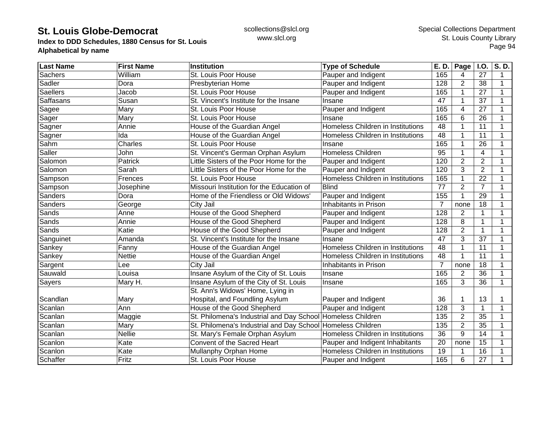**Index to DDD Schedules, 1880 Census for St. Louis Alphabetical by name**

| <b>Last Name</b> | <b>First Name</b> | <b>Institution</b>                                          | <b>Type of Schedule</b>           | E. D.            | Page           | I.O.            | S.D. |
|------------------|-------------------|-------------------------------------------------------------|-----------------------------------|------------------|----------------|-----------------|------|
| <b>Sachers</b>   | William           | St. Louis Poor House                                        | Pauper and Indigent               | 165              | 4              | 27              | 1    |
| Sadler           | Dora              | Presbyterian Home                                           | Pauper and Indigent               | 128              | $\overline{2}$ | 38              | 1    |
| <b>Saellers</b>  | Jacob             | St. Louis Poor House                                        | Pauper and Indigent               | 165              | 1              | 27              |      |
| <b>Saffasans</b> | Susan             | St. Vincent's Institute for the Insane                      | Insane                            | 47               | 1              | 37              |      |
| Sagee            | Mary              | St. Louis Poor House                                        | Pauper and Indigent               | 165              | 4              | 27              |      |
| Sager            | Mary              | St. Louis Poor House                                        | Insane                            | 165              | 6              | 26              |      |
| Sagner           | Annie             | House of the Guardian Angel                                 | Homeless Children in Institutions | 48               |                | 11              |      |
| Sagner           | Ida               | House of the Guardian Angel                                 | Homeless Children in Institutions | 48               | 1              | 11              |      |
| Sahm             | Charles           | St. Louis Poor House                                        | Insane                            | 165              | 1              | 26              |      |
| Saller           | John              | St. Vincent's German Orphan Asylum                          | <b>Homeless Children</b>          | 95               | 1              | $\overline{4}$  |      |
| Salomon          | Patrick           | Little Sisters of the Poor Home for the                     | Pauper and Indigent               | 120              | $\overline{2}$ | $\overline{2}$  |      |
| Salomon          | Sarah             | Little Sisters of the Poor Home for the                     | Pauper and Indigent               | 120              | 3              | $\overline{2}$  |      |
| Sampson          | Frences           | St. Louis Poor House                                        | Homeless Children in Institutions | 165              | 1              | 22              |      |
| Sampson          | Josephine         | Missouri Institution for the Education of                   | <b>Blind</b>                      | 77               | $\overline{2}$ | $\overline{7}$  |      |
| Sanders          | Dora              | Home of the Friendless or Old Widows'                       | Pauper and Indigent               | 155              | 1              | 29              |      |
| <b>Sanders</b>   | George            | City Jail                                                   | Inhabitants in Prison             | 7                | none           | 18              |      |
| Sands            | Anne              | House of the Good Shepherd                                  | Pauper and Indigent               | 128              | $\overline{2}$ | $\mathbf{1}$    |      |
| Sands            | Annie             | House of the Good Shepherd                                  | Pauper and Indigent               | 128              | 8              | $\mathbf{1}$    |      |
| Sands            | Katie             | House of the Good Shepherd                                  | Pauper and Indigent               | 128              | $\overline{2}$ | $\mathbf 1$     |      |
| Sanguinet        | Amanda            | St. Vincent's Institute for the Insane                      | Insane                            | 47               | 3              | 37              |      |
| Sankey           | Fanny             | House of the Guardian Angel                                 | Homeless Children in Institutions | 48               | 1              | 11              |      |
| Sankey           | Nettie            | House of the Guardian Angel                                 | Homeless Children in Institutions | 48               |                | 11              |      |
| Sargent          | Lee               | City Jail                                                   | Inhabitants in Prison             | 7                | none           | 18              |      |
| Sauwald          | Louisa            | Insane Asylum of the City of St. Louis                      | Insane                            | 165              | $\overline{2}$ | 36              |      |
| <b>Sayers</b>    | Mary H.           | Insane Asylum of the City of St. Louis                      | Insane                            | 165              | 3              | 36              | 1    |
|                  |                   | St. Ann's Widows' Home, Lying in                            |                                   |                  |                |                 |      |
| Scandlan         | Mary              | Hospital, and Foundling Asylum                              | Pauper and Indigent               | 36               | 1              | 13              |      |
| Scanlan          | Ann               | House of the Good Shepherd                                  | Pauper and Indigent               | $\overline{128}$ | 3              | $\mathbf 1$     |      |
| Scanlan          | Maggie            | St. Philomena's Industrial and Day School Homeless Children |                                   | 135              | $\overline{2}$ | $\overline{35}$ |      |
| Scanlan          | Mary              | St. Philomena's Industrial and Day School Homeless Children |                                   | 135              | $\overline{2}$ | 35              |      |
| Scanlan          | <b>Nellie</b>     | St. Mary's Female Orphan Asylum                             | Homeless Children in Institutions | 36               | 9              | 14              |      |
| Scanlon          | Kate              | Convent of the Sacred Heart                                 | Pauper and Indigent Inhabitants   | 20               | none           | 15              |      |
| Scanlon          | Kate              | Mullanphy Orphan Home                                       | Homeless Children in Institutions | 19               |                | 16              |      |
| Schaffer         | Fritz             | St. Louis Poor House                                        | Pauper and Indigent               | 165              | 6              | 27              |      |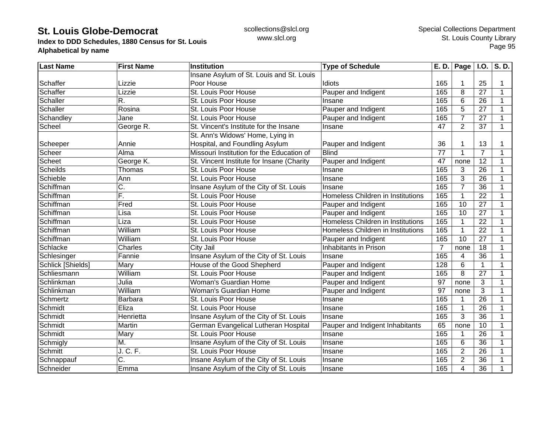**Index to DDD Schedules, 1880 Census for St. Louis Alphabetical by name**

| <b>Last Name</b>  | <b>First Name</b>         | <b>Institution</b>                        | <b>Type of Schedule</b>           | E. D.           | <b>Page</b>    | <b>I.O.</b>     | S.D. |
|-------------------|---------------------------|-------------------------------------------|-----------------------------------|-----------------|----------------|-----------------|------|
|                   |                           | Insane Asylum of St. Louis and St. Louis  |                                   |                 |                |                 |      |
| Schaffer          | Lizzie                    | Poor House                                | Idiots                            | 165             |                | 25              |      |
| Schaffer          | Lizzie                    | St. Louis Poor House                      | Pauper and Indigent               | 165             | 8              | 27              | 1    |
| Schaller          | R.                        | St. Louis Poor House                      | Insane                            | 165             | 6              | 26              | 1    |
| Schaller          | Rosina                    | St. Louis Poor House                      | Pauper and Indigent               | 165             | 5              | 27              | 1    |
| Schandley         | Jane                      | St. Louis Poor House                      | Pauper and Indigent               | 165             | $\overline{7}$ | 27              | 1    |
| Scheel            | George R.                 | St. Vincent's Institute for the Insane    | Insane                            | 47              | $\overline{2}$ | 37              | 1    |
|                   |                           | St. Ann's Widows' Home, Lying in          |                                   |                 |                |                 |      |
| Scheeper          | Annie                     | Hospital, and Foundling Asylum            | Pauper and Indigent               | 36              |                | 13              |      |
| Scheer            | Alma                      | Missouri Institution for the Education of | <b>Blind</b>                      | $\overline{77}$ |                | $\overline{7}$  |      |
| Scheet            | George K.                 | St. Vincent Institute for Insane (Charity | Pauper and Indigent               | 47              | none           | 12              |      |
| <b>Scheilds</b>   | Thomas                    | St. Louis Poor House                      | Insane                            | 165             | 3              | 26              | 1    |
| Schieble          | Ann                       | St. Louis Poor House                      | Insane                            | 165             | 3              | 26              | 1    |
| Schiffman         | C.                        | Insane Asylum of the City of St. Louis    | Insane                            | 165             | $\overline{7}$ | 36              |      |
| Schiffman         | Ē.                        | St. Louis Poor House                      | Homeless Children in Institutions | 165             |                | $\overline{22}$ | 1    |
| Schiffman         | Fred                      | St. Louis Poor House                      | Pauper and Indigent               | 165             | 10             | 27              | 1    |
| Schiffman         | Lisa                      | St. Louis Poor House                      | Pauper and Indigent               | 165             | 10             | 27              | 1    |
| Schiffman         | Liza                      | St. Louis Poor House                      | Homeless Children in Institutions | 165             |                | 22              | 1    |
| Schiffman         | William                   | St. Louis Poor House                      | Homeless Children in Institutions | 165             |                | 22              |      |
| Schiffman         | William                   | St. Louis Poor House                      | Pauper and Indigent               | 165             | 10             | 27              |      |
| Schlacke          | Charles                   | City Jail                                 | Inhabitants in Prison             | $\overline{7}$  | none           | 18              | 1    |
| Schlesinger       | Fannie                    | Insane Asylum of the City of St. Louis    | Insane                            | 165             | 4              | $\overline{36}$ |      |
| Schlick [Shields] | Mary                      | House of the Good Shepherd                | Pauper and Indigent               | 128             | 6              | 1               | 1    |
| Schliesmann       | William                   | St. Louis Poor House                      | Pauper and Indigent               | 165             | 8              | $\overline{27}$ | 1    |
| Schlinkman        | Julia                     | Woman's Guardian Home                     | Pauper and Indigent               | 97              | none           | 3               | 1    |
| Schlinkman        | William                   | Woman's Guardian Home                     | Pauper and Indigent               | 97              | none           | 3               | 1    |
| Schmertz          | Barbara                   | St. Louis Poor House                      | Insane                            | 165             |                | $\overline{26}$ | 1    |
| Schmidt           | Eliza                     | St. Louis Poor House                      | Insane                            | 165             |                | 26              | 1    |
| Schmidt           | Henrietta                 | Insane Asylum of the City of St. Louis    | Insane                            | 165             | 3              | 36              | 1    |
| Schmidt           | Martin                    | German Evangelical Lutheran Hospital      | Pauper and Indigent Inhabitants   | 65              | none           | 10              | 1    |
| Schmidt           | Mary                      | St. Louis Poor House                      | Insane                            | 165             |                | 26              | 1    |
| Schmigly          | M.                        | Insane Asylum of the City of St. Louis    | Insane                            | 165             | 6              | $\overline{36}$ |      |
| Schmitt           | J. C. F.                  | St. Louis Poor House                      | Insane                            | 165             | $\overline{2}$ | 26              |      |
| Schnappauf        | $\overline{\mathsf{C}}$ . | Insane Asylum of the City of St. Louis    | Insane                            | 165             | $\overline{2}$ | 36              |      |
| Schneider         | Emma                      | Insane Asylum of the City of St. Louis    | Insane                            | 165             | 4              | 36              |      |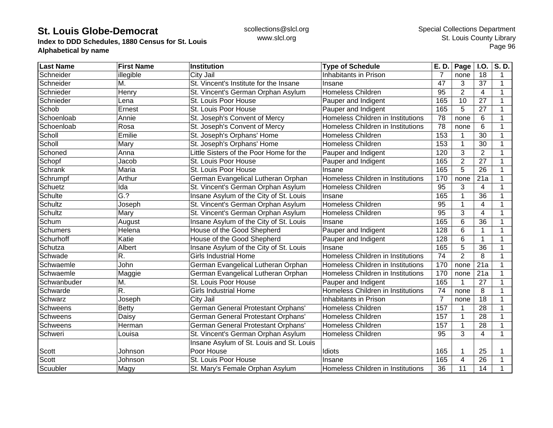**Index to DDD Schedules, 1880 Census for St. Louis Alphabetical by name**

| <b>Last Name</b> | <b>First Name</b> | Institution                              | <b>Type of Schedule</b>           | E. D.           | Page           | <b>I.O.</b>      | S.D. |
|------------------|-------------------|------------------------------------------|-----------------------------------|-----------------|----------------|------------------|------|
| Schneider        | illegible         | City Jail                                | Inhabitants in Prison             | 7               | none           | 18               | 1    |
| Schneider        | М.                | St. Vincent's Institute for the Insane   | Insane                            | 47              | 3              | 37               | 1    |
| Schnieder        | Henry             | St. Vincent's German Orphan Asylum       | <b>Homeless Children</b>          | 95              | $\overline{2}$ | $\overline{4}$   | 1    |
| Schnieder        | Lena              | St. Louis Poor House                     | Pauper and Indigent               | 165             | 10             | 27               | 1    |
| Schob            | Ernest            | St. Louis Poor House                     | Pauper and Indigent               | 165             | 5              | 27               | 1    |
| Schoenloab       | Annie             | St. Joseph's Convent of Mercy            | Homeless Children in Institutions | 78              | none           | 6                | 1    |
| Schoenloab       | Rosa              | St. Joseph's Convent of Mercy            | Homeless Children in Institutions | $\overline{78}$ | none           | 6                |      |
| Scholl           | Emilie            | St. Joseph's Orphans' Home               | Homeless Children                 | 153             |                | 30               |      |
| Scholl           | Mary              | St. Joseph's Orphans' Home               | Homeless Children                 | 153             |                | 30               |      |
| Schoned          | Anna              | Little Sisters of the Poor Home for the  | Pauper and Indigent               | 120             | 3              | $\overline{2}$   |      |
| Schopf           | Jacob             | St. Louis Poor House                     | Pauper and Indigent               | 165             | $\overline{2}$ | 27               |      |
| Schrank          | Maria             | St. Louis Poor House                     | Insane                            | 165             | 5              | 26               | 1    |
| Schrumpf         | Arthur            | German Evangelical Lutheran Orphan       | Homeless Children in Institutions | 170             | none           | 21a              | 1    |
| Schuetz          | Ida               | St. Vincent's German Orphan Asylum       | <b>Homeless Children</b>          | 95              | 3              | 4                | 1    |
| Schulte          | $\overline{G.}$   | Insane Asylum of the City of St. Louis   | Insane                            | 165             |                | 36               |      |
| Schultz          | Joseph            | St. Vincent's German Orphan Asylum       | <b>Homeless Children</b>          | 95              |                | 4                | 1    |
| Schultz          | Mary              | St. Vincent's German Orphan Asylum       | Homeless Children                 | 95              | 3              | $\overline{4}$   | 1    |
| Schum            | August            | Insane Asylum of the City of St. Louis   | Insane                            | 165             | 6              | 36               | 1    |
| Schumers         | Helena            | House of the Good Shepherd               | Pauper and Indigent               | 128             | 6              | 1                |      |
| Schurhoff        | Katie             | House of the Good Shepherd               | Pauper and Indigent               | 128             | 6              | $\mathbf 1$      |      |
| Schutza          | Albert            | Insane Asylum of the City of St. Louis   | Insane                            | 165             | 5              | $\overline{36}$  |      |
| Schwade          | R.                | <b>Girls Industrial Home</b>             | Homeless Children in Institutions | 74              | $\overline{2}$ | 8                | 1    |
| Schwaemle        | John              | German Evangelical Lutheran Orphan       | Homeless Children in Institutions | 170             | none           | $\overline{21a}$ | 1    |
| Schwaemle        | Maggie            | German Evangelical Lutheran Orphan       | Homeless Children in Institutions | 170             | none           | 21a              | 1    |
| Schwanbuder      | M.                | St. Louis Poor House                     | Pauper and Indigent               | 165             |                | 27               | 1    |
| Schwarde         | R.                | <b>Girls Industrial Home</b>             | Homeless Children in Institutions | 74              | none           | 8                | 1    |
| Schwarz          | Joseph            | City Jail                                | Inhabitants in Prison             | $\overline{7}$  | none           | 18               | 1    |
| Schweens         | <b>Betty</b>      | German General Protestant Orphans'       | Homeless Children                 | 157             |                | 28               | 1    |
| <b>Schweens</b>  | Daisy             | German General Protestant Orphans'       | Homeless Children                 | 157             | 1              | 28               | 1    |
| Schweens         | Herman            | German General Protestant Orphans'       | <b>Homeless Children</b>          | 157             | 1              | 28               | 1    |
| Schweri          | Louisa            | St. Vincent's German Orphan Asylum       | Homeless Children                 | 95              | 3              | 4                | 1    |
|                  |                   | Insane Asylum of St. Louis and St. Louis |                                   |                 |                |                  |      |
| Scott            | Johnson           | Poor House                               | Idiots                            | 165             |                | 25               |      |
| Scott            | Johnson           | St. Louis Poor House                     | Insane                            | 165             | 4              | 26               |      |
| Scuubler         | Magy              | St. Mary's Female Orphan Asylum          | Homeless Children in Institutions | 36              | 11             | 14               | 1    |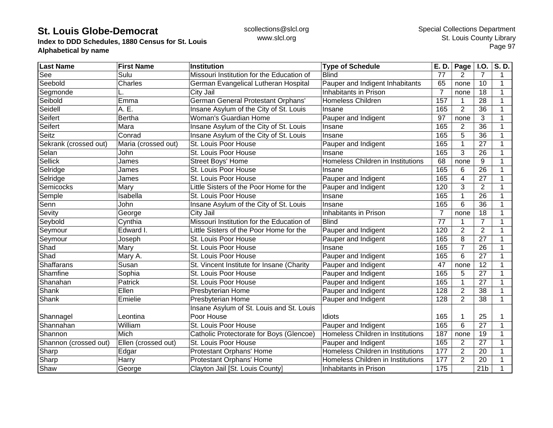**Index to DDD Schedules, 1880 Census for St. Louis Alphabetical by name**

| <b>Last Name</b>      | <b>First Name</b>   | <b>Institution</b>                        | <b>Type of Schedule</b>           | E. D.          | Page           | I.O.            | S.D.           |
|-----------------------|---------------------|-------------------------------------------|-----------------------------------|----------------|----------------|-----------------|----------------|
| See                   | Sulu                | Missouri Institution for the Education of | <b>Blind</b>                      | 77             | 2              | 7               | $\overline{1}$ |
| Seebold               | Charles             | German Evangelical Lutheran Hospital      | Pauper and Indigent Inhabitants   | 65             | none           | 10              | 1              |
| Segmonde              |                     | City Jail                                 | Inhabitants in Prison             | $\overline{7}$ | none           | 18              | 1              |
| Seibold               | Emma                | German General Protestant Orphans'        | Homeless Children                 | 157            | 1              | 28              | 1              |
| Seidell               | A. E.               | Insane Asylum of the City of St. Louis    | Insane                            | 165            | $\overline{2}$ | 36              | 1              |
| Seifert               | <b>Bertha</b>       | Woman's Guardian Home                     | Pauper and Indigent               | 97             | none           | 3               |                |
| Seifert               | Mara                | Insane Asylum of the City of St. Louis    | Insane                            | 165            | $\overline{2}$ | 36              |                |
| <b>Seitz</b>          | Conrad              | Insane Asylum of the City of St. Louis    | Insane                            | 165            | 5              | 36              |                |
| Sekrank (crossed out) | Maria (crossed out) | St. Louis Poor House                      | Pauper and Indigent               | 165            | 1              | 27              |                |
| Selan                 | John                | St. Louis Poor House                      | Insane                            | 165            | 3              | 26              |                |
| Sellick               | James               | Street Boys' Home                         | Homeless Children in Institutions | 68             | none           | 9               |                |
| Selridge              | James               | St. Louis Poor House                      | Insane                            | 165            | 6              | $\overline{26}$ |                |
| Selridge              | James               | St. Louis Poor House                      | Pauper and Indigent               | 165            | 4              | $\overline{27}$ |                |
| Semicocks             | Mary                | Little Sisters of the Poor Home for the   | Pauper and Indigent               | 120            | 3              | $\overline{2}$  | 1              |
| Semple                | Isabella            | St. Louis Poor House                      | Insane                            | 165            | 1              | 26              |                |
| Senn                  | John                | Insane Asylum of the City of St. Louis    | Insane                            | 165            | 6              | 36              | 1              |
| Sevity                | George              | City Jail                                 | Inhabitants in Prison             | $\overline{7}$ | none           | 18              |                |
| Seybold               | Cynthia             | Missouri Institution for the Education of | <b>Blind</b>                      | 77             |                | $\overline{7}$  |                |
| Seymour               | Edward I.           | Little Sisters of the Poor Home for the   | Pauper and Indigent               | 120            | $\overline{2}$ | $\overline{2}$  |                |
| Seymour               | Joseph              | St. Louis Poor House                      | Pauper and Indigent               | 165            | 8              | $\overline{27}$ | 1              |
| Shad                  | Mary                | St. Louis Poor House                      | Insane                            | 165            | $\overline{7}$ | 26              |                |
| Shad                  | Mary A.             | St. Louis Poor House                      | Pauper and Indigent               | 165            | 6              | 27              | 1              |
| <b>Shaffarans</b>     | Susan               | St. Vincent Institute for Insane (Charity | Pauper and Indigent               | 47             | none           | $\overline{12}$ | 1              |
| Shamfine              | Sophia              | St. Louis Poor House                      | Pauper and Indigent               | 165            | 5              | $\overline{27}$ | 1              |
| Shanahan              | Patrick             | St. Louis Poor House                      | Pauper and Indigent               | 165            | 1              | 27              |                |
| Shank                 | Ellen               | Presbyterian Home                         | Pauper and Indigent               | 128            | $\overline{2}$ | 38              | 1              |
| Shank                 | Emielie             | Presbyterian Home                         | Pauper and Indigent               | 128            | $\overline{2}$ | 38              | 1              |
|                       |                     | Insane Asylum of St. Louis and St. Louis  |                                   |                |                |                 |                |
| Shannagel             | Leontina            | Poor House                                | Idiots                            | 165            | 1              | 25              |                |
| Shannahan             | William             | St. Louis Poor House                      | Pauper and Indigent               | 165            | 6              | $\overline{27}$ | 1              |
| Shannon               | Mich                | Catholic Protectorate for Boys (Glencoe)  | Homeless Children in Institutions | 187            | none           | 19              |                |
| Shannon (crossed out) | Ellen (crossed out) | St. Louis Poor House                      | Pauper and Indigent               | 165            | $\overline{2}$ | $\overline{27}$ |                |
| Sharp                 | Edgar               | Protestant Orphans' Home                  | Homeless Children in Institutions | 177            | $\overline{2}$ | 20              |                |
| Sharp                 | Harry               | Protestant Orphans' Home                  | Homeless Children in Institutions | 177            | $\overline{2}$ | 20              |                |
| Shaw                  | George              | Clayton Jail [St. Louis County]           | Inhabitants in Prison             | 175            |                | 21 <sub>b</sub> | 1              |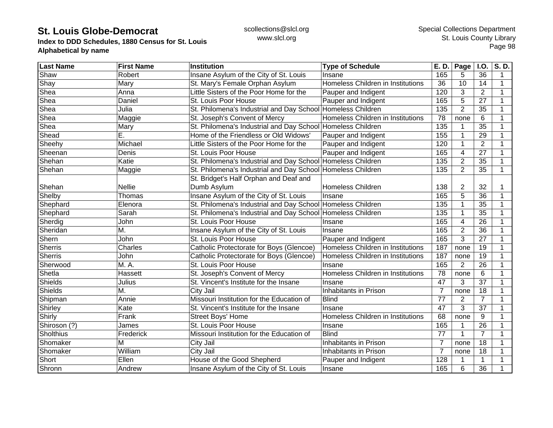**Index to DDD Schedules, 1880 Census for St. Louis Alphabetical by name**

| <b>Last Name</b> | <b>First Name</b> | Institution                                                 | <b>Type of Schedule</b>           | E. D.            | Page           | <b>I.O.</b>     | S.D. |
|------------------|-------------------|-------------------------------------------------------------|-----------------------------------|------------------|----------------|-----------------|------|
| Shaw             | Robert            | Insane Asylum of the City of St. Louis                      | Insane                            | 165              | 5              | 36              | 1    |
| Shay             | Mary              | St. Mary's Female Orphan Asylum                             | Homeless Children in Institutions | 36               | 10             | 14              | 1    |
| Shea             | Anna              | Little Sisters of the Poor Home for the                     | Pauper and Indigent               | 120              | 3              | $\overline{2}$  | 1    |
| Shea             | Daniel            | St. Louis Poor House                                        | Pauper and Indigent               | 165              | 5              | 27              | 1    |
| Shea             | Julia             | St. Philomena's Industrial and Day School Homeless Children |                                   | 135              | $\overline{2}$ | 35              |      |
| Shea             | Maggie            | St. Joseph's Convent of Mercy                               | Homeless Children in Institutions | 78               | none           | 6               |      |
| Shea             | Mary              | St. Philomena's Industrial and Day School Homeless Children |                                   | 135              |                | 35              |      |
| Shead            | Ē.                | Home of the Friendless or Old Widows'                       | Pauper and Indigent               | 155              |                | 29              |      |
| Sheehy           | Michael           | Little Sisters of the Poor Home for the                     | Pauper and Indigent               | 120              |                | $\overline{2}$  |      |
| Sheenan          | Denis             | St. Louis Poor House                                        | Pauper and Indigent               | 165              | 4              | 27              |      |
| Shehan           | Katie             | St. Philomena's Industrial and Day School Homeless Children |                                   | $\overline{135}$ | $\overline{2}$ | 35              |      |
| Shehan           | Maggie            | St. Philomena's Industrial and Day School Homeless Children |                                   | $\overline{135}$ | $\overline{2}$ | $\overline{35}$ | 1    |
|                  |                   | St. Bridget's Half Orphan and Deaf and                      |                                   |                  |                |                 |      |
| Shehan           | <b>Nellie</b>     | Dumb Asylum                                                 | <b>Homeless Children</b>          | 138              | $\overline{2}$ | 32              |      |
| Shelby           | Thomas            | Insane Asylum of the City of St. Louis                      | Insane                            | 165              | 5              | 36              | 1    |
| Shephard         | Elenora           | St. Philomena's Industrial and Day School Homeless Children |                                   | 135              |                | 35              | 1    |
| Shephard         | Sarah             | St. Philomena's Industrial and Day School Homeless Children |                                   | 135              | 1              | 35              |      |
| Sherdig          | John              | St. Louis Poor House                                        | Insane                            | 165              | 4              | 26              |      |
| Sheridan         | M.                | Insane Asylum of the City of St. Louis                      | Insane                            | 165              | $\overline{2}$ | 36              |      |
| Shern            | John              | St. Louis Poor House                                        | Pauper and Indigent               | 165              | 3              | 27              |      |
| Sherris          | Charles           | Catholic Protectorate for Boys (Glencoe)                    | Homeless Children in Institutions | 187              | none           | 19              |      |
| Sherris          | John              | Catholic Protectorate for Boys (Glencoe)                    | Homeless Children in Institutions | 187              | none           | 19              | 1    |
| Sherwood         | M. A.             | St. Louis Poor House                                        | Insane                            | 165              | $\overline{2}$ | $\overline{26}$ |      |
| Shetla           | Hassett           | St. Joseph's Convent of Mercy                               | Homeless Children in Institutions | 78               | none           | $\,6$           | 1    |
| Shields          | Julius            | St. Vincent's Institute for the Insane                      | Insane                            | 47               | 3              | $\overline{37}$ |      |
| <b>Shields</b>   | M.                | City Jail                                                   | Inhabitants in Prison             | $\overline{7}$   | none           | 18              | 1    |
| Shipman          | Annie             | Missouri Institution for the Education of                   | <b>Blind</b>                      | 77               | $\overline{2}$ | $\overline{7}$  |      |
| Shirley          | Kate              | St. Vincent's Institute for the Insane                      | Insane                            | 47               | 3              | 37              | 1    |
| Shirly           | Frank             | Street Boys' Home                                           | Homeless Children in Institutions | 68               | none           | 9               |      |
| Shiroson (?)     | James             | St. Louis Poor House                                        | Insane                            | 165              |                | 26              |      |
| <b>Sholthius</b> | Frederick         | Missouri Institution for the Education of                   | <b>Blind</b>                      | 77               | $\mathbf 1$    | $\overline{7}$  |      |
| Shomaker         | M                 | City Jail                                                   | Inhabitants in Prison             | $\overline{7}$   | none           | 18              |      |
| Shomaker         | William           | City Jail                                                   | Inhabitants in Prison             | $\overline{7}$   | none           | 18              |      |
| Short            | Ellen             | House of the Good Shepherd                                  | Pauper and Indigent               | 128              |                | 1               |      |
| Shronn           | Andrew            | Insane Asylum of the City of St. Louis                      | Insane                            | 165              | 6              | 36              |      |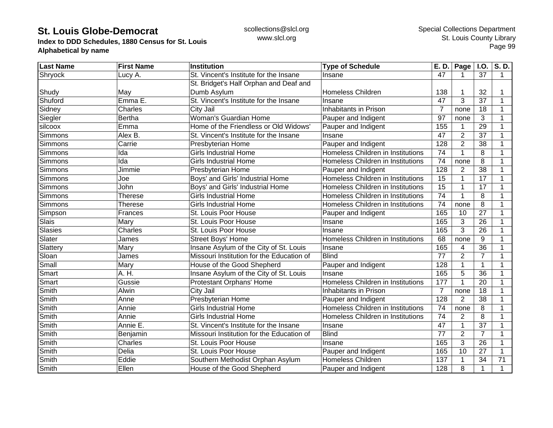**Index to DDD Schedules, 1880 Census for St. Louis Alphabetical by name**

| <b>Last Name</b> | <b>First Name</b> | Institution                               | <b>Type of Schedule</b>           | E. D.           | <b>Page</b>    | <b>I.O.</b>     | S.D. |
|------------------|-------------------|-------------------------------------------|-----------------------------------|-----------------|----------------|-----------------|------|
| Shryock          | Lucy A.           | St. Vincent's Institute for the Insane    | Insane                            | 47              |                | 37              | 1    |
|                  |                   | St. Bridget's Half Orphan and Deaf and    |                                   |                 |                |                 |      |
| Shudy            | May               | Dumb Asylum                               | <b>Homeless Children</b>          | 138             |                | 32              | 1    |
| Shuford          | Emma E.           | St. Vincent's Institute for the Insane    | Insane                            | 47              | 3              | 37              | 1    |
| Sidney           | Charles           | City Jail                                 | Inhabitants in Prison             | $\overline{7}$  | none           | 18              | 1    |
| Siegler          | <b>Bertha</b>     | Woman's Guardian Home                     | Pauper and Indigent               | $\overline{97}$ | none           | 3               | 1    |
| silcoox          | Emma              | Home of the Friendless or Old Widows'     | Pauper and Indigent               | 155             |                | 29              | 1    |
| Simmons          | Alex B.           | St. Vincent's Institute for the Insane    | Insane                            | 47              | $\overline{2}$ | 37              |      |
| Simmons          | Carrie            | Presbyterian Home                         | Pauper and Indigent               | 128             | $\overline{2}$ | 38              |      |
| Simmons          | Ida               | <b>Girls Industrial Home</b>              | Homeless Children in Institutions | 74              |                | 8               |      |
| Simmons          | Ida               | <b>Girls Industrial Home</b>              | Homeless Children in Institutions | 74              | none           | 8               |      |
| Simmons          | Jimmie            | Presbyterian Home                         | Pauper and Indigent               | 128             | $\overline{2}$ | $\overline{38}$ | 1    |
| Simmons          | Joe               | Boys' and Girls' Industrial Home          | Homeless Children in Institutions | 15              |                | 17              | 1    |
| Simmons          | John              | Boys' and Girls' Industrial Home          | Homeless Children in Institutions | 15              |                | 17              | 1    |
| Simmons          | <b>Therese</b>    | <b>Girls Industrial Home</b>              | Homeless Children in Institutions | 74              |                | 8               | 1    |
| Simmons          | <b>Therese</b>    | <b>Girls Industrial Home</b>              | Homeless Children in Institutions | 74              | none           | 8               | 1    |
| Simpson          | Frances           | St. Louis Poor House                      | Pauper and Indigent               | 165             | 10             | 27              | 1    |
| Slais            | Mary              | St. Louis Poor House                      | Insane                            | 165             | 3              | 26              | 1    |
| <b>Slasies</b>   | Charles           | St. Louis Poor House                      | Insane                            | 165             | 3              | 26              | 1    |
| Slater           | James             | <b>Street Boys' Home</b>                  | Homeless Children in Institutions | 68              | none           | 9               |      |
| Slattery         | Mary              | Insane Asylum of the City of St. Louis    | Insane                            | 165             | 4              | $\overline{36}$ |      |
| Sloan            | James             | Missouri Institution for the Education of | <b>Blind</b>                      | 77              | $\overline{2}$ | $\overline{7}$  |      |
| Small            | Mary              | House of the Good Shepherd                | Pauper and Indigent               | 128             |                | $\mathbf{1}$    | 1    |
| Smart            | A. H.             | Insane Asylum of the City of St. Louis    | Insane                            | 165             | 5              | $\overline{36}$ | 1    |
| Smart            | Gussie            | Protestant Orphans' Home                  | Homeless Children in Institutions | 177             |                | 20              | 1    |
| Smith            | Alwin             | City Jail                                 | Inhabitants in Prison             | $\overline{7}$  | none           | 18              | 1    |
| Smith            | Anne              | Presbyterian Home                         | Pauper and Indigent               | 128             | $\overline{2}$ | $\overline{38}$ | 1    |
| Smith            | Annie             | <b>Girls Industrial Home</b>              | Homeless Children in Institutions | 74              | none           | 8               | 1    |
| Smith            | Annie             | <b>Girls Industrial Home</b>              | Homeless Children in Institutions | 74              | 2              | 8               | 1    |
| Smith            | Annie E.          | St. Vincent's Institute for the Insane    | Insane                            | 47              | 1              | 37              | 1    |
| Smith            | Benjamin          | Missouri Institution for the Education of | <b>Blind</b>                      | 77              | $\overline{2}$ | $\overline{7}$  | 1    |
| Smith            | Charles           | St. Louis Poor House                      | Insane                            | 165             | 3              | $\overline{26}$ | 1    |
| Smith            | Delia             | St. Louis Poor House                      | Pauper and Indigent               | 165             | 10             | 27              |      |
| Smith            | Eddie             | Southern Methodist Orphan Asylum          | <b>Homeless Children</b>          | 137             |                | 34              | 71   |
| Smith            | Ellen             | House of the Good Shepherd                | Pauper and Indigent               | 128             | 8              | $\mathbf{1}$    | 1    |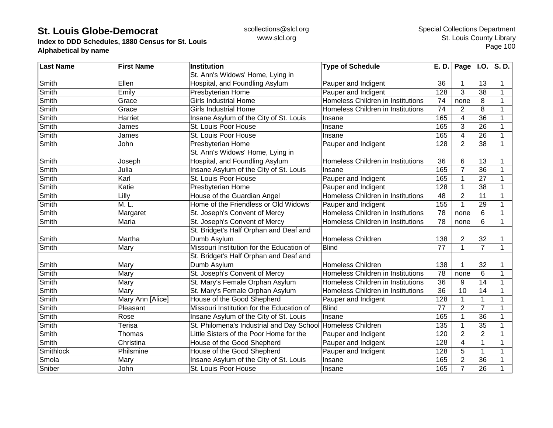**Index to DDD Schedules, 1880 Census for St. Louis Alphabetical by name**

| <b>Last Name</b> | <b>First Name</b> | Institution                               | <b>Type of Schedule</b>           | E. D.            | Page $ $ I.O.  |                 | S.D.        |
|------------------|-------------------|-------------------------------------------|-----------------------------------|------------------|----------------|-----------------|-------------|
|                  |                   | St. Ann's Widows' Home, Lying in          |                                   |                  |                |                 |             |
| Smith            | Ellen             | Hospital, and Foundling Asylum            | Pauper and Indigent               | 36               |                | 13              | 1           |
| Smith            | Emily             | Presbyterian Home                         | Pauper and Indigent               | 128              | 3              | 38              | 1           |
| Smith            | Grace             | <b>Girls Industrial Home</b>              | Homeless Children in Institutions | 74               | none           | 8               | 1           |
| Smith            | Grace             | <b>Girls Industrial Home</b>              | Homeless Children in Institutions | 74               | 2              | 8               | 1           |
| Smith            | Harriet           | Insane Asylum of the City of St. Louis    | Insane                            | 165              | 4              | 36              | 1           |
| Smith            | James             | St. Louis Poor House                      | Insane                            | 165              | 3              | 26              | 1           |
| Smith            | James             | St. Louis Poor House                      | Insane                            | 165              | 4              | 26              |             |
| Smith            | John              | Presbyterian Home                         | Pauper and Indigent               | $\overline{128}$ | $\overline{2}$ | $\overline{38}$ | 1           |
|                  |                   | St. Ann's Widows' Home, Lying in          |                                   |                  |                |                 |             |
| Smith            | Joseph            | Hospital, and Foundling Asylum            | Homeless Children in Institutions | 36               | 6              | 13              |             |
| Smith            | Julia             | Insane Asylum of the City of St. Louis    | Insane                            | 165              | $\overline{7}$ | 36              | 1           |
| Smith            | Karl              | St. Louis Poor House                      | Pauper and Indigent               | 165              |                | 27              | $\mathbf 1$ |
| Smith            | Katie             | Presbyterian Home                         | Pauper and Indigent               | 128              |                | 38              | 1           |
| Smith            | Lilly             | House of the Guardian Angel               | Homeless Children in Institutions | 48               | $\overline{2}$ | 11              | 1           |
| Smith            | M. L.             | Home of the Friendless or Old Widows'     | Pauper and Indigent               | 155              |                | 29              | 1           |
| Smith            | Margaret          | St. Joseph's Convent of Mercy             | Homeless Children in Institutions | 78               | none           | 6               | 1           |
| Smith            | Maria             | St. Joseph's Convent of Mercy             | Homeless Children in Institutions | 78               | none           | 6               | $\mathbf 1$ |
|                  |                   | St. Bridget's Half Orphan and Deaf and    |                                   |                  |                |                 |             |
| Smith            | Martha            | Dumb Asylum                               | <b>Homeless Children</b>          | 138              | $\overline{2}$ | 32              | 1           |
| Smith            | Mary              | Missouri Institution for the Education of | <b>Blind</b>                      | $\overline{77}$  | $\mathbf{1}$   | $\overline{7}$  | 1           |
|                  |                   | St. Bridget's Half Orphan and Deaf and    |                                   |                  |                |                 |             |
| Smith            | Mary              | Dumb Asylum                               | <b>Homeless Children</b>          | 138              |                | 32              |             |
| Smith            | Mary              | St. Joseph's Convent of Mercy             | Homeless Children in Institutions | $\overline{78}$  | none           | 6               | 1           |
| Smith            | Mary              | St. Mary's Female Orphan Asylum           | Homeless Children in Institutions | $\overline{36}$  | 9              | $\overline{14}$ | 1           |
| Smith            | Mary              | St. Mary's Female Orphan Asylum           | Homeless Children in Institutions | 36               | 10             | 14              | 1           |
| Smith            | Mary Ann [Alice]  | House of the Good Shepherd                | Pauper and Indigent               | 128              |                | $\mathbf{1}$    | 1           |
| Smith            | Pleasant          | Missouri Institution for the Education of | <b>Blind</b>                      | 77               | $\overline{2}$ | $\overline{7}$  | 1           |
| Smith            | Rose              | Insane Asylum of the City of St. Louis    | Insane                            | 165              | 1              | 36              | 1           |
| Smith            | <b>Terisa</b>     | St. Philomena's Industrial and Day School | Homeless Children                 | 135              | 1              | 35              | 1           |
| Smith            | Thomas            | Little Sisters of the Poor Home for the   | Pauper and Indigent               | 120              | $\overline{2}$ | $\overline{2}$  | 1           |
| Smith            | Christina         | House of the Good Shepherd                | Pauper and Indigent               | 128              | 4              | 1               | 1           |
| Smithlock        | Philsmine         | House of the Good Shepherd                | Pauper and Indigent               | 128              | 5              | $\mathbf{1}$    |             |
| Smola            | Mary              | Insane Asylum of the City of St. Louis    | Insane                            | 165              | $\overline{2}$ | 36              |             |
| Sniber           | John              | St. Louis Poor House                      | Insane                            | 165              | $\overline{7}$ | 26              |             |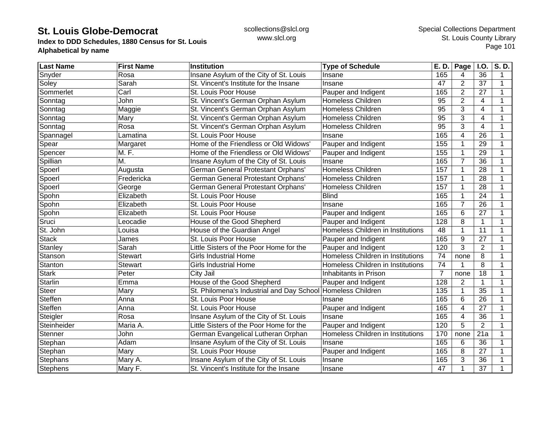**Index to DDD Schedules, 1880 Census for St. Louis Alphabetical by name**

| <b>Last Name</b> | <b>First Name</b> | <b>Institution</b>                                          | <b>Type of Schedule</b>           | E. D.           | Page                    | I.O.                    | S.D.        |
|------------------|-------------------|-------------------------------------------------------------|-----------------------------------|-----------------|-------------------------|-------------------------|-------------|
| Snyder           | Rosa              | Insane Asylum of the City of St. Louis                      | Insane                            | 165             | 4                       | 36                      | 1           |
| Soley            | Sarah             | St. Vincent's Institute for the Insane                      | Insane                            | 47              | $\overline{2}$          | 37                      | $\mathbf 1$ |
| Sommerlet        | $\overline{Carl}$ | St. Louis Poor House                                        | Pauper and Indigent               | 165             | $\overline{2}$          | 27                      | 1           |
| Sonntag          | John              | St. Vincent's German Orphan Asylum                          | <b>Homeless Children</b>          | 95              | $\overline{2}$          | 4                       | 1           |
| Sonntag          | Maggie            | St. Vincent's German Orphan Asylum                          | Homeless Children                 | 95              | 3                       | $\overline{4}$          |             |
| Sonntag          | Mary              | St. Vincent's German Orphan Asylum                          | <b>Homeless Children</b>          | $\overline{95}$ | 3                       | $\overline{\mathbf{4}}$ |             |
| Sonntag          | Rosa              | St. Vincent's German Orphan Asylum                          | Homeless Children                 | $\overline{95}$ | 3                       | $\overline{4}$          |             |
| Spannagel        | Lamatina          | St. Louis Poor House                                        | Insane                            | 165             | 4                       | 26                      |             |
| Spear            | Margaret          | Home of the Friendless or Old Widows'                       | Pauper and Indigent               | 155             | 1                       | 29                      |             |
| Spencer          | M. F.             | Home of the Friendless or Old Widows'                       | Pauper and Indigent               | 155             | 1                       | 29                      |             |
| Spillian         | M.                | Insane Asylum of the City of St. Louis                      | Insane                            | 165             | 7                       | 36                      |             |
| Spoerl           | Augusta           | German General Protestant Orphans'                          | Homeless Children                 | 157             | 1                       | $\overline{28}$         |             |
| Spoerl           | Fredericka        | German General Protestant Orphans'                          | Homeless Children                 | 157             | 1                       | $\overline{28}$         |             |
| Spoerl           | George            | German General Protestant Orphans'                          | Homeless Children                 | 157             | 1                       | 28                      |             |
| Spohn            | Elizabeth         | St. Louis Poor House                                        | <b>Blind</b>                      | 165             | 1                       | 24                      |             |
| Spohn            | Elizabeth         | St. Louis Poor House                                        | Insane                            | 165             | $\overline{7}$          | 26                      |             |
| Spohn            | Elizabeth         | St. Louis Poor House                                        | Pauper and Indigent               | 165             | 6                       | 27                      |             |
| Sruci            | Leocadie          | House of the Good Shepherd                                  | Pauper and Indigent               | 128             | 8                       | $\mathbf{1}$            |             |
| St. John         | Louisa            | House of the Guardian Angel                                 | Homeless Children in Institutions | 48              | 1                       | 11                      |             |
| <b>Stack</b>     | James             | St. Louis Poor House                                        | Pauper and Indigent               | 165             | 9                       | 27                      |             |
| Stanley          | Sarah             | Little Sisters of the Poor Home for the                     | Pauper and Indigent               | 120             | 3                       | $\overline{2}$          |             |
| Stanson          | <b>Stewart</b>    | <b>Girls Industrial Home</b>                                | Homeless Children in Institutions | 74              | none                    | 8                       |             |
| Stanton          | <b>Stewart</b>    | <b>Girls Industrial Home</b>                                | Homeless Children in Institutions | 74              |                         | 8                       |             |
| <b>Stark</b>     | Peter             | City Jail                                                   | Inhabitants in Prison             | $\overline{7}$  | none                    | $\overline{18}$         |             |
| <b>Starlin</b>   | Emma              | House of the Good Shepherd                                  | Pauper and Indigent               | 128             | $\mathbf{2}$            | 1                       |             |
| <b>Steer</b>     | Mary              | St. Philomena's Industrial and Day School Homeless Children |                                   | 135             | 1                       | 35                      |             |
| Steffen          | Anna              | St. Louis Poor House                                        | Insane                            | 165             | 6                       | $\overline{26}$         | 1           |
| Steffen          | Anna              | St. Louis Poor House                                        | Pauper and Indigent               | 165             | 4                       | 27                      |             |
| Steigler         | Rosa              | Insane Asylum of the City of St. Louis                      | Insane                            | 165             | $\overline{\mathbf{4}}$ | 36                      |             |
| Steinheider      | Maria A.          | Little Sisters of the Poor Home for the                     | Pauper and Indigent               | 120             | 5                       | $\overline{2}$          |             |
| Stenner          | John              | German Evangelical Lutheran Orphan                          | Homeless Children in Institutions | 170             | none                    | 21a                     |             |
| Stephan          | Adam              | Insane Asylum of the City of St. Louis                      | Insane                            | 165             | 6                       | $\overline{36}$         |             |
| Stephan          | Mary              | St. Louis Poor House                                        | Pauper and Indigent               | 165             | 8                       | 27                      |             |
| Stephans         | Mary A.           | Insane Asylum of the City of St. Louis                      | Insane                            | 165             | 3                       | 36                      |             |
| Stephens         | Mary F.           | St. Vincent's Institute for the Insane                      | Insane                            | 47              | 1                       | 37                      | 1           |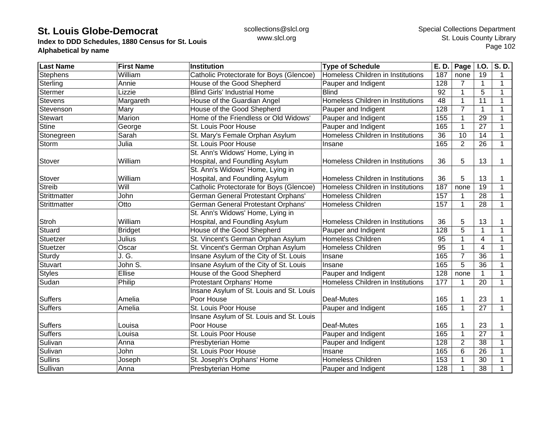**Index to DDD Schedules, 1880 Census for St. Louis Alphabetical by name**

| <b>Last Name</b> | <b>First Name</b> | <b>Institution</b>                       | <b>Type of Schedule</b>           | E. D.            | Page            | I.O.            | S.D.           |
|------------------|-------------------|------------------------------------------|-----------------------------------|------------------|-----------------|-----------------|----------------|
| <b>Stephens</b>  | William           | Catholic Protectorate for Boys (Glencoe) | Homeless Children in Institutions | 187              | none            | 19              |                |
| Sterling         | Annie             | House of the Good Shepherd               | Pauper and Indigent               | 128              | 7               | 1               | 1              |
| <b>Stermer</b>   | Lizzie            | <b>Blind Girls' Industrial Home</b>      | <b>Blind</b>                      | 92               | $\mathbf{1}$    | 5               | $\mathbf{1}$   |
| <b>Stevens</b>   | Margareth         | House of the Guardian Angel              | Homeless Children in Institutions | 48               | $\mathbf{1}$    | 11              | $\overline{1}$ |
| Stevenson        | Mary              | House of the Good Shepherd               | Pauper and Indigent               | 128              | $\overline{7}$  | 1               | 1              |
| <b>Stewart</b>   | Marion            | Home of the Friendless or Old Widows'    | Pauper and Indigent               | 155              | 1               | 29              | 1              |
| <b>Stine</b>     | George            | St. Louis Poor House                     | Pauper and Indigent               | 165              | $\mathbf 1$     | 27              | 1              |
| Stonegreen       | Sarah             | St. Mary's Female Orphan Asylum          | Homeless Children in Institutions | 36               | $\overline{10}$ | 14              | $\mathbf 1$    |
| Storm            | Julia             | St. Louis Poor House                     | Insane                            | 165              | 2               | 26              | 1              |
|                  |                   | St. Ann's Widows' Home, Lying in         |                                   |                  |                 |                 |                |
| Stover           | William           | Hospital, and Foundling Asylum           | Homeless Children in Institutions | 36               | 5               | 13              | 1              |
|                  |                   | St. Ann's Widows' Home, Lying in         |                                   |                  |                 |                 |                |
| Stover           | William           | Hospital, and Foundling Asylum           | Homeless Children in Institutions | 36               | 5               | 13              |                |
| Streib           | Will              | Catholic Protectorate for Boys (Glencoe) | Homeless Children in Institutions | 187              | none            | 19              | $\mathbf 1$    |
| Strittmatter     | John              | German General Protestant Orphans'       | <b>Homeless Children</b>          | 157              |                 | 28              | -1             |
| Strittmatter     | Otto              | German General Protestant Orphans'       | Homeless Children                 | 157              | $\mathbf 1$     | 28              | 1              |
|                  |                   | St. Ann's Widows' Home, Lying in         |                                   |                  |                 |                 |                |
| <b>Stroh</b>     | William           | Hospital, and Foundling Asylum           | Homeless Children in Institutions | 36               | 5               | 13              |                |
| Stuard           | <b>Bridget</b>    | House of the Good Shepherd               | Pauper and Indigent               | 128              | 5               | 1               | 1              |
| Stuetzer         | Julius            | St. Vincent's German Orphan Asylum       | Homeless Children                 | 95               | 1               | $\overline{4}$  |                |
| Stuetzer         | Oscar             | St. Vincent's German Orphan Asylum       | Homeless Children                 | $\overline{95}$  | 1               | $\overline{4}$  | 1              |
| Sturdy           | J.G.              | Insane Asylum of the City of St. Louis   | Insane                            | 165              | $\overline{7}$  | $\overline{36}$ | 1              |
| Stuvart          | John S.           | Insane Asylum of the City of St. Louis   | Insane                            | 165              | $\overline{5}$  | 36              | $\mathbf{1}$   |
| <b>Styles</b>    | Ellise            | House of the Good Shepherd               | Pauper and Indigent               | 128              | none            | $\mathbf{1}$    | $\mathbf{1}$   |
| Sudan            | Philip            | Protestant Orphans' Home                 | Homeless Children in Institutions | 177              | 1               | 20              | $\mathbf{1}$   |
|                  |                   | Insane Asylum of St. Louis and St. Louis |                                   |                  |                 |                 |                |
| <b>Suffers</b>   | Amelia            | Poor House                               | Deaf-Mutes                        | 165              | 1               | 23              |                |
| <b>Suffers</b>   | Amelia            | St. Louis Poor House                     | Pauper and Indigent               | 165              | 1               | 27              | $\mathbf{1}$   |
|                  |                   | Insane Asylum of St. Louis and St. Louis |                                   |                  |                 |                 |                |
| <b>Suffers</b>   | Louisa            | Poor House                               | Deaf-Mutes                        | 165              | 1               | 23              |                |
| Suffers          | Louisa            | St. Louis Poor House                     | Pauper and Indigent               | 165              | $\mathbf{1}$    | 27              | 1              |
| Sulivan          | Anna              | Presbyterian Home                        | Pauper and Indigent               | $\overline{128}$ | $\overline{2}$  | 38              | 1              |
| Sulivan          | John              | St. Louis Poor House                     | Insane                            | 165              | 6               | 26              |                |
| <b>Sullins</b>   | Joseph            | St. Joseph's Orphans' Home               | Homeless Children                 | 153              | 1               | 30              |                |
| Sullivan         | Anna              | Presbyterian Home                        | Pauper and Indigent               | 128              | 1               | 38              | 1              |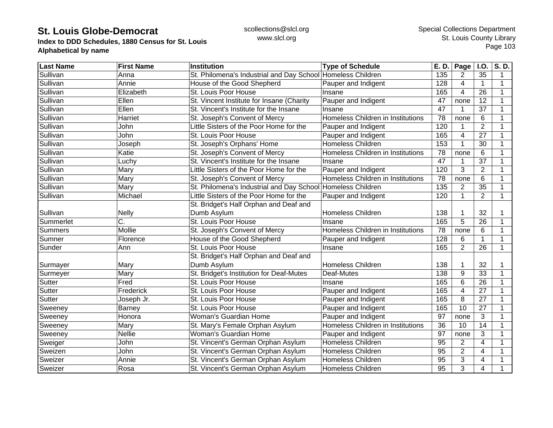**Index to DDD Schedules, 1880 Census for St. Louis Alphabetical by name**

| <b>Last Name</b> | <b>First Name</b> | Institution                                                 | <b>Type of Schedule</b>           | E. D. | Page           | <b>I.O.</b>     | S.D. |
|------------------|-------------------|-------------------------------------------------------------|-----------------------------------|-------|----------------|-----------------|------|
| Sullivan         | Anna              | St. Philomena's Industrial and Day School Homeless Children |                                   | 135   | 2              | 35              | 1    |
| Sullivan         | Annie             | House of the Good Shepherd                                  | Pauper and Indigent               | 128   | 4              | $\mathbf{1}$    | 1    |
| Sullivan         | Elizabeth         | St. Louis Poor House                                        | Insane                            | 165   | 4              | 26              | 1    |
| Sullivan         | Ellen             | St. Vincent Institute for Insane (Charity                   | Pauper and Indigent               | 47    | none           | 12              | 1    |
| Sullivan         | Ellen             | St. Vincent's Institute for the Insane                      | Insane                            | 47    |                | 37              |      |
| Sullivan         | Harriet           | St. Joseph's Convent of Mercy                               | Homeless Children in Institutions | 78    | none           | 6               |      |
| Sullivan         | John              | Little Sisters of the Poor Home for the                     | Pauper and Indigent               | 120   |                | $\overline{2}$  |      |
| Sullivan         | John              | St. Louis Poor House                                        | Pauper and Indigent               | 165   | 4              | 27              |      |
| Sullivan         | Joseph            | St. Joseph's Orphans' Home                                  | Homeless Children                 | 153   |                | 30              |      |
| Sullivan         | Katie             | St. Joseph's Convent of Mercy                               | Homeless Children in Institutions | 78    | none           | 6               |      |
| Sullivan         | Luchy             | St. Vincent's Institute for the Insane                      | Insane                            | 47    |                | 37              |      |
| Sullivan         | Mary              | Little Sisters of the Poor Home for the                     | Pauper and Indigent               | 120   | 3              | $\overline{2}$  |      |
| Sullivan         | Mary              | St. Joseph's Convent of Mercy                               | Homeless Children in Institutions | 78    | none           | 6               | 1    |
| Sullivan         | Mary              | St. Philomena's Industrial and Day School Homeless Children |                                   | 135   | $\overline{2}$ | 35              | 1    |
| Sullivan         | Michael           | Little Sisters of the Poor Home for the                     | Pauper and Indigent               | 120   | $\mathbf{1}$   | $\overline{2}$  | 1    |
|                  |                   | St. Bridget's Half Orphan and Deaf and                      |                                   |       |                |                 |      |
| Sullivan         | <b>Nelly</b>      | Dumb Asylum                                                 | <b>Homeless Children</b>          | 138   |                | 32              |      |
| Summerlet        | C.                | St. Louis Poor House                                        | Insane                            | 165   | 5              | 26              |      |
| Summers          | Mollie            | St. Joseph's Convent of Mercy                               | Homeless Children in Institutions | 78    | none           | 6               |      |
| Sumner           | Florence          | House of the Good Shepherd                                  | Pauper and Indigent               | 128   | 6              | 1               |      |
| Sunder           | Ann               | St. Louis Poor House                                        | Insane                            | 165   | $\overline{2}$ | $\overline{26}$ | 1    |
|                  |                   | St. Bridget's Half Orphan and Deaf and                      |                                   |       |                |                 |      |
| Surmayer         | Mary              | Dumb Asylum                                                 | <b>Homeless Children</b>          | 138   |                | 32              |      |
| Surmeyer         | Mary              | St. Bridget's Institution for Deaf-Mutes                    | Deaf-Mutes                        | 138   | 9              | 33              |      |
| Sutter           | Fred              | St. Louis Poor House                                        | Insane                            | 165   | 6              | 26              |      |
| Sutter           | Frederick         | St. Louis Poor House                                        | Pauper and Indigent               | 165   | 4              | 27              |      |
| Sutter           | Joseph Jr.        | St. Louis Poor House                                        | Pauper and Indigent               | 165   | 8              | 27              | 1    |
| Sweeney          | <b>Barney</b>     | St. Louis Poor House                                        | Pauper and Indigent               | 165   | 10             | 27              |      |
| Sweeney          | Honora            | Woman's Guardian Home                                       | Pauper and Indigent               | 97    | none           | 3               |      |
| Sweeney          | Mary              | St. Mary's Female Orphan Asylum                             | Homeless Children in Institutions | 36    | 10             | $\overline{14}$ |      |
| Sweeney          | <b>Nellie</b>     | Woman's Guardian Home                                       | Pauper and Indigent               | 97    | none           | 3               |      |
| Sweiger          | John              | St. Vincent's German Orphan Asylum                          | <b>Homeless Children</b>          | 95    | $\overline{2}$ | 4               |      |
| Sweizen          | John              | St. Vincent's German Orphan Asylum                          | Homeless Children                 | 95    | $\overline{2}$ | $\overline{4}$  |      |
| Sweizer          | Annie             | St. Vincent's German Orphan Asylum                          | Homeless Children                 | 95    | 3              | 4               | 1    |
| Sweizer          | Rosa              | St. Vincent's German Orphan Asylum                          | <b>Homeless Children</b>          | 95    | 3              | 4               |      |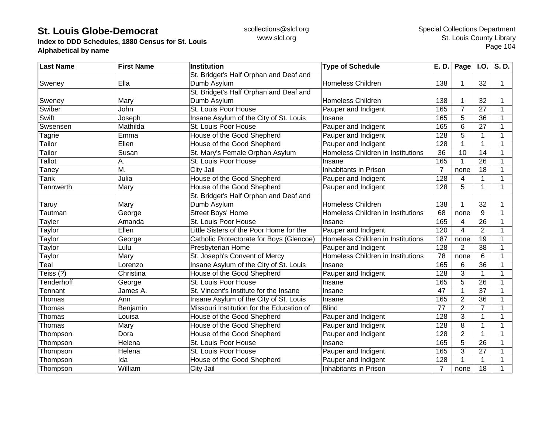**Index to DDD Schedules, 1880 Census for St. Louis Alphabetical by name**

| <b>Last Name</b>  | <b>First Name</b>         | <b>Institution</b>                        | <b>Type of Schedule</b>           | <b>E. D.</b>    | Page           | I.0.            | S.D. |
|-------------------|---------------------------|-------------------------------------------|-----------------------------------|-----------------|----------------|-----------------|------|
|                   |                           | St. Bridget's Half Orphan and Deaf and    |                                   |                 |                |                 |      |
| Sweney            | Ella                      | Dumb Asylum                               | <b>Homeless Children</b>          | 138             |                | 32              | 1    |
|                   |                           | St. Bridget's Half Orphan and Deaf and    |                                   |                 |                |                 |      |
| Sweney            | Mary                      | Dumb Asylum                               | <b>Homeless Children</b>          | 138             |                | 32              |      |
| Swiber            | John                      | St. Louis Poor House                      | Pauper and Indigent               | 165             | $\overline{7}$ | 27              | 1    |
| Swift             | Joseph                    | Insane Asylum of the City of St. Louis    | Insane                            | 165             | 5              | 36              |      |
| Swsensen          | Mathilda                  | St. Louis Poor House                      | Pauper and Indigent               | 165             | 6              | 27              |      |
| Tagrie            | Emma                      | House of the Good Shepherd                | Pauper and Indigent               | 128             | 5              | 1               |      |
| Tailor            | Ellen                     | House of the Good Shepherd                | Pauper and Indigent               | 128             |                | 1               | 1    |
| Tailor            | Susan                     | St. Mary's Female Orphan Asylum           | Homeless Children in Institutions | 36              | 10             | 14              | 1    |
| <b>Tallot</b>     | Α.                        | St. Louis Poor House                      | Insane                            | 165             |                | $\overline{26}$ | 1    |
| Taney             | $\overline{\mathsf{M}}$ . | City Jail                                 | Inhabitants in Prison             | $\overline{7}$  | none           | 18              |      |
| Tank              | Julia                     | House of the Good Shepherd                | Pauper and Indigent               | 128             | 4              | 1               |      |
| Tannwerth         | Mary                      | House of the Good Shepherd                | Pauper and Indigent               | 128             | 5              | $\mathbf{1}$    | 1    |
|                   |                           | St. Bridget's Half Orphan and Deaf and    |                                   |                 |                |                 |      |
| Taruy             | Mary                      | Dumb Asylum                               | <b>Homeless Children</b>          | 138             |                | 32              | 1    |
| Tautman           | George                    | Street Boys' Home                         | Homeless Children in Institutions | 68              | none           | 9               | 1    |
| Tayler            | Amanda                    | St. Louis Poor House                      | Insane                            | 165             | $\overline{4}$ | 26              |      |
| <b>Taylor</b>     | Ellen                     | Little Sisters of the Poor Home for the   | Pauper and Indigent               | 120             | $\overline{4}$ | $\overline{2}$  |      |
| Taylor            | George                    | Catholic Protectorate for Boys (Glencoe)  | Homeless Children in Institutions | 187             | none           | 19              |      |
| Taylor            | Lulu                      | Presbyterian Home                         | Pauper and Indigent               | 128             | $\overline{2}$ | 38              |      |
| Taylor            | Mary                      | St. Joseph's Convent of Mercy             | Homeless Children in Institutions | $\overline{78}$ | none           | 6               | 1    |
| Teal              | Lorenzo                   | Insane Asylum of the City of St. Louis    | Insane                            | 165             | 6              | $\overline{36}$ | 1    |
| Teiss (?)         | Christina                 | House of the Good Shepherd                | Pauper and Indigent               | 128             | 3              | $\mathbf{1}$    | 1    |
| <b>Tenderhoff</b> | George                    | St. Louis Poor House                      | Insane                            | 165             | 5              | 26              | 1    |
| Tennant           | James A.                  | St. Vincent's Institute for the Insane    | Insane                            | 47              | 1              | 37              | 1    |
| Thomas            | Ann                       | Insane Asylum of the City of St. Louis    | Insane                            | 165             | $\overline{2}$ | 36              |      |
| Thomas            | Benjamin                  | Missouri Institution for the Education of | <b>Blind</b>                      | 77              | $\overline{2}$ | $\overline{7}$  | 1    |
| Thomas            | Louisa                    | House of the Good Shepherd                | Pauper and Indigent               | 128             | 3              | $\mathbf 1$     | 1    |
| Thomas            | Mary                      | House of the Good Shepherd                | Pauper and Indigent               | 128             | 8              | $\mathbf{1}$    | 1    |
| Thompson          | Dora                      | House of the Good Shepherd                | Pauper and Indigent               | 128             | $\overline{2}$ | $\mathbf 1$     |      |
| Thompson          | Helena                    | St. Louis Poor House                      | Insane                            | 165             | 5              | $\overline{26}$ |      |
| Thompson          | Helena                    | St. Louis Poor House                      | Pauper and Indigent               | 165             | 3              | 27              |      |
| Thompson          | Ida                       | House of the Good Shepherd                | Pauper and Indigent               | 128             |                | 1               |      |
| Thompson          | William                   | City Jail                                 | Inhabitants in Prison             | $\overline{7}$  | none           | 18              |      |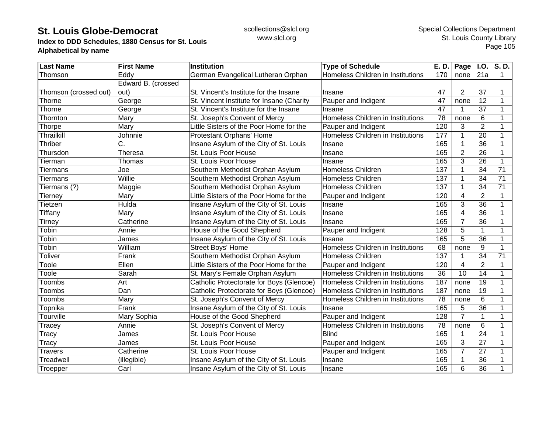**Index to DDD Schedules, 1880 Census for St. Louis Alphabetical by name**

| <b>Last Name</b>      | <b>First Name</b>  | <b>Institution</b>                        | <b>Type of Schedule</b>           | E. D.           | Page $\vert$ I.O. |                 | S.D.        |
|-----------------------|--------------------|-------------------------------------------|-----------------------------------|-----------------|-------------------|-----------------|-------------|
| Thomson               | Eddy               | German Evangelical Lutheran Orphan        | Homeless Children in Institutions | 170             | none              | 21a             | 1           |
|                       | Edward B. (crossed |                                           |                                   |                 |                   |                 |             |
| Thomson (crossed out) | out)               | St. Vincent's Institute for the Insane    | Insane                            | 47              | $\overline{2}$    | 37              |             |
| Thorne                | George             | St. Vincent Institute for Insane (Charity | Pauper and Indigent               | 47              | none              | 12              | 1           |
| Thorne                | George             | St. Vincent's Institute for the Insane    | Insane                            | 47              |                   | 37              | 1           |
| Thornton              | Mary               | St. Joseph's Convent of Mercy             | Homeless Children in Institutions | 78              | none              | 6               | 1           |
| Thorpe                | Mary               | Little Sisters of the Poor Home for the   | Pauper and Indigent               | 120             | 3                 | $\overline{2}$  | 1           |
| Thrailkill            | Johnnie            | Protestant Orphans' Home                  | Homeless Children in Institutions | 177             |                   | 20              | 1           |
| Thriber               | C.                 | Insane Asylum of the City of St. Louis    | Insane                            | 165             |                   | $\overline{36}$ |             |
| Thursdon              | Theresa            | St. Louis Poor House                      | Insane                            | 165             | $\overline{2}$    | 26              |             |
| Tierman               | Thomas             | St. Louis Poor House                      | Insane                            | 165             | 3                 | 26              | 1           |
| <b>Tiermans</b>       | Joe                | Southern Methodist Orphan Asylum          | Homeless Children                 | 137             |                   | 34              | 71          |
| <b>Tiermans</b>       | Willie             | Southern Methodist Orphan Asylum          | <b>Homeless Children</b>          | 137             |                   | 34              | 71          |
| Tiermans (?)          | Maggie             | Southern Methodist Orphan Asylum          | <b>Homeless Children</b>          | 137             |                   | 34              | 71          |
| Tierney               | Mary               | Little Sisters of the Poor Home for the   | Pauper and Indigent               | 120             | 4                 | $\overline{2}$  | 1           |
| Tietzen               | Hulda              | Insane Asylum of the City of St. Louis    | Insane                            | 165             | 3                 | 36              | 1           |
| Tiffany               | Mary               | Insane Asylum of the City of St. Louis    | Insane                            | 165             | 4                 | 36              | 1           |
| <b>Tirney</b>         | Catherine          | Insane Asylum of the City of St. Louis    | Insane                            | 165             | $\overline{7}$    | 36              | 1           |
| Tobin                 | Annie              | House of the Good Shepherd                | Pauper and Indigent               | 128             | 5                 | $\mathbf{1}$    |             |
| Tobin                 | James              | Insane Asylum of the City of St. Louis    | Insane                            | 165             | 5                 | 36              |             |
| Tobin                 | William            | <b>Street Boys' Home</b>                  | Homeless Children in Institutions | 68              | none              | 9               | 1           |
| Toliver               | Frank              | Southern Methodist Orphan Asylum          | <b>Homeless Children</b>          | 137             |                   | 34              | 71          |
| Toole                 | Ellen              | Little Sisters of the Poor Home for the   | Pauper and Indigent               | 120             | 4                 | $\overline{2}$  | $\mathbf 1$ |
| Toole                 | Sarah              | St. Mary's Female Orphan Asylum           | Homeless Children in Institutions | $\overline{36}$ | $\overline{10}$   | $\overline{14}$ | 1           |
| Toombs                | Art                | Catholic Protectorate for Boys (Glencoe)  | Homeless Children in Institutions | 187             | none              | $\overline{19}$ | 1           |
| Toombs                | Dan                | Catholic Protectorate for Boys (Glencoe)  | Homeless Children in Institutions | 187             | none              | 19              | 1           |
| <b>Toombs</b>         | Mary               | St. Joseph's Convent of Mercy             | Homeless Children in Institutions | 78              | none              | 6               | $\mathbf 1$ |
| Topnika               | Frank              | Insane Asylum of the City of St. Louis    | Insane                            | 165             | 5                 | 36              | $\mathbf 1$ |
| Tourville             | Mary Sophia        | House of the Good Shepherd                | Pauper and Indigent               | 128             | $\overline{7}$    | 1               | 1           |
| Tracey                | Annie              | St. Joseph's Convent of Mercy             | Homeless Children in Institutions | 78              | none              | 6               | 1           |
| Tracy                 | James              | St. Louis Poor House                      | <b>Blind</b>                      | 165             |                   | 24              | 1           |
| Tracy                 | James              | St. Louis Poor House                      | Pauper and Indigent               | 165             | 3                 | $\overline{27}$ |             |
| <b>Travers</b>        | Catherine          | St. Louis Poor House                      | Pauper and Indigent               | 165             | $\overline{7}$    | 27              |             |
| Treadwell             | (illegible)        | Insane Asylum of the City of St. Louis    | Insane                            | 165             |                   | 36              |             |
| Troepper              | Carl               | Insane Asylum of the City of St. Louis    | Insane                            | 165             | 6                 | 36              |             |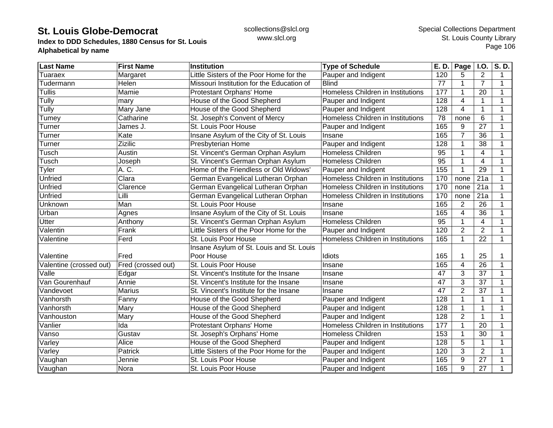**Index to DDD Schedules, 1880 Census for St. Louis Alphabetical by name**

| <b>Last Name</b>        | <b>First Name</b>  | Institution                               | <b>Type of Schedule</b>           | E. D.           | Page           | I.O.            | S.D.         |
|-------------------------|--------------------|-------------------------------------------|-----------------------------------|-----------------|----------------|-----------------|--------------|
| Tuaraex                 | Margaret           | Little Sisters of the Poor Home for the   | Pauper and Indigent               | 120             | 5              | $\overline{2}$  | 1            |
| Tudermann               | Helen              | Missouri Institution for the Education of | <b>Blind</b>                      | 77              | $\mathbf 1$    | $\overline{7}$  | 1            |
| <b>Tullis</b>           | Mamie              | Protestant Orphans' Home                  | Homeless Children in Institutions | 177             | 1              | 20              | -1           |
| <b>Tully</b>            | mary               | House of the Good Shepherd                | Pauper and Indigent               | 128             | $\overline{4}$ | $\mathbf{1}$    | 1            |
| Tully                   | Mary Jane          | House of the Good Shepherd                | Pauper and Indigent               | 128             | $\overline{4}$ | $\mathbf{1}$    |              |
| Tumey                   | Catharine          | St. Joseph's Convent of Mercy             | Homeless Children in Institutions | 78              | none           | $6\phantom{1}6$ |              |
| Turner                  | James J.           | St. Louis Poor House                      | Pauper and Indigent               | 165             | 9              | 27              |              |
| Turner                  | Kate               | Insane Asylum of the City of St. Louis    | Insane                            | 165             | $\overline{7}$ | $\overline{36}$ |              |
| Turner                  | Zizilic            | Presbyterian Home                         | Pauper and Indigent               | 128             | 1              | 38              |              |
| Tusch                   | Austin             | St. Vincent's German Orphan Asylum        | <b>Homeless Children</b>          | 95              | 1              | $\overline{4}$  |              |
| Tusch                   | Joseph             | St. Vincent's German Orphan Asylum        | Homeless Children                 | $\overline{95}$ | 1              | $\overline{4}$  |              |
| Tyler                   | A. C.              | Home of the Friendless or Old Widows'     | Pauper and Indigent               | 155             | 1              | 29              |              |
| <b>Unfried</b>          | Clara              | German Evangelical Lutheran Orphan        | Homeless Children in Institutions | 170             | none           | 21a             |              |
| <b>Unfried</b>          | Clarence           | German Evangelical Lutheran Orphan        | Homeless Children in Institutions | 170             | none           | 21a             |              |
| <b>Unfried</b>          | Lilli              | German Evangelical Lutheran Orphan        | Homeless Children in Institutions | 170             | none           | 21a             |              |
| Unknown                 | Man                | St. Louis Poor House                      | Insane                            | 165             | $\overline{2}$ | 26              |              |
| Urban                   | Agnes              | Insane Asylum of the City of St. Louis    | Insane                            | 165             | 4              | 36              |              |
| <b>Utter</b>            | Anthony            | St. Vincent's German Orphan Asylum        | <b>Homeless Children</b>          | 95              | 1              | $\overline{4}$  |              |
| Valentin                | Frank              | Little Sisters of the Poor Home for the   | Pauper and Indigent               | 120             | $\overline{2}$ | $\overline{2}$  |              |
| Valentine               | Ferd               | St. Louis Poor House                      | Homeless Children in Institutions | 165             | $\mathbf{1}$   | 22              | 1            |
|                         |                    | Insane Asylum of St. Louis and St. Louis  |                                   |                 |                |                 |              |
| Valentine               | Fred               | Poor House                                | Idiots                            | 165             | 1              | 25              |              |
| Valentine (crossed out) | Fred (crossed out) | St. Louis Poor House                      | Insane                            | 165             | $\overline{4}$ | 26              | 1            |
| Valle                   | Edgar              | St. Vincent's Institute for the Insane    | Insane                            | 47              | 3              | $\overline{37}$ | $\mathbf{1}$ |
| Van Gourenhauf          | Annie              | St. Vincent's Institute for the Insane    | Insane                            | 47              | 3              | 37              |              |
| Vandevoet               | <b>Marius</b>      | St. Vincent's Institute for the Insane    | Insane                            | 47              | $\overline{2}$ | $\overline{37}$ |              |
| Vanhorsth               | Fanny              | House of the Good Shepherd                | Pauper and Indigent               | 128             | 1              | 1               |              |
| Vanhorsth               | Mary               | House of the Good Shepherd                | Pauper and Indigent               | 128             | 1              | $\mathbf 1$     | 1            |
| Vanhouston              | Mary               | House of the Good Shepherd                | Pauper and Indigent               | 128             | $\overline{2}$ | $\mathbf 1$     | 1            |
| Vanlier                 | Ida                | Protestant Orphans' Home                  | Homeless Children in Institutions | 177             | $\mathbf{1}$   | 20              |              |
| Vanso                   | Gustav             | St. Joseph's Orphans' Home                | Homeless Children                 | 153             | 1              | 30              |              |
| Varley                  | Alice              | House of the Good Shepherd                | Pauper and Indigent               | 128             | 5              | 1               |              |
| Varley                  | Patrick            | Little Sisters of the Poor Home for the   | Pauper and Indigent               | 120             | 3              | $\overline{2}$  |              |
| Vaughan                 | Jennie             | St. Louis Poor House                      | Pauper and Indigent               | 165             | 9              | 27              |              |
| Vaughan                 | Nora               | St. Louis Poor House                      | Pauper and Indigent               | 165             | 9              | 27              | 1            |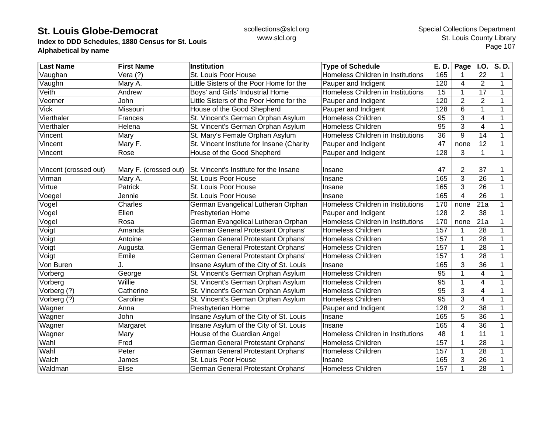**Index to DDD Schedules, 1880 Census for St. Louis Alphabetical by name**

| <b>Last Name</b>      | <b>First Name</b>     | <b>Institution</b>                        | <b>Type of Schedule</b>           | E. D.           | Page           | I.O.                    | S.D.        |
|-----------------------|-----------------------|-------------------------------------------|-----------------------------------|-----------------|----------------|-------------------------|-------------|
| Vaughan               | Vera (?)              | St. Louis Poor House                      | Homeless Children in Institutions | 165             | 1              | 22                      | 1           |
| Vaughn                | Mary A.               | Little Sisters of the Poor Home for the   | Pauper and Indigent               | 120             | 4              | $\overline{2}$          | 1           |
| Veith                 | Andrew                | Boys' and Girls' Industrial Home          | Homeless Children in Institutions | 15              | $\mathbf 1$    | 17                      | 1           |
| Veorner               | John                  | Little Sisters of the Poor Home for the   | Pauper and Indigent               | 120             | $\overline{2}$ | $\overline{2}$          |             |
| Vick                  | Missouri              | House of the Good Shepherd                | Pauper and Indigent               | 128             | 6              | 1                       |             |
| Vierthaler            | Frances               | St. Vincent's German Orphan Asylum        | <b>Homeless Children</b>          | 95              | 3              | 4                       |             |
| Vierthaler            | Helena                | St. Vincent's German Orphan Asylum        | <b>Homeless Children</b>          | $\overline{95}$ | 3              | $\overline{\mathbf{4}}$ |             |
| Vincent               | Mary                  | St. Mary's Female Orphan Asylum           | Homeless Children in Institutions | $\overline{36}$ | 9              | 14                      |             |
| Vincent               | Mary F.               | St. Vincent Institute for Insane (Charity | Pauper and Indigent               | 47              | none           | 12                      | 1           |
| Vincent               | Rose                  | House of the Good Shepherd                | Pauper and Indigent               | 128             | 3              | $\mathbf 1$             | 1           |
|                       |                       |                                           |                                   |                 |                |                         |             |
| Vincent (crossed out) | Mary F. (crossed out) | St. Vincent's Institute for the Insane    | Insane                            | 47              | 2              | 37                      |             |
| Virman                | Mary A.               | St. Louis Poor House                      | Insane                            | 165             | 3              | 26                      |             |
| Virtue                | Patrick               | St. Louis Poor House                      | Insane                            | 165             | 3              | 26                      | 1           |
| Voegel                | Jennie                | St. Louis Poor House                      | Insane                            | 165             | $\overline{4}$ | 26                      | 1           |
| Vogel                 | Charles               | German Evangelical Lutheran Orphan        | Homeless Children in Institutions | 170             | none           | 21a                     | 1           |
| Vogel                 | Ellen                 | Presbyterian Home                         | Pauper and Indigent               | 128             | $\overline{2}$ | 38                      | 1           |
| Vogel                 | Rosa                  | German Evangelical Lutheran Orphan        | Homeless Children in Institutions | 170             | none           | $\overline{21a}$        |             |
| Voigt                 | Amanda                | German General Protestant Orphans'        | <b>Homeless Children</b>          | 157             | 1              | $\overline{28}$         |             |
| Voigt                 | Antoine               | German General Protestant Orphans'        | <b>Homeless Children</b>          | 157             | $\mathbf{1}$   | 28                      |             |
| Voigt                 | Augusta               | German General Protestant Orphans'        | <b>Homeless Children</b>          | 157             | 1              | 28                      |             |
| Voigt                 | Emile                 | German General Protestant Orphans'        | Homeless Children                 | 157             | 1              | $\overline{28}$         | $\mathbf 1$ |
| Von Buren             |                       | Insane Asylum of the City of St. Louis    | Insane                            | 165             | 3              | $\overline{36}$         |             |
| Vorberg               | George                | St. Vincent's German Orphan Asylum        | Homeless Children                 | 95              | 1              | 4                       |             |
| Vorberg               | Willie                | St. Vincent's German Orphan Asylum        | <b>Homeless Children</b>          | 95              | $\mathbf{1}$   | $\overline{4}$          | $\mathbf 1$ |
| Vorberg (?)           | Catherine             | St. Vincent's German Orphan Asylum        | <b>Homeless Children</b>          | 95              | 3              | $\overline{4}$          |             |
| Vorberg (?)           | Caroline              | St. Vincent's German Orphan Asylum        | <b>Homeless Children</b>          | 95              | $\overline{3}$ | $\overline{4}$          | 1           |
| Wagner                | Anna                  | Presbyterian Home                         | Pauper and Indigent               | 128             | $\overline{2}$ | 38                      | 1           |
| Wagner                | John                  | Insane Asylum of the City of St. Louis    | Insane                            | 165             | 5              | $\overline{36}$         | 1           |
| Wagner                | Margaret              | Insane Asylum of the City of St. Louis    | Insane                            | 165             | 4              | 36                      |             |
| Wagner                | Mary                  | House of the Guardian Angel               | Homeless Children in Institutions | 48              | $\mathbf{1}$   | 11                      |             |
| Wahl                  | Fred                  | <b>German General Protestant Orphans'</b> | <b>Homeless Children</b>          | 157             | 1              | 28                      |             |
| Wahl                  | Peter                 | German General Protestant Orphans'        | Homeless Children                 | 157             | $\mathbf{1}$   | 28                      |             |
| Walch                 | James                 | St. Louis Poor House                      | Insane                            | 165             | 3              | 26                      |             |
| Waldman               | Elise                 | German General Protestant Orphans'        | Homeless Children                 | 157             | 1              | 28                      |             |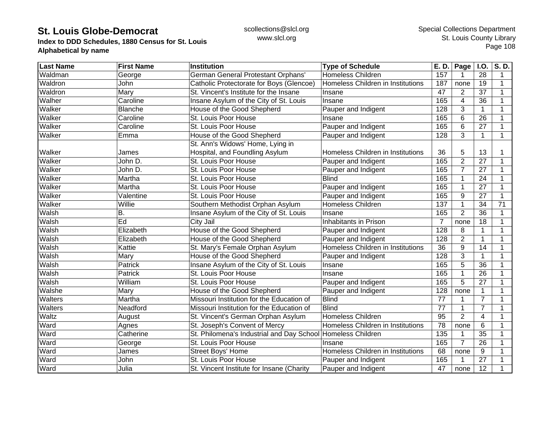**Index to DDD Schedules, 1880 Census for St. Louis Alphabetical by name**

| <b>Last Name</b> | <b>First Name</b> | <b>Institution</b>                                          | <b>Type of Schedule</b>           | E. D.           | Page           | <b>I.O.</b>     | $\overline{\mathsf{S}}$ . D. |
|------------------|-------------------|-------------------------------------------------------------|-----------------------------------|-----------------|----------------|-----------------|------------------------------|
| Waldman          | George            | German General Protestant Orphans'                          | <b>Homeless Children</b>          | 157             |                | 28              | 1                            |
| Waldron          | John              | Catholic Protectorate for Boys (Glencoe)                    | Homeless Children in Institutions | 187             | none           | 19              | 1                            |
| Waldron          | Mary              | St. Vincent's Institute for the Insane                      | Insane                            | 47              | $\overline{2}$ | 37              | 1                            |
| Walher           | Caroline          | Insane Asylum of the City of St. Louis                      | Insane                            | 165             | $\overline{4}$ | 36              | 1                            |
| Walker           | <b>Blanche</b>    | House of the Good Shepherd                                  | Pauper and Indigent               | 128             | 3              | 1               |                              |
| Walker           | Caroline          | St. Louis Poor House                                        | Insane                            | 165             | 6              | 26              |                              |
| Walker           | Caroline          | St. Louis Poor House                                        | Pauper and Indigent               | 165             | 6              | 27              |                              |
| Walker           | Emma              | House of the Good Shepherd                                  | Pauper and Indigent               | 128             | 3              | $\mathbf{1}$    | 1                            |
|                  |                   | St. Ann's Widows' Home, Lying in                            |                                   |                 |                |                 |                              |
| Walker           | James             | Hospital, and Foundling Asylum                              | Homeless Children in Institutions | 36              | 5              | 13              |                              |
| Walker           | John D.           | St. Louis Poor House                                        | Pauper and Indigent               | 165             | $\overline{2}$ | 27              | 1                            |
| Walker           | John D.           | St. Louis Poor House                                        | Pauper and Indigent               | 165             | 7              | 27              |                              |
| Walker           | Martha            | St. Louis Poor House                                        | <b>Blind</b>                      | 165             |                | 24              |                              |
| Walker           | Martha            | St. Louis Poor House                                        | Pauper and Indigent               | 165             | 1              | 27              |                              |
| Walker           | Valentine         | St. Louis Poor House                                        | Pauper and Indigent               | 165             | 9              | 27              | 1                            |
| Walker           | Willie            | Southern Methodist Orphan Asylum                            | <b>Homeless Children</b>          | 137             | 1              | 34              | 71                           |
| Walsh            | Β.                | Insane Asylum of the City of St. Louis                      | Insane                            | 165             | $\overline{2}$ | 36              | $\mathbf 1$                  |
| Walsh            | Ed                | City Jail                                                   | Inhabitants in Prison             | $\overline{7}$  | none           | 18              |                              |
| Walsh            | Elizabeth         | House of the Good Shepherd                                  | Pauper and Indigent               | 128             | 8              | 1               |                              |
| Walsh            | Elizabeth         | House of the Good Shepherd                                  | Pauper and Indigent               | 128             | $\overline{2}$ | $\mathbf 1$     |                              |
| Walsh            | Kattie            | St. Mary's Female Orphan Asylum                             | Homeless Children in Institutions | $\overline{36}$ | 9              | 14              | 1                            |
| Walsh            | Mary              | House of the Good Shepherd                                  | Pauper and Indigent               | 128             | 3              | 1               | 1                            |
| Walsh            | Patrick           | Insane Asylum of the City of St. Louis                      | Insane                            | 165             | 5              | $\overline{36}$ | 1                            |
| Walsh            | Patrick           | St. Louis Poor House                                        | Insane                            | 165             | 1              | 26              |                              |
| Walsh            | William           | St. Louis Poor House                                        | Pauper and Indigent               | 165             | 5              | $\overline{27}$ |                              |
| Walshe           | Mary              | House of the Good Shepherd                                  | Pauper and Indigent               | 128             | none           | $\mathbf{1}$    |                              |
| Walters          | Martha            | Missouri Institution for the Education of                   | <b>Blind</b>                      | 77              |                | $\overline{7}$  |                              |
| Walters          | Neadford          | Missouri Institution for the Education of                   | <b>Blind</b>                      | 77              | 1              | $\overline{7}$  | 1                            |
| Waltz            | August            | St. Vincent's German Orphan Asylum                          | <b>Homeless Children</b>          | 95              | $\overline{2}$ | 4               | 1                            |
| Ward             | Agnes             | St. Joseph's Convent of Mercy                               | Homeless Children in Institutions | $\overline{78}$ | none           | 6               |                              |
| Ward             | Catherine         | St. Philomena's Industrial and Day School Homeless Children |                                   | 135             |                | $\overline{35}$ |                              |
| Ward             | George            | St. Louis Poor House                                        | Insane                            | 165             | $\overline{7}$ | 26              |                              |
| Ward             | James             | <b>Street Boys' Home</b>                                    | Homeless Children in Institutions | 68              | none           | 9               |                              |
| Ward             | John              | St. Louis Poor House                                        | Pauper and Indigent               | 165             |                | 27              |                              |
| Ward             | Julia             | St. Vincent Institute for Insane (Charity                   | Pauper and Indigent               | 47              | none           | 12              |                              |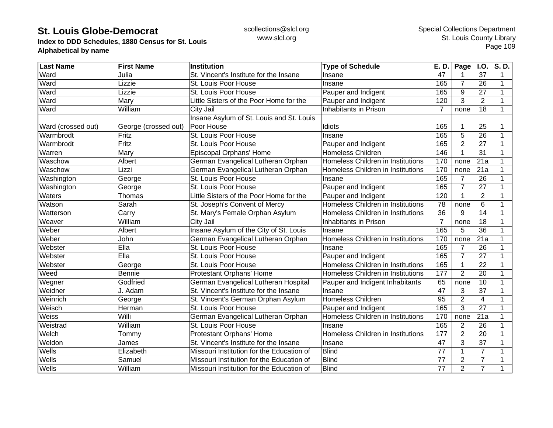**Index to DDD Schedules, 1880 Census for St. Louis Alphabetical by name**

| <b>Last Name</b>   | <b>First Name</b>    | <b>Institution</b>                        | <b>Type of Schedule</b>           | E. D.           | Page           | <b>I.O.</b>     | S.D. |
|--------------------|----------------------|-------------------------------------------|-----------------------------------|-----------------|----------------|-----------------|------|
| Ward               | Julia                | St. Vincent's Institute for the Insane    | Insane                            | 47              |                | 37              | 1    |
| Ward               | Lizzie               | St. Louis Poor House                      | Insane                            | 165             | $\overline{7}$ | 26              | 1    |
| Ward               | Lizzie               | St. Louis Poor House                      | Pauper and Indigent               | 165             | 9              | 27              | 1    |
| Ward               | Mary                 | Little Sisters of the Poor Home for the   | Pauper and Indigent               | 120             | 3              | $\overline{2}$  | 1    |
| Ward               | William              | City Jail                                 | Inhabitants in Prison             | $\overline{7}$  | none           | 18              | 1    |
|                    |                      | Insane Asylum of St. Louis and St. Louis  |                                   |                 |                |                 |      |
| Ward (crossed out) | George (crossed out) | Poor House                                | Idiots                            | 165             |                | 25              |      |
| Warmbrodt          | Fritz                | St. Louis Poor House                      | Insane                            | 165             | 5              | 26              |      |
| Warmbrodt          | Fritz                | St. Louis Poor House                      | Pauper and Indigent               | 165             | $\overline{2}$ | 27              |      |
| Warren             | Mary                 | Episcopal Orphans' Home                   | <b>Homeless Children</b>          | 146             | 1              | 31              | 1    |
| Waschow            | Albert               | German Evangelical Lutheran Orphan        | Homeless Children in Institutions | 170             | none           | 21a             |      |
| Waschow            | Lizzi                | German Evangelical Lutheran Orphan        | Homeless Children in Institutions | 170             | none           | 21a             |      |
| Washington         | George               | St. Louis Poor House                      | Insane                            | 165             | $\overline{7}$ | 26              |      |
| Washington         | George               | St. Louis Poor House                      | Pauper and Indigent               | 165             | $\overline{7}$ | 27              |      |
| Waters             | Thomas               | Little Sisters of the Poor Home for the   | Pauper and Indigent               | 120             |                | $\overline{2}$  |      |
| Watson             | Sarah                | St. Joseph's Convent of Mercy             | Homeless Children in Institutions | 78              | none           | 6               | 1    |
| Watterson          | Carry                | St. Mary's Female Orphan Asylum           | Homeless Children in Institutions | 36              | 9              | 14              |      |
| Weaver             | William              | City Jail                                 | Inhabitants in Prison             | $\overline{7}$  | none           | 18              |      |
| Weber              | Albert               | Insane Asylum of the City of St. Louis    | Insane                            | 165             | 5              | 36              |      |
| Weber              | John                 | German Evangelical Lutheran Orphan        | Homeless Children in Institutions | 170             | none           | 21a             |      |
| Webster            | Ella                 | St. Louis Poor House                      | Insane                            | 165             | $\overline{7}$ | 26              |      |
| Webster            | Ella                 | St. Louis Poor House                      | Pauper and Indigent               | 165             | $\overline{7}$ | 27              |      |
| Webster            | George               | St. Louis Poor House                      | Homeless Children in Institutions | 165             | 1              | $\overline{22}$ | 1    |
| Weed               | <b>Bennie</b>        | Protestant Orphans' Home                  | Homeless Children in Institutions | 177             | $\overline{2}$ | 20              | 1    |
| Wegner             | Godfried             | German Evangelical Lutheran Hospital      | Pauper and Indigent Inhabitants   | 65              | none           | 10              |      |
| Weidner            | J. Adam              | St. Vincent's Institute for the Insane    | Insane                            | 47              | 3              | 37              | 1    |
| Weinrich           | George               | St. Vincent's German Orphan Asylum        | Homeless Children                 | 95              | $\overline{2}$ | 4               | 1    |
| Weisch             | Herman               | St. Louis Poor House                      | Pauper and Indigent               | 165             | 3              | 27              | 1    |
| Weiss              | Willi                | German Evangelical Lutheran Orphan        | Homeless Children in Institutions | 170             | none           | 21a             |      |
| Weistrad           | William              | St. Louis Poor House                      | Insane                            | 165             | 2              | 26              |      |
| Welch              | Tommy                | Protestant Orphans' Home                  | Homeless Children in Institutions | 177             | $\overline{2}$ | 20              |      |
| Weldon             | James                | St. Vincent's Institute for the Insane    | Insane                            | $\overline{47}$ | 3              | $\overline{37}$ |      |
| Wells              | Elizabeth            | Missouri Institution for the Education of | <b>Blind</b>                      | 77              |                | $\overline{7}$  |      |
| Wells              | Samuel               | Missouri Institution for the Education of | Blind                             | 77              | $\overline{2}$ | $\overline{7}$  |      |
| Wells              | William              | Missouri Institution for the Education of | <b>Blind</b>                      | 77              | $\overline{2}$ | $\overline{7}$  |      |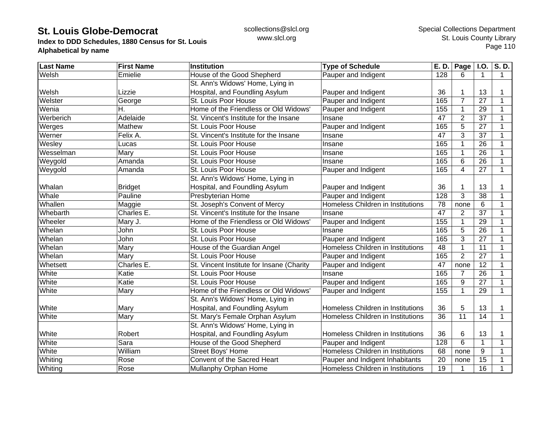**Index to DDD Schedules, 1880 Census for St. Louis Alphabetical by name**

| <b>Last Name</b> | <b>First Name</b> | <b>Institution</b>                        | <b>Type of Schedule</b>           | E. D.            | Page I.O.       |                 | S.D.         |
|------------------|-------------------|-------------------------------------------|-----------------------------------|------------------|-----------------|-----------------|--------------|
| Welsh            | Emielie           | House of the Good Shepherd                | Pauper and Indigent               | 128              | 6               | $\mathbf 1$     | $\mathbf 1$  |
|                  |                   | St. Ann's Widows' Home, Lying in          |                                   |                  |                 |                 |              |
| Welsh            | Lizzie            | Hospital, and Foundling Asylum            | Pauper and Indigent               | 36               |                 | 13              |              |
| Welster          | George            | St. Louis Poor House                      | Pauper and Indigent               | 165              | $\overline{7}$  | 27              | 1            |
| Wenia            | Н.                | Home of the Friendless or Old Widows'     | Pauper and Indigent               | 155              | 1               | 29              |              |
| Werberich        | Adelaide          | St. Vincent's Institute for the Insane    | Insane                            | 47               | $\overline{2}$  | 37              |              |
| Werges           | Mathew            | St. Louis Poor House                      | Pauper and Indigent               | 165              | 5               | 27              |              |
| Werner           | Felix A.          | St. Vincent's Institute for the Insane    | Insane                            | 47               | 3               | 37              |              |
| Wesley           | Lucas             | St. Louis Poor House                      | Insane                            | 165              |                 | 26              |              |
| Wesselman        | Mary              | St. Louis Poor House                      | Insane                            | 165              |                 | 26              |              |
| Weygold          | Amanda            | St. Louis Poor House                      | Insane                            | 165              | 6               | $\overline{26}$ |              |
| Weygold          | Amanda            | St. Louis Poor House                      | Pauper and Indigent               | 165              | $\overline{4}$  | $\overline{27}$ | 1            |
|                  |                   | St. Ann's Widows' Home, Lying in          |                                   |                  |                 |                 |              |
| Whalan           | <b>Bridget</b>    | Hospital, and Foundling Asylum            | Pauper and Indigent               | 36               |                 | 13              |              |
| Whale            | Pauline           | <b>Presbyterian Home</b>                  | Pauper and Indigent               | 128              | 3               | 38              | 1            |
| Whallen          | Maggie            | St. Joseph's Convent of Mercy             | Homeless Children in Institutions | 78               | none            | 6               | 1            |
| Whebarth         | Charles E.        | St. Vincent's Institute for the Insane    | Insane                            | 47               | 2               | 37              | 1            |
| Wheeler          | Mary J.           | Home of the Friendless or Old Widows'     | Pauper and Indigent               | 155              | 1               | 29              |              |
| Whelan           | John              | St. Louis Poor House                      | Insane                            | 165              | 5               | 26              |              |
| Whelan           | John              | St. Louis Poor House                      | Pauper and Indigent               | 165              | 3               | 27              |              |
| Whelan           | Mary              | House of the Guardian Angel               | Homeless Children in Institutions | 48               |                 | 11              | 1            |
| Whelan           | Mary              | St. Louis Poor House                      | Pauper and Indigent               | 165              | $\overline{2}$  | $\overline{27}$ | $\mathbf 1$  |
| Whetsett         | Charles E.        | St. Vincent Institute for Insane (Charity | Pauper and Indigent               | 47               | none            | 12              | 1            |
| White            | Katie             | St. Louis Poor House                      | Insane                            | 165              | 7               | 26              |              |
| White            | Katie             | St. Louis Poor House                      | Pauper and Indigent               | 165              | 9               | 27              |              |
| White            | Mary              | Home of the Friendless or Old Widows'     | Pauper and Indigent               | 155              | $\mathbf{1}$    | 29              | $\mathbf{1}$ |
|                  |                   | St. Ann's Widows' Home, Lying in          |                                   |                  |                 |                 |              |
| White            | Mary              | Hospital, and Foundling Asylum            | Homeless Children in Institutions | 36               | 5               | 13              | 1            |
| White            | Mary              | St. Mary's Female Orphan Asylum           | Homeless Children in Institutions | 36               | $\overline{11}$ | 14              | $\mathbf{1}$ |
|                  |                   | St. Ann's Widows' Home, Lying in          |                                   |                  |                 |                 |              |
| White            | Robert            | Hospital, and Foundling Asylum            | Homeless Children in Institutions | 36               | 6               | 13              |              |
| White            | Sara              | House of the Good Shepherd                | Pauper and Indigent               | $\overline{128}$ | 6               | $\mathbf 1$     |              |
| White            | William           | <b>Street Boys' Home</b>                  | Homeless Children in Institutions | 68               | none            | 9               |              |
| Whiting          | Rose              | Convent of the Sacred Heart               | Pauper and Indigent Inhabitants   | 20               | none            | 15              |              |
| Whiting          | Rose              | Mullanphy Orphan Home                     | Homeless Children in Institutions | 19               | 1               | 16              |              |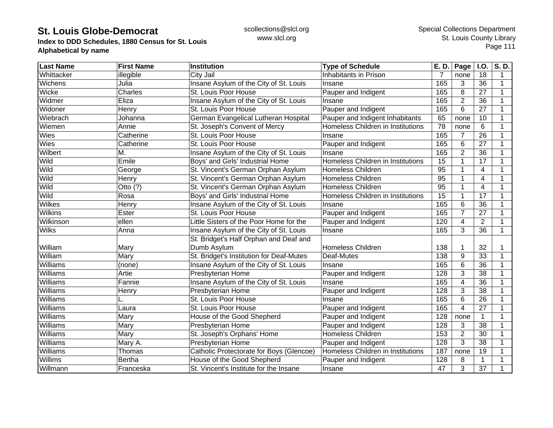**Index to DDD Schedules, 1880 Census for St. Louis Alphabetical by name**

| <b>Last Name</b> | <b>First Name</b> | <b>Institution</b>                       | <b>Type of Schedule</b>           | E. D.           | Page                    | I.O.            | S.D. |
|------------------|-------------------|------------------------------------------|-----------------------------------|-----------------|-------------------------|-----------------|------|
| Whittacker       | illegible         | City Jail                                | Inhabitants in Prison             | 7               | none                    | 18              | 1    |
| Wichens          | Julia             | Insane Asylum of the City of St. Louis   | Insane                            | 165             | 3                       | 36              | 1    |
| Wicke            | Charles           | St. Louis Poor House                     | Pauper and Indigent               | 165             | 8                       | 27              | 1    |
| Widmer           | Eliza             | Insane Asylum of the City of St. Louis   | Insane                            | 165             | $\overline{2}$          | 36              | 1    |
| Widoner          | Henry             | St. Louis Poor House                     | Pauper and Indigent               | 165             | 6                       | 27              | 1    |
| Wiebrach         | Johanna           | German Evangelical Lutheran Hospital     | Pauper and Indigent Inhabitants   | 65              | none                    | 10              |      |
| Wiemen           | Annie             | St. Joseph's Convent of Mercy            | Homeless Children in Institutions | 78              | none                    | 6               |      |
| Wies             | Catherine         | St. Louis Poor House                     | Insane                            | 165             | 7                       | 26              |      |
| Wies             | Catherine         | St. Louis Poor House                     | Pauper and Indigent               | 165             | 6                       | 27              |      |
| Wilbert          | М.                | Insane Asylum of the City of St. Louis   | Insane                            | 165             | $\overline{2}$          | $\overline{36}$ |      |
| Wild             | Emile             | Boys' and Girls' Industrial Home         | Homeless Children in Institutions | 15              | 1                       | 17              | 1    |
| Wild             | George            | St. Vincent's German Orphan Asylum       | <b>Homeless Children</b>          | 95              | 1                       | $\overline{4}$  |      |
| Wild             | Henry             | St. Vincent's German Orphan Asylum       | <b>Homeless Children</b>          | 95              | 1                       | 4               |      |
| Wild             | Otto $(?)$        | St. Vincent's German Orphan Asylum       | <b>Homeless Children</b>          | $\overline{95}$ | 1                       | $\overline{4}$  |      |
| Wild             | Rosa              | Boys' and Girls' Industrial Home         | Homeless Children in Institutions | 15              | 1                       | 17              |      |
| <b>Wilkes</b>    | Henry             | Insane Asylum of the City of St. Louis   | Insane                            | 165             | 6                       | 36              |      |
| <b>Wilkins</b>   | Ester             | St. Louis Poor House                     | Pauper and Indigent               | 165             | $\overline{7}$          | 27              | 1    |
| Wilkinson        | ellen             | Little Sisters of the Poor Home for the  | Pauper and Indigent               | 120             | 4                       | $\overline{2}$  | 1    |
| <b>Wilks</b>     | Anna              | Insane Asylum of the City of St. Louis   | Insane                            | 165             | 3                       | 36              | 1    |
|                  |                   | St. Bridget's Half Orphan and Deaf and   |                                   |                 |                         |                 |      |
| William          | Mary              | Dumb Asylum                              | <b>Homeless Children</b>          | 138             | 1                       | 32              |      |
| William          | Mary              | St. Bridget's Institution for Deaf-Mutes | Deaf-Mutes                        | 138             | 9                       | 33              |      |
| Williams         | (none)            | Insane Asylum of the City of St. Louis   | Insane                            | 165             | 6                       | $\overline{36}$ |      |
| Williams         | Artie             | Presbyterian Home                        | Pauper and Indigent               | 128             | 3                       | 38              | 1    |
| Williams         | Fannie            | Insane Asylum of the City of St. Louis   | Insane                            | 165             | $\overline{\mathbf{4}}$ | 36              |      |
| Williams         | Henry             | Presbyterian Home                        | Pauper and Indigent               | 128             | 3                       | $\overline{38}$ |      |
| Williams         |                   | St. Louis Poor House                     | Insane                            | 165             | 6                       | $\overline{26}$ |      |
| Williams         | Laura             | St. Louis Poor House                     | Pauper and Indigent               | 165             | 4                       | 27              | 1    |
| Williams         | Mary              | House of the Good Shepherd               | Pauper and Indigent               | 128             | none                    | $\mathbf{1}$    | 1    |
| Williams         | Mary              | Presbyterian Home                        | Pauper and Indigent               | 128             | 3                       | 38              | 1    |
| Williams         | Mary              | St. Joseph's Orphans' Home               | Homeless Children                 | 153             | $\overline{2}$          | 30              |      |
| <b>Williams</b>  | Mary A.           | Presbyterian Home                        | Pauper and Indigent               | 128             | 3                       | $\overline{38}$ |      |
| Williams         | Thomas            | Catholic Protectorate for Boys (Glencoe) | Homeless Children in Institutions | 187             | none                    | 19              |      |
| <b>Willims</b>   | <b>Bertha</b>     | House of the Good Shepherd               | Pauper and Indigent               | 128             | 8                       | 1               |      |
| Willmann         | Franceska         | St. Vincent's Institute for the Insane   | Insane                            | 47              | 3                       | 37              | 1    |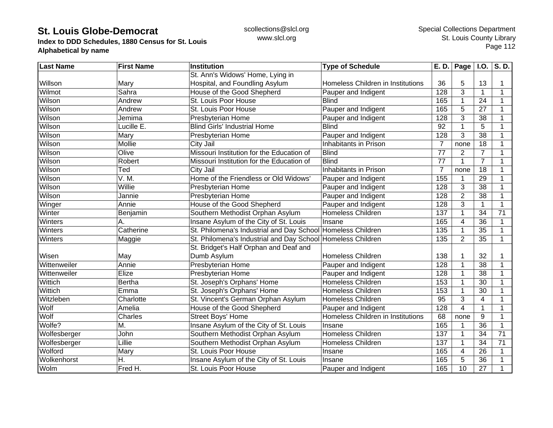**Index to DDD Schedules, 1880 Census for St. Louis Alphabetical by name**

| <b>Last Name</b> | <b>First Name</b> | <b>Institution</b>                                          | <b>Type of Schedule</b>           |                  | $E. D.$ Page   I.O. |                 | S.D.            |
|------------------|-------------------|-------------------------------------------------------------|-----------------------------------|------------------|---------------------|-----------------|-----------------|
|                  |                   | St. Ann's Widows' Home, Lying in                            |                                   |                  |                     |                 |                 |
| Willson          | Mary              | Hospital, and Foundling Asylum                              | Homeless Children in Institutions | 36               | 5                   | 13              | 1               |
| Wilmot           | Sahra             | House of the Good Shepherd                                  | Pauper and Indigent               | $\overline{128}$ | 3                   | 1               | 1               |
| Wilson           | Andrew            | St. Louis Poor House                                        | <b>Blind</b>                      | 165              | 1                   | 24              | 1               |
| Wilson           | Andrew            | St. Louis Poor House                                        | Pauper and Indigent               | 165              | 5                   | 27              | 1               |
| Wilson           | Jemima            | Presbyterian Home                                           | Pauper and Indigent               | 128              | 3                   | 38              | 1               |
| Wilson           | Lucille E.        | <b>Blind Girls' Industrial Home</b>                         | <b>Blind</b>                      | 92               | 1                   | 5               | 1               |
| Wilson           | Mary              | Presbyterian Home                                           | Pauper and Indigent               | 128              | 3                   | 38              |                 |
| Wilson           | Mollie            | <b>City Jail</b>                                            | <b>Inhabitants in Prison</b>      | $\overline{7}$   | none                | $\overline{18}$ | 1               |
| Wilson           | Olive             | Missouri Institution for the Education of                   | <b>Blind</b>                      | 77               | $\overline{2}$      | $\overline{7}$  |                 |
| Wilson           | Robert            | Missouri Institution for the Education of                   | <b>Blind</b>                      | 77               | 1                   | $\overline{7}$  | 1               |
| Wilson           | Ted               | City Jail                                                   | Inhabitants in Prison             | $\overline{7}$   | none                | 18              | 1               |
| Wilson           | V. M.             | Home of the Friendless or Old Widows'                       | Pauper and Indigent               | 155              | 1                   | 29              | 1               |
| Wilson           | Willie            | Presbyterian Home                                           | Pauper and Indigent               | 128              | 3                   | 38              | 1               |
| Wilson           | Jannie            | Presbyterian Home                                           | Pauper and Indigent               | 128              | $\overline{2}$      | $\overline{38}$ | 1               |
| Winger           | Annie             | House of the Good Shepherd                                  | Pauper and Indigent               | 128              | 3                   | 1               | 1               |
| Winter           | Benjamin          | Southern Methodist Orphan Asylum                            | Homeless Children                 | 137              | 1                   | 34              | 71              |
| Winters          | А.                | Insane Asylum of the City of St. Louis                      | Insane                            | 165              | $\overline{4}$      | 36              | 1               |
| Winters          | Catherine         | St. Philomena's Industrial and Day School Homeless Children |                                   | 135              | 1                   | 35              | 1               |
| Winters          | Maggie            | St. Philomena's Industrial and Day School Homeless Children |                                   | 135              | 2                   | 35              | $\mathbf 1$     |
|                  |                   | St. Bridget's Half Orphan and Deaf and                      |                                   |                  |                     |                 |                 |
| Wisen            | May               | Dumb Asylum                                                 | <b>Homeless Children</b>          | 138              | 1                   | 32              | 1               |
| Wittenweiler     | Annie             | Presbyterian Home                                           | Pauper and Indigent               | 128              | 1                   | 38              | 1               |
| Wittenweiler     | Elize             | <b>Presbyterian Home</b>                                    | Pauper and Indigent               | 128              | $\mathbf{1}$        | $\overline{38}$ | 1               |
| Wittich          | <b>Bertha</b>     | St. Joseph's Orphans' Home                                  | Homeless Children                 | 153              | $\mathbf{1}$        | 30              | $\mathbf{1}$    |
| Wittich          | Emma              | St. Joseph's Orphans' Home                                  | Homeless Children                 | 153              | 1                   | 30              | 1               |
| Witzleben        | Charlotte         | St. Vincent's German Orphan Asylum                          | <b>Homeless Children</b>          | 95               | 3                   | $\overline{4}$  | 1               |
| Wolf             | Amelia            | House of the Good Shepherd                                  | Pauper and Indigent               | 128              | 4                   | $\mathbf{1}$    | 1               |
| Wolf             | Charles           | <b>Street Boys' Home</b>                                    | Homeless Children in Institutions | 68               | none                | 9               | 1               |
| Wolfe?           | M.                | Insane Asylum of the City of St. Louis                      | Insane                            | 165              |                     | 36              | 1               |
| Wolfesberger     | John              | Southern Methodist Orphan Asylum                            | <b>Homeless Children</b>          | 137              | 1                   | 34              | 71              |
| Wolfesberger     | Lillie            | Southern Methodist Orphan Asylum                            | <b>Homeless Children</b>          | 137              | 1                   | 34              | $\overline{71}$ |
| Wolford          | Mary              | St. Louis Poor House                                        | Insane                            | 165              | 4                   | 26              | 1               |
| Wolkenhorst      | H.                | Insane Asylum of the City of St. Louis                      | Insane                            | 165              | 5                   | 36              | 1               |
| Wolm             | Fred H.           | St. Louis Poor House                                        | Pauper and Indigent               | 165              | 10                  | 27              | 1               |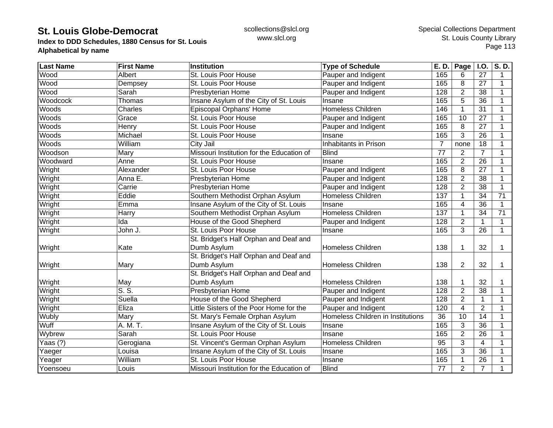**Index to DDD Schedules, 1880 Census for St. Louis Alphabetical by name**

| <b>Last Name</b> | <b>First Name</b>                  | <b>Institution</b>                        | <b>Type of Schedule</b>           |                | $\overline{E}$ . D.   Page   I.O. |                 | S.D. |
|------------------|------------------------------------|-------------------------------------------|-----------------------------------|----------------|-----------------------------------|-----------------|------|
| <b>Wood</b>      | Albert                             | St. Louis Poor House                      | Pauper and Indigent               | 165            | 6                                 | 27              | 1    |
| Wood             | Dempsey                            | St. Louis Poor House                      | Pauper and Indigent               | 165            | 8                                 | 27              | 1    |
| <b>Wood</b>      | Sarah                              | Presbyterian Home                         | Pauper and Indigent               | 128            | $\overline{2}$                    | 38              | 1    |
| Woodcock         | Thomas                             | Insane Asylum of the City of St. Louis    | Insane                            | 165            | 5                                 | 36              | 1    |
| Woods            | Charles                            | Episcopal Orphans' Home                   | <b>Homeless Children</b>          | 146            | 1                                 | 31              | 1    |
| Woods            | Grace                              | St. Louis Poor House                      | Pauper and Indigent               | 165            | 10                                | 27              | 1    |
| Woods            | Henry                              | St. Louis Poor House                      | Pauper and Indigent               | 165            | 8                                 | 27              |      |
| Woods            | Michael                            | St. Louis Poor House                      | Insane                            | 165            | 3                                 | 26              | 1    |
| Woods            | William                            | City Jail                                 | Inhabitants in Prison             | $\overline{7}$ | none                              | 18              | 1    |
| Woodson          | Mary                               | Missouri Institution for the Education of | <b>Blind</b>                      | 77             | $\overline{2}$                    | $\overline{7}$  |      |
| Woodward         | Anne                               | St. Louis Poor House                      | Insane                            | 165            | $\overline{2}$                    | $\overline{26}$ |      |
| Wright           | Alexander                          | St. Louis Poor House                      | Pauper and Indigent               | 165            | 8                                 | 27              |      |
| Wright           | Anna E.                            | Presbyterian Home                         | Pauper and Indigent               | 128            | $\overline{2}$                    | 38              |      |
| Wright           | Carrie                             | Presbyterian Home                         | Pauper and Indigent               | 128            | $\overline{2}$                    | 38              | 1    |
| Wright           | Eddie                              | Southern Methodist Orphan Asylum          | Homeless Children                 | 137            | 1                                 | 34              | 71   |
| Wright           | Emma                               | Insane Asylum of the City of St. Louis    | Insane                            | 165            | 4                                 | 36              | 1    |
| Wright           | Harry                              | Southern Methodist Orphan Asylum          | <b>Homeless Children</b>          | 137            | 1                                 | 34              | 71   |
| Wright           | Ida                                | House of the Good Shepherd                | Pauper and Indigent               | 128            | $\overline{2}$                    | $\mathbf{1}$    | 1    |
| Wright           | John J.                            | St. Louis Poor House                      | Insane                            | 165            | 3                                 | 26              | 1    |
|                  |                                    | St. Bridget's Half Orphan and Deaf and    |                                   |                |                                   |                 |      |
| Wright           | Kate                               | Dumb Asylum                               | <b>Homeless Children</b>          | 138            | 1                                 | 32              | 1    |
|                  |                                    | St. Bridget's Half Orphan and Deaf and    |                                   |                |                                   |                 |      |
| Wright           | Mary                               | Dumb Asylum                               | Homeless Children                 | 138            | $\overline{2}$                    | 32              | 1    |
|                  |                                    | St. Bridget's Half Orphan and Deaf and    |                                   |                |                                   |                 |      |
| Wright           | May                                | Dumb Asylum                               | <b>Homeless Children</b>          | 138            | 1                                 | 32              |      |
| Wright           | $\overline{\mathsf{S}.\mathsf{S}}$ | Presbyterian Home                         | Pauper and Indigent               | 128            | $\overline{2}$                    | 38              | 1    |
| Wright           | Suella                             | House of the Good Shepherd                | Pauper and Indigent               | 128            | $\overline{2}$                    | $\mathbf{1}$    | 1    |
| Wright           | Eliza                              | Little Sisters of the Poor Home for the   | Pauper and Indigent               | 120            | 4                                 | $\overline{2}$  | 1    |
| Wubly            | Mary                               | St. Mary's Female Orphan Asylum           | Homeless Children in Institutions | 36             | 10                                | 14              | 1    |
| Wuff             | A. M. T.                           | Insane Asylum of the City of St. Louis    | Insane                            | 165            | 3                                 | 36              | 1    |
| Wybrew           | Sarah                              | St. Louis Poor House                      | Insane                            | 165            | $\overline{2}$                    | 26              |      |
| Yaas(?)          | Gerogiana                          | St. Vincent's German Orphan Asylum        | Homeless Children                 | 95             | 3                                 | 4               | 1    |
| Yaeger           | Louisa                             | Insane Asylum of the City of St. Louis    | Insane                            | 165            | 3                                 | 36              |      |
| Yeager           | William                            | St. Louis Poor House                      | Insane                            | 165            | 1                                 | 26              |      |
| Yoensoeu         | Louis                              | Missouri Institution for the Education of | Blind                             | 77             | $\overline{2}$                    | $\overline{7}$  | 1    |